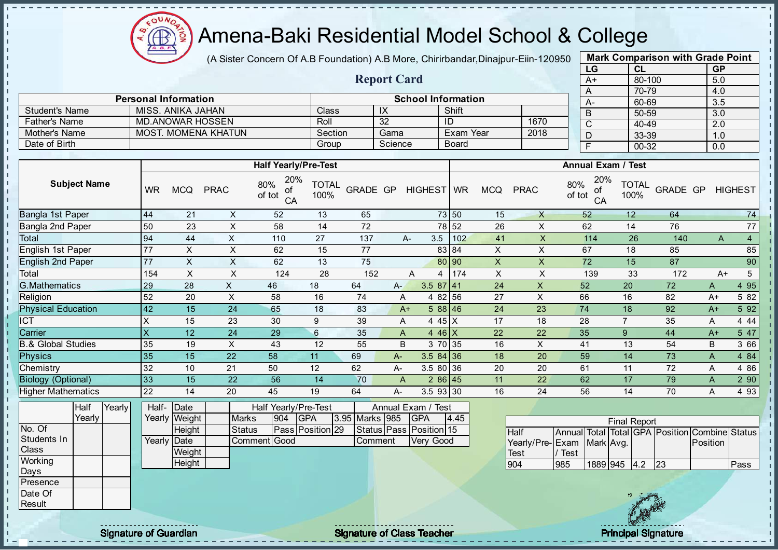

- II - II - II J.

J.

- II a. п J. J. - II  $\mathbf{r}$ J.

 $\blacksquare$ 

 $\mathbf{u}$  $\mathbf{I}$ 

#### Amena-Baki Residential Model School & College

(A Sister Concern Of A.B Foundation) A.B More, Chirirbandar, Dinajpur-Eiin-120950

Report Card

Personal Information and Theorem School Information

Father's Name MD.ANOWAR HOSSEN Roll 32 ID 1670 Mother's Name MOST. MOMENA KHATUN Section Gama Exam Year 2018

Student's Name MISS. ANIKA JAHAN Class IX Shift<br>
Father's Name MD.ANOWAR HOSSEN Roll 32 ID

Date of Birth Group Science Board

|      | <b>Mark Comparison with Grade Point</b> |           |
|------|-----------------------------------------|-----------|
| LG   | <b>CL</b>                               | <b>GP</b> |
| $A+$ | 80-100                                  | 5.0       |
| A    | 70-79                                   | 4.0       |
| А-   | 60-69                                   | 3.5       |
| B    | 50-59                                   | 3.0       |
| C    | 40-49                                   | 2.0       |
| D    | 33-39                                   | 1.0       |
| F    | 00-32                                   | 0.0       |
|      |                                         |           |

л h,

|                               |           |                    |                           | <b>Half Yearly/Pre-Test</b>      |                      |                |              |                         |       |                           |                           |               | <b>Annual Exam / Test</b> |                      |                                                |          |                 |
|-------------------------------|-----------|--------------------|---------------------------|----------------------------------|----------------------|----------------|--------------|-------------------------|-------|---------------------------|---------------------------|---------------|---------------------------|----------------------|------------------------------------------------|----------|-----------------|
| <b>Subject Name</b>           | <b>WR</b> | <b>MCQ</b>         | <b>PRAC</b>               | 20%<br>80%<br>οf<br>of tot<br>CA | <b>TOTAL</b><br>100% |                |              | GRADE GP HIGHEST WR     |       | <b>MCQ</b>                | <b>PRAC</b>               | 80%<br>of tot | 20%<br>οf<br>CA           | <b>TOTAL</b><br>100% | GRADE GP HIGHEST                               |          |                 |
| Bangla 1st Paper              | 44        | 21                 | $\pmb{\times}$            | 52                               | 13                   | 65             |              |                         | 73 50 | 15                        | $\mathsf{X}$              | 52            |                           | 12                   | 64                                             |          | 74              |
| Bangla 2nd Paper              | 50        | 23                 | X                         | 58                               | 14                   | 72             |              |                         | 78 52 | 26                        | $\boldsymbol{\mathsf{X}}$ | 62            |                           | 14                   | 76                                             |          | 77              |
| Total                         | 94        | 44                 | $\mathsf{X}$              | 110                              | 27                   | 137            |              | 3.5<br>A-               | 102   | 41                        | $\pmb{\times}$            |               | 114                       | 26                   | 140                                            | A        | 4 <sup>1</sup>  |
| English 1st Paper             | 77        | $\pmb{\times}$     | X                         | 62                               | 15                   | 77             |              |                         | 83 84 | $\boldsymbol{\mathsf{X}}$ | X                         | 67            |                           | 18                   | 85                                             |          | 85              |
| <b>English 2nd Paper</b>      | 77        | $\times$           | X                         | 62                               | 13                   | 75             |              |                         | 80 90 | $\mathsf{X}$              | $\mathsf{X}$              | 72            |                           | 15                   | 87                                             |          | 90              |
| Total                         | 154       | $\sf X$            | X                         | 124                              | 28                   | 152            |              | A<br>4                  | 174   | $\mathsf X$               | X                         |               | 139                       | 33                   | 172                                            | $A+$     | $5\overline{)}$ |
| <b>G.Mathematics</b>          | 29        | 28                 | $\mathsf{X}$              | 46                               | 18                   | 64             | $A -$        | $3.587$   41            |       | 24                        | X                         | 52            |                           | 20                   | 72                                             | A        | 495             |
| Religion                      | 52        | 20                 | X                         | 58                               | 16                   | 74             | Α            | 4 82 56                 |       | 27                        | X                         | 66            |                           | 16                   | 82                                             | A+       | 5 82            |
| <b>Physical Education</b>     | 42        | 15                 | 24                        | 65                               | 18                   | 83             |              | 5 88 46<br>$A+$         |       | 24                        | 23                        | 74            |                           | 18                   | 92                                             | $A+$     | 5 92            |
| <b>ICT</b>                    | X         | 15                 | 23                        | 30                               | 9                    | 39             |              | 4 4 5 $\times$<br>A     |       | 17                        | 18                        | 28            |                           | $\overline{7}$       | 35                                             | A        | 4 4 4           |
| Carrier                       | X         | 12                 | 24                        | 29                               | $6\phantom{a}$       | 35             |              | 4 46 $X$<br>Α           |       | 22                        | 22                        | 35            |                           | 9                    | 44                                             | $A+$     | 5 47            |
| <b>B.&amp; Global Studies</b> | 35        | 19                 | $\boldsymbol{\mathsf{X}}$ | 43                               | 12                   | 55             | B            | 3 70 35                 |       | 16                        | X                         | 41            |                           | 13                   | 54                                             | B        | 3 66            |
| Physics                       | 35        | 15                 | 22                        | 58                               | 11                   | 69             | A-           | $3.584$ 36              |       | 18                        | 20                        | 59            |                           | 14                   | 73                                             | A        | 4 84            |
| Chemistry                     | 32        | 10                 | 21                        | 50                               | 12                   | 62             | A-           | 3.5 80 36               |       | 20                        | 20                        | 61            |                           | 11                   | 72                                             | A        | 4 8 6           |
| <b>Biology (Optional)</b>     | 33        | 15                 | $\overline{22}$           | 56                               | 14                   | 70             | $\mathsf{A}$ | $286$ 45                |       | 11                        | 22                        | 62            |                           | 17                   | 79                                             | Α        | 290             |
| <b>Higher Mathematics</b>     | 22        | 14                 | 20                        | 45                               | 19                   | 64             | $A -$        | 3.5 93 30               |       | 16                        | 24                        | 56            |                           | 14                   | 70                                             | A        | 4 9 3           |
| Half<br>Yearly                | Half-     | Date               |                           | Half Yearly/Pre-Test             |                      |                |              | Annual Exam / Test      |       |                           |                           |               |                           |                      |                                                |          |                 |
| Yearly                        |           | Yearly Weight      | <b>Marks</b>              | 904                              | <b>GPA</b>           | 3.95 Marks 985 |              | <b>GPA</b>              | 4.45  |                           |                           |               |                           | <b>Final Report</b>  |                                                |          |                 |
| No. Of<br>Students In         |           | Height             | <b>Status</b>             |                                  | Pass Position 29     |                |              | Status Pass Position 15 |       |                           | Half                      |               |                           |                      | Annual Total Total GPA Position Combine Status |          |                 |
| <b>Class</b>                  |           | <b>Yearly Date</b> |                           | Comment Good                     |                      | Comment        |              | Very Good               |       |                           | Yearly/Pre-Exam Mark Avg. |               |                           |                      |                                                | Position |                 |
| Working                       |           | Weight<br>Height   |                           |                                  |                      |                |              |                         |       |                           | Test                      | Test          |                           |                      |                                                |          |                 |
| Days                          |           |                    |                           |                                  |                      |                |              |                         |       |                           | 904                       | 985           | 1889 945                  | 4.2                  | 23                                             |          | Pass            |
| Presence                      |           |                    |                           |                                  |                      |                |              |                         |       |                           |                           |               |                           |                      |                                                |          |                 |
| Date Of                       |           |                    |                           |                                  |                      |                |              |                         |       |                           |                           |               |                           |                      |                                                |          |                 |
| Result                        |           |                    |                           |                                  |                      |                |              |                         |       |                           |                           |               |                           |                      |                                                |          |                 |

Signature of Guardian Signature Signature of Class Teacher Principal Signature Principal Signature

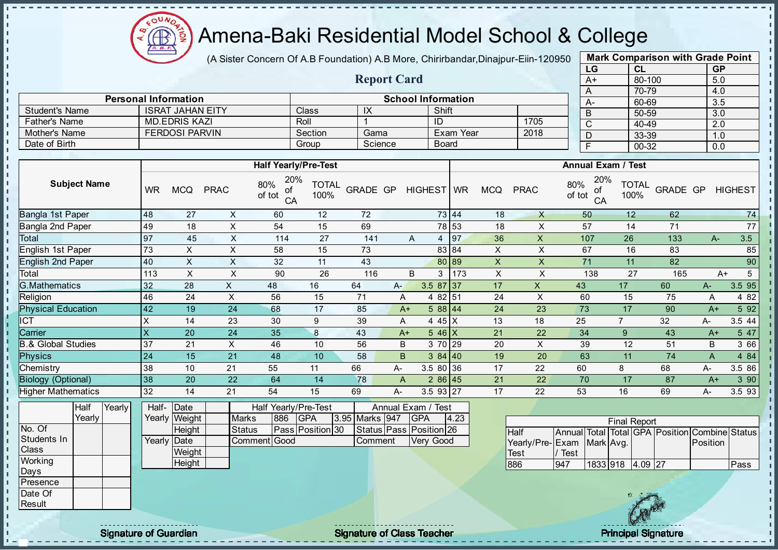

(A Sister Concern Of A.B Foundation) A.B More, Chirirbandar, Dinajpur-Eiin-120950

Report Card

|    | <b>Mark Comparison with Grade Point</b> |           |
|----|-----------------------------------------|-----------|
| LG | CL                                      | <b>GP</b> |
| A+ | 80-100                                  | 5.0       |
| A  | 70-79                                   | 4.0       |
| A- | 60-69                                   | 3.5       |
| B  | 50-59                                   | 3.0       |
| C  | 40-49                                   | 2.0       |
| D  | 33-39                                   | 1.0       |
| F  | $00 - 32$                               | 0.0       |
|    |                                         |           |

|                       |                | <b>Personal Information</b> |             |                                  | <b>School Information</b> |            |            |              |              |              | A-                               | 60-69                |          | 3.5            |        |
|-----------------------|----------------|-----------------------------|-------------|----------------------------------|---------------------------|------------|------------|--------------|--------------|--------------|----------------------------------|----------------------|----------|----------------|--------|
| <b>Student's Name</b> |                | <b>ISRAT JAHAN EITY</b>     |             |                                  | Class                     | IX         |            | Shift        |              |              | B                                | 50-59                |          | 3.0            |        |
| <b>Father's Name</b>  |                | <b>MD.EDRIS KAZI</b>        |             |                                  | Roll                      |            | ID         |              |              | 1705         | $\sim$                           | 40-49                |          | 2.0            |        |
| Mother's Name         |                | <b>FERDOSI PARVIN</b>       |             |                                  | Section                   | Gama       |            | Exam Year    |              | 2018         |                                  | 33-39                |          | 1.0            |        |
| Date of Birth         |                |                             |             |                                  | Group                     | Science    |            | <b>Board</b> |              |              |                                  | 00-32                |          | 0.0            |        |
|                       |                |                             |             |                                  |                           |            |            |              |              |              |                                  |                      |          |                |        |
|                       |                |                             |             | <b>Half Yearly/Pre-Test</b>      |                           |            |            |              |              |              | <b>Annual Exam / Test</b>        |                      |          |                |        |
| <b>Subject Name</b>   | <b>WR</b>      | <b>MCQ</b>                  | <b>PRAC</b> | 20%<br>80%<br>of<br>of tot<br>CA | <b>TOTAL</b><br>100%      | GRADE GP   | HIGHEST WR |              | <b>MCQ</b>   | <b>PRAC</b>  | 20%<br>80%<br>of<br>of tot<br>CA | <b>TOTAL</b><br>100% | GRADE GP | <b>HIGHEST</b> |        |
| Bangla 1st Paper      | 48             | 27                          |             | 60                               | 12                        | 72         |            | 73 44        | 18           |              | 50                               | 12 <sup>°</sup>      | 62       |                | 74     |
| Bangla 2nd Paper      | 49             | 18                          |             | 54                               | 15                        | 69         |            | 78 53        | 18           |              | 57                               | 14                   | 71       |                | 77     |
| Total                 | 97             | 45                          |             | 114                              | 27                        | 141        | A<br>4     | 97           | 36           |              | 107                              | 26                   | 133      | $A-$           | 3.5    |
| English 1st Paper     | 73<br>58<br>X. |                             |             | 15                               | 73                        |            | 83 84      | X            |              | 67           | 16                               | 83                   |          | 85             |        |
| Finalish Onel Demon   | $\sqrt{2}$     | $\lambda$                   | $\lambda$   | $\sim$                           | $\overline{A}$            | $\sqrt{2}$ |            | 00000        | $\mathbf{v}$ | $\mathbf{v}$ | 74                               | $\overline{A}$       | $\Omega$ |                | $\sim$ |

| English 1st Paper             | 73   |           |    | 58 | 15 | 73  |      |                                      | 83 84 | ∧  |    | 67  | 16 | 83  |      | 85       |
|-------------------------------|------|-----------|----|----|----|-----|------|--------------------------------------|-------|----|----|-----|----|-----|------|----------|
| <b>English 2nd Paper</b>      | 140  |           | ⌒  | 32 | 11 | 43  |      |                                      | 80 89 | ∧  |    | 71  | 11 | 82  |      | 90       |
| Total                         | 113  |           |    | 90 | 26 | 116 | B    | 3                                    | 173   | X  |    | 138 | 27 | 165 | A+   |          |
| G.Mathematics                 | 32   | 28        |    | 48 | 16 | 64  | A-   | 3.5<br>87                            | 137   | 17 | ∧  | 43  | 17 | 60  | $A-$ | $3.5$ 95 |
| Religion                      | 46   | 24        |    | 56 | 15 | 71  | A    | 4 82 51                              |       | 24 | ↗  | 60  | 15 | 75  | A    | 4 8 2    |
| <b>Physical Education</b>     | 142  | 19        | 24 | 68 | 17 | 85  | $A+$ | 588 44                               |       | 24 | 23 | 73  | 17 | 90  | $A+$ | 5 9 2    |
| ICT                           |      | 14        | 23 | 30 |    | 39  | A    | $45$ $\overline{\phantom{1}}$ X<br>4 |       | 13 | 18 | 25  |    | 32  | A-   | $3.5$ 44 |
| Carrier                       |      | 20        | 24 | 35 |    | 43  | $A+$ | 546 X                                |       | 21 | 22 | 34  | 9  | 43  | $A+$ | 5 47     |
| <b>B.&amp; Global Studies</b> | -37  | 21        | ⋏  | 46 | 10 | 56  | B    | 3 70 29                              |       | 20 | ⋏  | 39  | 12 | 51  | B    | 3 66     |
| Physics                       | 124  | 15        | 21 | 48 | 10 | 58  | B.   | 384 40                               |       | 19 | 20 | 63  | 11 | 74  | A    | 4 8 4    |
| Chemistry                     | 38   | 10        | 21 | 55 |    | 66  | А-   | 3.5 80 36                            |       | 17 | 22 | 60  |    | 68  | A-   | 3.5 86   |
| <b>Biology (Optional)</b>     | l 38 | <b>20</b> | 22 | 64 | 14 | 78  | A    | 286 45                               |       | 21 | 22 | 70  | 17 | 87  | $A+$ | 390      |
| <b>Higher Mathematics</b>     | 32   | 14        | 21 | 54 | 15 | 69  | А-   | $3.5$ 93 27                          |       | 17 | 22 | 53  | 16 | 69  | A-   | 3.593    |

|                 | Half   | Yearly | Half- Date    |               |     | Half Yearly/Pre-Test |                | Annual Exam / Test            |      |  |
|-----------------|--------|--------|---------------|---------------|-----|----------------------|----------------|-------------------------------|------|--|
|                 | Yearly |        | Yearly Weight | <b>Marks</b>  | 886 | <b>IGPA</b>          | 3.95 Marks 947 | <b>IGPA</b>                   | 4.23 |  |
| No. Of          |        |        | Height        | <b>Status</b> |     | Pass Position 30     |                | Status   Pass   Position   26 |      |  |
| Students In     |        |        | Yearly Date   | Comment Good  |     |                      | Comment        | <b>Very Good</b>              |      |  |
| <b>Class</b>    |        |        | Weight        |               |     |                      |                |                               |      |  |
| Working         |        |        | Height        |               |     |                      |                |                               |      |  |
| Days            |        |        |               |               |     |                      |                |                               |      |  |
| <b>Presence</b> |        |        |               |               |     |                      |                |                               |      |  |
| Date Of         |        |        |               |               |     |                      |                |                               |      |  |
| Result          |        |        |               |               |     |                      |                |                               |      |  |

|                           |         |                  | <b>Final Report</b> |  |                                                |       |
|---------------------------|---------|------------------|---------------------|--|------------------------------------------------|-------|
| <b>Half</b>               |         |                  |                     |  | Annual Total Total GPA Position Combine Status |       |
| Yearly/Pre-Exam Mark Avg. |         |                  |                     |  | <b>IPosition</b>                               |       |
| <b>Test</b>               | l/ Test |                  |                     |  |                                                |       |
| 886                       | 947     | 1833 918 4.09 27 |                     |  |                                                | lPass |



- n  $\mathbf{I}$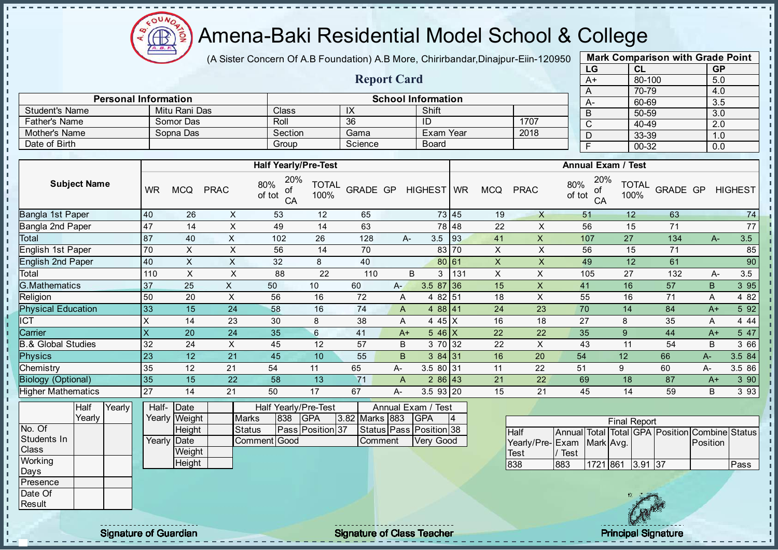

J. J.  $\mathbf{r}$ - II J. - II  $\mathbf{r}$ J. J.

 $\mathbf{I}$ J.

J.  $\blacksquare$  $\mathbf{I}$ 

J.

J. J.

J.

п T.

T.

ń.

J.

 $\mathbf{I}$ 

 $\mathbf{I}$ 

 $\mathbf{I}$ 

 $\mathbf{I}$ 

 $\mathbf{I}$ 

 $\mathbf{I}$ 

 $\mathbf{I}$ 

 $\mathbf{I}$ 

 $\mathbf{I}$  $\mathbf{I}$  $\mathbf{I}$ 

 $\mathbf{u}$  $\mathbf{I}$  $\mathbf{I}$  $\mathbf{I}$  $\mathbf{I}$  $\mathbf{I}$ - II

#### Amena-Baki Residential Model School & College

(A Sister Concern Of A.B Foundation) A.B More, Chirirbandar, Dinajpur-Eiin-120950

Report Card

Personal Information and The School Information

Father's Name Somor Das Roll 36 ID 1707<br>
Mother's Name Sopna Das Section Gama Exam Year 2018

Student's Name Mitu Rani Das Class IX Shift<br>
Father's Name Somor Das Roll 36 ID

Mother's Name Sopna Das Section Gama Exam Year Date of Birth Group Science Board

| <b>Mark Comparison with Grade Point</b> |        |           |  |  |  |  |  |  |  |  |  |
|-----------------------------------------|--------|-----------|--|--|--|--|--|--|--|--|--|
| LG                                      | CL     | <b>GP</b> |  |  |  |  |  |  |  |  |  |
| $A+$                                    | 80-100 | 5.0       |  |  |  |  |  |  |  |  |  |
| A                                       | 70-79  | 4.0       |  |  |  |  |  |  |  |  |  |
| A-                                      | 60-69  | 3.5       |  |  |  |  |  |  |  |  |  |
| B                                       | 50-59  | 3.0       |  |  |  |  |  |  |  |  |  |
| С                                       | 40-49  | 2.0       |  |  |  |  |  |  |  |  |  |
| D                                       | 33-39  | 1.0       |  |  |  |  |  |  |  |  |  |
| F                                       | 00-32  | 0.0       |  |  |  |  |  |  |  |  |  |

 $\mathbf{I}$ 

п  $\mathbf{I}$ 

 $\mathbf{I}$ 

 $\mathbf{I}$ 

 $\mathbf{I}$  $\mathbf{r}$ 

 $\mathbf{I}$ 

п

п

 $\mathbf{I}$ 

T.

J.

Ť.

ī.

п

п

 $\mathbf{I}$ 

 $\mathbf{I}$ 

 $\mathbf{I}$ 

|                               | <b>Subject Name</b> |        |                |               |                           | <b>Half Yearly/Pre-Test</b>      |                      |                |                |                         |       |                    |                 |               | <b>Annual Exam / Test</b> |                      |                                                |          |                |  |
|-------------------------------|---------------------|--------|----------------|---------------|---------------------------|----------------------------------|----------------------|----------------|----------------|-------------------------|-------|--------------------|-----------------|---------------|---------------------------|----------------------|------------------------------------------------|----------|----------------|--|
|                               |                     |        | <b>WR</b>      | <b>MCQ</b>    | <b>PRAC</b>               | 20%<br>80%<br>ΟĪ<br>of tot<br>CA | <b>TOTAL</b><br>100% | GRADE GP       |                | HIGHEST WR              |       | <b>MCQ</b>         | <b>PRAC</b>     | 80%<br>of tot | 20%<br>οf<br>CA           | <b>TOTAL</b><br>100% | <b>GRADE GP</b>                                |          | <b>HIGHEST</b> |  |
| <b>Bangla 1st Paper</b>       |                     |        | 40             | 26            | $\boldsymbol{\mathsf{X}}$ | 53                               | 12                   | 65             |                |                         | 73 45 | 19                 | $\times$        |               | 51                        | 12                   | 63                                             |          | 74             |  |
| Bangla 2nd Paper<br>Total     |                     |        | 47             | 14            | X                         | 49                               | 14                   | 63             |                |                         | 78 48 | 22                 | X               |               | 56                        | 15                   | 71                                             |          | 77             |  |
|                               |                     |        | 87             | 40            | $\pmb{\times}$            | 102                              | 26                   | 128            |                | 3.5<br>$A -$            | 93    | 41                 | $\pmb{\times}$  |               | 107                       | 27                   | 134                                            | A-       | 3.5            |  |
| English 1st Paper             |                     |        | 70             | X             | X                         | 56                               | 14                   | 70             |                |                         | 83 70 | $\pmb{\times}$     | X               |               | 56                        | 15                   | 71                                             |          | 85             |  |
| English 2nd Paper<br>Total    |                     |        | 40             | $\times$      | $\mathsf{X}$              | 32                               | 8                    | 40             |                |                         | 80 61 | $\pmb{\mathsf{X}}$ | X               |               | 49                        | 12                   | 61                                             |          | 90             |  |
|                               |                     |        | 110            | $\mathsf X$   | X                         | 88                               | 22                   | 110            |                | B<br>3                  | 131   | $\pmb{\times}$     | X               |               | 105                       | 27                   | 132                                            | A-       | 3.5            |  |
| <b>G.Mathematics</b>          |                     |        | 37             | 25            | $\mathsf{X}$              | 50                               | 10                   | 60             | A-             | $3.587$ 36              |       | 15                 | $\mathsf{X}$    | 41            |                           | 16                   | 57                                             | B        | 3 95           |  |
| Religion                      |                     |        | 50             | 20            | $\pmb{\times}$            | 56                               | 16                   | 72             | A              | 4 82 51                 |       | 18                 | X               |               | 55                        | 16                   | 71                                             | Α        | 4 8 2          |  |
| <b>Physical Education</b>     |                     |        | 33             | 15            | 24                        | 58                               | 16                   | 74             | A              | 4 88 41                 |       | 24                 | 23              | 70            |                           | 14                   | 84                                             | $A+$     | 5 9 2          |  |
| <b>ICT</b>                    |                     |        | X              | 14            | 23                        | 30                               | 8                    | 38             | A              | 4 4 5 $X$               |       | 16                 | 18              | 27            |                           | 8                    | 35                                             | A        | 4 4 4          |  |
| Carrier                       |                     |        | $\pmb{\times}$ | 20            | 24                        | 35                               | $6\phantom{1}$       | 41             | $A+$           | $546$ X                 |       | 22                 | 22              | 35            |                           | 9                    | 44                                             | $A+$     | 5 47           |  |
| <b>B.&amp; Global Studies</b> |                     |        | 32             | 24            | X                         | 45                               | 12                   | 57             | B              | 3 70 32                 |       | 22                 | X               | 43            |                           | 11                   | 54                                             | B        | 3 66           |  |
| <b>Physics</b>                |                     |        | 23             | 12            | 21                        | 45                               | 10                   | 55             | $\mathsf B$    | 384 31                  |       | 16                 | 20              | 54            |                           | 12                   | 66                                             | A-       | 3.5 84         |  |
| Chemistry                     |                     |        | 35             | 12            | 21                        | 54                               | 11                   | 65             | A-             | 3.5 80 31               |       | 11                 | 22              | 51            |                           | 9                    | 60                                             | A-       | 3.5 86         |  |
| <b>Biology (Optional)</b>     |                     |        | 35             | 15            | 22                        | 58                               | 13                   | 71             | $\overline{A}$ | 286 43                  |       | 21                 | 22              | 69            |                           | 18                   | 87                                             | $A+$     | 3 90           |  |
| <b>Higher Mathematics</b>     |                     |        | 27             | 14            | 21                        | 50                               | 17                   | 67             | A-             | 3.593 20                |       | 15                 | 21              |               | 45                        | 14                   | 59                                             | B        | 3 9 3          |  |
|                               | <b>Half</b>         | Yearly | Half-          | Date          |                           | Half Yearly/Pre-Test             |                      |                |                | Annual Exam / Test      |       |                    |                 |               |                           |                      |                                                |          |                |  |
|                               | Yearly              |        |                | Yearly Weight |                           | 838<br><b>Marks</b>              | <b>GPA</b>           | 3.82 Marks 883 |                | <b>GPA</b>              | 4     |                    |                 |               |                           | <b>Final Report</b>  |                                                |          |                |  |
| No. Of                        |                     |        |                | Height        |                           | <b>Status</b>                    | Pass Position 37     |                |                | Status Pass Position 38 |       |                    | <b>Half</b>     |               |                           |                      | Annual Total Total GPA Position Combine Status |          |                |  |
| Students In                   |                     |        |                | Yearly Date   |                           | Comment Good                     |                      | Comment        |                | <b>Very Good</b>        |       |                    | Yearly/Pre-Exam |               | Mark Avg.                 |                      |                                                | Position |                |  |
| Class                         |                     |        |                | Weight        |                           |                                  |                      |                |                |                         |       |                    | <b>Test</b>     | Test          |                           |                      |                                                |          |                |  |
| Working                       |                     |        |                | Height        |                           |                                  |                      |                |                |                         |       |                    | 838             | 883           | 1721 861                  | $3.91$ 37            |                                                |          | Pass           |  |
| <b>Days</b><br>Presence       |                     |        |                |               |                           |                                  |                      |                |                |                         |       |                    |                 |               |                           |                      |                                                |          |                |  |
| Date Of                       |                     |        |                |               |                           |                                  |                      |                |                |                         |       |                    |                 |               |                           |                      |                                                |          |                |  |
| Result                        |                     |        |                |               |                           |                                  |                      |                |                |                         |       |                    |                 |               |                           |                      |                                                |          |                |  |
|                               |                     |        |                |               |                           |                                  |                      |                |                |                         |       |                    |                 |               |                           |                      |                                                |          |                |  |

extending the contract of Class Teacher Class Teacher Principal Signature of Guardian Signature of Class Teacher Principal Signature of Class Teacher Principal Signature of Class Teacher Principal Signature of Class Teache

 $\mathbb{R}$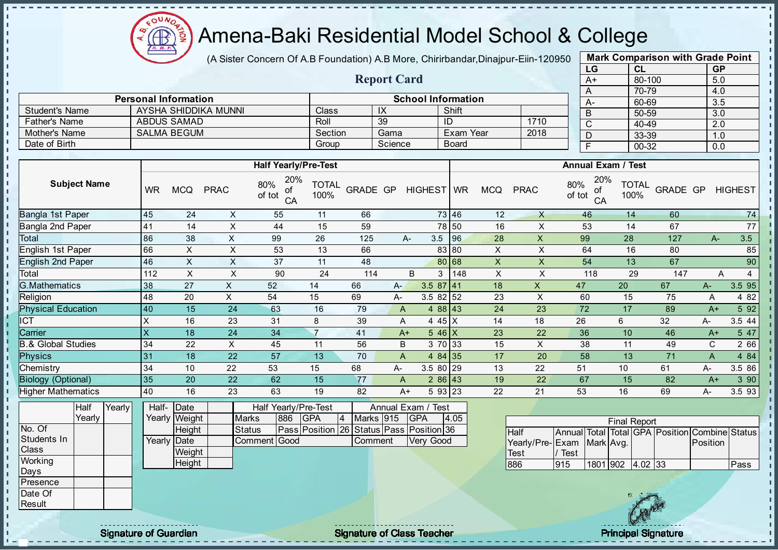COUND  $\bigoplus_{\Delta B, B}$ ĝ

I۳ h, h, l n l n h. l n h l n n l n  $\mathbf{r}$ h.  $\mathbf{I}$  $\mathbf{I}$ h. h.  $\mathbf{I}$ h. h.  $\mathbf{I}$ T, h. j, l n h.  $\mathbf{I}$ l n  $\mathbf{I}$  $\mathbf{I}$ J. п J. T. П h, h, T, h. h.  $\mathbf{I}$ l n h. li. li. l ni

### Amena-Baki Residential Model School & College

(A Sister Concern Of A.B Foundation) A.B More, Chirirbandar,Dinajpur-Eiin-120950 Mark Comparison with Grade Point

|                               |                                                           |                             |                           |                             |                                                                 | $(A \cup B)$ of $C$ and $C$ and $A$ . Due to determine the two $C$ , $C$ immodelled, $D$ indipentently a zood |                         |                                  |                           |              |              |                           |                                                                             |                 |     |                  |        |
|-------------------------------|-----------------------------------------------------------|-----------------------------|---------------------------|-----------------------------|-----------------------------------------------------------------|---------------------------------------------------------------------------------------------------------------|-------------------------|----------------------------------|---------------------------|--------------|--------------|---------------------------|-----------------------------------------------------------------------------|-----------------|-----|------------------|--------|
|                               |                                                           |                             |                           |                             |                                                                 |                                                                                                               |                         |                                  |                           |              |              |                           | LG                                                                          | CL              |     | GP               |        |
|                               |                                                           |                             |                           |                             |                                                                 |                                                                                                               |                         | <b>Report Card</b>               |                           |              |              |                           | $A+$                                                                        | 80-100          |     | 5.0              |        |
|                               |                                                           |                             |                           |                             |                                                                 |                                                                                                               |                         |                                  |                           |              |              |                           | A                                                                           | 70-79           |     | 4.0              |        |
|                               |                                                           | <b>Personal Information</b> |                           |                             |                                                                 |                                                                                                               |                         |                                  | <b>School Information</b> |              |              |                           | $A -$                                                                       | 60-69           |     | 3.5              |        |
| <b>Student's Name</b>         |                                                           |                             |                           | <b>AYSHA SHIDDIKA MUNNI</b> |                                                                 | Class                                                                                                         |                         | $\overline{1}X$                  |                           | Shift        |              |                           | B                                                                           | $50 - 59$       |     | $\overline{3.0}$ |        |
| <b>Father's Name</b>          |                                                           |                             | <b>ABDUS SAMAD</b>        |                             |                                                                 | Roll                                                                                                          |                         | 39                               | ID                        |              |              | 1710                      | $\overline{\text{c}}$                                                       | 40-49           |     | $\overline{2.0}$ |        |
| Mother's Name                 |                                                           |                             | <b>SALMA BEGUM</b>        |                             |                                                                 | Section                                                                                                       |                         | Gama                             |                           | Exam Year    |              | 2018                      | $\overline{D}$                                                              | 33-39           |     | 1.0              |        |
| Date of Birth                 |                                                           |                             |                           |                             |                                                                 | Group                                                                                                         |                         | Science                          |                           | <b>Board</b> |              |                           | $\overline{F}$                                                              | $00 - 32$       |     | 0.0              |        |
|                               |                                                           |                             |                           |                             |                                                                 | <b>Half Yearly/Pre-Test</b>                                                                                   |                         |                                  |                           |              |              |                           | <b>Annual Exam / Test</b>                                                   |                 |     |                  |        |
| <b>Subject Name</b>           | 20%<br><b>TOTAL</b><br>of<br>100%<br>CA                   | <b>GRADE GP</b>             |                           | HIGHEST WR                  |                                                                 | <b>MCQ</b>                                                                                                    | <b>PRAC</b>             | 20%<br>80%<br>ot<br>of tot<br>CA | <b>TOTAL</b><br>100%      | GRADE GP     |              | <b>HIGHEST</b>            |                                                                             |                 |     |                  |        |
| <b>Bangla 1st Paper</b>       |                                                           | 45                          | 24                        | X                           | 55                                                              | 11                                                                                                            | 66                      |                                  | 73 46                     |              | 12           | X                         | 46                                                                          | 14              | 60  |                  | 74     |
| Bangla 2nd Paper              |                                                           | 41                          | 14                        | $\boldsymbol{\mathsf{X}}$   | 44                                                              | 15                                                                                                            | 59                      |                                  |                           | 78 50        | 16           | $\boldsymbol{\mathsf{X}}$ | 53                                                                          | 14              | 67  |                  | 77     |
| Total                         |                                                           | 86                          | 38                        | X                           | 99                                                              | 26                                                                                                            | 125                     | $A -$                            | 3.5                       | 96           | 28           | $\mathsf{X}$              | 99                                                                          | 28              | 127 | $A-$             | 3.5    |
| English 1st Paper             |                                                           | 66                          | $\boldsymbol{\mathsf{X}}$ | $\sf X$                     | 53                                                              | 13                                                                                                            | 66                      |                                  |                           | 83 80        | X            | X                         | 64                                                                          | 16              | 80  |                  | 85     |
| <b>English 2nd Paper</b>      |                                                           | 46                          | $\pmb{\times}$            | $\mathsf X$                 | 37                                                              | 11                                                                                                            | 48                      |                                  |                           | 80 68        | $\mathsf{X}$ | X                         | 54                                                                          | 13              | 67  |                  | 90     |
| Total                         |                                                           | 112                         | $\times$                  | X                           | 90                                                              | 24                                                                                                            | 114                     | B                                | 3                         | 148          | X            | X                         | 118                                                                         | 29              | 147 | A                | 4      |
| G.Mathematics                 |                                                           | 38                          | 27                        | $\pmb{\times}$              | 52                                                              | 14                                                                                                            | 66                      | $A -$                            | $3.587$ 41                |              | 18           | $\mathsf{X}$              | 47                                                                          | 20              | 67  | A-               | 3.5 95 |
| Religion                      |                                                           | 48                          | 20                        | $\pmb{\times}$              | 54                                                              | 15                                                                                                            | 69                      | A-                               | $3.582$ 52                |              | 23           | $\boldsymbol{\mathsf{X}}$ | 60                                                                          | 15              | 75  | Α                | 4 8 2  |
| <b>Physical Education</b>     |                                                           | 40                          | 15                        | 24                          | 63                                                              | 16                                                                                                            | 79                      | A                                | 4 88 43                   |              | 24           | 23                        | $\overline{72}$                                                             | $\overline{17}$ | 89  | $A+$             | 5 9 2  |
| ICT                           |                                                           | $\pmb{\mathsf{X}}$          | 16                        | 23                          | 31                                                              | 8                                                                                                             | 39                      | A                                | 4 45 X                    |              | 14           | 18                        | 26                                                                          | 6               | 32  | А-               | 3.5 44 |
| Carrier                       |                                                           | $\overline{\mathsf{x}}$     | 18                        | $\overline{24}$             | 34                                                              | $\overline{7}$                                                                                                | 41                      | $A+$                             | $546$ X                   |              | 23           | 22                        | 36                                                                          | 10              | 46  | $A+$             | 5 47   |
| <b>B.&amp; Global Studies</b> |                                                           | 34                          | 22                        | X                           | 45                                                              | 11                                                                                                            | 56                      | B                                | 3 70 33                   |              | 15           | $\mathsf{X}$              | 38                                                                          | 11              | 49  | C                | 2 66   |
| <b>Physics</b>                |                                                           | 31                          | 18                        | 22                          | 57                                                              | 13                                                                                                            | 70                      | A                                | 4 84 35                   |              | 17           | 20                        | 58                                                                          | 13              | 71  | A                | 4 84   |
| Chemistry                     |                                                           | 34                          | 10                        | 22                          | 53                                                              | 15                                                                                                            | 68                      | A-                               | $3.580$ <sub>29</sub>     |              | 13           | 22                        | 51                                                                          | 10              | 61  | A-               | 3.5 86 |
| <b>Biology (Optional)</b>     |                                                           | 35                          | 20                        | 22                          | 62                                                              | 15                                                                                                            | 77                      | A                                | $286$ 43                  |              | 19           | 22                        | 67                                                                          | 15              | 82  | $A+$             | 3 90   |
| <b>Higher Mathematics</b>     |                                                           | 40                          | 16                        | 23                          | 63                                                              | 19                                                                                                            | 82                      | $A+$                             | 5 93 23                   |              | 22           | 21                        | 53                                                                          | 16              | 69  | А-               | 3.5 93 |
| <b>Half</b>                   | Yearly                                                    | Half-                       | Date                      |                             |                                                                 | Half Yearly/Pre-Test                                                                                          | Annual Exam / Test      |                                  |                           |              |              |                           |                                                                             |                 |     |                  |        |
| Yearly                        |                                                           |                             | Yearly Weight             | <b>Marks</b>                | Marks 915<br>4.05<br><b>GPA</b><br><b>GPA</b><br>$\overline{4}$ |                                                                                                               |                         |                                  |                           |              |              |                           |                                                                             |                 |     |                  |        |
| No. Of                        |                                                           |                             |                           |                             | 886                                                             | Pass Position 26                                                                                              | Status Pass Position 36 |                                  |                           |              |              |                           | <b>Final Report</b>                                                         |                 |     |                  |        |
| Students In                   | Height<br><b>Status</b><br>Comment<br>Yearly Date<br>Good |                             |                           |                             |                                                                 |                                                                                                               | Comment                 |                                  | <b>Very Good</b>          |              |              | Half                      | Annual Total Total GPA Position Combine Status<br>Yearly/Pre-Exam Mark Avg. |                 |     | Position         |        |
|                               |                                                           |                             |                           |                             |                                                                 |                                                                                                               |                         |                                  |                           |              |              |                           |                                                                             |                 |     |                  |        |

Test

/ Test



Class **Working** Days

h.  $\mathbf{r}$  $\mathbf{I}$ l<br>L  $\mathbb T$ 

п.

Date Of Result

**Weight Height** 

Signature of Guardian Teacher Signature of Class Teacher Principal Signature of Class Teacher Principal Signature

 $\mathbf{r}$ 

886 915 1801 902 4.02 33 Pass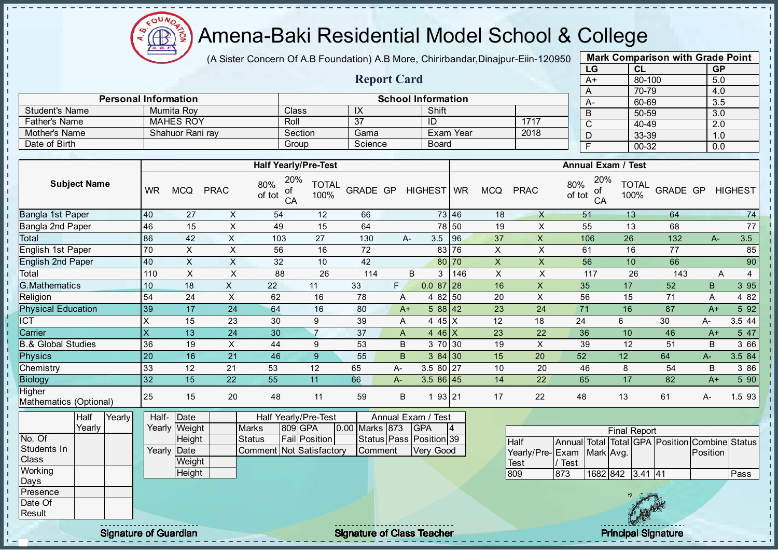

 $\mathbf{I}$ J.  $\mathbf{r}$ 

 $\mathbf{I}$ J. J.  $\blacksquare$  $\mathbf{I}$ J. ÷. J. J. п

T.

T. J. T. J.  $\mathbf{I}$  $\mathbf{I}$ 

 $\mathbf{I}$ **II**  $\mathbf{I}$ J.

 $\blacksquare$ 

 $\mathbf{I}$  $\mathbf{I}$ 

 $\mathbf{I}$ 

 $\mathbf{u}$  $\mathbf{I}$ - II л л

л

#### Amena-Baki Residential Model School & College

(A Sister Concern Of A.B Foundation) A.B More, Chirirbandar, Dinajpur-Eiin-120950

Report Card

Personal Information and The Contraction School Information

Father's Name | MAHES ROY | Roll | 37 | ID | 1717

Student's Name Mumita Roy Class | IX | Shift

| <b>Mark Comparison with Grade Point</b><br>LG |           |  |  |  |  |  |  |  |  |  |  |
|-----------------------------------------------|-----------|--|--|--|--|--|--|--|--|--|--|
| <b>CL</b>                                     | <b>GP</b> |  |  |  |  |  |  |  |  |  |  |
| 80-100                                        | 5.0       |  |  |  |  |  |  |  |  |  |  |
| 70-79                                         | 4.0       |  |  |  |  |  |  |  |  |  |  |
| 60-69                                         | 3.5       |  |  |  |  |  |  |  |  |  |  |
| 50-59                                         | 3.0       |  |  |  |  |  |  |  |  |  |  |
| 40-49                                         | 2.0       |  |  |  |  |  |  |  |  |  |  |
| 33-39                                         | 1.0       |  |  |  |  |  |  |  |  |  |  |
| $00 - 32$                                     | 0.0       |  |  |  |  |  |  |  |  |  |  |
|                                               |           |  |  |  |  |  |  |  |  |  |  |

 $\mathbf{I}$ 

r.

п h,

 $\mathbf{I}$ 

 $\mathbf{I}$ 

 $\mathbf{I}$ 

 $\mathbf{I}$ 

 $\mathbf{I}$ 

 $\mathbf{I}$ 

| Mother's Name                    |                                                                   | Shahuor Rani ray |                         | Section               |                           | Gama                                            |                      |                | Exam Year<br>2018 |                           |           | $\mathsf D$    | 33-39                             |               | 1.0             |                           |                                                |             |                |
|----------------------------------|-------------------------------------------------------------------|------------------|-------------------------|-----------------------|---------------------------|-------------------------------------------------|----------------------|----------------|-------------------|---------------------------|-----------|----------------|-----------------------------------|---------------|-----------------|---------------------------|------------------------------------------------|-------------|----------------|
| Date of Birth                    |                                                                   |                  |                         |                       |                           | Group                                           |                      | Science        |                   | <b>Board</b>              |           |                |                                   |               | $\overline{F}$  | $00 - 32$                 |                                                | 0.0         |                |
|                                  |                                                                   |                  |                         |                       |                           |                                                 |                      |                |                   |                           |           |                |                                   |               |                 |                           |                                                |             |                |
|                                  |                                                                   |                  |                         |                       |                           | <b>Half Yearly/Pre-Test</b>                     |                      |                |                   |                           |           |                |                                   |               |                 | <b>Annual Exam / Test</b> |                                                |             |                |
|                                  | <b>Subject Name</b>                                               |                  | <b>WR</b>               | <b>MCQ</b>            | <b>PRAC</b>               | 20%<br>80%<br>οf<br>of tot<br>CA                | <b>TOTAL</b><br>100% | GRADE GP       |                   | HIGHEST                   | <b>WR</b> | <b>MCQ</b>     | <b>PRAC</b>                       | 80%<br>of tot | 20%<br>of<br>CA | <b>TOTAL</b><br>100%      | <b>GRADE GP</b>                                |             | <b>HIGHEST</b> |
| Bangla 1st Paper                 |                                                                   |                  | 40                      | 27                    | X                         | 54                                              | 12                   | 66             |                   |                           | 73 46     | 18             | $\boldsymbol{\mathsf{X}}$         |               | 51              | 13                        | 64                                             |             | 74             |
| Bangla 2nd Paper                 |                                                                   |                  | 46                      | 15                    | $\boldsymbol{\mathsf{X}}$ | 49                                              | 15                   | 64             |                   |                           | 78 50     | 19             | $\boldsymbol{\mathsf{X}}$         |               | 55              | 13                        | 68                                             |             | 77             |
| Total                            |                                                                   |                  | 86                      | 42                    | $\overline{X}$            | 103                                             | 27                   | 130            | A-                | 3.5                       | 96        | 37             | $\mathsf{X}$                      |               | 106             | 26                        | 132                                            | A-          | 3.5            |
| English 1st Paper                |                                                                   |                  | 70                      | $\pmb{\times}$        | $\mathsf X$               | 56                                              | 16                   | 72             |                   |                           | 83   76   | $\pmb{\times}$ | $\boldsymbol{\mathsf{X}}$         |               | 61              | 16                        | 77                                             |             | 85             |
| <b>English 2nd Paper</b>         |                                                                   |                  | 40                      | $\pmb{\times}$        | $\boldsymbol{\mathsf{X}}$ | 32                                              | 10                   | 42             |                   |                           | 80 70     | $\mathsf{X}$   | $\boldsymbol{\mathsf{X}}$         |               | 56              | 10                        | 66                                             |             | 90             |
| Total                            |                                                                   |                  | 110                     | $\mathsf X$           | $\sf X$                   | 88                                              | 26                   | 114            |                   | $\overline{B}$<br>3       | 146       | $\pmb{\times}$ | $\boldsymbol{\mathsf{X}}$         |               | 117             | 26                        | 143                                            | A           | $\overline{4}$ |
| <b>G.Mathematics</b>             |                                                                   |                  | 10                      | 18                    | $\mathsf{X}$              | 22                                              | 11                   | 33             | F                 | $0.087$ 28                |           | 16             | $\mathsf X$                       | 35            |                 | 17                        | 52                                             | $\mathsf B$ | 3 9 5          |
| Religion                         |                                                                   |                  | 54                      | 24                    | $\boldsymbol{\mathsf{X}}$ | 62                                              | 16                   | 78             | A                 | $482\overline{50}$        |           | 20             | $\overline{\mathsf{x}}$           | 56            |                 | 15                        | 71                                             | A           | 4 8 2          |
| <b>Physical Education</b>        |                                                                   |                  | 39                      | 17                    | 24                        | 64                                              | 16                   | 80             | $A+$              | $588$ 42                  |           | 23             | 24                                | 71            |                 | 16                        | 87                                             | $A+$        | 5 9 2          |
| $\overline{\text{ICT}}$          |                                                                   |                  | X                       | 15                    | 23                        | 30                                              | 9                    | 39             | Α                 | 4 45 X                    |           | 12             | 18                                | 24            |                 | $6\phantom{1}$            | 30                                             | $A-$        | 3.5 44         |
| Carrier                          |                                                                   |                  | $\overline{\mathsf{x}}$ | 13                    | $\overline{24}$           | 30                                              | $\overline{7}$       | 37             | A                 | $446$ X                   |           | 23             | 22                                | 36            |                 | 10                        | 46                                             | $A+$        | 5 47           |
| <b>B.&amp; Global Studies</b>    |                                                                   |                  | 36                      | 19                    | X                         | 44                                              | 9                    | 53             | B                 | 3 70 30                   |           | 19             | $\pmb{\times}$                    | 39            |                 | 12                        | 51                                             | B           | 3 66           |
| Physics                          |                                                                   |                  | 20                      | 16                    | 21                        | 46                                              | $\overline{9}$       | 55             | B                 | 384 30                    |           | 15             | 20                                | 52            |                 | 12                        | 64                                             | A-          | 3.5 84         |
| Chemistry                        |                                                                   |                  | 33                      | 12                    | 21                        | 53                                              | 12                   | 65             | A-                | $3.580$ 27                |           | 10             | 20                                | 46            |                 | 8                         | 54                                             | B           | 3 86           |
| <b>Biology</b>                   |                                                                   |                  | 32                      | 15                    | 22                        | 55                                              | 11                   | 66             | A-                | $3.586$ 45                |           | 14             | 22                                | 65            |                 | 17                        | 82                                             | $A+$        | 5 90           |
| Higher<br>Mathematics (Optional) |                                                                   |                  | 25                      | 15                    | 20                        | 48                                              | 11                   | 59             | $\sf B$           | 1 93 21                   |           | 17             | 22                                | 48            |                 | 13                        | 61                                             | A-          | 1.593          |
|                                  | Half<br>Yearly                                                    | Yearly           | Half-                   | Date<br>Yearly Weight |                           | Half Yearly/Pre-Test<br><b>Marks</b><br>809 GPA |                      | 0.00 Marks 873 |                   | Annual Exam / Test<br>GPA |           |                |                                   |               |                 |                           |                                                |             |                |
| No. Of                           |                                                                   |                  |                         | Height                |                           | <b>Status</b>                                   | <b>Fail Position</b> |                |                   | Status Pass Position 39   |           |                |                                   |               |                 | <b>Final Report</b>       |                                                |             |                |
| Students In                      |                                                                   |                  | Yearly                  | Date                  |                           | <b>Comment Not Satisfactory</b>                 |                      | Comment        |                   | <b>Very Good</b>          |           |                | <b>Half</b>                       |               |                 |                           | Annual Total Total GPA Position Combine Status | Position    |                |
| Class                            |                                                                   |                  |                         | Weight                |                           |                                                 |                      |                |                   |                           |           |                | Yearly/Pre-Exam Mark Avg.<br>Test | Test          |                 |                           |                                                |             |                |
| Working                          |                                                                   |                  |                         | Height                |                           |                                                 |                      |                |                   |                           |           |                | 809                               | 873           |                 | 1682 842 3.41 41          |                                                |             | Pass           |
| Days                             |                                                                   |                  |                         |                       |                           |                                                 |                      |                |                   |                           |           |                |                                   |               |                 |                           |                                                |             |                |
| Presence                         |                                                                   |                  |                         |                       |                           |                                                 |                      |                |                   |                           |           |                |                                   |               |                 |                           |                                                |             |                |
| Date Of                          |                                                                   |                  |                         |                       |                           |                                                 |                      |                |                   |                           |           |                |                                   |               |                 |                           |                                                |             |                |
| Result                           |                                                                   |                  |                         |                       |                           |                                                 |                      |                |                   |                           |           |                |                                   |               |                 |                           |                                                |             |                |
|                                  | <b>Signature of Guardian</b><br><b>Signature of Class Teacher</b> |                  |                         |                       |                           |                                                 |                      |                |                   |                           |           |                |                                   |               |                 |                           | <b>Principal Signature</b>                     |             |                |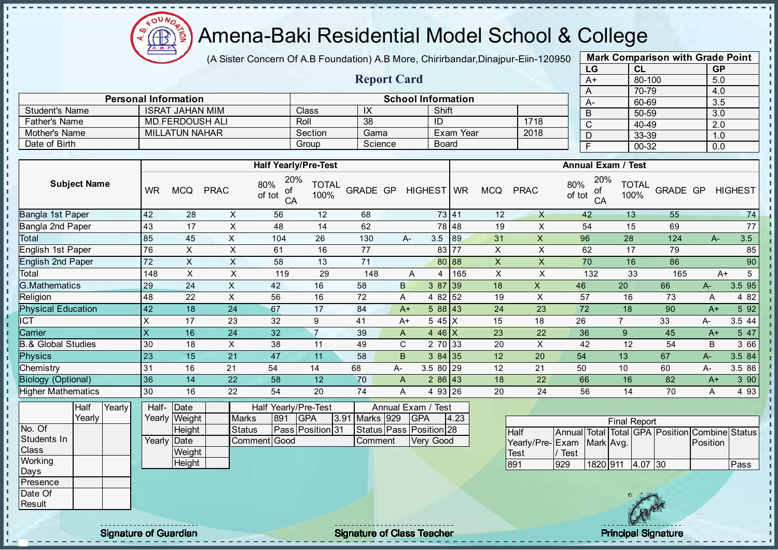

×

×

- II

#### Amena-Baki Residential Model School & College

(A Sister Concern Of A.B Foundation) A.B More, Chirirbandar, Dinajpur-Eiin-120950

Report Card

| <b>Mark Comparison with Grade Point</b><br>LG<br><b>GP</b><br>CL |  |  |  |  |  |  |  |  |  |  |  |
|------------------------------------------------------------------|--|--|--|--|--|--|--|--|--|--|--|
|                                                                  |  |  |  |  |  |  |  |  |  |  |  |
|                                                                  |  |  |  |  |  |  |  |  |  |  |  |
|                                                                  |  |  |  |  |  |  |  |  |  |  |  |
|                                                                  |  |  |  |  |  |  |  |  |  |  |  |
|                                                                  |  |  |  |  |  |  |  |  |  |  |  |
|                                                                  |  |  |  |  |  |  |  |  |  |  |  |
|                                                                  |  |  |  |  |  |  |  |  |  |  |  |
|                                                                  |  |  |  |  |  |  |  |  |  |  |  |
|                                                                  |  |  |  |  |  |  |  |  |  |  |  |

| <b>Student's Name</b>     | ISRAT JAHAN MIM |                        |                | Class                            | IX                   |                 | Shift |            |              |            | $\mathsf B$ | 50-59                            |                      | $\overline{3.0}$ |      |                |
|---------------------------|-----------------|------------------------|----------------|----------------------------------|----------------------|-----------------|-------|------------|--------------|------------|-------------|----------------------------------|----------------------|------------------|------|----------------|
| <b>Father's Name</b>      |                 | <b>MD.FERDOUSH ALI</b> |                | Roll                             |                      | 38              |       | ID         |              |            | 1718        | $\mathsf{C}$                     | 40-49                |                  | 2.0  |                |
| Mother's Name             |                 | <b>MILLATUN NAHAR</b>  |                |                                  | Section              | Gama            |       |            | Exam Year    |            | 2018        | D                                | 33-39                |                  | 1.0  |                |
| Date of Birth             |                 |                        |                |                                  | Group                | Science         |       |            | <b>Board</b> |            |             | F                                | $00 - 32$            |                  | 0.0  |                |
|                           |                 |                        |                |                                  |                      |                 |       |            |              |            |             |                                  |                      |                  |      |                |
|                           |                 |                        |                | <b>Half Yearly/Pre-Test</b>      |                      |                 |       |            |              |            |             | <b>Annual Exam / Test</b>        |                      |                  |      |                |
| <b>Subject Name</b>       | <b>WR</b>       | <b>MCQ</b>             | <b>PRAC</b>    | 20%<br>80%<br>of<br>of tot<br>CA | <b>TOTAL</b><br>100% | <b>GRADE GP</b> |       | HIGHEST WR |              | <b>MCQ</b> | <b>PRAC</b> | 20%<br>80%<br>οf<br>of tot<br>CA | <b>TOTAL</b><br>100% | GRADE GP         |      | <b>HIGHEST</b> |
| Bangla 1st Paper          | 42              | 28                     | X              | 56                               | 12                   | 68              |       |            | 73 41        | 12         | X           | 42                               | 13                   | 55               |      | 74             |
| Bangla 2nd Paper          | 43              | 17                     | X              | 48                               | 14                   | 62              |       |            | 78 48        | 19         | X           | 54                               | 15                   | 69               |      | 77             |
| Total                     | 85              | 45                     | X              | 104                              | 26                   | 130             | A-    | 3.5        | 89           | 31         | X           | 96                               | 28                   | 124              | A-   | 3.5            |
| English 1st Paper         | 76              | X                      | X              | 61                               | 16                   | 77              |       |            | 83 77        | X          | X           | 62                               | 17                   | 79               |      | 85             |
| <b>English 2nd Paper</b>  | 72              | X                      | X              | 58                               | 13                   | 71              |       |            | 80 88        | X          | X           | 70                               | 16                   | 86               |      | 90             |
| Total                     | 148             | X                      | X              | 119                              | 29                   | 148             |       | 4<br>A     | 165          | X          | X           | 132                              | 33                   | 165              |      | 5<br>$A+$      |
| <b>G.Mathematics</b>      | 29              | 24                     | X              | 42                               | 16                   | 58              | B     |            | 3 87 39      | 18         | X           | 46                               | 20                   | 66               | A-   | 3.5 95         |
| Religion                  | 48              | 22                     | X              | 56                               | 16                   | 72              | A     |            | 4 82 52      | 19         | X           | 57                               | 16                   | 73               | Α    | 4 8 2          |
| <b>Physical Education</b> | 42              | 18                     | 24             | 67                               | 17                   | 84              | $A+$  |            | 588 43       | 24         | 23          | 72                               | 18                   | 90               | $A+$ | 5 92           |
| <b>ICT</b>                | X               | 17                     | 23             | 32                               | 9                    | 41              | $A+$  | 5 45 X     |              | 15         | 18          | 26                               | $\overline{7}$       | 33               | A-   | 3.5 44         |
| Carrier                   | X               | 16                     | 24             | 32                               | $\overline{7}$       | 39              | A     | 4 46 $X$   |              | 23         | 22          | 36                               | 9                    | 45               | $A+$ | 5 47           |
| .& Global Studies         | 30              | 18                     | $\pmb{\times}$ | 38                               | 11                   | 49              | C     |            | 2 70 33      | 20         | X           | 42                               | 12                   | 54               | B    | 3 66           |
| <b>Physics</b>            | 23              | 15                     | 21             | 47                               | 11                   | 58              | B     |            | 384 35       | 12         | 20          | 54                               | 13                   | 67               | A-   | 3.5 84         |
| Chemistry                 | 31              | 16                     | 21             | 54                               | 14                   | 68              | A-    | $3.580$ 29 |              | 12         | 21          | 50                               | 10                   | 60               | А-   | 3.5 86         |
| <b>Biology (Optional)</b> | 36              | 14                     | 22             | 58                               | 12                   | 70              | A     |            | $286$ 43     | 18         | 22          | 66                               | 16                   | 82               | $A+$ | 3 90           |
| <b>Higher Mathematics</b> | 30              | 16                     | 22             | 54                               | 20                   | 74              | A     |            | 4 93 26      | 20         | 24          | 56                               | 14                   | 70               | A    | 4 9 3          |
|                           |                 |                        |                |                                  |                      |                 |       |            |              |            |             |                                  |                      |                  |      |                |

|               | Half   | Yearly | Half- Date  |               |               |     | Half Yearly/Pre-Test |                | Annual Exam / Test          |      |                 |      |
|---------------|--------|--------|-------------|---------------|---------------|-----|----------------------|----------------|-----------------------------|------|-----------------|------|
|               | Yearly |        |             | Yearly Weight | <b>Marks</b>  | 891 | <b>IGPA</b>          | 3.91 Marks 929 | <b>IGPA</b>                 | 4.23 |                 |      |
| No. Of        |        |        |             | <b>Height</b> | <b>Status</b> |     | Pass Position 31     |                | Status   Pass   Position 28 |      | Half            | Anı  |
| Students In   |        |        | Yearly Date |               | Comment Good  |     |                      | Comment        | Very Good                   |      | Yearly/Pre- Exa |      |
| <b>Class</b>  |        |        |             | Weight        |               |     |                      |                |                             |      | Test            | / Te |
| Working       |        |        |             | Height        |               |     |                      |                |                             |      | 891             | 929  |
| Days          |        |        |             |               |               |     |                      |                |                             |      |                 |      |
| Presence      |        |        |             |               |               |     |                      |                |                             |      |                 |      |
| Date Of       |        |        |             |               |               |     |                      |                |                             |      |                 |      |
| <b>Result</b> |        |        |             |               |               |     |                      |                |                             |      |                 |      |

Personal Information<br>
LISBAT JAHAM MIM<br>
Closs LIY LISBAT JAHAM MIM

| <b>Final Report</b>       |      |          |  |         |  |                                                |      |  |  |  |  |  |  |
|---------------------------|------|----------|--|---------|--|------------------------------------------------|------|--|--|--|--|--|--|
| Half                      |      |          |  |         |  | Annual Total Total GPA Position Combine Status |      |  |  |  |  |  |  |
| Yearly/Pre-Exam Mark Avg. |      |          |  |         |  | <b>IPosition</b>                               |      |  |  |  |  |  |  |
| Test                      | Test |          |  |         |  |                                                |      |  |  |  |  |  |  |
| 891                       | 929  | 1820 911 |  | 4.07 30 |  |                                                | Pass |  |  |  |  |  |  |

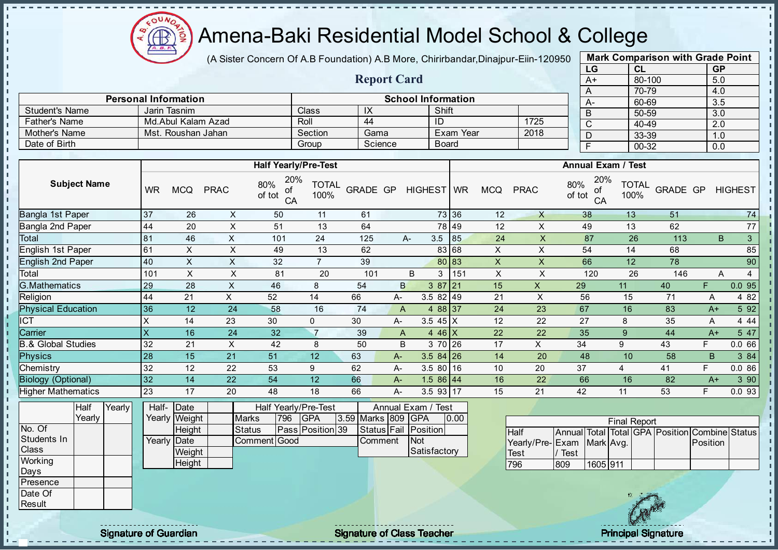

(A Sister Concern Of A.B Foundation) A.B More, Chirirbandar, Dinajpur-Eiin-120950

Report Card

| <b>Mark Comparison with Grade Point</b> |        |           |  |  |  |  |  |  |  |  |  |
|-----------------------------------------|--------|-----------|--|--|--|--|--|--|--|--|--|
| LG                                      | CL     | <b>GP</b> |  |  |  |  |  |  |  |  |  |
| A+                                      | 80-100 | 5.0       |  |  |  |  |  |  |  |  |  |
| A                                       | 70-79  | 4.0       |  |  |  |  |  |  |  |  |  |
| А-                                      | 60-69  | 3.5       |  |  |  |  |  |  |  |  |  |
| B                                       | 50-59  | 3.0       |  |  |  |  |  |  |  |  |  |
| C                                       | 40-49  | 2.0       |  |  |  |  |  |  |  |  |  |
| D                                       | 33-39  | 1.0       |  |  |  |  |  |  |  |  |  |
| F                                       | 00-32  | 0.0       |  |  |  |  |  |  |  |  |  |
|                                         |        |           |  |  |  |  |  |  |  |  |  |

|                               |              | <b>Personal Information</b> |             |                                  | <b>School Information</b> |                 |         |                    |                 |           |                |              |               | $\cdots$<br>$A -$ | .<br>60-69                |          |      | .<br>3.5       |        |
|-------------------------------|--------------|-----------------------------|-------------|----------------------------------|---------------------------|-----------------|---------|--------------------|-----------------|-----------|----------------|--------------|---------------|-------------------|---------------------------|----------|------|----------------|--------|
| <b>Student's Name</b>         |              | Jarin Tasnim                |             |                                  | Class                     | IX              |         |                    | Shift           |           |                |              |               | B                 | 50-59                     |          |      | 3.0            |        |
| <b>Father's Name</b>          |              | Md.Abul Kalam Azad          |             |                                  | Roll                      | 44              |         |                    | ID              |           |                | 1725         |               | $\overline{C}$    | 40-49                     |          |      | 2.0            |        |
| Mother's Name                 |              | Mst. Roushan Jahan          |             |                                  | Section                   | Gama            |         |                    |                 | Exam Year |                | 2018         |               | D                 | 33-39                     |          |      | 1.0            |        |
| Date of Birth                 |              |                             |             |                                  | Group                     |                 | Science |                    | <b>Board</b>    |           |                |              |               | $\overline{F}$    | 00-32                     |          |      | 0.0            |        |
|                               |              |                             |             |                                  |                           |                 |         |                    |                 |           |                |              |               |                   |                           |          |      |                |        |
|                               |              |                             |             | <b>Half Yearly/Pre-Test</b>      |                           |                 |         |                    |                 |           |                |              |               |                   | <b>Annual Exam / Test</b> |          |      |                |        |
| <b>Subject Name</b>           | <b>WR</b>    | <b>MCQ</b>                  | <b>PRAC</b> | 20%<br>80%<br>οf<br>of tot<br>CA | <b>TOTAL</b><br>100%      | <b>GRADE GP</b> |         | HIGHEST WR         |                 |           | <b>MCQ</b>     | <b>PRAC</b>  | 80%<br>of tot | 20%<br>οf<br>CA   | <b>TOTAL</b><br>100%      | GRADE GP |      | <b>HIGHEST</b> |        |
| Bangla 1st Paper              | 37           | 26                          | X           | 50                               | 11                        | 61              |         |                    | 73 36           |           | 12             | X            |               | 38                | 13                        | 51       |      |                | 74     |
| Bangla 2nd Paper              | 44           | 20                          | X           | 51                               | 13                        | 64              |         |                    | 78 49           |           | 12             | X            |               | 49                | 13                        | 62       |      |                | 77     |
| Total                         | 81           | 46                          | $\times$    | 101                              | 24                        | 125             |         | A-                 | 3.5             | 85        | 24             | X            |               | 87                | 26                        | 113      |      | B              | 3      |
| English 1st Paper             | 61           | X                           | X           | 49                               | 13                        | 62              |         |                    | 83 68           |           | X              | X            |               | 54                | 14                        | 68       |      |                | 85     |
| <b>English 2nd Paper</b>      | 40           | X                           | X           | 32                               | $\overline{7}$            | 39              |         |                    | 80 83           |           | $\pmb{\times}$ | X            |               | 66                | 12                        | 78       |      |                | 90     |
| Total                         | 101          | X                           | X           | 81                               | 20                        | 101             |         | B                  | 3               | 151       | $\pmb{\times}$ | X            |               | 120               | 26                        | 146      |      | Α              | 4      |
| <b>G.Mathematics</b>          | 29           | 28                          | $\times$    | 46                               | 8                         | 54              |         | $\mathsf{B}$       | $387$  21       |           | 15             | $\mathsf{X}$ | 29            |                   | 11                        | 40       | F    |                | 0.095  |
| Religion                      | 44           | 21                          | X           | 52                               | 14                        | 66              | A-      |                    | $3.582$ 49      |           | 21             | X            | 56            |                   | 15                        | 71       | A    |                | 4 8 2  |
| <b>Physical Education</b>     | 36           | 12                          | 24          | 58                               | 16                        | 74              |         | $\mathsf{A}$       | 4 88 37         |           | 24             | 23           | 67            |                   | 16                        | 83       | $A+$ |                | 5 9 2  |
| ICT                           | X            | 14                          | 23          | 30                               | $\Omega$                  | 30              | A-      |                    | 3.5 $45 \mid X$ |           | 12             | 22           | 27            |                   | 8                         | 35       | Α    |                | 4 4 4  |
| Carrier                       | $\mathsf{x}$ | 16                          | 24          | 32                               | $\overline{7}$            | 39              |         | $\mathsf{A}$       | 4 46 $X$        |           | 22             | 22           | 35            |                   | 9                         | 44       | $A+$ |                | 5 47   |
| <b>B.&amp; Global Studies</b> | 32           | 21                          | X           | 42                               | 8                         | 50              |         | B                  | 3 70 26         |           | 17             | X            | 34            |                   | 9                         | 43       | F.   |                | 0.066  |
| <b>Physics</b>                | 28           | 15                          | 21          | 51                               | 12                        | 63              | A-      |                    | $3.584$ 26      |           | 14             | 20           | 48            |                   | 10                        | 58       | B    |                | 3 84   |
| Chemistry                     | 32           | 12                          | 22          | 53                               | 9                         | 62              | A-      |                    | 3.5 80 16       |           | 10             | 20           | 37            |                   | $\overline{4}$            | 41       | F    |                | 0.086  |
| <b>Biology (Optional)</b>     | 32           | 14                          | 22          | 54                               | 12                        | 66              | A-      |                    | $1.586$ 44      |           | 16             | 22           | 66            |                   | 16                        | 82       | $A+$ |                | 3 90   |
| <b>Higher Mathematics</b>     | 23           | 17                          | 20          | 48                               | 18                        | 66              | A-      |                    | 3.5 93 17       |           | 15             | 21           | 42            |                   | 11                        | 53       | F    |                | 0.0 93 |
| Half<br>Yearly                | Half-        | Date                        |             | Half Yearly/Pre-Test             |                           |                 |         | Annual Exam / Test |                 |           |                |              |               |                   |                           |          |      |                |        |

|             | т юш   | <b>IGGIIV</b> |             | lall- I Dalc  |              |     | ו ומוו ו סמוועו וכ־וכסג |                     | AIIIIUAI LAAIII / TUJU |      |
|-------------|--------|---------------|-------------|---------------|--------------|-----|-------------------------|---------------------|------------------------|------|
|             | Yearlv |               |             | Yearly Weight | <b>Marks</b> | 796 | <b>IGPA</b>             | 13.59 Marks 809 GPA |                        | 0.00 |
| No. Of      |        |               |             | <b>Height</b> | Status       |     | Pass Position 39        |                     | Status Fail Position   |      |
| Students In |        |               | Yearly Date |               | Comment Good |     |                         | Comment             | <b>INot</b>            |      |
| Class       |        |               |             | Weight        |              |     |                         |                     | Satisfactory           |      |
| Working     |        |               |             | Height        |              |     |                         |                     |                        |      |
| Days        |        |               |             |               |              |     |                         |                     |                        |      |
| Presence    |        |               |             |               |              |     |                         |                     |                        |      |

| <b>Final Report</b>       |      |          |  |  |  |                                                |  |  |  |  |  |  |  |
|---------------------------|------|----------|--|--|--|------------------------------------------------|--|--|--|--|--|--|--|
| <b>Half</b>               |      |          |  |  |  | Annual Total Total GPA Position Combine Status |  |  |  |  |  |  |  |
| Yearly/Pre-Exam Mark Avg. |      |          |  |  |  | <b>IPosition</b>                               |  |  |  |  |  |  |  |
| Test                      | Test |          |  |  |  |                                                |  |  |  |  |  |  |  |
| 796                       | 809  | 1605 911 |  |  |  |                                                |  |  |  |  |  |  |  |



Date Of **Result** 

 $\mathbf{I}$ 

J.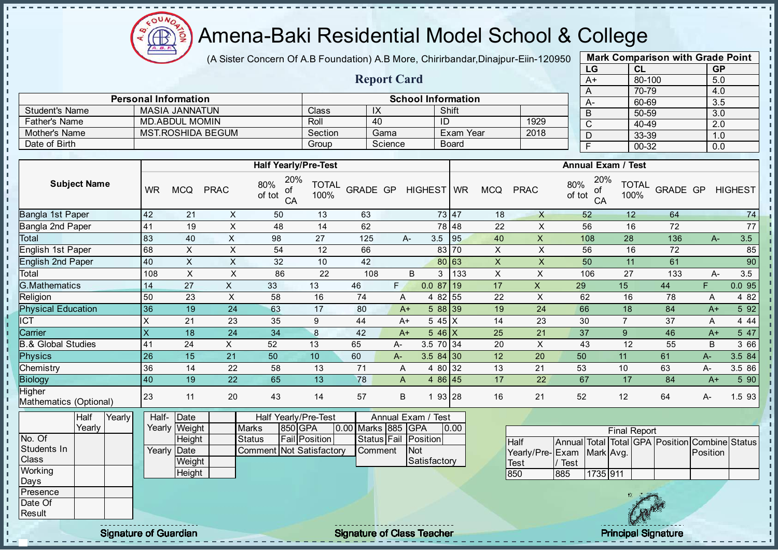

(A Sister Concern Of A.B Foundation) A.B More, Chirirbandar, Dinajpur-Eiin-120950

Report Card

Personal Information<br>
MASIA JANNATUN Class | IX | Shift

Student's Name MASIA JANNATUN Class IX IX Shift

| <b>Mark Comparison with Grade Point</b> |           |           |  |  |  |  |  |  |  |  |  |
|-----------------------------------------|-----------|-----------|--|--|--|--|--|--|--|--|--|
| LG                                      | <b>CL</b> | <b>GP</b> |  |  |  |  |  |  |  |  |  |
| $A+$                                    | 80-100    | 5.0       |  |  |  |  |  |  |  |  |  |
| A                                       | 70-79     | 4.0       |  |  |  |  |  |  |  |  |  |
| А-                                      | 60-69     | 3.5       |  |  |  |  |  |  |  |  |  |
| B                                       | 50-59     | 3.0       |  |  |  |  |  |  |  |  |  |
| C                                       | 40-49     | 2.0       |  |  |  |  |  |  |  |  |  |
|                                         | 33-39     | 1.0       |  |  |  |  |  |  |  |  |  |
| F                                       | 00-32     | 0.0       |  |  |  |  |  |  |  |  |  |
|                                         |           |           |  |  |  |  |  |  |  |  |  |

п

л h,

| <b>Father's Name</b>                                                                                 |                 | <b>MD.ABDUL MOMIN</b>                                       |                           |                                                                                              | $\overline{ID}$<br>Roll<br>40 |                    |                        |                                                       |                  | 1929<br>$\overline{C}$<br>40-49 |                                                      |                                                                                        |                      | 2.0      |          |                |
|------------------------------------------------------------------------------------------------------|-----------------|-------------------------------------------------------------|---------------------------|----------------------------------------------------------------------------------------------|-------------------------------|--------------------|------------------------|-------------------------------------------------------|------------------|---------------------------------|------------------------------------------------------|----------------------------------------------------------------------------------------|----------------------|----------|----------|----------------|
| Mother's Name                                                                                        |                 |                                                             | <b>MST.ROSHIDA BEGUM</b>  |                                                                                              | Section                       |                    | Gama                   |                                                       | <b>Exam Year</b> |                                 | 2018                                                 | D                                                                                      | 33-39                |          | 1.0      |                |
| Date of Birth                                                                                        |                 |                                                             |                           |                                                                                              | Group                         |                    | Science                |                                                       | <b>Board</b>     |                                 |                                                      | $\overline{F}$                                                                         | $00 - 32$            |          | 0.0      |                |
|                                                                                                      |                 |                                                             |                           |                                                                                              |                               |                    |                        |                                                       |                  |                                 |                                                      |                                                                                        |                      |          |          |                |
|                                                                                                      |                 |                                                             |                           | <b>Half Yearly/Pre-Test</b>                                                                  |                               |                    |                        |                                                       |                  |                                 |                                                      | <b>Annual Exam / Test</b>                                                              |                      |          |          |                |
| <b>Subject Name</b>                                                                                  | <b>WR</b>       | <b>MCQ</b>                                                  | <b>PRAC</b>               | 20%<br>80%<br>Οľ<br>of tot<br>CA                                                             | <b>TOTAL</b><br>100%          | <b>GRADE GP</b>    |                        | HIGHEST WR                                            |                  | <b>MCQ</b>                      | <b>PRAC</b>                                          | 20%<br>80%<br>οf<br>of tot<br>CA                                                       | <b>TOTAL</b><br>100% | GRADE GP |          | <b>HIGHEST</b> |
| <b>Bangla 1st Paper</b>                                                                              | 42              | 21                                                          | X                         | 50                                                                                           | 13                            | 63                 |                        |                                                       | 73 47            | 18                              | $\mathsf{X}$                                         | 52                                                                                     | 12                   | 64       |          | 74             |
| Bangla 2nd Paper                                                                                     | 41              | 19                                                          | $\overline{X}$            | 48                                                                                           | 14                            | 62                 |                        |                                                       | 78 48            | 22                              | $\pmb{\times}$                                       | 56                                                                                     | 16                   | 72       |          | 77             |
| Total                                                                                                | 83              | 40                                                          | $\mathsf X$               | 98                                                                                           | 27                            | 125                |                        | A-                                                    | $3.5$ 95         | 40                              | $\mathsf X$                                          | 108                                                                                    | 28                   | 136      | $A-$     | 3.5            |
| English 1st Paper                                                                                    | 68              | X                                                           | X                         | 54                                                                                           | 12                            | 66                 |                        |                                                       | 83 70            | X                               | $\times$                                             | 56                                                                                     | 16                   | 72       |          | 85             |
| <b>English 2nd Paper</b>                                                                             | 40              | $\mathsf{x}$                                                | $\overline{X}$            | 32                                                                                           | 10                            | 42                 |                        |                                                       | 80 63            | $\boldsymbol{\mathsf{X}}$       | $\boldsymbol{\mathsf{X}}$                            | 50                                                                                     | 11                   | 61       |          | 90             |
| Total                                                                                                | 108             | $\pmb{\times}$                                              | $\pmb{\times}$            | 86                                                                                           | 22                            | 108                |                        | B                                                     | $3 \mid 133$     | $\mathsf X$                     | $\boldsymbol{\mathsf{X}}$                            | 106                                                                                    | 27                   | 133      | A-       | 3.5            |
| <b>G.Mathematics</b>                                                                                 | 14              | 27                                                          | $\mathsf{X}$              | 33                                                                                           | 13                            | 46                 | F.                     | 0.08719                                               |                  | 17                              | $\mathsf X$                                          | 29                                                                                     | 15                   | 44       | F.       | 0.095          |
| Religion                                                                                             | 50              | 23                                                          | $\boldsymbol{\mathsf{X}}$ | 58                                                                                           | 16                            | 74                 | A                      |                                                       | 4 82 55          | 22                              | $\times$                                             | 62                                                                                     | 16                   | 78       | Α        | 4 8 2          |
| <b>Physical Education</b>                                                                            | 36              | 19                                                          | 24                        | 63                                                                                           | 17                            | 80                 | $A+$                   |                                                       | 588 39           | 19                              | 24                                                   | 66                                                                                     | 18                   | 84       | $A+$     | 5 92           |
| $\overline{\text{CT}}$                                                                               | X               | 21                                                          | 23                        | 35                                                                                           | 9                             | 44                 | $A+$                   |                                                       | 5 45 X           | 14                              | 23                                                   | 30                                                                                     | $\overline{7}$       | 37       | Α        | 4 4 4          |
| Carrier                                                                                              | $\mathsf{X}$    | 18                                                          | 24                        | 34                                                                                           | $\boldsymbol{8}$              | 42                 | $A+$                   |                                                       | $546$ X          | 25                              | 21                                                   | 37                                                                                     | 9                    | 46       | $A+$     | 547            |
| <b>B.&amp; Global Studies</b>                                                                        | 41              | 24                                                          | X                         | 52                                                                                           | 13                            | 65                 | А-                     | 3.5 70 34                                             |                  | 20                              | X                                                    | 43                                                                                     | 12                   | 55       | B        | 3 66           |
| <b>Physics</b>                                                                                       | 26              | 15                                                          | 21                        | 50                                                                                           | 10                            | 60                 | $A-$                   | $3.584$ 30                                            |                  | 12                              | 20                                                   | 50                                                                                     | 11                   | 61       | $A-$     | 3.5 84         |
| Chemistry                                                                                            | 36              | 14                                                          | 22                        | 58                                                                                           | 13                            | 71                 | A                      |                                                       | 4 80 32          | 13                              | 21                                                   | 53                                                                                     | 10                   | 63       | A-       | 3.5 86         |
| <b>Biology</b>                                                                                       | 40              | 19                                                          | 22                        | 65                                                                                           | 13                            | 78                 | $\mathsf{A}$           |                                                       | 4 86 45          | 17                              | 22                                                   | 67                                                                                     | 17                   | 84       | $A+$     | 5 90           |
| Higher<br>Mathematics (Optional)                                                                     | 23              | 11                                                          | 20                        | 43                                                                                           | 14                            | 57                 | B                      |                                                       | 1 93 28          | 16                              | 21                                                   | 52                                                                                     | 12                   | 64       | A-       | 1.5 93         |
| Half<br>Yearly<br>Yearly<br>No. Of<br>Students In<br>Class<br>Working<br>Days<br>Presence<br>Date Of | Half-<br>Yearly | Date<br>Yearly Weight<br>Height<br>Date<br>Weight<br>Height |                           | Half Yearly/Pre-Test<br>850 GPA<br><b>Marks</b><br><b>Status</b><br>Comment Not Satisfactory | <b>Fail Position</b>          | 0.00 Marks 885 GPA | Status Fail<br>Comment | Annual Exam / Test<br>Position<br>Not<br>Satisfactory | 0.00             |                                 | <b>Half</b><br>Yearly/Pre-Exam<br><b>Test</b><br>850 | Annual Total Total GPA Position Combine Status<br>Mark Avg.<br>Test<br>1735 911<br>885 | <b>Final Report</b>  |          | Position |                |
| Result                                                                                               |                 |                                                             |                           |                                                                                              |                               |                    |                        |                                                       |                  |                                 |                                                      |                                                                                        |                      |          |          |                |

J. J.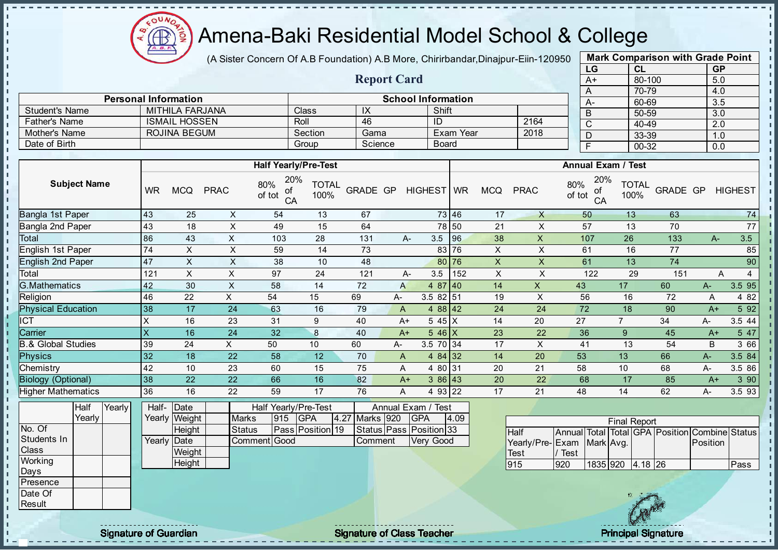

(A Sister Concern Of A.B Foundation) A.B More, Chirirbandar, Dinajpur-Eiin-120950

Report Card

Personal Information and The School Information

Father's Name ISMAIL HOSSEN Roll 46 ID 2164

Student's Name MITHILA FARJANA Class | IX | Shift

| <b>Mark Comparison with Grade Point</b> |        |           |  |  |  |  |  |  |  |  |  |
|-----------------------------------------|--------|-----------|--|--|--|--|--|--|--|--|--|
| LG                                      | CL     | <b>GP</b> |  |  |  |  |  |  |  |  |  |
| $A+$                                    | 80-100 | 5.0       |  |  |  |  |  |  |  |  |  |
| A                                       | 70-79  | 4.0       |  |  |  |  |  |  |  |  |  |
| A-                                      | 60-69  | 3.5       |  |  |  |  |  |  |  |  |  |
| B                                       | 50-59  | 3.0       |  |  |  |  |  |  |  |  |  |
| C                                       | 40-49  | 2.0       |  |  |  |  |  |  |  |  |  |
| D                                       | 33-39  | 1.0       |  |  |  |  |  |  |  |  |  |
| F                                       | 00-32  | 0.0       |  |  |  |  |  |  |  |  |  |
|                                         |        |           |  |  |  |  |  |  |  |  |  |

|                               |                         |                       |                |                                  |                      |                 |                |                                  |              |                           |                           | ◡              |                           | ャマーマ                 |                                                | $\sim$   |                |
|-------------------------------|-------------------------|-----------------------|----------------|----------------------------------|----------------------|-----------------|----------------|----------------------------------|--------------|---------------------------|---------------------------|----------------|---------------------------|----------------------|------------------------------------------------|----------|----------------|
| Mother's Name                 |                         | <b>ROJINA BEGUM</b>   |                |                                  | Section              | Gama            |                |                                  | Exam Year    |                           | 2018                      | $\overline{D}$ |                           | 33-39                |                                                | 1.0      |                |
| Date of Birth                 |                         |                       |                |                                  | Group                | Science         |                |                                  | <b>Board</b> |                           |                           | $\overline{F}$ |                           | 00-32                |                                                | 0.0      |                |
|                               |                         |                       |                |                                  |                      |                 |                |                                  |              |                           |                           |                |                           |                      |                                                |          |                |
|                               |                         |                       |                | <b>Half Yearly/Pre-Test</b>      |                      |                 |                |                                  |              |                           |                           |                | <b>Annual Exam / Test</b> |                      |                                                |          |                |
| <b>Subject Name</b>           | <b>WR</b>               | <b>MCQ</b>            | <b>PRAC</b>    | 20%<br>80%<br>οf<br>of tot<br>CA | <b>TOTAL</b><br>100% | <b>GRADE GP</b> |                | HIGHEST WR                       |              | <b>MCQ</b>                | <b>PRAC</b>               | 80%<br>of tot  | 20%<br>οf<br>CA           | <b>TOTAL</b><br>100% | <b>GRADE GP</b>                                |          | <b>HIGHEST</b> |
| Bangla 1st Paper              | 43                      | 25                    | X              | 54                               | 13                   | 67              |                |                                  | 73 46        | 17                        | $\mathsf{X}$              | 50             |                           | 13                   | 63                                             |          | 74             |
| Bangla 2nd Paper              | 43                      | 18                    | $\times$       | 49                               | 15                   | 64              |                |                                  | 78 50        | 21                        | X                         | 57             |                           | 13                   | 70                                             |          | 77             |
| Total                         | 86                      | 43                    | $\mathsf X$    | 103                              | 28                   | 131             |                | 3.5<br>A-                        | 96           | 38                        | $\pmb{\times}$            | 107            |                           | 26                   | 133                                            | $A-$     | 3.5            |
| English 1st Paper             | 74                      | X                     | $\sf X$        | 59                               | 14                   | 73              |                |                                  | 83 76        | $\mathsf X$               | X                         | 61             |                           | 16                   | 77                                             |          | 85             |
| <b>English 2nd Paper</b>      | 47                      | X                     | $\times$       | 38                               | 10                   | 48              |                |                                  | 80 76        | $\mathsf X$               | $\boldsymbol{\mathsf{X}}$ | 61             |                           | 13                   | 74                                             |          | 90             |
| Total                         | 121                     | $\mathsf{x}$          | $\sf X$        | 97                               | 24                   | 121             |                | 3.5<br>А-                        | 152          | $\boldsymbol{\mathsf{X}}$ | $\pmb{\times}$            |                | 122                       | 29                   | 151                                            | Α        | $\overline{4}$ |
| <b>G.Mathematics</b>          | 42                      | 30                    | $\pmb{\times}$ | 58                               | 14                   | 72              | A              |                                  | 4 87 40      | 14                        | $\boldsymbol{\mathsf{X}}$ | 43             |                           | 17                   | 60                                             | $A-$     | 3.5 95         |
| Religion                      | 46                      | 22                    | X              | 54                               | 15                   | 69              | А-             |                                  | 3.5 82 51    | 19                        | X                         | 56             |                           | 16                   | 72                                             | Α        | 4 8 2          |
| <b>Physical Education</b>     | 38                      | 17                    | 24             | 63                               | 16                   | 79              | $\mathsf{A}$   |                                  | $488$ 42     | 24                        | 24                        | 72             |                           | 18                   | 90                                             | $A+$     | 5 9 2          |
| $\overline{\text{CT}}$        | X                       | 16                    | 23             | 31                               | 9                    | 40              | $A+$           |                                  | $545$ X      | 14                        | 20                        | 27             |                           | $7^{\circ}$          | 34                                             | $A -$    | 3.5 44         |
| Carrier                       | $\overline{\mathsf{x}}$ | 16                    | 24             | 32                               | $\bf 8$              | 40              | $A+$           |                                  | $546$ X      | 23                        | 22                        | 36             |                           | 9                    | 45                                             | $A+$     | 5 47           |
| <b>B.&amp; Global Studies</b> | 39                      | 24                    | X              | 50                               | 10                   | 60              | А-             |                                  | 3.5 70 34    | 17                        | X                         | 41             |                           | 13                   | 54                                             | B        | 3 66           |
| <b>Physics</b>                | 32                      | 18                    | 22             | 58                               | 12                   | 70              | $\overline{A}$ |                                  | 4 $84$ 32    | 14                        | 20                        | 53             |                           | 13                   | 66                                             | $A -$    | 3.5 84         |
| Chemistry                     | 42                      | 10                    | 23             | 60                               | 15                   | 75              | A              |                                  | 4 80 31      | 20                        | 21                        | 58             |                           | 10                   | 68                                             | A-       | 3.5 86         |
| <b>Biology (Optional)</b>     | 38                      | 22                    | 22             | 66                               | 16                   | 82              | $A+$           |                                  | $386$ 43     | 20                        | 22                        | 68             |                           | 17                   | 85                                             | $A+$     | 3 90           |
| <b>Higher Mathematics</b>     | 36                      | 16                    | 22             | 59                               | 17                   | 76              | Α              |                                  | 4 93 22      | 17                        | 21                        | 48             |                           | 14                   | 62                                             | A-       | 3.5 93         |
| Yearly<br>Half<br>Yearly      | Half-                   | Date<br>Yearly Weight | <b>Marks</b>   | Half Yearly/Pre-Test<br>915      | <b>GPA</b>           | 4.27 Marks 920  |                | Annual Exam / Test<br><b>GPA</b> | 4.09         |                           |                           |                |                           | <b>Final Report</b>  |                                                |          |                |
| No. Of                        |                         | Height                | <b>Status</b>  |                                  | Pass Position 19     |                 |                | Status Pass Position 33          |              |                           | <b>Half</b>               |                |                           |                      | Annual Total Total GPA Position Combine Status |          |                |
| Students In<br>Class          |                         | Yearly Date<br>Weight |                | Comment Good                     |                      | Comment         |                | Very Good                        |              |                           | Yearly/Pre-Exam           | / Test         | Mark Avg.                 |                      |                                                | Position |                |
| Working                       |                         | Height                |                |                                  |                      |                 |                |                                  |              |                           | <b>Test</b><br>915        | 920            |                           | 1835 920 4.18 26     |                                                |          | Pass           |
| Days<br>Presence              |                         |                       |                |                                  |                      |                 |                |                                  |              |                           |                           |                |                           |                      |                                                |          |                |



Date Of **Result** 

J.

- II

 $\mathbf{I}$ J. J.  $\blacksquare$  $\mathbf{I}$ J. J. J. J. þ. T. T. Ĩ. J.  $\mathbf{I}$  $\mathbf{I}$  $\mathbf{I}$  $\mathbf{I}$ ×

 $\mathbf{I}$  $\mathbf{I}$  $\mathbf{I}$  $\mathbf{I}$  $\mathbf{I}$  $\mathbf{I}$  $\frac{1}{1}$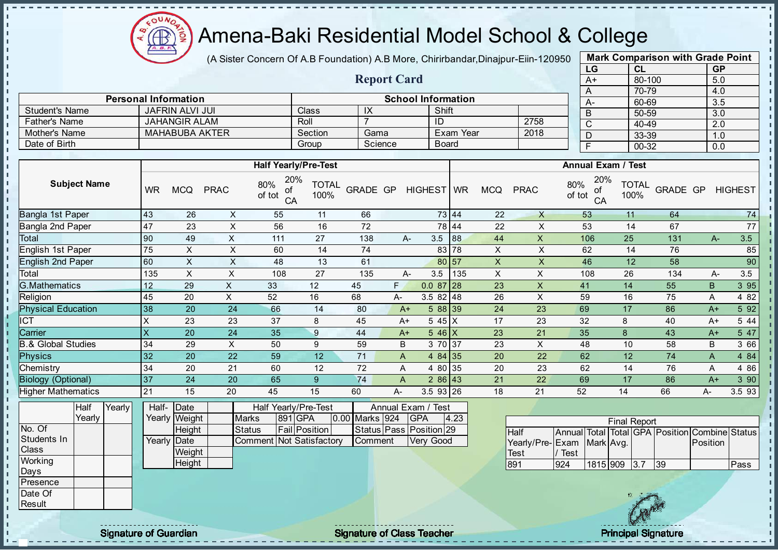

(A Sister Concern Of A.B Foundation) A.B More, Chirirbandar, Dinajpur-Eiin-120950

Report Card

| <b>Mark Comparison with Grade Point</b> |        |           |  |  |  |  |  |  |  |  |  |  |
|-----------------------------------------|--------|-----------|--|--|--|--|--|--|--|--|--|--|
| LG                                      | CL     | <b>GP</b> |  |  |  |  |  |  |  |  |  |  |
| $A+$                                    | 80-100 | 5.0       |  |  |  |  |  |  |  |  |  |  |
| A                                       | 70-79  | 4.0       |  |  |  |  |  |  |  |  |  |  |
| А-                                      | 60-69  | 3.5       |  |  |  |  |  |  |  |  |  |  |
| B                                       | 50-59  | 3.0       |  |  |  |  |  |  |  |  |  |  |
| C                                       | 40-49  | 2.0       |  |  |  |  |  |  |  |  |  |  |
| D                                       | 33-39  | 1.0       |  |  |  |  |  |  |  |  |  |  |
| F<br>00-32<br>0.0                       |        |           |  |  |  |  |  |  |  |  |  |  |

|                               | <b>Personal Information</b><br><b>JAFRIN ALVI JUI</b><br><b>JAHANGIR ALAM</b> |                             |                |                                  |                      |                         |      | <b>School Information</b> |              |                |                | $\sqrt{ }$<br>$A-$               | $10 - 10$<br>60-69   |          | $\mathcal{L}$<br>$\overline{3.5}$ |                |
|-------------------------------|-------------------------------------------------------------------------------|-----------------------------|----------------|----------------------------------|----------------------|-------------------------|------|---------------------------|--------------|----------------|----------------|----------------------------------|----------------------|----------|-----------------------------------|----------------|
| <b>Student's Name</b>         |                                                                               |                             |                |                                  | Class                | IX                      |      |                           | Shift        |                |                | $\overline{B}$                   | $50 - 59$            |          | 3.0                               |                |
| <b>Father's Name</b>          |                                                                               |                             |                |                                  | Roll                 | $\overline{7}$          |      | ID                        |              |                | 2758           | $\mathsf{C}$                     | 40-49                |          | 2.0                               |                |
| Mother's Name                 |                                                                               | <b>MAHABUBA AKTER</b>       |                |                                  | Section              | Gama                    |      |                           | Exam Year    |                | 2018           | D                                | 33-39                |          | 1.0                               |                |
| Date of Birth                 |                                                                               |                             |                |                                  | Group                | Science                 |      |                           | <b>Board</b> |                |                | $\overline{F}$                   | 00-32                |          | 0.0                               |                |
|                               |                                                                               |                             |                |                                  |                      |                         |      |                           |              |                |                |                                  |                      |          |                                   |                |
|                               |                                                                               |                             |                | <b>Half Yearly/Pre-Test</b>      |                      |                         |      |                           |              |                |                | <b>Annual Exam / Test</b>        |                      |          |                                   |                |
| <b>Subject Name</b>           | <b>WR</b>                                                                     | <b>MCQ</b>                  | <b>PRAC</b>    | 20%<br>80%<br>of<br>of tot<br>CA | <b>TOTAL</b><br>100% | <b>GRADE GP</b>         |      | HIGHEST WR                |              | <b>MCQ</b>     | <b>PRAC</b>    | 20%<br>80%<br>of<br>of tot<br>CA | <b>TOTAL</b><br>100% | GRADE GP |                                   | <b>HIGHEST</b> |
| Bangla 1st Paper              | 43                                                                            | 26                          | X              | 55                               | 11                   | 66                      |      |                           | 73 44        | 22             | $\times$       | 53                               | 11                   | 64       |                                   | 74             |
| Bangla 2nd Paper              | 47                                                                            | 23                          | $\mathsf{X}$   | 56                               | 16                   | 72                      |      |                           | 78 44        | 22             | X              | 53                               | 14                   | 67       |                                   | 77             |
| Total                         | 90                                                                            | 49                          | X              | 111                              | 27                   | 138                     |      | 3.5<br>А-                 | 88           | 44             | X              | 106                              | 25                   | 131      | $A-$                              | 3.5            |
| English 1st Paper             | 75                                                                            | X                           | X              | 60                               | 14                   | 74                      |      |                           | 83 78        | X              | X              | 62                               | 14                   | 76       |                                   | 85             |
| <b>English 2nd Paper</b>      | 60                                                                            | X                           | $\mathsf X$    | 48                               | 13                   | 61                      |      |                           | 80 57        | $\pmb{\times}$ | $\pmb{\times}$ | 46                               | 12                   | 58       |                                   | 90             |
| Total                         | 135                                                                           | $\mathsf{X}$                | X              | 108                              | 27                   | 135                     |      | 3.5<br>А-                 | 135          | $\pmb{\times}$ | X              | 108                              | 26                   | 134      | A-                                | 3.5            |
| <b>G.Mathematics</b>          | 12 <sup>2</sup>                                                               | 29                          | X              | 33                               | 12                   | 45                      | F.   | $0.087$ 28                |              | 23             | X              | 41                               | 14                   | 55       | B                                 | 3 9 5          |
| Religion                      | 45                                                                            | 20                          | X              | 52                               | 16                   | 68                      | A-   | $3.582$ 48                |              | 26             | X              | 59                               | 16                   | 75       | Α                                 | 4 8 2          |
| <b>Physical Education</b>     | 38                                                                            | 20                          | 24             | 66                               | 14                   | 80                      | $A+$ |                           | 58839        | 24             | 23             | 69                               | 17                   | 86       | $A+$                              | 5 92           |
| ICT                           | X                                                                             | 23                          | 23             | 37                               | 8                    | 45                      | $A+$ |                           | $545$ X      | 17             | 23             | 32                               | 8                    | 40       | $A+$                              | 5 4 4          |
| Carrier                       | X                                                                             | 20                          | 24             | 35                               | 9                    | 44                      | $A+$ |                           | $546$ X      | 23             | 21             | 35                               | 8                    | 43       | $A+$                              | 5 47           |
| <b>B.&amp; Global Studies</b> | 34                                                                            | 29                          | $\pmb{\times}$ | 50                               | 9                    | 59                      | B    |                           | 3 70 37      | 23             | X              | 48                               | 10                   | 58       | B                                 | 3 66           |
| <b>Physics</b>                | 32                                                                            | 20                          | 22             | 59                               | 12                   | 71                      | A    |                           | 4 84 35      | 20             | 22             | 62                               | 12                   | 74       | A                                 | 4 84           |
| Chemistry                     | 34                                                                            | 20                          | 21             | 60                               | 12                   | 72                      | Α    |                           | 4 80 35      | 20             | 23             | 62                               | 14                   | 76       | Α                                 | 4 86           |
| <b>Biology (Optional)</b>     | 37                                                                            | 24                          | 20             | 65                               | 9 <sup>°</sup>       | 74                      | A    |                           | $286$ 43     | 21             | 22             | 69                               | 17                   | 86       | $A+$                              | 3 9 0          |
| <b>Higher Mathematics</b>     | 21                                                                            | 15                          | 20             | 45                               | 15                   | 60                      | A-   | 3.5 93 26                 |              | 18             | 21             | 52                               | 14                   | 66       | A-                                | 3.5 93         |
| Yearly<br>Half<br>Voorly      | Half-                                                                         | Date<br>$V$ oorly $M$ oight |                | Half Yearly/Pre-Test<br>$M$ orko |                      | $0.00$ Marke $0.24$ CDA |      | Annual Exam / Test        | $\sqrt{2}$   |                |                |                                  |                      |          |                                   |                |

|             | Yearly |  |             | Yearly Weight | <b>Marks</b>             | 891 GPA              | 0.00 Marks 924 | <b>GPA</b>              | 4.23 |                           |          |          | <b>Final Report</b> |    |                                                |      |
|-------------|--------|--|-------------|---------------|--------------------------|----------------------|----------------|-------------------------|------|---------------------------|----------|----------|---------------------|----|------------------------------------------------|------|
| No. Of      |        |  |             | Height        | Status                   | <b>Fail Position</b> |                | Status Pass Position 29 |      | Half                      |          |          |                     |    | Annual Total Total GPA Position Combine Status |      |
| Students In |        |  | Yearly Date |               | Comment Not Satisfactory |                      | Comment        | Very Good               |      | Yearly/Pre-Exam Mark Avg. |          |          |                     |    | Position                                       |      |
| Class       |        |  |             | Weight        |                          |                      |                |                         |      | Test                      | $'$ Test |          |                     |    |                                                |      |
| Working     |        |  |             | Height        |                          |                      |                |                         |      | 891                       | 924      | 1815 909 | 3.7                 | 39 |                                                | Pass |
| Days        |        |  |             |               |                          |                      |                |                         |      |                           |          |          |                     |    |                                                |      |
| Presence    |        |  |             |               |                          |                      |                |                         |      |                           |          |          |                     |    |                                                |      |
| Date Of     |        |  |             |               |                          |                      |                |                         |      |                           |          |          |                     |    |                                                |      |
| Result      |        |  |             |               |                          |                      |                |                         |      |                           |          |          |                     |    |                                                |      |
|             |        |  |             |               |                          |                      |                |                         |      |                           |          |          |                     |    |                                                |      |

**II** 

J.  $\mathbf{I}$  $\mathbb T$ - II

second and the signature of Guardian Signature of Class Teacher Principal Signature of Class Teacher Principal Signature of Class Teacher Principal Signature of Class Teacher Principal Signature of Class Teacher Principal

 $\mathcal{L}$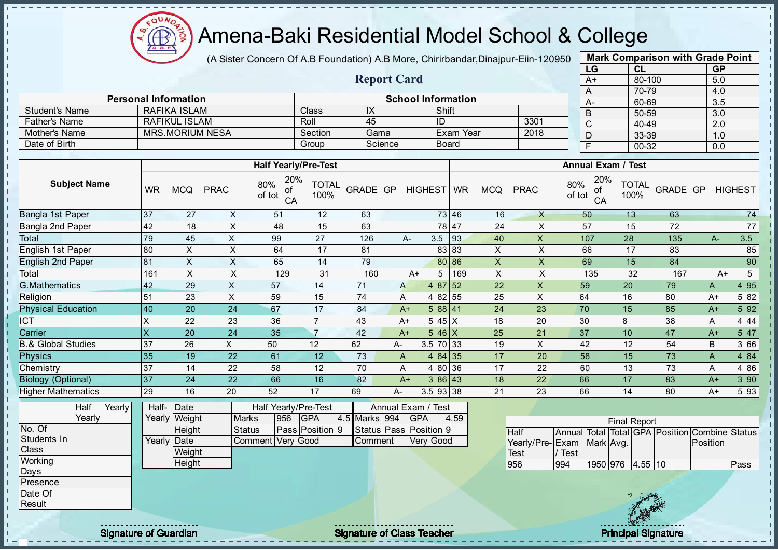

(A Sister Concern Of A.B Foundation) A.B More, Chirirbandar, Dinajpur-Eiin-120950

Report Card

| <b>Mark Comparison with Grade Point</b><br>LG |           |  |  |  |  |  |  |  |  |  |  |  |
|-----------------------------------------------|-----------|--|--|--|--|--|--|--|--|--|--|--|
| CL                                            | <b>GP</b> |  |  |  |  |  |  |  |  |  |  |  |
| 80-100                                        | 5.0       |  |  |  |  |  |  |  |  |  |  |  |
| 70-79                                         | 4.0       |  |  |  |  |  |  |  |  |  |  |  |
| 60-69                                         | 3.5       |  |  |  |  |  |  |  |  |  |  |  |
| 50-59                                         | 3.0       |  |  |  |  |  |  |  |  |  |  |  |
| 40-49                                         | 2.0       |  |  |  |  |  |  |  |  |  |  |  |
| 33-39                                         | 1.0       |  |  |  |  |  |  |  |  |  |  |  |
| $00 - 32$<br>F<br>0.0                         |           |  |  |  |  |  |  |  |  |  |  |  |
|                                               |           |  |  |  |  |  |  |  |  |  |  |  |

|                      |                             |         |                |                           |      |      | 70-79 |
|----------------------|-----------------------------|---------|----------------|---------------------------|------|------|-------|
|                      | <b>Personal Information</b> |         |                | <b>School Information</b> |      | $A-$ | 60-69 |
| Student's Name       | RAFIKA ISLAM                | Class   | $\overline{1}$ | Shift                     |      | B    | 50-59 |
| <b>Father's Name</b> | RAFIKUL ISLAM               | Roll    | 45             | -ID                       | 3301 | ◡    | 40-49 |
| Mother's Name        | MRS.MORIUM NESA             | Section | Gama           | Exam Year                 | 2018 | D    | 33-39 |
| Date of Birth        |                             | Group   | Science        | <b>Board</b>              |      |      | 00-32 |
|                      |                             |         |                |                           |      |      |       |
|                      |                             |         |                |                           |      |      |       |

|                           |           |                          |             | <b>Half Yearly/Pre-Test</b>                |                      |          |      |                          |       |            |             | <b>Annual Exam / Test</b>        |                      |                 |      |                 |
|---------------------------|-----------|--------------------------|-------------|--------------------------------------------|----------------------|----------|------|--------------------------|-------|------------|-------------|----------------------------------|----------------------|-----------------|------|-----------------|
| <b>Subject Name</b>       | <b>WR</b> | <b>MCQ</b>               | <b>PRAC</b> | 20%<br>80%<br>οf<br>of tot<br>CA           | <b>TOTAL</b><br>100% | GRADE GP |      | HIGHEST WR               |       | <b>MCQ</b> | <b>PRAC</b> | 20%<br>80%<br>οf<br>of tot<br>CA | <b>TOTAL</b><br>100% | <b>GRADE GP</b> |      | <b>HIGHEST</b>  |
| Bangla 1st Paper          | 37        | 27                       | X           | 51                                         | 12                   | 63       |      |                          | 73 46 | 16         | $\times$    | 50                               | 13                   | 63              |      | 74              |
| Bangla 2nd Paper          | 42        | 18                       | X           | 48                                         | 15                   | 63       |      |                          | 78 47 | 24         | X           | 57                               | 15                   | 72              |      | 77              |
| Total                     | 79        | 45                       | X           | 99                                         | 27                   | 126      |      | 3.5<br>A-                | 93    | 40         | X           | 107                              | 28                   | 135             | $A-$ | 3.5             |
| English 1st Paper         | 80        | X                        | X           | 64                                         | 17                   | 81       |      |                          | 83 83 | X          | X           | 66                               | 17                   | 83              |      | 85              |
| <b>English 2nd Paper</b>  | 81        | X                        | X           | 65                                         | 14                   | 79       |      |                          | 80 86 | X          | X           | 69                               | 15                   | 84              |      | 90              |
| Total                     | 161       | X                        | X           | 129                                        | 31                   | 160      |      | 5<br>$A+$                | 169   | X          | X           | 135                              | 32                   | 167             | $A+$ | $5\phantom{.0}$ |
| <b>G.Mathematics</b>      | 42        | 29                       | Χ           | 57                                         | 14                   | 71       | A    | 4 87 52                  |       | 22         | X           | 59                               | 20                   | 79              | A    | 4 95            |
| Religion                  | 51        | 23                       | X.          | 59                                         | 15                   | 74       | A    | 4 82 55                  |       | 25         | X           | 64                               | 16                   | 80              | $A+$ | 5 82            |
| <b>Physical Education</b> | 40        | 20                       | 24          | 67                                         | 17                   | 84       | $A+$ | 588 41                   |       | 24         | 23          | 70                               | 15                   | 85              | $A+$ | 5 9 2           |
| ICT                       | X         | 22                       | 23          | 36                                         |                      | 43       | $A+$ | 5 45 X                   |       | 18         | 20          | 30                               | 8                    | 38              | A    | 4 4 4           |
| Carrier                   | X         | 20                       | 24          | 35                                         | 7                    | 42       | $A+$ | $546$ X                  |       | 25         | 21          | 37                               | 10                   | 47              | $A+$ | 5 47            |
| 3.& Global Studies        | 37        | 26                       | X.          | 50                                         | 12                   | 62       | А-   | 3.5 70 33                |       | 19         | X           | 42                               | 12                   | 54              | В    | 3 66            |
| <b>Physics</b>            | 35        | 19                       | 22          | 61                                         | 12                   | 73       | A    | 4 $84$ 35                |       | 17         | 20          | 58                               | 15                   | 73              | A    | 4 8 4           |
| Chemistry                 | 37        | 14                       | 22          | 58                                         | 12                   | 70       | A    | 4 80 36                  |       | 17         | 22          | 60                               | 13                   | 73              | A    | 4 8 6           |
| <b>Biology (Optional)</b> | 37        | 24                       | 22          | 66                                         | 16                   | 82       |      | 386 43<br>$A+$           |       | 18         | 22          | 66                               | 17                   | 83              | $A+$ | 390             |
| <b>Higher Mathematics</b> | 29        | 16                       | 20          | 52                                         | 17                   | 69       | A-   | 3.5 93 38                |       | 21         | 23          | 66                               | 14                   | 80              | $A+$ | 593             |
| $\frac{1}{2}$             |           | $\overline{\phantom{a}}$ |             | $\mathbf{r}$ . $\mathbf{r}$ . $\mathbf{r}$ | $ -$                 |          |      | $\overline{\phantom{a}}$ |       |            |             |                                  |                      |                 |      |                 |

|              | Half   | Yearly | Half- Date   |               |                   | Half Yearly/Pre-Test<br>Annual Exam / Test<br>4.59<br>4.5 Marks 994<br>956<br><b>IGPA</b><br><b>IGPA</b><br>Status Pass Position 9<br>Pass Position 9 |  |  |         |  |           |  |  |
|--------------|--------|--------|--------------|---------------|-------------------|-------------------------------------------------------------------------------------------------------------------------------------------------------|--|--|---------|--|-----------|--|--|
|              | Yearly |        |              | Yearly Weight | <b>Marks</b>      |                                                                                                                                                       |  |  |         |  |           |  |  |
| No. Of       |        |        |              | <b>Height</b> | <b>Status</b>     |                                                                                                                                                       |  |  |         |  |           |  |  |
| Students In  |        |        | Yearlv IDate |               | Comment Very Good |                                                                                                                                                       |  |  | Comment |  | Verv Good |  |  |
| <b>Class</b> |        |        |              | Weight        |                   |                                                                                                                                                       |  |  |         |  |           |  |  |
| Working      |        |        |              | Height        |                   |                                                                                                                                                       |  |  |         |  |           |  |  |
| Days         |        |        |              |               |                   |                                                                                                                                                       |  |  |         |  |           |  |  |
| Presence     |        |        |              |               |                   |                                                                                                                                                       |  |  |         |  |           |  |  |
| Date Of      |        |        |              |               |                   |                                                                                                                                                       |  |  |         |  |           |  |  |

| <b>Final Report</b>       |      |                  |  |  |  |                                                |      |  |  |  |  |  |  |
|---------------------------|------|------------------|--|--|--|------------------------------------------------|------|--|--|--|--|--|--|
| <b>Half</b>               |      |                  |  |  |  | Annual Total Total GPA Position Combine Status |      |  |  |  |  |  |  |
| Yearly/Pre-Exam Mark Avg. |      |                  |  |  |  | <b>Position</b>                                |      |  |  |  |  |  |  |
| <b>Test</b>               | Test |                  |  |  |  |                                                |      |  |  |  |  |  |  |
| 956                       | 994  | 1950 976 4.55 10 |  |  |  |                                                | Pass |  |  |  |  |  |  |



**Result** 

 $\mathbf{r}$ л

experiment of Guardian and Signature of Class Teacher Principal Signature of Class Teacher Principal Signature<br>Signature of Class Teacher Principal Signature of Class Teacher Principal Signature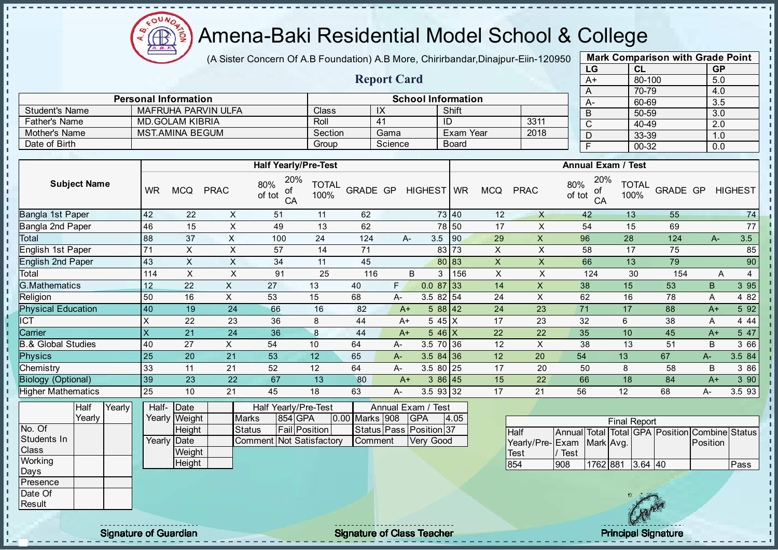

(A Sister Concern Of A.B Foundation) A.B More, Chirirbandar, Dinajpur-Eiin-120950

Report Card

| <b>Mark Comparison with Grade Point</b> |        |           |  |  |  |  |  |  |  |  |  |  |
|-----------------------------------------|--------|-----------|--|--|--|--|--|--|--|--|--|--|
| LG                                      | CL     | <b>GP</b> |  |  |  |  |  |  |  |  |  |  |
| A+                                      | 80-100 | 5.0       |  |  |  |  |  |  |  |  |  |  |
| Α                                       | 70-79  | 4.0       |  |  |  |  |  |  |  |  |  |  |
| A-                                      | 60-69  | 3.5       |  |  |  |  |  |  |  |  |  |  |
| B                                       | 50-59  | 3.0       |  |  |  |  |  |  |  |  |  |  |
| C                                       | 40-49  | 2.0       |  |  |  |  |  |  |  |  |  |  |
| D                                       | 33-39  | 1.0       |  |  |  |  |  |  |  |  |  |  |
| F<br>00-32<br>0.0                       |        |           |  |  |  |  |  |  |  |  |  |  |
|                                         |        |           |  |  |  |  |  |  |  |  |  |  |

|                     | <b>Personal Information</b>                                          |                      | <b>School Information</b>  |                         |      | $A-$                                   | 60-69                        | 3.5            |
|---------------------|----------------------------------------------------------------------|----------------------|----------------------------|-------------------------|------|----------------------------------------|------------------------------|----------------|
| Student's Name      | MAFRUHA PARVIN ULFA                                                  | Class                | IX                         | Shift                   |      |                                        | 50-59                        | 3.0            |
| Father's Name       | <b>MD.GOLAM KIBRIA</b>                                               | Roll                 | 41                         | - ID                    | 3311 | $\sim$<br>◡                            | 40-49                        | 2.0            |
| Mother's Name       | <b>MST.AMINA BEGUM</b>                                               | Section              | Gama                       | Exam Year               | 2018 |                                        | 33-39                        | 1.0            |
| Date of Birth       |                                                                      | Group                | Science                    | Board                   |      |                                        | 00-32                        | 0.0            |
|                     |                                                                      |                      |                            |                         |      |                                        |                              |                |
|                     | <b>Half Yearly/Pre-Test</b>                                          |                      |                            |                         |      | <b>Annual Exam / Test</b>              |                              |                |
| <b>Subject Name</b> | 20%<br>80%<br>of tot<br><b>PRAC</b><br><b>WR</b><br><b>MCQ</b><br>ot | <b>TOTAL</b><br>100% | GRADE GP<br><b>HIGHEST</b> | <b>WR</b><br><b>MCQ</b> | PRAC | 20%<br>$\frac{80\%}{\text{of tot}}$ of | of TOTAL GRADE GP !!<br>100% | <b>HIGHEST</b> |

|                           |          |    |                   | .<br>СA | $\sim$ $\sim$ $\sim$ |     |      |            |     |    |    | <u>.</u><br>CA | $\cdot$ |     |      |        |
|---------------------------|----------|----|-------------------|---------|----------------------|-----|------|------------|-----|----|----|----------------|---------|-----|------|--------|
| Bangla 1st Paper          | 42       | 22 | X                 | 51      | 11                   | 62  |      | 73 40      |     | 12 | X  | 42             | 13      | 55  |      | 74     |
| Bangla 2nd Paper          | 46       | 15 | ∧                 | 49      | 13                   | 62  |      | 78 50      |     | 17 |    | 54             | 15      | 69  |      | 77     |
| Total                     | 88       | 37 | X                 | 100     | 24                   | 124 | A-   | 3.5        | 90  | 29 | X  | 96             | 28      | 124 | $A-$ | 3.5    |
| English 1st Paper         | 71       | X. | ㅅ                 | 57      | 14                   | 71  |      | 83 73      |     | X  | ᄉ  | 58             | 17      | 75  |      | 85     |
| <b>English 2nd Paper</b>  | 43       | X  | X                 | 34      | 11                   | 45  |      | 80 83      |     | X  | X  | 66             | 13      | 79  |      | 90     |
| Total                     | 114      | X. | $\checkmark$<br>⋏ | 91      | 25                   | 116 | B    | 3          | 156 | X  |    | 124            | 30      | 154 | A    |        |
| <b>G.Mathematics</b>      | 12       | 22 | х.                | 27      | 13                   | 40  | F.   | 0.087      | 33  | 14 | X  | 38             | 15      | 53  | B.   | 3 9 5  |
| Religion                  | 50       | 16 | X.                | 53      | 15                   | 68  | А-   | $3.582$ 54 |     | 24 | X  | 62             | 16      | 78  | A    | 4 8 2  |
| <b>Physical Education</b> | 40       | 19 | 24                | 66      | 16                   | 82  | $A+$ | $588$ 42   |     | 24 | 23 | 71             | 17      | 88  | $A+$ | 5 9 2  |
| <b>CT</b>                 | X        | 22 | 23                | 36      | 8                    | 44  | A+   | 5 45 $X$   |     | 17 | 23 | 32             | 6       | 38  | A    | 4 4 4  |
| Carrier                   | $\times$ | 21 | 24                | 36      | 8                    | 44  | $A+$ | $546$ X    |     | 22 | 22 | 35             | 10      | 45  | $A+$ | 5 47   |
| 8.& Global Studies        | 40       | 27 | X.                | 54      | 10                   | 64  | А-   | 3.5 70 36  |     | 12 | X  | 38             | 13      | 51  | B    | 3 66   |
| <b>Physics</b>            | 25       | 20 | 21                | 53      | 12 <sup>2</sup>      | 65  | A-   | $3.584$ 36 |     | 12 | 20 | 54             | 13      | 67  | A-   | 3.5 84 |
| Chemistry                 | 33       | 11 | 21                | 52      | 12                   | 64  | A-   | 3.5 80 25  |     | 17 | 20 | 50             | 8       | 58  | B    | 3 86   |
| <b>Biology (Optional)</b> | 39       | 23 | 22                | 67      | 13                   | 80  | $A+$ | 386 45     |     | 15 | 22 | 66             | 18      | 84  | $A+$ | 3 90   |
| <b>Higher Mathematics</b> | 25       | 10 | 21                | 45      | 18                   | 63  | A-   | 3.5 93 32  |     | 17 | 21 | 56             | 12      | 68  | А-   | 3.593  |

|                  | Half   | Yearly <b>I</b> | Half-        | Half Yearly/Pre-Test<br><b>IDate</b> |  |                          |  |                      |  |                | Annual Exam / Test      |      |  |
|------------------|--------|-----------------|--------------|--------------------------------------|--|--------------------------|--|----------------------|--|----------------|-------------------------|------|--|
|                  | Yearlv |                 |              | Yearly Weight                        |  | <b>Marks</b>             |  | 854 GPA              |  | 0.00 Marks 908 | <b>IGPA</b>             | 4.05 |  |
| No. Of           |        |                 |              | Height                               |  | <b>Status</b>            |  | <b>Fail</b> Position |  |                | Status Pass Position 37 |      |  |
| Students In      |        |                 | Yearly  Date |                                      |  | Comment Not Satisfactory |  |                      |  | <b>Comment</b> | Very Good               |      |  |
| <b>IClass</b>    |        |                 |              | Weight                               |  |                          |  |                      |  |                |                         |      |  |
| Working          |        |                 |              | Height                               |  |                          |  |                      |  |                |                         |      |  |
| Days             |        |                 |              |                                      |  |                          |  |                      |  |                |                         |      |  |
| <b>IPresence</b> |        |                 |              |                                      |  |                          |  |                      |  |                |                         |      |  |

| <b>Final Report</b>       |      |                  |  |  |  |                                                |      |  |  |  |  |  |
|---------------------------|------|------------------|--|--|--|------------------------------------------------|------|--|--|--|--|--|
| <b>Half</b>               |      |                  |  |  |  | Annual Total Total GPA Position Combine Status |      |  |  |  |  |  |
| Yearly/Pre-Exam Mark Avg. |      |                  |  |  |  | Position                                       |      |  |  |  |  |  |
| Test                      | Test |                  |  |  |  |                                                |      |  |  |  |  |  |
| 854                       | 908  | 1762 881 3.64 40 |  |  |  |                                                | Pass |  |  |  |  |  |



Date Of **Result** 

л ×

л J. - II  $\mathbf{I}$  $\mathbf{I}$  $\blacksquare$ 

 $\mathbf{I}$  $\mathbf{u}$  $\mathbf{r}$ 

 $\mathbf{I}$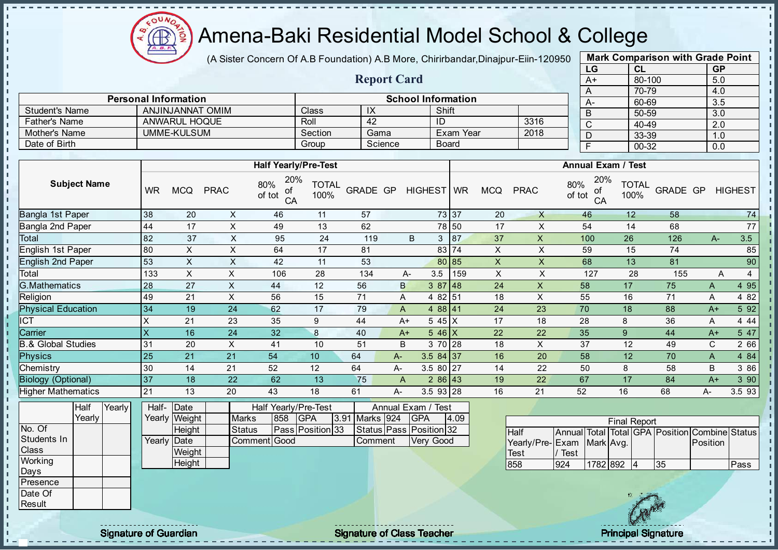

(A Sister Concern Of A.B Foundation) A.B More, Chirirbandar, Dinajpur-Eiin-120950

Report Card

| <b>Mark Comparison with Grade Point</b> |           |           |  |  |  |  |  |  |  |  |
|-----------------------------------------|-----------|-----------|--|--|--|--|--|--|--|--|
| LG                                      | CL        | <b>GP</b> |  |  |  |  |  |  |  |  |
| $A+$                                    | 80-100    | 5.0       |  |  |  |  |  |  |  |  |
| A                                       | 70-79     | 4.0       |  |  |  |  |  |  |  |  |
| А-                                      | 60-69     | 3.5       |  |  |  |  |  |  |  |  |
| B                                       | 50-59     | 3.0       |  |  |  |  |  |  |  |  |
| C                                       | 40-49     | 2.0       |  |  |  |  |  |  |  |  |
| D                                       | 33-39     | 1.0       |  |  |  |  |  |  |  |  |
| F                                       | $00 - 32$ | 0.0       |  |  |  |  |  |  |  |  |

|                      |                             |         |         |                           |      |      | 70-79 |
|----------------------|-----------------------------|---------|---------|---------------------------|------|------|-------|
|                      | <b>Personal Information</b> |         |         | <b>School Information</b> |      | $A-$ | 60-69 |
| Student's Name       | ANJINJANNAT OMIM            | Class   | IX      | Shift                     |      |      | 50-59 |
| <b>Father's Name</b> | ANWARUL HOQUE               | Roll    | 42      | ID                        | 3316 |      | 40-49 |
| Mother's Name        | UMME-KULSUM                 | Section | Gama    | Exam Year                 | 2018 |      | 33-39 |
| Date of Birth        |                             | Group   | Science | <b>Board</b>              |      |      | 00-32 |
|                      |                             |         |         |                           |      |      |       |
|                      | <b>Half Yearly/Pre-Test</b> |         |         | <b>Annual Exam / Test</b> |      |      |       |

|                           |           |            |                | <b>NAIL TEALLY/PIE-TEST</b>      |                      |          |    |                       | Alliludi Exdili / Test |            |                           |                                  |                      |          |      |                |       |
|---------------------------|-----------|------------|----------------|----------------------------------|----------------------|----------|----|-----------------------|------------------------|------------|---------------------------|----------------------------------|----------------------|----------|------|----------------|-------|
| <b>Subject Name</b>       | <b>WR</b> | <b>MCQ</b> | <b>PRAC</b>    | 20%<br>80%<br>οf<br>of tot<br>CA | <b>TOTAL</b><br>100% | GRADE GP |    | HIGHEST WR            |                        | <b>MCQ</b> | <b>PRAC</b>               | 20%<br>80%<br>ot<br>of tot<br>CA | <b>TOTAL</b><br>100% | GRADE GP |      | <b>HIGHEST</b> |       |
| Bangla 1st Paper          | 38        | 20         | X              | 46                               | 11                   | 57       |    |                       | 73 37                  | 20         | X                         | 46                               | 12                   | 58       |      |                | 74    |
| Bangla 2nd Paper          | 44        | 17         | X              | 49                               | 13                   | 62       |    |                       | 78 50                  | 17         | X                         | 54                               | 14                   | 68       |      |                | 77    |
| Total                     | 82        | 37         | $\pmb{\times}$ | 95                               | 24                   | 119      |    | B<br>3                | 87                     | 37         | $\boldsymbol{\mathsf{X}}$ | 100                              | 26                   | 126      | $A-$ |                | 3.5   |
| English 1st Paper         | 80        | $\times$   | X              | 64                               | 17                   | 81       |    |                       | 83 74                  | X          | X                         | 59                               | 15                   | 74       |      |                | 85    |
| <b>English 2nd Paper</b>  | 53        | X          | X              | 42                               | 11                   | 53       |    |                       | 80 85                  | X          | X                         | 68                               | 13                   | 81       |      |                | 90    |
| Total                     | 133       | X          | X              | 106                              | 28                   | 134      |    | 3.5<br>A-             | 159                    | X          | X                         | 127                              | 28                   | 155      |      | A              | 4     |
| <b>G.Mathematics</b>      | 28        | 27         | X              | 44                               | 12                   | 56       | B  |                       | 387 48                 | 24         | X                         | 58                               | 17                   | 75       | A    |                | 4 9 5 |
| Religion                  | 49        | 21         | X              | 56                               | 15                   | 71       | Α  |                       | 4 82 51                | 18         | X                         | 55                               | 16                   | 71       | A    |                | 4 8 2 |
| <b>Physical Education</b> | 34        | 19         | 24             | 62                               | 17                   | 79       | A  |                       | 488 41                 | 24         | 23                        | 70                               | 18                   | 88       | $A+$ |                | 5 9 2 |
| <b>CT</b>                 | Χ         | 21         | 23             | 35                               | 9                    | 44       |    | $545$ X<br>$A+$       |                        | 17         | 18                        | 28                               | 8                    | 36       | A    |                | 4 4 4 |
| Carrier                   | X         | 16         | 24             | 32                               | 8                    | 40       |    | $A+$<br>$5.46 \times$ |                        | 22         | 22                        | 35                               | 9                    | 44       | $A+$ |                | 5 47  |
| 3.& Global Studies        | 31        | 20         | X              | 41                               | 10                   | 51       | B  |                       | 3 70 28                | 18         | X                         | 37                               | 12                   | 49       | C    |                | 2 66  |
| <b>Physics</b>            | 25        | 21         | 21             | 54                               | 10                   | 64       | A- | $3.584$ 37            |                        | 16         | 20                        | 58                               | 12                   | 70       | A    |                | 4 8 4 |
| Chemistry                 | 30        | 14         | 21             | 52                               | 12                   | 64       | A- | 3.5 80 27             |                        | 14         | 22                        | 50                               | 8                    | 58       | B    |                | 3 86  |
| <b>Biology (Optional)</b> | 37        | 18         | 22             | 62                               | 13                   | 75       | A  |                       | $286$ 43               | 19         | 22                        | 67                               | 17                   | 84       | $A+$ |                | 390   |
| <b>Higher Mathematics</b> | 21        | 13         | 20             | 43                               | 18                   | 61       | А- | 3.5 93 28             |                        | 16         | 21                        | 52                               | 16                   | 68       | А-   |                | 3.593 |
|                           |           |            |                |                                  |                      |          |    |                       |                        |            |                           |                                  |                      |          |      |                |       |

|              | Half   | Yearly | Half- Date  |               |               |      | <b>Half Yearly/Pre-Test</b> |                | Annual Exam / Test            |      |      |
|--------------|--------|--------|-------------|---------------|---------------|------|-----------------------------|----------------|-------------------------------|------|------|
|              | Yearly |        |             | Yearly Weight | <b>Marks</b>  | 1858 | <b>GPA</b>                  | 3.91 Marks 924 | <b>IGPA</b>                   | 4.09 |      |
| No. Of       |        |        |             | Height        | <b>Status</b> |      | Pass Position 33            |                | Status   Pass   Position   32 |      | Half |
| Students In  |        |        | Yearly Date |               | Comment Good  |      |                             | Comment        | Very Good                     |      | Yea  |
| <b>Class</b> |        |        |             | Weight        |               |      |                             |                |                               |      | Test |
| Working      |        |        |             | Height        |               |      |                             |                |                               |      | 858  |
| Days         |        |        |             |               |               |      |                             |                |                               |      |      |
| Presence     |        |        |             |               |               |      |                             |                |                               |      |      |
| Date Of      |        |        |             |               |               |      |                             |                |                               |      |      |
| Result       |        |        |             |               |               |      |                             |                |                               |      |      |

| <b>Final Report</b>       |      |            |  |  |    |                                                |      |  |  |  |  |  |
|---------------------------|------|------------|--|--|----|------------------------------------------------|------|--|--|--|--|--|
| <b>Half</b>               |      |            |  |  |    | Annual Total Total GPA Position Combine Status |      |  |  |  |  |  |
| Yearly/Pre-Exam Mark Avg. |      |            |  |  |    | <b>IPosition</b>                               |      |  |  |  |  |  |
| <b>Test</b>               | Test |            |  |  |    |                                                |      |  |  |  |  |  |
| 858                       | 924  | 1782 892 4 |  |  | 35 |                                                | Pass |  |  |  |  |  |



experiment of Guardian and Signature of Class Teacher Principal Signature of Guardian and Signature of Class Teacher Principal Signature of Class Teacher Principal Signature of Class Teacher Principal Signature of Class Te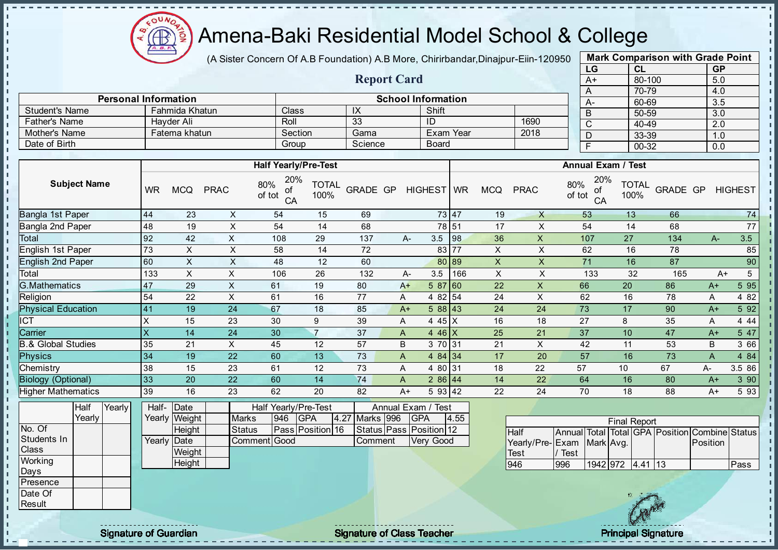

(A Sister Concern Of A.B Foundation) A.B More, Chirirbandar, Dinajpur-Eiin-120950

Report Card

Personal Information and Theorem School Information

Father's Name | Hayder Ali | Roll | 33 | ID | 1690 Mother's Name **Fatema khatun** Section Gama Exam Year 2018

Student's Name Fahmida Khatun Class IX Shift<br>Father's Name Hayder Ali Roll 33 ID

Date of Birth Board Group Science Board

| <b>Mark Comparison with Grade Point</b> |        |           |  |  |  |  |  |  |  |  |  |
|-----------------------------------------|--------|-----------|--|--|--|--|--|--|--|--|--|
| LG                                      | CL     | <b>GP</b> |  |  |  |  |  |  |  |  |  |
| $A+$                                    | 80-100 | 5.0       |  |  |  |  |  |  |  |  |  |
| A                                       | 70-79  | 4.0       |  |  |  |  |  |  |  |  |  |
| A-                                      | 60-69  | 3.5       |  |  |  |  |  |  |  |  |  |
| B                                       | 50-59  | 3.0       |  |  |  |  |  |  |  |  |  |
| C                                       | 40-49  | 2.0       |  |  |  |  |  |  |  |  |  |
| D                                       | 33-39  | 1.0       |  |  |  |  |  |  |  |  |  |
| F                                       | 00-32  | 0.0       |  |  |  |  |  |  |  |  |  |

|                               |                     |        |                         |                       |                    | <b>Half Yearly/Pre-Test</b>      |                      |                |                                  |       |                           |                 |               | <b>Annual Exam / Test</b> |                      |                                   |          |                |
|-------------------------------|---------------------|--------|-------------------------|-----------------------|--------------------|----------------------------------|----------------------|----------------|----------------------------------|-------|---------------------------|-----------------|---------------|---------------------------|----------------------|-----------------------------------|----------|----------------|
|                               | <b>Subject Name</b> |        | <b>WR</b>               | <b>MCQ</b>            | <b>PRAC</b>        | 20%<br>80%<br>of<br>of tot<br>CA | <b>TOTAL</b><br>100% | GRADE GP       | HIGHEST WR                       |       | <b>MCQ</b>                | <b>PRAC</b>     | 80%<br>of tot | 20%<br>οf<br>CA           | <b>TOTAL</b><br>100% | GRADE GP                          |          | <b>HIGHEST</b> |
| Bangla 1st Paper              |                     |        | 44                      | 23                    | $\pmb{\mathsf{X}}$ | 54                               | 15                   | 69             |                                  | 73 47 | 19                        | X               |               | 53                        | 13                   | 66                                |          | 74             |
| <b>Bangla 2nd Paper</b>       |                     |        | 48                      | 19                    | $\sf X$            | 54                               | 14                   | 68             |                                  | 78 51 | 17                        | X               |               | 54                        | 14                   | 68                                |          | 77             |
| Total                         |                     |        | 92                      | 42                    | $\sf X$            | 108                              | 29                   | 137            | 3.5<br>A-                        | 98    | 36                        | $\pmb{\times}$  |               | 107                       | 27                   | 134                               | $A-$     | 3.5            |
| English 1st Paper             |                     |        | 73                      | X                     | $\sf X$            | 58                               | 14                   | 72             |                                  | 83 77 | X                         | X               |               | 62                        | 16                   | 78                                |          | 85             |
| <b>English 2nd Paper</b>      |                     |        | 60                      | X                     | $\times$           | 48                               | 12                   | 60             |                                  | 80 89 | $\boldsymbol{\mathsf{X}}$ | X               |               | 71                        | 16                   | 87                                |          | 90             |
| Total                         |                     |        | 133                     | $\mathsf{X}$          | $\mathsf X$        | 106                              | 26                   | 132            | 3.5<br>A-                        | 166   | $\boldsymbol{\mathsf{X}}$ | $\times$        |               | 133                       | 32                   | 165                               | $A+$     | 5              |
| <b>G.Mathematics</b>          |                     |        | 47                      | 29                    | $\pmb{\times}$     | 61                               | 19                   | 80             | 58760<br>$A+$                    |       | 22                        | X               |               | 66                        | 20                   | 86                                | $A+$     | 5 9 5          |
| Religion                      |                     |        | 54                      | 22                    | X                  | 61                               | 16                   | 77             | 4 82 54<br>Α                     |       | 24                        | X               |               | 62                        | 16                   | 78                                | Α        | 4 8 2          |
| <b>Physical Education</b>     |                     |        | 41                      | 19                    | 24                 | 67                               | 18                   | 85             | 588 43<br>$A+$                   |       | 24                        | 24              |               | 73                        | 17                   | 90                                | $A+$     | 5 9 2          |
| $\overline{\text{CT}}$        |                     |        | $\times$                | 15                    | 23                 | 30                               | 9                    | 39             | 4 45 X<br>A                      |       | 16                        | 18              |               | 27                        | 8                    | 35                                | Α        | 4 4 4          |
| Carrier                       |                     |        | $\overline{\mathsf{x}}$ | 14                    | 24                 | 30                               | $\overline{7}$       | 37             | $446$ X<br>A                     |       | 25                        | 21              |               | 37                        | 10                   | 47                                | $A+$     | 5 47           |
| <b>B.&amp; Global Studies</b> |                     |        | 35                      | 21                    | X                  | 45                               | 12                   | 57             | B<br>3 70 31                     |       | 21                        | X               |               | 42                        | 11                   | 53                                | B        | 3 66           |
| <b>Physics</b>                |                     |        | 34                      | 19                    | 22                 | 60                               | 13                   | 73             | 4 $84$ 34<br>A                   |       | 17                        | 20              |               | 57                        | 16                   | 73                                | A        | 4 8 4          |
| Chemistry                     |                     |        | 38                      | 15                    | 23                 | 61                               | 12                   | 73             | 4 80 31<br>Α                     |       | 18                        | 22              | 57            |                           | 10                   | 67                                | A-       | 3.5 86         |
| <b>Biology (Optional)</b>     |                     |        | 33                      | 20                    | 22                 | 60                               | 14                   | 74             | 286 44<br>A                      |       | 14                        | 22              |               | 64                        | 16                   | 80                                | $A+$     | 3 90           |
| <b>Higher Mathematics</b>     |                     |        | 39                      | 16                    | 23                 | 62                               | 20                   | 82             | 5 93 42<br>$A+$                  |       | 22                        | 24              |               | 70                        | 18                   | 88                                | $A+$     | 5 9 3          |
|                               | Half<br>Yearly      | Yearly | Half-                   | Date<br>Yearly Weight | <b>Marks</b>       | Half Yearly/Pre-Test<br>946      | <b>GPA</b>           | 4.27 Marks 996 | Annual Exam / Test<br><b>GPA</b> | 4.55  |                           |                 |               |                           |                      |                                   |          |                |
| No. Of                        |                     |        |                         | Height                | <b>Status</b>      |                                  | Pass Position 16     |                | Status Pass Position 12          |       |                           | Half            | Annual        | Total                     | <b>Final Report</b>  | Total GPA Position Combine Status |          |                |
| Students In                   |                     |        | Yearly                  | Date                  |                    | Comment Good                     |                      | Comment        | Very Good                        |       |                           | Yearly/Pre-Exam |               | Mark Avg.                 |                      |                                   | Position |                |
| Class                         |                     |        |                         | Weight                |                    |                                  |                      |                |                                  |       |                           | Test            | / Test        |                           |                      |                                   |          |                |
| Working                       |                     |        |                         | Height                |                    |                                  |                      |                |                                  |       |                           | 946             | 996           |                           | 1942 972 4.41 13     |                                   |          | Pass           |
| Days                          |                     |        |                         |                       |                    |                                  |                      |                |                                  |       |                           |                 |               |                           |                      |                                   |          |                |
| Presence<br>Date Of           |                     |        |                         |                       |                    |                                  |                      |                |                                  |       |                           |                 |               |                           |                      |                                   |          |                |
|                               |                     |        |                         |                       |                    |                                  |                      |                |                                  |       |                           |                 |               |                           | 18 3 2 3 3 4 5       |                                   |          |                |

Result

 $\mathbf{I}$ J.  $\mathbf{r}$  $\mathbf{I}$ - II J. - II  $\mathbf{I}$ J. J.  $\blacksquare$ - II - II

J.  $\blacksquare$  $\mathbf{I}$  $\mathbf{I}$  $\mathbf{r}$  $\mathbf{I}$  $\mathbf{I}$  $\mathbf{I}$  $\mathbf{I}$  $\mathbf{I}$ a, b. T. li, r. п  $\mathbf{r}$  $\mathbf{I}$  $\mathbf{I}$  $\mathbf{I}$  $\mathbf{I}$  $\mathbf{I}$  $\blacksquare$  $\mathbf{I}$  $\mathbf{I}$  $\mathbf{I}$  $\mathbf{I}$  $\mathbf{I}$  $\mathbf{I}$  $\mathbf{I}$  $\mathbf I$  $\mathbf{I}$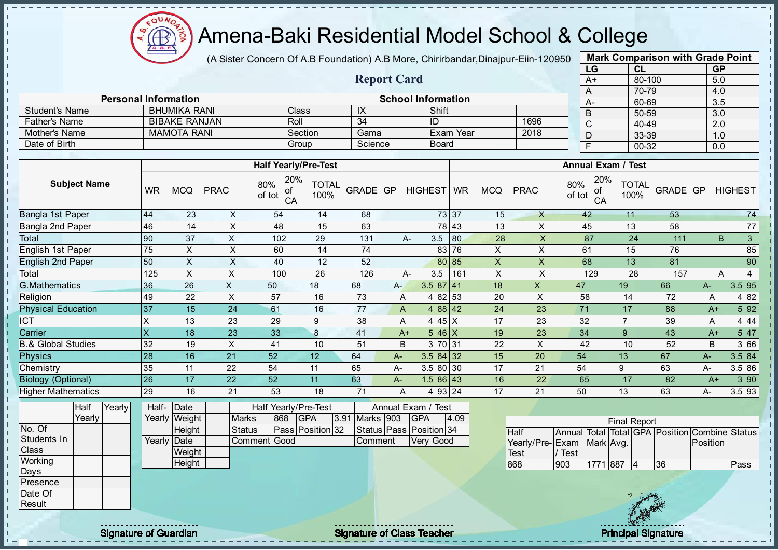

J. - II

J. - II  $\mathbf{r}$ J. J.

 $\mathbf{I}$ J.

J.  $\blacksquare$  $\mathbf{r}$ 

J.

-8

J. J.

п п

T.

J.

T.

J.

 $\mathbf{I}$ 

 $\mathbf{I}$ 

 $\mathbf{I}$  $\mathbf{r}$ 

 $\mathbf{I}$ 

J.

 $\blacksquare$ 

 $\mathbf{I}$  $\mathbf{I}$  $\mathbf{I}$  $\mathbf{u}$  $\mathbf{I}$  $\mathbf{I}$  $\mathbf{I}$  $\mathbf{I}$  $\mathbf{I}$ л

#### Amena-Baki Residential Model School & College

(A Sister Concern Of A.B Foundation) A.B More, Chirirbandar, Dinajpur-Eiin-120950

Report Card

Personal Information and The School Information

Father's Name BIBAKE RANJAN Roll 34 ID 1696<br>
Mother's Name MAMOTA RANI Section Gama Exam Year 2018

Student's Name BHUMIKA RANI Class IX Shift<br>
Father's Name BIBAKE RANJAN Roll 34 ID

Mother's Name MAMOTA RANI Section Gama Exam Year Date of Birth Group Science Board

| <b>Mark Comparison with Grade Point</b> |           |           |  |  |  |  |  |  |  |  |  |
|-----------------------------------------|-----------|-----------|--|--|--|--|--|--|--|--|--|
| LG                                      | CL        | <b>GP</b> |  |  |  |  |  |  |  |  |  |
| $A+$                                    | 80-100    | 5.0       |  |  |  |  |  |  |  |  |  |
| A                                       | 70-79     | 4.0       |  |  |  |  |  |  |  |  |  |
| Ą-                                      | 60-69     | 3.5       |  |  |  |  |  |  |  |  |  |
| B                                       | 50-59     | 3.0       |  |  |  |  |  |  |  |  |  |
| C                                       | $40 - 49$ | 2.0       |  |  |  |  |  |  |  |  |  |
| D                                       | 33-39     | 1.0       |  |  |  |  |  |  |  |  |  |
| F                                       | 00-32     | 0.0       |  |  |  |  |  |  |  |  |  |

J.

п  $\mathbf{I}$ 

 $\mathbf{I}$ 

 $\mathbf{I}$ 

 $\mathbf{I}$  $\mathbf{r}$ 

 $\mathbf{I}$ 

 $\mathbf{I}$ 

 $\mathbf{I}$ 

 $\mathbf{I}$ 

T.

J.

Ť. ī.

п

п

 $\mathbf{I}$ 

 $\mathbf{I}$ 

|                                 |           |                       |               | <b>Half Yearly/Pre-Test</b>               |                      |                |       |                                  |      |                           |                           |                                                | <b>Annual Exam / Test</b> |          |          |                      |
|---------------------------------|-----------|-----------------------|---------------|-------------------------------------------|----------------------|----------------|-------|----------------------------------|------|---------------------------|---------------------------|------------------------------------------------|---------------------------|----------|----------|----------------------|
| <b>Subject Name</b>             | <b>WR</b> | <b>MCQ</b>            | <b>PRAC</b>   | 20%<br>80%<br>ot<br>of tot<br>CA          | <b>TOTAL</b><br>100% | GRADE GP       |       | HIGHEST WR                       |      | <b>MCQ</b>                | <b>PRAC</b>               | 20%<br>80%<br>οf<br>of tot<br>CA               | <b>TOTAL</b><br>100%      | GRADE GP |          | <b>HIGHEST</b>       |
| Bangla 1st Paper                | 44        | 23                    | X             | 54                                        | 14                   | 68             |       | 73 37                            |      | 15                        | $\mathsf{X}$              | 42                                             | 11                        | 53       |          | 74                   |
| Bangla 2nd Paper                | 46        | 14                    | $\sf X$       | 48                                        | 15                   | 63             |       | 78 43                            |      | 13                        | X                         | 45                                             | 13                        | 58       |          | $77\,$               |
| Total                           | 90        | 37                    | $\mathsf{X}$  | 102                                       | 29                   | 131            |       | 3.5<br>$A-$                      | 80   | 28                        | $\mathsf X$               | 87                                             | 24                        | 111      |          | 3 <sup>1</sup><br>B. |
| English 1st Paper               | 75        | $\sf X$               | $\sf X$       | 60                                        | 14                   | 74             |       | 83 76                            |      | $\mathsf X$               | $\mathsf X$               | 61                                             | 15                        | 76       |          | 85                   |
| English 2nd Paper               | 50        | X                     | X             | 40                                        | 12                   | 52             |       | 80 85                            |      | $\pmb{\times}$            | $\mathsf{X}$              | 68                                             | 13                        | 81       |          | 90                   |
| Total                           | 125       | $\mathsf{X}$          | $\mathsf X$   | 100                                       | 26                   | 126            |       | 3.5<br>A-                        | 161  | $\boldsymbol{\mathsf{X}}$ | $\times$                  | 129                                            | 28                        | 157      |          | A<br>$\overline{4}$  |
| <b>G.Mathematics</b>            | 36        | 26                    | $\mathsf{X}$  | 50                                        | 18                   | 68             | $A -$ | $3.587$ 41                       |      | 18                        | $\boldsymbol{\mathsf{X}}$ | 47                                             | 19                        | 66       | $A-$     | 3.5 95               |
| Religion                        | 49        | 22                    | $\mathsf X$   | 57                                        | 16                   | 73             | Α     | 4 82 53                          |      | 20                        | X                         | 58                                             | 14                        | 72       | Α        | 4 8 2                |
| <b>Physical Education</b>       | 37        | 15                    | 24            | 61                                        | 16                   | 77             | A     | 4 88 42                          |      | 24                        | 23                        | 71                                             | 17                        | 88       | $A+$     | 5 92                 |
| <b>ICT</b>                      | X         | 13                    | 23            | 29                                        | 9                    | 38             | A     | 4 45 X                           |      | 17                        | 23                        | 32                                             | $\overline{7}$            | 39       | A        | 4 4 4                |
| Carrier                         | X         | 18                    | 23            | 33                                        | $\bf 8$              | 41             |       | $546$ X<br>$A+$                  |      | 19                        | 23                        | 34                                             | 9                         | 43       | $A+$     | 5 47                 |
| <b>B.&amp; Global Studies</b>   | 32        | 19                    | X             | 41                                        | 10                   | 51             | B     | 3 70 31                          |      | 22                        | X                         | 42                                             | 10                        | 52       | B        | 3 66                 |
| Physics                         | 28        | 16                    | 21            | 52                                        | 12                   | 64             | $A-$  | $3.584$ 32                       |      | 15                        | 20                        | 54                                             | 13                        | 67       | $A-$     | 3.5 84               |
| Chemistry                       | 35        | 11                    | 22            | 54                                        | 11                   | 65             | A-    | 3.5 80 30                        |      | 17                        | 21                        | 54                                             | 9                         | 63       | A-       | 3.5 86               |
| <b>Biology (Optional)</b>       | 26        | 17                    | 22            | 52                                        | 11                   | 63             | A-    | $1.586$ 43                       |      | 16                        | 22                        | 65                                             | 17                        | 82       | $A+$     | 3 90                 |
| <b>Higher Mathematics</b>       | 29        | 16                    | 21            | 53                                        | 18                   | 71             | Α     | 4 93 24                          |      | 17                        | 21                        | 50                                             | 13                        | 63       | A-       | 3.5 93               |
| <b>Half</b><br>Yearly<br>Yearly | Half-     | Date<br>Yearly Weight | Marks         | Half Yearly/Pre-Test<br>868<br><b>GPA</b> |                      | 3.91 Marks 903 |       | Annual Exam / Test<br><b>GPA</b> | 4.09 |                           |                           |                                                | <b>Final Report</b>       |          |          |                      |
| No. Of                          |           | Height                | <b>Status</b> | Pass Position 32                          |                      |                |       | Status   Pass   Position 34      |      |                           | <b>Half</b>               | Annual Total Total GPA Position Combine Status |                           |          |          |                      |
| Students In                     |           | Yearly Date           |               | Comment Good                              |                      | Comment        |       | Very Good                        |      |                           | Yearly/Pre-Exam           |                                                | Mark Avg.                 |          | Position |                      |
| Class                           |           | Weight                |               |                                           |                      |                |       |                                  |      |                           | Test                      | / Test                                         |                           |          |          |                      |
| Working                         |           | Height                |               |                                           |                      |                |       |                                  |      |                           | 868                       | 903                                            | 1771 887<br> 4            | 36       |          | Pass                 |
| Days                            |           |                       |               |                                           |                      |                |       |                                  |      |                           |                           |                                                |                           |          |          |                      |
| Presence                        |           |                       |               |                                           |                      |                |       |                                  |      |                           |                           |                                                |                           |          |          |                      |
| Date Of<br>Result               |           |                       |               |                                           |                      |                |       |                                  |      |                           |                           |                                                |                           |          |          |                      |
|                                 |           |                       |               |                                           |                      |                |       |                                  |      |                           |                           |                                                |                           |          |          |                      |

Signature of Guardian Signature of Class Teacher Principal Signature of Class Teacher Principal Signature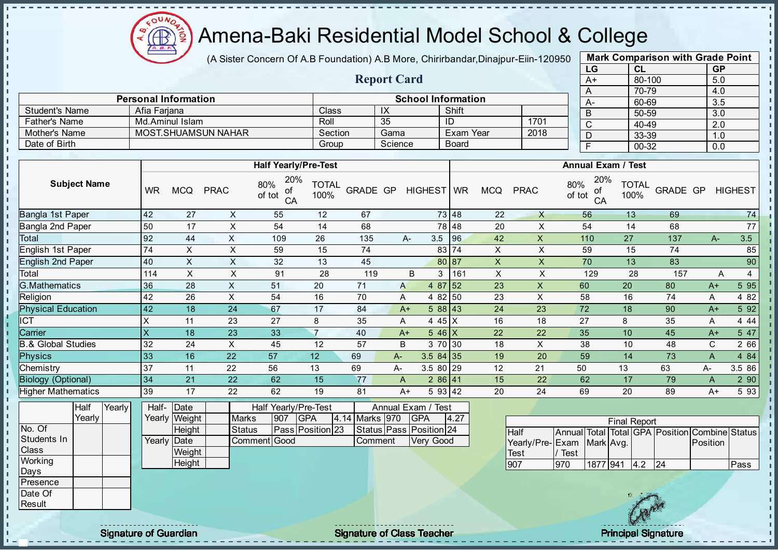Æ

## Amena-Baki Residential Model School & College

(A Sister Concern Of A.B Foundation) A.B More, Chirirbandar, Dinajpur-Eiin-120950

Report Card

| <b>Mark Comparison with Grade Point</b> |           |           |  |  |  |  |  |  |  |  |  |
|-----------------------------------------|-----------|-----------|--|--|--|--|--|--|--|--|--|
| LG                                      | <b>CL</b> | <b>GP</b> |  |  |  |  |  |  |  |  |  |
| $A+$                                    | 80-100    | 5.0       |  |  |  |  |  |  |  |  |  |
| A                                       | 70-79     | 4.0       |  |  |  |  |  |  |  |  |  |
| А-                                      | 60-69     | 3.5       |  |  |  |  |  |  |  |  |  |
| B                                       | 50-59     | 3.0       |  |  |  |  |  |  |  |  |  |
| C                                       | 40-49     | 2.0       |  |  |  |  |  |  |  |  |  |
| D                                       | 33-39     | 1.0       |  |  |  |  |  |  |  |  |  |
| 00-32<br>F<br>0.0                       |           |           |  |  |  |  |  |  |  |  |  |
|                                         |           |           |  |  |  |  |  |  |  |  |  |

|                       | <b>Personal Information</b> |         |                      | <b>School Information</b> |      | $A-$ |
|-----------------------|-----------------------------|---------|----------------------|---------------------------|------|------|
| <b>Student's Name</b> | Afia Fariana                | Class   | $\overline{1\wedge}$ | Shift                     |      |      |
| <b>Father's Name</b>  | Md.Aminul Islam             | Roll    | 35                   | ID                        | 1701 |      |
| Mother's Name         | <b>MOST.SHUAMSUN NAHAR</b>  | Section | Gama                 | Exam Year                 | 2018 | ◡    |
| Date of Birth         |                             | Group   | Science              | <b>Board</b>              |      |      |

|                           |           |            |             | <b>Half Yearly/Pre-Test</b>      |                      |          |      |            |                    |                |             | <b>Annual Exam / Test</b>        |                      |          |       |                |
|---------------------------|-----------|------------|-------------|----------------------------------|----------------------|----------|------|------------|--------------------|----------------|-------------|----------------------------------|----------------------|----------|-------|----------------|
| <b>Subject Name</b>       | <b>WR</b> | <b>MCQ</b> | <b>PRAC</b> | 20%<br>80%<br>οf<br>of tot<br>CA | <b>TOTAL</b><br>100% | GRADE GP |      | HIGHEST WR |                    | <b>MCQ</b>     | <b>PRAC</b> | 20%<br>80%<br>οf<br>of tot<br>CA | <b>TOTAL</b><br>100% | GRADE GP |       | <b>HIGHEST</b> |
| Bangla 1st Paper          | 42        | 27         | X           | 55                               | 12                   | 67       |      |            | 73 48              | 22             | $\times$    | 56                               | 13                   | 69       |       | 74             |
| Bangla 2nd Paper          | 50        | 17         | X           | 54                               | 14                   | 68       |      |            | 78 48              | 20             | X           | 54                               | 14                   | 68       |       | 77             |
| Total                     | 92        | 44         | X           | 109                              | 26                   | 135      |      | 3.5<br>A-  | 96                 | 42             | X           | 110                              | 27                   | 137      | $A-$  | 3.5            |
| <b>English 1st Paper</b>  | 74        | X          | X           | 59                               | 15                   | 74       |      |            | 83 74              | X              | X           | 59                               | 15                   | 74       |       | 85             |
| <b>English 2nd Paper</b>  | 40        | X          | X           | 32                               | 13                   | 45       |      |            | 80 87              | $\pmb{\times}$ | X           | 70                               | 13                   | 83       |       | 90             |
| Total                     | 114       | X          | X           | 91                               | 28                   | 119      |      | B<br>3     | 161                | X              | X           | 129                              | 28                   | 157      | A     | 4              |
| G.Mathematics             | 36        | 28         | X           | 51                               | 20                   | 71       | A    |            | 4 87 52            | 23             | X           | 60                               | 20                   | 80       | $A+$  | 5 95           |
| Religion                  | 42        | 26         | X           | 54                               | 16                   | 70       | A    |            | 4 82 50            | 23             | X           | 58                               | 16                   | 74       | A     | 4 8 2          |
| <b>Physical Education</b> | 42        | 18         | 24          | 67                               | 17                   | 84       |      | $A+$       | 588 43             | 24             | 23          | 72                               | 18                   | 90       | $A+$  | 5 92           |
| ICT                       | Χ         | 11         | 23          | 27                               | 8                    | 35       | A    |            | 4 45 X             | 16             | 18          | 27                               | 8                    | 35       | A     | 4 4 4          |
| Carrier                   | $\times$  | 18         | 23          | 33                               | $\overline{7}$       | 40       | $A+$ |            | $5.46 \, \text{X}$ | 22             | 22          | 35                               | 10                   | 45       | $A+$  | 5 47           |
| .& Global Studies         | 32        | 24         | X           | 45                               | 12                   | 57       | B    |            | 3 70 30            | 18             | X           | 38                               | 10                   | 48       | C.    | 2 66           |
| <b>Physics</b>            | 33        | 16         | 22          | 57                               | 12                   | 69       | A-   | $3.584$ 35 |                    | 19             | 20          | 59                               | 14                   | 73       | Α     | 4 84           |
| Chemistry                 | 37        | 11         | 22          | 56                               | 13                   | 69       | А-   | 3.5 80 29  |                    | 12             | 21          | 50                               | 13                   | 63       | $A -$ | 3.5 86         |
| <b>Biology (Optional)</b> | 34        | 21         | 22          | 62                               | 15                   | 77       | A    |            | $286$ 41           | 15             | 22          | 62                               | 17                   | 79       | A     | 290            |
| <b>Higher Mathematics</b> | 39        | 17         | 22          | 62                               | 19                   | 81       |      | $A+$       | 5 93 42            | 20             | 24          | 69                               | 20                   | 89       | $A+$  | 5 93           |
| $\overline{\phantom{a}}$  |           |            |             |                                  |                      |          |      |            |                    |                |             |                                  |                      |          |       |                |

|                  | <b>Half</b> | Yearly <b>I</b> | Half- Date   |               | Half Yearly/Pre-Test |     |                  | Annual Exam / Test |                |  |                         |      |  |
|------------------|-------------|-----------------|--------------|---------------|----------------------|-----|------------------|--------------------|----------------|--|-------------------------|------|--|
|                  | Yearly      |                 |              | Yearly Weight | <b>Marks</b>         | 907 | <b>IGPA</b>      |                    | 4.14 Marks 970 |  | <b>GPA</b>              | 4.27 |  |
| No. Of           |             |                 |              | Height        | Status               |     | Pass Position 23 |                    |                |  | Status Pass Position 24 |      |  |
| Students In      |             |                 | Yearly IDate |               | Comment Good         |     |                  |                    | Comment        |  | Very Good               |      |  |
| <b>Class</b>     |             |                 |              | Weight        |                      |     |                  |                    |                |  |                         |      |  |
| Working          |             |                 |              | Height        |                      |     |                  |                    |                |  |                         |      |  |
| Days             |             |                 |              |               |                      |     |                  |                    |                |  |                         |      |  |
| <b>IPresence</b> |             |                 |              |               |                      |     |                  |                    |                |  |                         |      |  |
| Date Of          |             |                 |              |               |                      |     |                  |                    |                |  |                         |      |  |
| <b>Result</b>    |             |                 |              |               |                      |     |                  |                    |                |  |                         |      |  |

|                           | <b>Final Report</b> |          |  |     |     |                                                |      |  |  |  |  |  |
|---------------------------|---------------------|----------|--|-----|-----|------------------------------------------------|------|--|--|--|--|--|
| <b>Half</b>               |                     |          |  |     |     | Annual Total Total GPA Position Combine Status |      |  |  |  |  |  |
| Yearly/Pre-Exam Mark Avg. |                     |          |  |     |     | Position                                       |      |  |  |  |  |  |
| <b>Test</b>               | Test                |          |  |     |     |                                                |      |  |  |  |  |  |
| 907                       | 970                 | 1877 941 |  | 4.2 | 124 |                                                | Pass |  |  |  |  |  |

л

 $\mathbf{u}$ - II

experiment of Guardian and Signature of Class Teacher Principal Signature of Class Teacher Principal Signature<br>Signature of Class Teacher Principal Signature of Class Teacher Principal Signature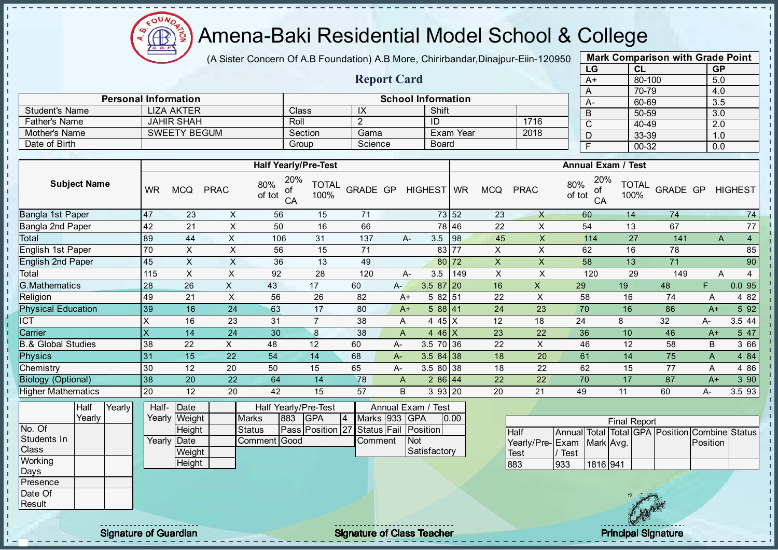

(A Sister Concern Of A.B Foundation) A.B More, Chirirbandar, Dinajpur-Eiin-120950

Report Card

| <b>Mark Comparison with Grade Point</b> |           |           |  |  |  |  |  |  |  |
|-----------------------------------------|-----------|-----------|--|--|--|--|--|--|--|
| LG                                      | CL        | <b>GP</b> |  |  |  |  |  |  |  |
| $A+$                                    | 80-100    | 5.0       |  |  |  |  |  |  |  |
| A                                       | 70-79     | 4.0       |  |  |  |  |  |  |  |
| A-                                      | 60-69     | 3.5       |  |  |  |  |  |  |  |
| B                                       | 50-59     | 3.0       |  |  |  |  |  |  |  |
| C                                       | 40-49     | 2.0       |  |  |  |  |  |  |  |
| D                                       | 33-39     | 1.0       |  |  |  |  |  |  |  |
| F                                       | $00 - 32$ | 0.0       |  |  |  |  |  |  |  |

п  $\mathbf{I}$ 

|                       |                             |         |         |                           |      |      | 70-79     |
|-----------------------|-----------------------------|---------|---------|---------------------------|------|------|-----------|
|                       | <b>Personal Information</b> |         |         | <b>School Information</b> |      | - A- | 60-69     |
| <b>Student's Name</b> | <b>LIZA AKTER</b>           | Class   | ≀       | Shift                     |      |      | 50-59     |
| <b>Father's Name</b>  | <b>JAHIR SHAH</b>           | Roll    |         | ID                        | 1716 |      | 40-49     |
| Mother's Name         | <b>SWEETY BEGUM</b>         | Section | Gama    | Exam Year                 | 2018 |      | 33-39     |
| Date of Birth         |                             | Group   | Science | <b>Board</b>              |      |      | $00 - 32$ |

|                               |           |            |             | <b>Half Yearly/Pre-Test</b>      |                      |                 |      |                |           |                |             | <b>Annual Exam / Test</b>        |                      |          |      |                     |
|-------------------------------|-----------|------------|-------------|----------------------------------|----------------------|-----------------|------|----------------|-----------|----------------|-------------|----------------------------------|----------------------|----------|------|---------------------|
| <b>Subject Name</b>           | <b>WR</b> | <b>MCQ</b> | <b>PRAC</b> | 20%<br>80%<br>οf<br>of tot<br>CA | <b>TOTAL</b><br>100% | <b>GRADE GP</b> |      | <b>HIGHEST</b> | <b>WR</b> | <b>MCQ</b>     | <b>PRAC</b> | 20%<br>80%<br>οf<br>of tot<br>CA | <b>TOTAL</b><br>100% | GRADE GP |      | <b>HIGHEST</b>      |
| Bangla 1st Paper              | 47        | 23         | X           | 56                               | 15                   | 71              |      |                | 73 52     | 23             | X           | 60                               | 14                   | 74       |      | 74                  |
| Bangla 2nd Paper              | 42        | 21         | X           | 50                               | 16                   | 66              |      |                | 78 46     | 22             | X           | 54                               | 13                   | 67       |      | 77                  |
| Total                         | 89        | 44         | X           | 106                              | 31                   | 137             |      | 3.5<br>A-      | 98        | 45             | X           | 114                              | 27                   | 141      |      | $\overline{4}$<br>A |
| English 1st Paper             | 70        | X          | X           | 56                               | 15                   | 71              |      | 83             | 77        | $\pmb{\times}$ | X           | 62                               | 16                   | 78       |      | 85                  |
| <b>English 2nd Paper</b>      | 45        | X          | X           | 36                               | 13                   | 49              |      | 80             | 72        | X              | X           | 58                               | 13                   | 71       |      | 90                  |
| Total                         | 115       | X.         | X           | 92                               | 28                   | 120             |      | 3.5<br>А-      | 149       | X              | X           | 120                              | 29                   | 149      |      | A                   |
| G.Mathematics                 | 28        | 26         | X.          | 43                               | 17                   | 60              | A-   | $3.587$   20   |           | 16             | X           | 29                               | 19                   | 48       | F.   | 0.095               |
| Religion                      | 49        | 21         | X           | 56                               | 26                   | 82              | $A+$ | 5 82 51        |           | 22             | X           | 58                               | 16                   | 74       | A    | 4 8 2               |
| <b>Physical Education</b>     | 39        | 16         | 24          | 63                               | 17                   | 80              | $A+$ | 588 41         |           | 24             | 23          | 70                               | 16                   | 86       | $A+$ | 5 9 2               |
| ICT                           | л         | 16         | 23          | 31                               |                      | 38              | A    | 4 4 5 $ X $    |           | 12             | 18          | 24                               | 8                    | 32       | А-   | 3.5 44              |
| Carrier                       | X         | 14         | 24          | 30                               | 8                    | 38              | A    | 4 46 $X$       |           | 23             | 22          | 36                               | 10                   | 46       | $A+$ | 5 47                |
| <b>B.&amp; Global Studies</b> | 38        | 22         | X.          | 48                               | 12                   | 60              | А-   | 3.5 70 36      |           | 22             | X           | 46                               | 12                   | 58       | B    | 3 66                |
| <b>Physics</b>                | 31        | 15         | 22          | 54                               | 14                   | 68              | A-   | $3.584$ 38     |           | 18             | 20          | 61                               | 14                   | 75       | A    | 4 8 4               |
| Chemistry                     | 30        | 12         | 20          | 50                               | 15                   | 65              | A-   | 3.5 80 38      |           | 18             | 22          | 62                               | 15                   | 77       | A    | 4 8 6               |
| <b>Biology (Optional)</b>     | 38        | 20         | 22          | 64                               | 14                   | 78              | A    | 286 44         |           | 22             | 22          | 70                               | 17                   | 87       | $A+$ | 390                 |
| <b>Higher Mathematics</b>     | 20        | 12         | 20          | 42                               | 15                   | 57              | B    | 3 93 20        |           | 20             | 21          | 49                               | 11                   | 60       | А-   | 3.593               |

|              | Half   | Yearly | Half- Date  |               |               |     | Half Yearly/Pre-Test                  |    |                | Annual Exam / Test  |      |
|--------------|--------|--------|-------------|---------------|---------------|-----|---------------------------------------|----|----------------|---------------------|------|
|              | Yearlv |        |             | Yearly Weight | <b>Marks</b>  | 883 | <b>IGPA</b>                           | 14 | Marks 933 GPA  |                     | 0.00 |
| No. Of       |        |        |             | Height        | <b>Status</b> |     | Pass Position 27 Status Fail Position |    |                |                     |      |
| Students In  |        |        | Yearly Date |               | Comment Good  |     |                                       |    | <b>Comment</b> | <b>INot</b>         |      |
| <b>Class</b> |        |        |             | Weight        |               |     |                                       |    |                | <b>Satisfactory</b> |      |
| Working      |        |        |             | Height        |               |     |                                       |    |                |                     |      |
| <b>IDays</b> |        |        |             |               |               |     |                                       |    |                |                     |      |

|                           |      |          | <b>Final Report</b> |                                                |  |
|---------------------------|------|----------|---------------------|------------------------------------------------|--|
| <b>I</b> Half             |      |          |                     | Annual Total Total GPA Position Combine Status |  |
| Yearly/Pre-Exam Mark Avg. |      |          |                     | <b>IPosition</b>                               |  |
| <b>Test</b>               | Test |          |                     |                                                |  |
| 883                       | 1933 | 1816 941 |                     |                                                |  |



**Presence** Date Of **Result** 

 $\mathbf{I}$  $\mathbf{I}$  $\mathbf{r}$  $\mathbf{u}$ 

 $\mathbf{I}$ 

experiment to the control of Class Teacher and the Class Teacher and the Class Teacher Principal Signature of Class Teacher and the Class Teacher and the Class Teacher and the Class Teacher and the Class Teacher and the Cl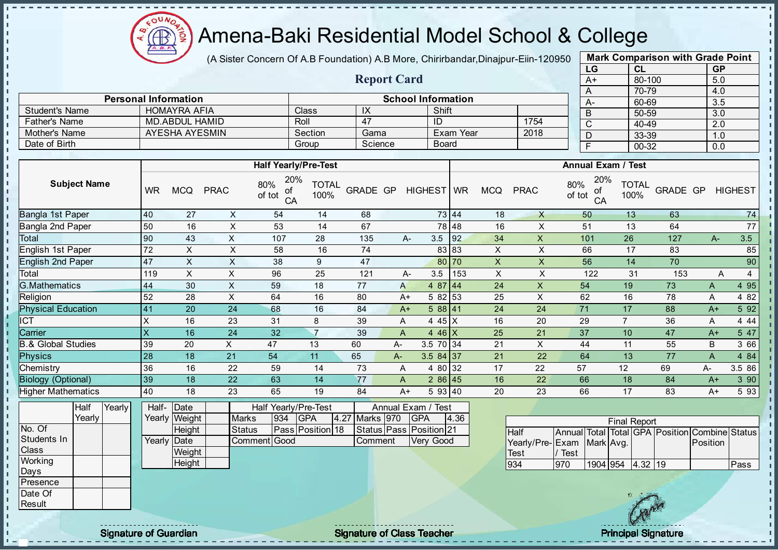

J. J. - II

J. - II  $\mathbf{r}$ J.

 $\mathbf{I}$ J. J.  $\blacksquare$  $\mathbf{I}$ J. J. J. J. п T. h. Ĥ. J.  $\mathbf{I}$  $\mathbf{I}$  $\mathbf{I}$  $\mathbf{I}$  $\mathbf{r}$  $\mathbf{I}$  $\mathbf{I}$  $\blacksquare$  $\mathbf{I}$  $\mathbf{I}$  $\mathbf{u}$  $\mathbf{I}$  $\mathbf{I}$  $\mathbf{I}$ - II

#### Amena-Baki Residential Model School & College

(A Sister Concern Of A.B Foundation) A.B More, Chirirbandar, Dinajpur-Eiin-120950

Report Card

Personal Information and The School Information

Father's Name MD.ABDUL HAMID<br>
Mother's Name AYESHA AYESMIN Section Gama Exam Year 2018

Student's Name HOMAYRA AFIA Class IX Shift<br>
Father's Name MD.ABDUL HAMID Roll 47 ID

Mother's Name AYESHA AYESMIN Section Gama Exam Year Date of Birth **Group Science** Board

| <b>Mark Comparison with Grade Point</b> |        |           |  |  |  |  |  |  |  |
|-----------------------------------------|--------|-----------|--|--|--|--|--|--|--|
| LG                                      | CL     | <b>GP</b> |  |  |  |  |  |  |  |
| $A+$                                    | 80-100 | 5.0       |  |  |  |  |  |  |  |
| A                                       | 70-79  | 4.0       |  |  |  |  |  |  |  |
| A-                                      | 60-69  | 3.5       |  |  |  |  |  |  |  |
| B                                       | 50-59  | 3.0       |  |  |  |  |  |  |  |
| C                                       | 40-49  | 2.0       |  |  |  |  |  |  |  |
| D                                       | 33-39  | 1.0       |  |  |  |  |  |  |  |
| F                                       | 00-32  | 0.0       |  |  |  |  |  |  |  |

|                               |                     |        |           |                    |               | <b>Half Yearly/Pre-Test</b>      |                      |                |      |                         |       |                           |                           |               | <b>Annual Exam / Test</b> |                      |                                                |                           |                |
|-------------------------------|---------------------|--------|-----------|--------------------|---------------|----------------------------------|----------------------|----------------|------|-------------------------|-------|---------------------------|---------------------------|---------------|---------------------------|----------------------|------------------------------------------------|---------------------------|----------------|
|                               | <b>Subject Name</b> |        | <b>WR</b> | <b>MCQ</b>         | <b>PRAC</b>   | 20%<br>80%<br>of<br>of tot<br>CA | <b>TOTAL</b><br>100% | GRADE GP       |      | HIGHEST WR              |       | <b>MCQ</b>                | <b>PRAC</b>               | 80%<br>of tot | 20%<br>οf<br>CA           | <b>TOTAL</b><br>100% | GRADE GP                                       |                           | <b>HIGHEST</b> |
| Bangla 1st Paper              |                     |        | 40        | 27                 | X             | 54                               | 14                   | 68             |      |                         | 73 44 | 18                        | $\mathsf{X}$              |               | 50                        | 13                   | 63                                             |                           | 74             |
| Bangla 2nd Paper              |                     |        | 50        | 16                 | X             | 53                               | 14                   | 67             |      |                         | 78 48 | 16                        | $\pmb{\times}$            |               | 51                        | 13                   | 64                                             |                           | 77             |
| Total                         |                     |        | 90        | 43                 | $\mathsf{X}$  | 107                              | 28                   | 135            |      | 3.5<br>$A -$            | 92    | 34                        | X                         |               | 101                       | 26                   | 127                                            | $A -$                     | 3.5            |
| English 1st Paper             |                     |        | 72        | $\pmb{\times}$     | X             | 58                               | 16                   | 74             |      |                         | 83 83 | X                         | $\pmb{\times}$            |               | 66                        | 17                   | 83                                             |                           | 85             |
| <b>English 2nd Paper</b>      |                     |        | 47        | $\sf X$            | $\sf X$       | 38                               | 9                    | 47             |      |                         | 80 70 | $\pmb{\times}$            | X                         |               | 56                        | 14                   | 70                                             |                           | 90             |
| Total                         |                     |        | 119       | $\pmb{\times}$     | X             | 96                               | 25                   | 121            |      | 3.5<br>$A-$             | 153   | $\boldsymbol{\mathsf{X}}$ | X                         |               | 122                       | 31                   | 153                                            | Α                         | 4              |
| <b>G.Mathematics</b>          |                     |        | 44        | 30                 | $\sf X$       | 59                               | 18                   | 77             |      | 4 87 44<br>A            |       | 24                        | $\boldsymbol{\mathsf{X}}$ |               | 54                        | 19                   | 73                                             | A                         | 4 9 5          |
| Religion                      |                     |        | 52        | 28                 | $\times$      | 64                               | 16                   | 80             |      | 5 82 53<br>$A+$         |       | 25                        | $\boldsymbol{\mathsf{X}}$ |               | 62                        | 16                   | 78                                             | A                         | 4 8 2          |
| <b>Physical Education</b>     |                     |        | 41        | 20                 | 24            | 68                               | 16                   | 84             |      | 588 41<br>$A+$          |       | 24                        | 24                        |               | 71                        | 17                   | 88                                             | $A+$                      | 5 92           |
| <b>ICT</b>                    |                     |        | X         | 16                 | 23            | 31                               | 8                    | 39             |      | 4 45 X<br>A             |       | 16                        | 20                        |               | 29                        | $\overline{7}$       | 36                                             | A                         | 4 4 4          |
| Carrier                       |                     |        | X         | 16                 | 24            | 32                               | $\overline{7}$       | 39             |      | 4 46 $X$<br>A           |       | 25                        | 21                        |               | 37                        | 10                   | 47                                             | $A+$                      | 5 47           |
| <b>B.&amp; Global Studies</b> |                     |        | 39        | 20                 | X             | 47                               | 13                   | 60             | A-   | 3.5 70 34               |       | 21                        | $\boldsymbol{\mathsf{X}}$ |               | 44                        | 11                   | 55                                             | B                         | 3 66           |
| Physics                       |                     |        | 28        | 18                 | 21            | 54                               | 11                   | 65             | $A-$ | $3.584$ 37              |       | 21                        | 22                        |               | 64                        | 13                   | 77                                             | $\boldsymbol{\mathsf{A}}$ | 4 84           |
| Chemistry                     |                     |        | 36        | 16                 | 22            | 59                               | 14                   | 73             |      | 4 80 32<br>A            |       | 17                        | 22                        | 57            |                           | 12                   | 69                                             | A-                        | 3.5 86         |
| <b>Biology (Optional)</b>     |                     |        | 39        | 18                 | 22            | 63                               | 14                   | 77             |      | $286$ 45<br>A           |       | 16                        | 22                        |               | 66                        | 18                   | 84                                             | $A+$                      | 3 90           |
| <b>Higher Mathematics</b>     |                     |        | 40        | 18                 | 23            | 65                               | 19                   | 84             |      | 5 93 40<br>$A+$         |       | 20                        | 23                        |               | 66                        | 17                   | 83                                             | $A+$                      | 5 93           |
|                               | Half                | Yearly | Half-     | Date               |               | Half Yearly/Pre-Test             |                      |                |      | Annual Exam / Test      |       |                           |                           |               |                           |                      |                                                |                           |                |
|                               | Yearly              |        |           | Yearly Weight      | <b>Marks</b>  | 934                              | GPA                  | 4.27 Marks 970 |      | <b>GPA</b>              | 4.36  |                           |                           |               |                           | <b>Final Report</b>  |                                                |                           |                |
| No. Of                        |                     |        |           | Height             | <b>Status</b> |                                  | Pass Position 18     |                |      | Status Pass Position 21 |       |                           | Half                      |               |                           |                      | Annual Total Total GPA Position Combine Status |                           |                |
| Students In<br><b>Class</b>   |                     |        |           | <b>Yearly Date</b> |               | Comment Good                     |                      | Comment        |      | Very Good               |       |                           | Yearly/Pre-               | Exam          | Mark Avg.                 |                      |                                                | Position                  |                |
| Working                       |                     |        |           | Weight             |               |                                  |                      |                |      |                         |       |                           | <b>Test</b>               | / Test        |                           |                      |                                                |                           |                |
| Days                          |                     |        |           | Height             |               |                                  |                      |                |      |                         |       |                           | 934                       | 970           |                           | 1904 954 4.32 19     |                                                |                           | Pass           |
| Presence                      |                     |        |           |                    |               |                                  |                      |                |      |                         |       |                           |                           |               |                           |                      |                                                |                           |                |
| Date Of                       |                     |        |           |                    |               |                                  |                      |                |      |                         |       |                           |                           |               |                           |                      |                                                |                           |                |
| Result                        |                     |        |           |                    |               |                                  |                      |                |      |                         |       |                           |                           |               |                           |                      |                                                |                           |                |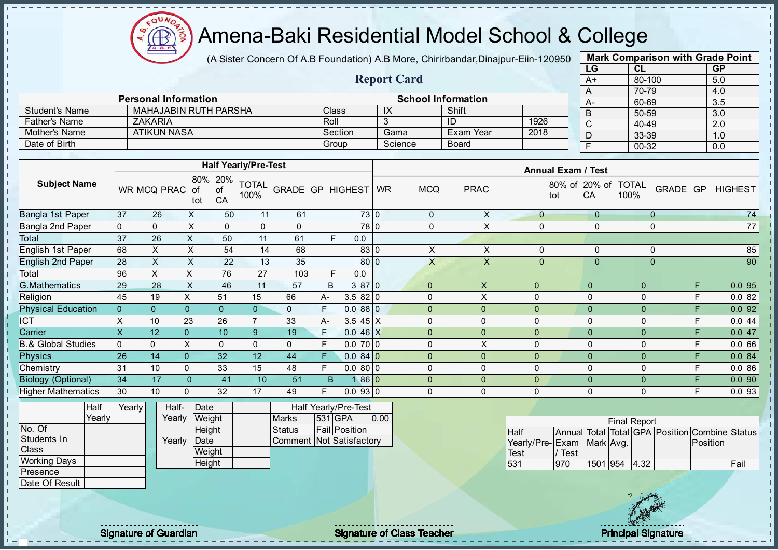**AR** 

### Amena-Baki Residential Model School & College

(A Sister Concern Of A.B Foundation) A.B More, Chirirbandar, Dinajpur-Eiin-120950

Report Card

| <b>Mark Comparison with Grade Point</b> |           |           |  |  |  |  |  |  |  |
|-----------------------------------------|-----------|-----------|--|--|--|--|--|--|--|
| LG                                      | CL        | <b>GP</b> |  |  |  |  |  |  |  |
| $A+$                                    | 80-100    | 5.0       |  |  |  |  |  |  |  |
| A                                       | 70-79     | 4.0       |  |  |  |  |  |  |  |
| A-                                      | 60-69     | 3.5       |  |  |  |  |  |  |  |
| B                                       | 50-59     | 3.0       |  |  |  |  |  |  |  |
| C                                       | 40-49     | 2.0       |  |  |  |  |  |  |  |
| D                                       | 33-39     | 1.0       |  |  |  |  |  |  |  |
| F                                       | $00 - 32$ | 0.0       |  |  |  |  |  |  |  |
|                                         |           |           |  |  |  |  |  |  |  |

|                | <b>Personal Information</b> |              | <b>School Information</b> |           |      |  |  |  |  |  |
|----------------|-----------------------------|--------------|---------------------------|-----------|------|--|--|--|--|--|
| Student's Name | MAHAJABIN RUTH PARSHA       | <b>Class</b> | IX                        | Shift     |      |  |  |  |  |  |
| Father's Name  | <b>ZAKARIA</b>              | Roll         |                           | ID        | 1926 |  |  |  |  |  |
| Mother's Name  | ATIKUN NASA                 | Section      | Gama                      | Exam Year | 2018 |  |  |  |  |  |
| Date of Birth  |                             | Group        | Science                   | Board     |      |  |  |  |  |  |

|                                           |                |                             |                  |                 | <b>Half Yearly/Pre-Test</b> |                         |      |                 |           |              |             | <b>Annual Exam / Test</b> |                |                      |                    |                |
|-------------------------------------------|----------------|-----------------------------|------------------|-----------------|-----------------------------|-------------------------|------|-----------------|-----------|--------------|-------------|---------------------------|----------------|----------------------|--------------------|----------------|
| <b>Subject Name</b>                       |                | WR MCQ PRAC                 | 80%<br>οt<br>tot | 20%<br>οt<br>CA | <b>TOTAL</b><br>100%        | <b>GRADE GP HIGHEST</b> |      |                 | <b>WR</b> | <b>MCQ</b>   | <b>PRAC</b> | 80% of<br>tot             | 20% of<br>CA   | <b>TOTAL</b><br>100% | <b>GRADE</b><br>GP | <b>HIGHEST</b> |
| Bangla 1st Paper                          | 37             | 26                          | $\mathsf{X}$     | 50              | 11                          | 61                      |      | 73 0            |           | $\mathbf 0$  | X           | $\mathbf{0}$              | $\overline{0}$ | $\overline{0}$       |                    | 74             |
| <b>Bangla 2nd Paper</b>                   | $\mathbf 0$    | $\mathbf{0}$                | X                | 0               | $\mathbf{0}$                | $\mathbf 0$             |      | 78 0            |           | $\Omega$     | X           | 0                         | 0              | $\mathbf 0$          |                    | 77             |
| Total                                     | 37             | 26                          | X                | 50              | 11                          | 61                      |      | 0.0<br>F        |           |              |             |                           |                |                      |                    |                |
| English 1st Paper                         | 68             | X                           | X                | 54              | 14                          | 68                      |      | 83 C            |           | X            | X           | $\mathbf{0}$              | 0              | $\mathbf 0$          |                    | 85             |
| English 2nd Paper                         | 28             | X                           | X                | 22              | 13                          | 35                      |      | 80 0            |           | X            | X           | $\mathbf{0}$              | $\mathbf{0}$   | $\mathbf 0$          |                    | 90             |
| Total                                     | 96             | X                           | X                | 76              | 27                          | 103                     |      | F<br>0.0        |           |              |             |                           |                |                      |                    |                |
| <b>G.Mathematics</b>                      | 29             | 28                          | X                | 46              | 11                          | 57                      | B    | 3870            |           | $\Omega$     | X           | $\mathbf{0}$              | $\mathbf{0}$   | $\Omega$             | F                  | 0.095          |
| Religion                                  | 45             | 19                          | X                | 51              | 15                          | 66                      | $A-$ | 3.582 0         |           | $\Omega$     | Χ           | $\mathbf 0$               | $\Omega$       | 0                    | F                  | 0.082          |
| <b>Physical Education</b>                 | $\overline{0}$ | $\Omega$                    | $\mathbf{0}$     | $\overline{0}$  | $\overline{0}$              | $\mathbf{0}$            | F.   | 0.0880          |           | $\Omega$     | 0           | $\mathbf{0}$              | $\mathbf{0}$   | $\Omega$             | F                  | 0.092          |
| ICT                                       | X              | 10                          | 23               | 26              |                             | 33                      | A-   | 3.5 $45 \mid X$ |           | $\Omega$     | 0           | $\mathbf 0$               | 0              | 0                    | F                  | 0.044          |
| Carrier                                   | X              | 12                          | $\overline{0}$   | 10              | $9^{\circ}$                 | 19                      | F.   | $0.046 \, X$    |           | $\Omega$     | $\Omega$    | $\mathbf{0}$              | $\overline{0}$ | $\Omega$             | F                  | 0.047          |
| <b>B.&amp; Global Studies</b>             | $\overline{0}$ | $\mathbf{0}$                | X.               | $\mathbf{0}$    | $\mathbf{0}$                | $\mathbf{0}$            | F.   | 0.0700          |           | $\Omega$     | X           | $\mathbf 0$               | $\Omega$       | $\mathbf{0}$         | E                  | 0.066          |
| <b>Physics</b>                            | 26             | 14                          | $\overline{0}$   | 32              | 12                          | 44                      | F.   | $0.084$ 0       |           | $\Omega$     | $\Omega$    | $\mathbf{0}$              | $\Omega$       | $\Omega$             | F                  | 0.084          |
| Chemistry                                 | 31             | 10                          | 0                | 33              | 15                          | 48                      | F.   | 0.0800          |           | $\Omega$     | 0           | $\mathbf 0$               | $\Omega$       | 0                    | F                  | 0.086          |
| <b>Biology (Optional)</b>                 | 34             | 17                          | 0                | 41              | 10                          | 51                      | B    | 86 0            |           | $\mathbf{0}$ | $\Omega$    | $\mathbf{0}$              | $\Omega$       | $\mathbf{0}$         | F                  | 0.090          |
| <b>Higher Mathematics</b>                 | 30             | 10                          | 0                | 32              | 17                          | 49                      |      | 0.0930          |           | $\Omega$     | 0           | $\mathbf 0$               | 0              | 0                    | E                  | 0.0 93         |
| $\sim$ $\sim$ $\sim$ $\sim$ $\sim$ $\sim$ |                | $\sim$ $\sim$ $\sim$ $\sim$ |                  |                 |                             |                         |      |                 |           |              |             |                           |                |                      |                    |                |

|                     | Half   | Yearly <mark>I</mark> | Half-  | Date   |                          | <b>Half Yearly/Pre-Test</b> |      |
|---------------------|--------|-----------------------|--------|--------|--------------------------|-----------------------------|------|
|                     | Yearly |                       | Yearlv | Weight | <b>Marks</b>             | 531 GPA                     | 0.00 |
| No. Of              |        |                       |        | Height | Status                   | Fail Position               |      |
| Students In         |        |                       | Yearlv | Date   | Comment Not Satisfactory |                             |      |
| Class               |        |                       |        | Weight |                          |                             |      |
| <b>Working Days</b> |        |                       |        | Height |                          |                             |      |
| <b>IPresence</b>    |        |                       |        |        |                          |                             |      |
| Date Of Result      |        |                       |        |        |                          |                             |      |

|                           |      |          | <b>Final Report</b> |                                                |      |
|---------------------------|------|----------|---------------------|------------------------------------------------|------|
| <b>I</b> Half             |      |          |                     | Annual Total Total GPA Position Combine Status |      |
| Yearly/Pre-Exam Mark Avg. |      |          |                     | <b>IPosition</b>                               |      |
| <b>Test</b>               | Test |          |                     |                                                |      |
| 531                       | 1970 | 1501 954 | $ 4.32\rangle$      |                                                | Fail |

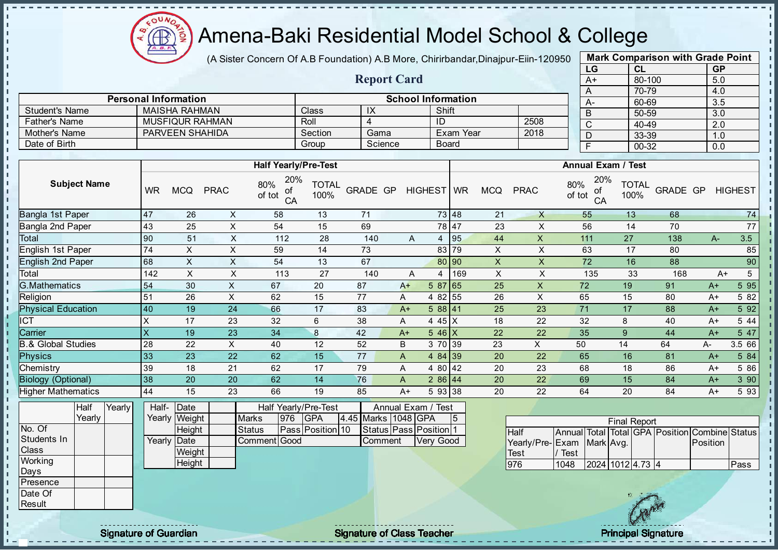

(A Sister Concern Of A.B Foundation) A.B More, Chirirbandar, Dinajpur-Eiin-120950

Report Card

| <b>Mark Comparison with Grade Point</b> |           |    |  |  |  |  |  |  |  |  |
|-----------------------------------------|-----------|----|--|--|--|--|--|--|--|--|
| <b>GP</b>                               | CL        | LG |  |  |  |  |  |  |  |  |
| 5.0                                     | 80-100    | A+ |  |  |  |  |  |  |  |  |
| 4.0                                     | 70-79     | A  |  |  |  |  |  |  |  |  |
| 3.5                                     | 60-69     | А- |  |  |  |  |  |  |  |  |
| 3.0                                     | 50-59     | B  |  |  |  |  |  |  |  |  |
| 2.0                                     | 40-49     | C  |  |  |  |  |  |  |  |  |
| 1.0                                     | 33-39     | D  |  |  |  |  |  |  |  |  |
| 0.0                                     | $00 - 32$ | F  |  |  |  |  |  |  |  |  |
|                                         |           |    |  |  |  |  |  |  |  |  |

|                       | <b>Personal Information</b>            |                                                                      |              |                                    | <b>School Information</b> |              |    |      | A-                                                       | 60-69 |                | 3.5            |
|-----------------------|----------------------------------------|----------------------------------------------------------------------|--------------|------------------------------------|---------------------------|--------------|----|------|----------------------------------------------------------|-------|----------------|----------------|
| <b>Student's Name</b> | <b>MAISHA RAHMAN</b>                   |                                                                      | <b>Class</b> | ΙX                                 | Shift                     |              |    |      |                                                          | 50-59 |                | 3.0            |
| Father's Name         | MUSFIQUR RAHMAN                        |                                                                      | Roll         |                                    | ID                        |              |    | 2508 |                                                          | 40-49 |                | 2.0            |
| Mother's Name         | PARVEEN SHAHIDA                        |                                                                      | Section      | Gama                               |                           | Exam Year    |    | 2018 |                                                          | 33-39 |                | 1.0            |
| Date of Birth         |                                        |                                                                      | Group        | Science                            |                           | <b>Board</b> |    |      |                                                          | 00-32 |                | 0.0            |
|                       |                                        |                                                                      |              |                                    |                           |              |    |      |                                                          |       |                |                |
|                       |                                        | <b>Half Yearly/Pre-Test</b>                                          |              |                                    |                           |              |    |      | <b>Annual Exam / Test</b>                                |       |                |                |
| <b>Subject Name</b>   | <b>PRAC</b><br><b>WR</b><br><b>MCQ</b> | 20%<br>$80\%$ $\frac{20}{\text{of}}$<br>of tot $\frac{6}{\text{CA}}$ |              | TOTAL GRADE GP HIGHEST WR MCQ PRAC |                           |              |    |      | 20%<br>$\frac{80\%}{\text{of tot}} \frac{20}{\text{of}}$ |       | TOTAL GRADE GP | <b>HIGHEST</b> |
| Bangla 1st Paper      | 26<br>47<br>⋏                          | 58                                                                   | 13           | 71                                 |                           | 73 48        | 21 | x    | 55                                                       | 13    | 68             | 74             |

|                               |     |    |    | ັ   |    |     |      |               |       |    |    | ັ້  |    |     |      |        |
|-------------------------------|-----|----|----|-----|----|-----|------|---------------|-------|----|----|-----|----|-----|------|--------|
| Bangla 1st Paper              | 47  | 26 | х  | 58  | 13 | 71  |      |               | 73 48 | 21 | Χ  | 55  | 13 | 68  |      | 74     |
| Bangla 2nd Paper              | 43  | 25 | X  | 54  | 15 | 69  |      |               | 78 47 | 23 | Χ  | 56  | 14 | 70  |      | 77     |
| Total                         | 90  | 51 | X  | 112 | 28 | 140 | A    | 4             | 95    | 44 | X  | 111 | 27 | 138 | A-   | 3.5    |
| English 1st Paper             | 74  | X. | х  | 59  | 14 | 73  |      |               | 83 79 | X  | Χ  | 63  | 17 | 80  |      | 85     |
| <b>English 2nd Paper</b>      | 68  |    | X  | 54  | 13 | 67  |      |               | 80 90 | X  |    | 72  | 16 | 88  |      | 90     |
| Total                         | 142 | X  | Χ  | 113 | 27 | 140 | A    | 4             | 169   | X  |    | 135 | 33 | 168 | A+   |        |
| <b>G.Mathematics</b>          | 154 | 30 | ᄉ  | 67  | 20 | 87  | $A+$ | 5 87          | 65    | 25 | ⋏  | 72  | 19 | 91  | $A+$ | 5 9 5  |
| Religion                      | 51  | 26 | x  | 62  | 15 | 77  | A    | 82 l<br>4     | 55    | 26 | X  | 65  | 15 | 80  | A+   | 5 82   |
| <b>Physical Education</b>     | 40  | 19 | 24 | 66  | 17 | 83  | $A+$ | 588 41        |       | 25 | 23 | 71  | 17 | 88  | $A+$ | 5 9 2  |
| <b>ICT</b>                    |     | 17 | 23 | 32  | 6  | 38  | A    | $45$ $X$<br>4 |       | 18 | 22 | 32  | 8  | 40  | $A+$ | 5 4 4  |
| Carrier                       |     | 19 | 23 | 34  | 8  | 42  | $A+$ | $5.46 \times$ |       | 22 | 22 | 35  | 9  | 44  | $A+$ | 5 47   |
| <b>B.&amp; Global Studies</b> | 28  | 22 | X  | 40  | 12 | 52  | B    | 3 70 39       |       | 23 | X  | 50  | 14 | 64  | A-   | 3.5 66 |
| Physics                       | 33  | 23 | 22 | 62  | 15 | 77  | A    | 4 84 39       |       | 20 | 22 | 65  | 16 | 81  | $A+$ | 5 84   |
| Chemistry                     | 39  | 18 | 21 | 62  | 17 | 79  | A    | 4 80 42       |       | 20 | 23 | 68  | 18 | 86  | A+   | 5 86   |
| <b>Biology (Optional)</b>     | 38  | 20 | 20 | 62  | 14 | 76  | A    | 286 44        |       | 20 | 22 | 69  | 15 | 84  | $A+$ | 390    |
| <b>Higher Mathematics</b>     | 44  | 15 | 23 | 66  | 19 | 85  | $A+$ | 5 93 38       |       | 20 | 22 | 64  | 20 | 84  | $A+$ | 593    |

|              | Half   | Yearly <mark>I</mark> | Half-  | <b>IDate</b>  |               |     | Half Yearly/Pre-Test    |                        | Annual Exam / Test     |    |
|--------------|--------|-----------------------|--------|---------------|---------------|-----|-------------------------|------------------------|------------------------|----|
|              | Yearlv |                       |        | Yearly Weight | <b>Marks</b>  | 976 | IGPA                    | 4.45 Marks   1048 IGPA |                        | 15 |
| No. Of       |        |                       |        | Height        | <b>Status</b> |     | <b>Pass Position 10</b> |                        | Status Pass Position 1 |    |
| Students In  |        |                       | Yearly | Date          | Comment Good  |     |                         | lComment               | Very Good              |    |
| <b>Class</b> |        |                       |        | Weight        |               |     |                         |                        |                        |    |
| Working      |        |                       |        | Height        |               |     |                         |                        |                        |    |
| Days         |        |                       |        |               |               |     |                         |                        |                        |    |
| Presence     |        |                       |        |               |               |     |                         |                        |                        |    |

|                           |      |                  | <b>Final Report</b> |                                                |      |
|---------------------------|------|------------------|---------------------|------------------------------------------------|------|
| <b>I</b> Half             |      |                  |                     | Annual Total Total GPA Position Combine Status |      |
| Yearly/Pre-Exam Mark Avg. |      |                  |                     | <b>IPosition</b>                               |      |
| Test                      | Test |                  |                     |                                                |      |
| 1976                      | 1048 | 2024 1012 4.73 4 |                     |                                                | Pass |

Date Of **Result** 

Signature of Guardian **Signature Signature of Class Teacher Principal Signature Principal Signature**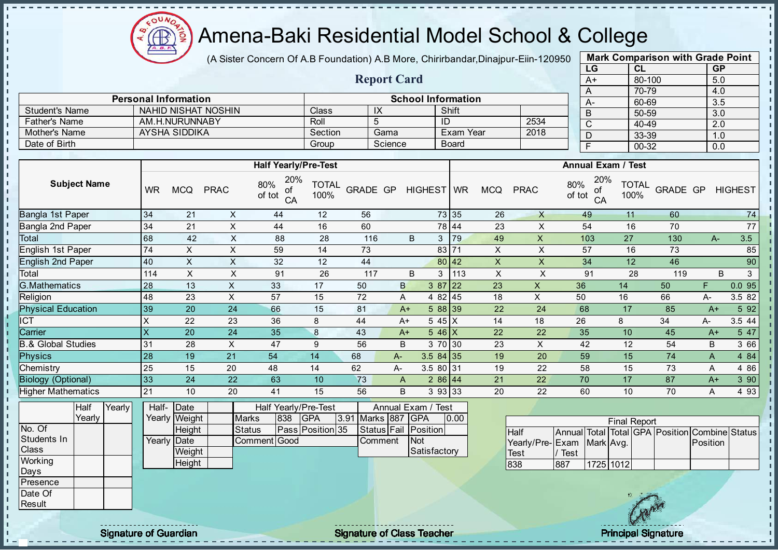Æ

J. - II J. J.

-8

a.

п

h, J. J.

- II  $\mathbf{r}$ 

J.

 $\blacksquare$  $\blacksquare$ J.  $\blacksquare$  $\mathbf{I}$  $\mathbf{I}$  $\blacksquare$ 

 $\mathbf{I}$  $\mathbf{I}$ - II

### Amena-Baki Residential Model School & College

(A Sister Concern Of A.B Foundation) A.B More, Chirirbandar, Dinajpur-Eiin-120950

Report Card

Personal Information and The School Information

Father's Name AM.H.NURUNNABY Roll 5 ID 2534<br>
Mother's Name AYSHA SIDDIKA SECtion Gama Exam Year 2018

Student's Name NAHID NISHAT NOSHIN Class IX Shift<br>
Father's Name AM H NURUNNARY Roll 5 ID

Mother's Name AYSHA SIDDIKA SECtion Gama Exam Year Date of Birth Board Group Science Board

| <b>Mark Comparison with Grade Point</b><br>LG |           |  |  |  |  |  |  |  |  |  |
|-----------------------------------------------|-----------|--|--|--|--|--|--|--|--|--|
| <b>CL</b>                                     | <b>GP</b> |  |  |  |  |  |  |  |  |  |
| 80-100                                        | 5.0       |  |  |  |  |  |  |  |  |  |
| 70-79                                         | 4.0       |  |  |  |  |  |  |  |  |  |
| 60-69                                         | 3.5       |  |  |  |  |  |  |  |  |  |
| 50-59                                         | 3.0       |  |  |  |  |  |  |  |  |  |
| 40-49                                         | 2.0       |  |  |  |  |  |  |  |  |  |
| 33-39                                         | 1.0       |  |  |  |  |  |  |  |  |  |
| $00 - 32$                                     | 0.0       |  |  |  |  |  |  |  |  |  |
|                                               |           |  |  |  |  |  |  |  |  |  |

п

п  $\mathbf{I}$ 

r.

п

J.

h,

| <b>Half Yearly/Pre-Test</b><br><b>Annual Exam / Test</b><br>20%<br>20%<br><b>Subject Name</b><br>80%<br>80%<br><b>TOTAL</b><br><b>TOTAL</b><br>GRADE GP<br>HIGHEST WR<br>GRADE GP<br><b>WR</b><br><b>MCQ</b><br><b>PRAC</b><br><b>MCQ</b><br><b>PRAC</b><br><b>HIGHEST</b><br>of<br>ot<br>of tot<br>100%<br>of tot<br>100%<br>CA<br>CA<br>34<br>X<br>56<br>73 35<br>26<br>$74$<br>21<br>12<br>$\mathsf{X}$<br>11<br>60<br>44<br>49<br>$\sf X$<br>$\mathsf X$<br>$\overline{54}$<br>$\overline{70}$<br>$\overline{77}$<br>34<br>21<br>44<br>16<br>60<br>78 44<br>23<br>16<br>68<br>42<br>X<br> 79<br>49<br>27<br>130<br>3.5<br>28<br>116<br>B<br>3<br>X<br>103<br>88<br>$A-$<br>$\overline{74}$<br>$\mathsf{X}$<br>$\boldsymbol{\mathsf{X}}$<br>$\pmb{\times}$<br>$\boldsymbol{\mathsf{X}}$<br>59<br>14<br>73<br>83 71<br>57<br>85<br>16<br>73<br>$\mathsf{X}$<br>$\boldsymbol{\mathsf{X}}$<br>90<br>$\pmb{\times}$<br>34<br>46<br>40<br>32<br>12<br>44<br>80 42<br>$\pmb{\times}$<br>12<br>$\mathsf{X}$<br>$\times$<br>$\times$<br>$\pmb{\times}$<br>91<br>26<br>B<br>3<br>113<br>91<br>28<br>B<br>3<br>114<br>117<br>119<br>$\sf X$<br>0.095<br>28<br>23<br>13<br>33<br>50<br>$387$ 22<br>$\mathsf X$<br>36<br>50<br>17<br>B<br>14<br>F<br>$\mathsf{X}$<br>57<br>72<br>18<br>$\pmb{\times}$<br>3.5 82<br>48<br>23<br>15<br>4 82 45<br>50<br>16<br>66<br>A<br>А-<br>39<br>5 9 2<br>20<br>24<br>66<br>15<br>81<br>5 88 39<br>24<br>68<br>22<br>17<br>85<br>$A+$<br>$A+$<br><b>ICT</b><br>X<br>$545$ X<br>3.5 44<br>23<br>36<br>8<br>44<br>14<br>18<br>26<br>8<br>34<br>22<br>A-<br>$A+$<br>Carrier<br>$\bf 8$<br>5 47<br>$\overline{\mathsf{x}}$<br>24<br>35<br>22<br>35<br>10<br>20<br>43<br>$546$ X<br>22<br>45<br>$A+$<br>$A+$<br>31<br>$\pmb{\times}$<br>9<br>3 66<br>28<br>47<br>56<br>3 70 30<br>23<br>X<br>42<br>12<br>54<br>B<br>B<br>21<br>14<br>28<br>19<br>54<br>68<br>20<br>59<br>15<br>74<br>$\overline{A}$<br>4 84<br>$3.584$ 35<br>19<br>$A-$<br>4 8 6<br>Chemistry<br>25<br>62<br>3.5 80 31<br>19<br>58<br>15<br>73<br>15<br>20<br>48<br>14<br>А-<br>22<br>A<br>33<br>3 90<br>24<br>22<br>63<br>73<br>$286$ 44<br>17<br>87<br>10<br>21<br>22<br>70<br>$A+$<br>$\mathsf{A}$<br>21<br>10<br>20<br>41<br>15<br>B<br>3 93 33<br>22<br>60<br>70<br>4 9 3<br>56<br>20<br>10<br>Α<br>Half-<br>Date<br>Half Yearly/Pre-Test<br>Annual Exam / Test<br>Half<br>Yearly<br>Yearly<br>GPA<br>Marks 887 GPA<br>Yearly Weight<br><b>Marks</b><br>838<br>3.91<br>0.00<br><b>Final Report</b><br>Pass Position 35<br><b>Status</b><br>Status Fail Position<br>Height<br>Total Total GPA Position Combine Status<br>Half<br>Annual<br>Students In<br>Comment Good<br>Yearly Date<br>Not<br>Comment<br>Yearly/Pre-Exam<br>Mark Avg.<br>Position<br><b>Class</b><br>Satisfactory<br>Weight<br>/ Test<br>Test<br>Working |                               |        |  |  |  |  |     |     |           |  |  |
|--------------------------------------------------------------------------------------------------------------------------------------------------------------------------------------------------------------------------------------------------------------------------------------------------------------------------------------------------------------------------------------------------------------------------------------------------------------------------------------------------------------------------------------------------------------------------------------------------------------------------------------------------------------------------------------------------------------------------------------------------------------------------------------------------------------------------------------------------------------------------------------------------------------------------------------------------------------------------------------------------------------------------------------------------------------------------------------------------------------------------------------------------------------------------------------------------------------------------------------------------------------------------------------------------------------------------------------------------------------------------------------------------------------------------------------------------------------------------------------------------------------------------------------------------------------------------------------------------------------------------------------------------------------------------------------------------------------------------------------------------------------------------------------------------------------------------------------------------------------------------------------------------------------------------------------------------------------------------------------------------------------------------------------------------------------------------------------------------------------------------------------------------------------------------------------------------------------------------------------------------------------------------------------------------------------------------------------------------------------------------------------------------------------------------------------------------------------------------------------------------------------------------------------------------------------------------------------------------------------------------------------------------------------------------------------------------------------------------------------------------------------------------------------------------------------------|-------------------------------|--------|--|--|--|--|-----|-----|-----------|--|--|
|                                                                                                                                                                                                                                                                                                                                                                                                                                                                                                                                                                                                                                                                                                                                                                                                                                                                                                                                                                                                                                                                                                                                                                                                                                                                                                                                                                                                                                                                                                                                                                                                                                                                                                                                                                                                                                                                                                                                                                                                                                                                                                                                                                                                                                                                                                                                                                                                                                                                                                                                                                                                                                                                                                                                                                                                                    |                               |        |  |  |  |  |     |     |           |  |  |
|                                                                                                                                                                                                                                                                                                                                                                                                                                                                                                                                                                                                                                                                                                                                                                                                                                                                                                                                                                                                                                                                                                                                                                                                                                                                                                                                                                                                                                                                                                                                                                                                                                                                                                                                                                                                                                                                                                                                                                                                                                                                                                                                                                                                                                                                                                                                                                                                                                                                                                                                                                                                                                                                                                                                                                                                                    |                               |        |  |  |  |  |     |     |           |  |  |
|                                                                                                                                                                                                                                                                                                                                                                                                                                                                                                                                                                                                                                                                                                                                                                                                                                                                                                                                                                                                                                                                                                                                                                                                                                                                                                                                                                                                                                                                                                                                                                                                                                                                                                                                                                                                                                                                                                                                                                                                                                                                                                                                                                                                                                                                                                                                                                                                                                                                                                                                                                                                                                                                                                                                                                                                                    | Bangla 1st Paper              |        |  |  |  |  |     |     |           |  |  |
|                                                                                                                                                                                                                                                                                                                                                                                                                                                                                                                                                                                                                                                                                                                                                                                                                                                                                                                                                                                                                                                                                                                                                                                                                                                                                                                                                                                                                                                                                                                                                                                                                                                                                                                                                                                                                                                                                                                                                                                                                                                                                                                                                                                                                                                                                                                                                                                                                                                                                                                                                                                                                                                                                                                                                                                                                    | Bangla 2nd Paper              |        |  |  |  |  |     |     |           |  |  |
|                                                                                                                                                                                                                                                                                                                                                                                                                                                                                                                                                                                                                                                                                                                                                                                                                                                                                                                                                                                                                                                                                                                                                                                                                                                                                                                                                                                                                                                                                                                                                                                                                                                                                                                                                                                                                                                                                                                                                                                                                                                                                                                                                                                                                                                                                                                                                                                                                                                                                                                                                                                                                                                                                                                                                                                                                    | Total                         |        |  |  |  |  |     |     |           |  |  |
|                                                                                                                                                                                                                                                                                                                                                                                                                                                                                                                                                                                                                                                                                                                                                                                                                                                                                                                                                                                                                                                                                                                                                                                                                                                                                                                                                                                                                                                                                                                                                                                                                                                                                                                                                                                                                                                                                                                                                                                                                                                                                                                                                                                                                                                                                                                                                                                                                                                                                                                                                                                                                                                                                                                                                                                                                    | English 1st Paper             |        |  |  |  |  |     |     |           |  |  |
|                                                                                                                                                                                                                                                                                                                                                                                                                                                                                                                                                                                                                                                                                                                                                                                                                                                                                                                                                                                                                                                                                                                                                                                                                                                                                                                                                                                                                                                                                                                                                                                                                                                                                                                                                                                                                                                                                                                                                                                                                                                                                                                                                                                                                                                                                                                                                                                                                                                                                                                                                                                                                                                                                                                                                                                                                    | English 2nd Paper             |        |  |  |  |  |     |     |           |  |  |
|                                                                                                                                                                                                                                                                                                                                                                                                                                                                                                                                                                                                                                                                                                                                                                                                                                                                                                                                                                                                                                                                                                                                                                                                                                                                                                                                                                                                                                                                                                                                                                                                                                                                                                                                                                                                                                                                                                                                                                                                                                                                                                                                                                                                                                                                                                                                                                                                                                                                                                                                                                                                                                                                                                                                                                                                                    | Total                         |        |  |  |  |  |     |     |           |  |  |
|                                                                                                                                                                                                                                                                                                                                                                                                                                                                                                                                                                                                                                                                                                                                                                                                                                                                                                                                                                                                                                                                                                                                                                                                                                                                                                                                                                                                                                                                                                                                                                                                                                                                                                                                                                                                                                                                                                                                                                                                                                                                                                                                                                                                                                                                                                                                                                                                                                                                                                                                                                                                                                                                                                                                                                                                                    | <b>G.Mathematics</b>          |        |  |  |  |  |     |     |           |  |  |
|                                                                                                                                                                                                                                                                                                                                                                                                                                                                                                                                                                                                                                                                                                                                                                                                                                                                                                                                                                                                                                                                                                                                                                                                                                                                                                                                                                                                                                                                                                                                                                                                                                                                                                                                                                                                                                                                                                                                                                                                                                                                                                                                                                                                                                                                                                                                                                                                                                                                                                                                                                                                                                                                                                                                                                                                                    | Religion                      |        |  |  |  |  |     |     |           |  |  |
|                                                                                                                                                                                                                                                                                                                                                                                                                                                                                                                                                                                                                                                                                                                                                                                                                                                                                                                                                                                                                                                                                                                                                                                                                                                                                                                                                                                                                                                                                                                                                                                                                                                                                                                                                                                                                                                                                                                                                                                                                                                                                                                                                                                                                                                                                                                                                                                                                                                                                                                                                                                                                                                                                                                                                                                                                    | <b>Physical Education</b>     |        |  |  |  |  |     |     |           |  |  |
|                                                                                                                                                                                                                                                                                                                                                                                                                                                                                                                                                                                                                                                                                                                                                                                                                                                                                                                                                                                                                                                                                                                                                                                                                                                                                                                                                                                                                                                                                                                                                                                                                                                                                                                                                                                                                                                                                                                                                                                                                                                                                                                                                                                                                                                                                                                                                                                                                                                                                                                                                                                                                                                                                                                                                                                                                    |                               |        |  |  |  |  |     |     |           |  |  |
|                                                                                                                                                                                                                                                                                                                                                                                                                                                                                                                                                                                                                                                                                                                                                                                                                                                                                                                                                                                                                                                                                                                                                                                                                                                                                                                                                                                                                                                                                                                                                                                                                                                                                                                                                                                                                                                                                                                                                                                                                                                                                                                                                                                                                                                                                                                                                                                                                                                                                                                                                                                                                                                                                                                                                                                                                    |                               |        |  |  |  |  |     |     |           |  |  |
|                                                                                                                                                                                                                                                                                                                                                                                                                                                                                                                                                                                                                                                                                                                                                                                                                                                                                                                                                                                                                                                                                                                                                                                                                                                                                                                                                                                                                                                                                                                                                                                                                                                                                                                                                                                                                                                                                                                                                                                                                                                                                                                                                                                                                                                                                                                                                                                                                                                                                                                                                                                                                                                                                                                                                                                                                    | <b>B.&amp; Global Studies</b> |        |  |  |  |  |     |     |           |  |  |
|                                                                                                                                                                                                                                                                                                                                                                                                                                                                                                                                                                                                                                                                                                                                                                                                                                                                                                                                                                                                                                                                                                                                                                                                                                                                                                                                                                                                                                                                                                                                                                                                                                                                                                                                                                                                                                                                                                                                                                                                                                                                                                                                                                                                                                                                                                                                                                                                                                                                                                                                                                                                                                                                                                                                                                                                                    | <b>Physics</b>                |        |  |  |  |  |     |     |           |  |  |
|                                                                                                                                                                                                                                                                                                                                                                                                                                                                                                                                                                                                                                                                                                                                                                                                                                                                                                                                                                                                                                                                                                                                                                                                                                                                                                                                                                                                                                                                                                                                                                                                                                                                                                                                                                                                                                                                                                                                                                                                                                                                                                                                                                                                                                                                                                                                                                                                                                                                                                                                                                                                                                                                                                                                                                                                                    |                               |        |  |  |  |  |     |     |           |  |  |
|                                                                                                                                                                                                                                                                                                                                                                                                                                                                                                                                                                                                                                                                                                                                                                                                                                                                                                                                                                                                                                                                                                                                                                                                                                                                                                                                                                                                                                                                                                                                                                                                                                                                                                                                                                                                                                                                                                                                                                                                                                                                                                                                                                                                                                                                                                                                                                                                                                                                                                                                                                                                                                                                                                                                                                                                                    | <b>Biology (Optional)</b>     |        |  |  |  |  |     |     |           |  |  |
|                                                                                                                                                                                                                                                                                                                                                                                                                                                                                                                                                                                                                                                                                                                                                                                                                                                                                                                                                                                                                                                                                                                                                                                                                                                                                                                                                                                                                                                                                                                                                                                                                                                                                                                                                                                                                                                                                                                                                                                                                                                                                                                                                                                                                                                                                                                                                                                                                                                                                                                                                                                                                                                                                                                                                                                                                    | <b>Higher Mathematics</b>     |        |  |  |  |  |     |     |           |  |  |
|                                                                                                                                                                                                                                                                                                                                                                                                                                                                                                                                                                                                                                                                                                                                                                                                                                                                                                                                                                                                                                                                                                                                                                                                                                                                                                                                                                                                                                                                                                                                                                                                                                                                                                                                                                                                                                                                                                                                                                                                                                                                                                                                                                                                                                                                                                                                                                                                                                                                                                                                                                                                                                                                                                                                                                                                                    |                               |        |  |  |  |  |     |     |           |  |  |
|                                                                                                                                                                                                                                                                                                                                                                                                                                                                                                                                                                                                                                                                                                                                                                                                                                                                                                                                                                                                                                                                                                                                                                                                                                                                                                                                                                                                                                                                                                                                                                                                                                                                                                                                                                                                                                                                                                                                                                                                                                                                                                                                                                                                                                                                                                                                                                                                                                                                                                                                                                                                                                                                                                                                                                                                                    |                               |        |  |  |  |  |     |     |           |  |  |
|                                                                                                                                                                                                                                                                                                                                                                                                                                                                                                                                                                                                                                                                                                                                                                                                                                                                                                                                                                                                                                                                                                                                                                                                                                                                                                                                                                                                                                                                                                                                                                                                                                                                                                                                                                                                                                                                                                                                                                                                                                                                                                                                                                                                                                                                                                                                                                                                                                                                                                                                                                                                                                                                                                                                                                                                                    | No. Of                        |        |  |  |  |  |     |     |           |  |  |
|                                                                                                                                                                                                                                                                                                                                                                                                                                                                                                                                                                                                                                                                                                                                                                                                                                                                                                                                                                                                                                                                                                                                                                                                                                                                                                                                                                                                                                                                                                                                                                                                                                                                                                                                                                                                                                                                                                                                                                                                                                                                                                                                                                                                                                                                                                                                                                                                                                                                                                                                                                                                                                                                                                                                                                                                                    |                               |        |  |  |  |  |     |     |           |  |  |
|                                                                                                                                                                                                                                                                                                                                                                                                                                                                                                                                                                                                                                                                                                                                                                                                                                                                                                                                                                                                                                                                                                                                                                                                                                                                                                                                                                                                                                                                                                                                                                                                                                                                                                                                                                                                                                                                                                                                                                                                                                                                                                                                                                                                                                                                                                                                                                                                                                                                                                                                                                                                                                                                                                                                                                                                                    |                               |        |  |  |  |  |     |     |           |  |  |
|                                                                                                                                                                                                                                                                                                                                                                                                                                                                                                                                                                                                                                                                                                                                                                                                                                                                                                                                                                                                                                                                                                                                                                                                                                                                                                                                                                                                                                                                                                                                                                                                                                                                                                                                                                                                                                                                                                                                                                                                                                                                                                                                                                                                                                                                                                                                                                                                                                                                                                                                                                                                                                                                                                                                                                                                                    |                               | Height |  |  |  |  | 838 | 887 | 1725 1012 |  |  |
| Days                                                                                                                                                                                                                                                                                                                                                                                                                                                                                                                                                                                                                                                                                                                                                                                                                                                                                                                                                                                                                                                                                                                                                                                                                                                                                                                                                                                                                                                                                                                                                                                                                                                                                                                                                                                                                                                                                                                                                                                                                                                                                                                                                                                                                                                                                                                                                                                                                                                                                                                                                                                                                                                                                                                                                                                                               |                               |        |  |  |  |  |     |     |           |  |  |
| Presence                                                                                                                                                                                                                                                                                                                                                                                                                                                                                                                                                                                                                                                                                                                                                                                                                                                                                                                                                                                                                                                                                                                                                                                                                                                                                                                                                                                                                                                                                                                                                                                                                                                                                                                                                                                                                                                                                                                                                                                                                                                                                                                                                                                                                                                                                                                                                                                                                                                                                                                                                                                                                                                                                                                                                                                                           |                               |        |  |  |  |  |     |     |           |  |  |
| Date Of                                                                                                                                                                                                                                                                                                                                                                                                                                                                                                                                                                                                                                                                                                                                                                                                                                                                                                                                                                                                                                                                                                                                                                                                                                                                                                                                                                                                                                                                                                                                                                                                                                                                                                                                                                                                                                                                                                                                                                                                                                                                                                                                                                                                                                                                                                                                                                                                                                                                                                                                                                                                                                                                                                                                                                                                            |                               |        |  |  |  |  |     |     |           |  |  |
| Result                                                                                                                                                                                                                                                                                                                                                                                                                                                                                                                                                                                                                                                                                                                                                                                                                                                                                                                                                                                                                                                                                                                                                                                                                                                                                                                                                                                                                                                                                                                                                                                                                                                                                                                                                                                                                                                                                                                                                                                                                                                                                                                                                                                                                                                                                                                                                                                                                                                                                                                                                                                                                                                                                                                                                                                                             |                               |        |  |  |  |  |     |     |           |  |  |

Signature of Guardian Signature of Class Teacher Principal Signature of Class Teacher Principal Signature

We have the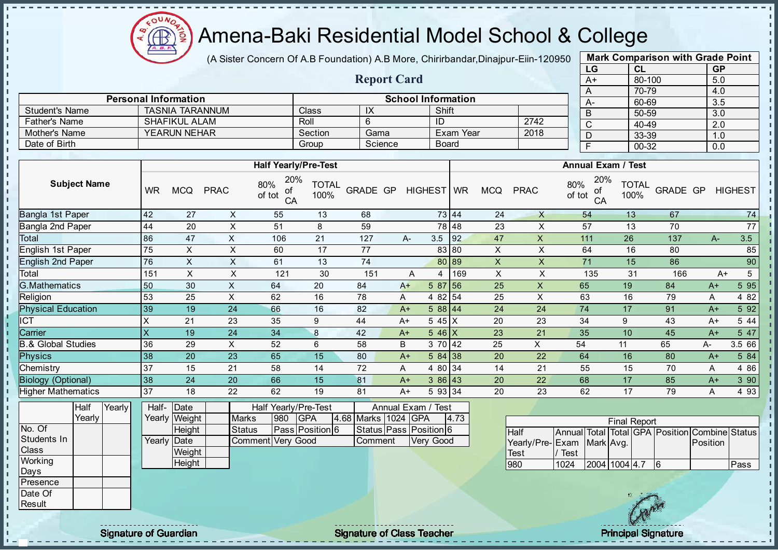

(A Sister Concern Of A.B Foundation) A.B More, Chirirbandar, Dinajpur-Eiin-120950

| <b>Mark Comparison with Grade Point</b> |           |           |  |  |  |  |  |  |  |  |  |
|-----------------------------------------|-----------|-----------|--|--|--|--|--|--|--|--|--|
| LG                                      | <b>CL</b> | <b>GP</b> |  |  |  |  |  |  |  |  |  |
| A+                                      | 80-100    | 5.0       |  |  |  |  |  |  |  |  |  |
| A                                       | 70-79     | 4.0       |  |  |  |  |  |  |  |  |  |
| А-                                      | 60-69     | 3.5       |  |  |  |  |  |  |  |  |  |
| B                                       | 50-59     | 3.0       |  |  |  |  |  |  |  |  |  |
| C                                       | 40-49     | 2.0       |  |  |  |  |  |  |  |  |  |
| D                                       | 33-39     | 1.0       |  |  |  |  |  |  |  |  |  |
| F                                       | 00-32     | 0.0       |  |  |  |  |  |  |  |  |  |

| <b>Report Card</b>                                       |                     |         |         |              |      |        |                |  |  |  |  |  |
|----------------------------------------------------------|---------------------|---------|---------|--------------|------|--------|----------------|--|--|--|--|--|
|                                                          |                     |         |         |              |      |        | 70-79          |  |  |  |  |  |
| <b>School Information</b><br><b>Personal Information</b> |                     |         |         |              |      |        |                |  |  |  |  |  |
| <b>Student's Name</b>                                    | TASNIA TARANNUM     | Class   | IX      | Shift        |      |        | 60-69<br>50-59 |  |  |  |  |  |
| Father's Name                                            | SHAFIKUL ALAM       | Roll    |         | ID           | 2742 | ◠<br>◡ | 40-49          |  |  |  |  |  |
| Mother's Name                                            | <b>YEARUN NEHAR</b> | Section | Gama    | Exam Year    | 2018 |        | 33-39          |  |  |  |  |  |
| Date of Birth                                            |                     | Group   | Science | <b>Board</b> |      |        | 00-32          |  |  |  |  |  |
|                                                          |                     |         |         |              |      |        |                |  |  |  |  |  |

|                           |           |            |             | <b>Half Yearly/Pre-Test</b>      |                      |          |   |                  |       |                |             | <b>Annual Exam / Test</b>        |                      |                 |      |                |
|---------------------------|-----------|------------|-------------|----------------------------------|----------------------|----------|---|------------------|-------|----------------|-------------|----------------------------------|----------------------|-----------------|------|----------------|
| <b>Subject Name</b>       | <b>WR</b> | <b>MCQ</b> | <b>PRAC</b> | 20%<br>80%<br>of<br>of tot<br>CA | <b>TOTAL</b><br>100% | GRADE GP |   | HIGHEST WR       |       | <b>MCQ</b>     | <b>PRAC</b> | 20%<br>80%<br>οf<br>of tot<br>CA | <b>TOTAL</b><br>100% | <b>GRADE GP</b> |      | <b>HIGHEST</b> |
| Bangla 1st Paper          | 42        | 27         | X           | 55                               | 13                   | 68       |   |                  | 73 44 | 24             | $\times$    | 54                               | 13                   | 67              |      | 74             |
| Bangla 2nd Paper          | 44        | 20         | X           | 51                               | 8                    | 59       |   |                  | 78 48 | 23             | X           | 57                               | 13                   | 70              |      | 77             |
| Total                     | 86        | 47         | X.          | 106                              | 21                   | 127      |   | 3.5<br>A-        | 92    | 47             | X           | 111                              | 26                   | 137             | $A-$ | 3.5            |
| English 1st Paper         | 75        | X.         | X           | 60                               | 17                   | 77       |   |                  | 83 80 | X              | X           | 64                               | 16                   | 80              |      | 85             |
| <b>English 2nd Paper</b>  | 76        | X          | X           | 61                               | 13                   | 74       |   |                  | 80 89 | $\pmb{\times}$ | X           | 71                               | 15                   | 86              |      | 90             |
| Total                     | 151       | X          | X           | 121                              | 30                   | 151      |   | 4<br>A           | 169   | X              | X           | 135                              | 31                   | 166             |      | $A+$           |
| <b>G.Mathematics</b>      | 50        | 30         | X           | 64                               | 20                   | 84       |   | 5 87<br>$A+$     | 56    | 25             | X           | 65                               | 19                   | 84              | $A+$ | 5 9 5          |
| Religion                  | 53        | 25         | X           | 62                               | 16                   | 78       |   | 4 82 54<br>A     |       | 25             | X           | 63                               | 16                   | 79              | A    | 4 8 2          |
| <b>Physical Education</b> | 39        | 19         | 24          | 66                               | 16                   | 82       |   | 588   44<br>$A+$ |       | 24             | 24          | 74                               | 17                   | 91              | $A+$ | 5 9 2          |
| <b>ICT</b>                | X         | 21         | 23          | 35                               | 9                    | 44       |   | 5 45 X<br>$A+$   |       | 20             | 23          | 34                               | 9                    | 43              | $A+$ | 5 4 4          |
| Carrier                   | X         | 19         | 24          | 34                               | 8                    | 42       |   | $546$ X<br>$A+$  |       | 23             | 21          | 35                               | 10                   | 45              | $A+$ | 5 47           |
| 3.& Global Studies        | 36        | 29         | X.          | 52                               | 6                    | 58       | B | 3 70 42          |       | 25             | X           | 54                               | 11                   | 65              | A-   | 3.5 66         |
| Physics                   | 38        | 20         | 23          | 65                               | 15                   | 80       |   | 584 38<br>$A+$   |       | 20             | 22          | 64                               | 16                   | 80              | $A+$ | 5 84           |
| Chemistry                 | 37        | 15         | 21          | 58                               | 14                   | 72       |   | 4 80 34<br>A     |       | 14             | 21          | 55                               | 15                   | 70              | A    | 4 8 6          |
| <b>Biology (Optional)</b> | 38        | 24         | 20          | 66                               | 15                   | 81       |   | 386 43<br>$A+$   |       | 20             | 22          | 68                               | 17                   | 85              | $A+$ | 3 90           |
| <b>Higher Mathematics</b> | 37        | 18         | 22          | 62                               | 19                   | 81       |   | 5 93 34<br>$A+$  |       | 20             | 23          | 62                               | 17                   | 79              | A    | 493            |

|                  | Half   | Yearly | Half- Date  |               |                   |      | Half Yearly/Pre-Test |                     | Annual Exam / Test           |      |                |
|------------------|--------|--------|-------------|---------------|-------------------|------|----------------------|---------------------|------------------------------|------|----------------|
|                  | Yearlv |        |             | Yearly Weight | <b>Marks</b>      | 1980 | <b>GPA</b>           | 4.68 Marks 1024 GPA |                              | 4.73 |                |
| No. Of           |        |        |             | Height        | Status            |      | Pass Position 6      |                     | Status   Pass   Position   6 |      | Н              |
| Students In      |        |        | Yearly Date |               | Comment Very Good |      |                      | Comment             | Very Good                    |      |                |
| <b>Class</b>     |        |        |             | Weight        |                   |      |                      |                     |                              |      | IΤ             |
| Working          |        |        |             | Height        |                   |      |                      |                     |                              |      | $\overline{9}$ |
| Days             |        |        |             |               |                   |      |                      |                     |                              |      |                |
| <b>IPresence</b> |        |        |             |               |                   |      |                      |                     |                              |      |                |
| Date Of          |        |        |             |               |                   |      |                      |                     |                              |      |                |
| Result           |        |        |             |               |                   |      |                      |                     |                              |      |                |

| <b>Final Report</b>       |      |               |  |  |  |                                                |      |  |  |  |  |  |  |
|---------------------------|------|---------------|--|--|--|------------------------------------------------|------|--|--|--|--|--|--|
| <b>Half</b>               |      |               |  |  |  | Annual Total Total GPA Position Combine Status |      |  |  |  |  |  |  |
| Yearly/Pre-Exam Mark Avg. |      |               |  |  |  | Position                                       |      |  |  |  |  |  |  |
| Test                      | Test |               |  |  |  |                                                |      |  |  |  |  |  |  |
| 980                       | 1024 | 2004 1004 4.7 |  |  |  |                                                | Pass |  |  |  |  |  |  |

- II  $\blacksquare$ 

Signature of Guardian Signature of Class Teacher Principal Signature of Class Teacher Principal Signature of Class Teacher Principal Signature of Class Teacher Principal Signature of Class Teacher Principal Signature of Cl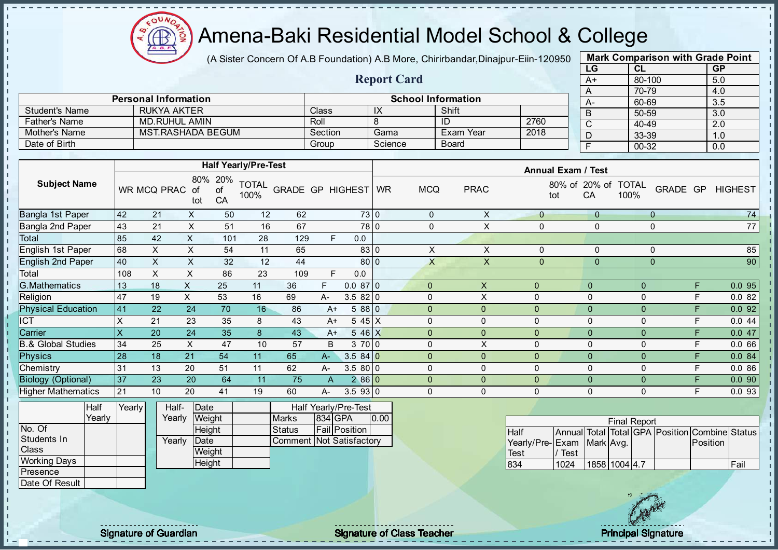(A Sister Concern Of A.B Foundation) A.B More, Chirirbandar, Dinajpur-Eiin-120950

| <b>Mark Comparison with Grade Point</b> |        |           |  |  |  |  |  |  |  |  |  |
|-----------------------------------------|--------|-----------|--|--|--|--|--|--|--|--|--|
| LG                                      | CL     | <b>GP</b> |  |  |  |  |  |  |  |  |  |
| $A+$                                    | 80-100 | 5.0       |  |  |  |  |  |  |  |  |  |
| A                                       | 70-79  | 4.0       |  |  |  |  |  |  |  |  |  |
| A-                                      | 60-69  | 3.5       |  |  |  |  |  |  |  |  |  |
| B                                       | 50-59  | 3.0       |  |  |  |  |  |  |  |  |  |
| C                                       | 40-49  | 2.0       |  |  |  |  |  |  |  |  |  |
| D                                       | 33-39  | 1.0       |  |  |  |  |  |  |  |  |  |
| F                                       | 00-32  | 0.0       |  |  |  |  |  |  |  |  |  |
|                                         |        |           |  |  |  |  |  |  |  |  |  |

|                       |                             |         | <b>Report Card</b> |                           |      | $A+$ |
|-----------------------|-----------------------------|---------|--------------------|---------------------------|------|------|
|                       |                             |         |                    |                           |      |      |
|                       | <b>Personal Information</b> |         |                    | <b>School Information</b> |      | $A-$ |
| <b>Student's Name</b> | <b>RUKYA AKTER</b>          | Class   | IX                 | Shift                     |      |      |
| Father's Name         | <b>MD.RUHUL AMIN</b>        | Roll    |                    | ID                        | 2760 | ◡    |
| Mother's Name         | MST.RASHADA BEGUM           | Section | Gama               | Exam Year                 | 2018 |      |
| Date of Birth         |                             | Group   | Science            | Board                     |      |      |

|                               |     |             |                  |                 | <b>Half Yearly/Pre-Test</b> |                         |      |           |           |              |                | <b>Annual Exam / Test</b> |              |                      |              |    |                |
|-------------------------------|-----|-------------|------------------|-----------------|-----------------------------|-------------------------|------|-----------|-----------|--------------|----------------|---------------------------|--------------|----------------------|--------------|----|----------------|
| <b>Subject Name</b>           |     | WR MCQ PRAC | 80%<br>οf<br>tot | 20%<br>of<br>CA | <b>TOTAL</b><br>100%        | <b>GRADE GP HIGHEST</b> |      |           | <b>WR</b> | <b>MCQ</b>   | <b>PRAC</b>    | 80% of<br>tot             | 20% of<br>CA | <b>TOTAL</b><br>100% | <b>GRADE</b> | GP | <b>HIGHEST</b> |
| Bangla 1st Paper              | 42  | 21          | X                | 50              | 12                          | 62                      |      | 73 0      |           | 0            | X              | 0                         | $\mathbf{0}$ | $\mathbf 0$          |              |    | 74             |
| Bangla 2nd Paper              | 43  | 21          | X                | 51              | 16                          | 67                      |      | 78 0      |           | $\Omega$     | X              | 0                         | 0            | $\mathbf 0$          |              |    | 77             |
| Total                         | 85  | 42          | X                | 101             | 28                          | 129                     | F.   | 0.0       |           |              |                |                           |              |                      |              |    |                |
| English 1st Paper             | 68  | X           | X                | 54              | 11                          | 65                      |      | 83 0      |           | X            | X              | 0                         | 0            | 0                    |              |    | 85             |
| English 2nd Paper             | 40  | X.          | X                | 32              | 12                          | 44                      |      | 80 0      |           | X            | X              | 0                         | $\pmb{0}$    | $\mathbf{0}$         |              |    | 90             |
| Total                         | 108 | X           | X                | 86              | 23                          | 109                     | E    | 0.0       |           |              |                |                           |              |                      |              |    |                |
| <b>G.Mathematics</b>          | 13  | 18          | X                | 25              | 11                          | 36                      | F.   | 0.0870    |           | $\mathbf{0}$ | X              | $\mathbf{0}$              | $\mathbf{0}$ | 0                    |              | F  | 0.095          |
| Religion                      | 47  | 19          | X.               | 53              | 16                          | 69                      | A-   | 3.5820    |           | $\Omega$     | X              | $\mathbf 0$               | $\mathbf 0$  | 0                    |              | E  | 0.082          |
| <b>Physical Education</b>     | 41  | 22          | 24               | 70              | 16                          | 86                      | $A+$ | 5 88 0    |           | $\Omega$     | 0              | $\mathbf{0}$              | $\mathbf{0}$ | $\mathbf{0}$         |              | F  | 0.092          |
| <b>ICT</b>                    | X   | 21          | 23               | 35              | 8                           | 43                      | $A+$ | $545$ X   |           | $\Omega$     | 0              | 0                         | $\Omega$     | 0                    |              | F  | 0.044          |
| Carrier                       | X   | 20          | 24               | 35              | $\bf{8}$                    | 43                      | $A+$ | 546X      |           | $\mathbf{0}$ | $\overline{0}$ | $\mathbf 0$               | $\mathbf{0}$ | $\mathbf{0}$         |              | F  | 0.047          |
| <b>B.&amp; Global Studies</b> | 34  | 25          | X                | 47              | 10                          | 57                      | B    | 3700      |           | $\Omega$     | X              | $\mathbf 0$               | $\mathbf 0$  | 0                    |              | F  | 0.066          |
| Physics                       | 28  | 18          | 21               | 54              | 11                          | 65                      | A-   | $3.584$ 0 |           | $\mathbf{0}$ | 0              | $\Omega$                  | $\Omega$     | 0                    |              | F  | 0.0 84         |
| Chemistry                     | 31  | 13          | 20               | 51              | 11                          | 62                      | A-   | $3.580$ 0 |           | $\Omega$     | 0              | $\mathbf 0$               | $\mathbf{0}$ | 0                    |              | F  | 0.086          |
| Biology (Optional)            | 37  | 23          | 20               | 64              | 11                          | 75                      | A    | 286 0     |           | $\Omega$     | 0              | $\mathbf{0}$              | $\mathbf{0}$ | $\Omega$             |              | F  | 0.090          |
| Higher Mathematics            | 21  | 10          | 20               | 41              | 19                          | 60                      | A-   | 3.593 0   |           | $\Omega$     | 0              | 0                         | $\Omega$     | 0                    |              | F  | 0.0 93         |

|                     | Half   | Yearly | Half-  | Date   |                          | Half Yearly/Pre-Test |      |
|---------------------|--------|--------|--------|--------|--------------------------|----------------------|------|
|                     | Yearly |        | Yearlv | Weight | <b>Marks</b>             | 834 GPA              | 0.00 |
| No. Of              |        |        |        | Height | <b>Status</b>            | Fail Position        |      |
| Students In         |        |        | Yearly | Date   | Comment Not Satisfactory |                      |      |
| <b>Class</b>        |        |        |        | Weight |                          |                      |      |
| <b>Working Days</b> |        |        |        | Height |                          |                      |      |
| <b>IPresence</b>    |        |        |        |        |                          |                      |      |
| Date Of Result      |        |        |        |        |                          |                      |      |

|                           |      |               | <b>Final Report</b> |                                                |      |
|---------------------------|------|---------------|---------------------|------------------------------------------------|------|
| <b>Half</b>               |      |               |                     | Annual Total Total GPA Position Combine Status |      |
| Yearly/Pre-Exam Mark Avg. |      |               |                     | Position                                       |      |
| Test                      | Test |               |                     |                                                |      |
| 834                       | 1024 | 1858 1004 4.7 |                     |                                                | Fail |

extending the Class Teacher Class Teacher Class Teacher Principal Signature of Guardian Class Teacher Principal Signature of Class Teacher Principal Signature of Class Teacher Principal Signature of Class Teacher Class Tea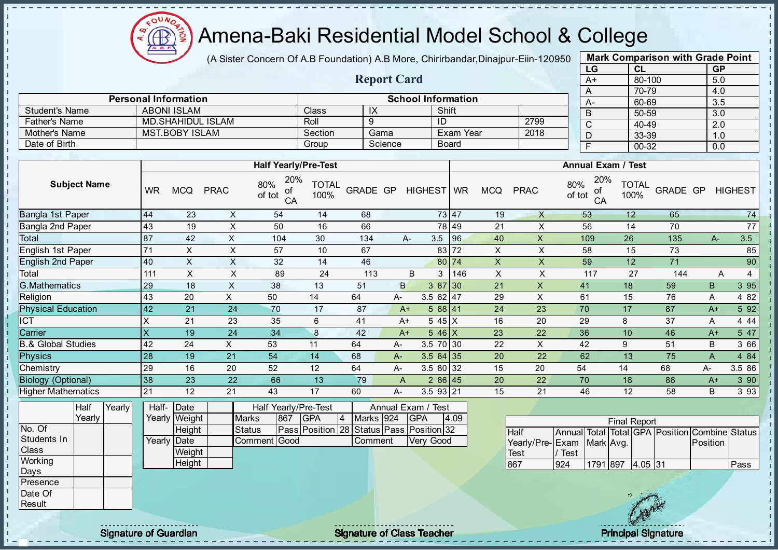

(A Sister Concern Of A.B Foundation) A.B More, Chirirbandar, Dinajpur-Eiin-120950

Report Card

| <b>Mark Comparison with Grade Point</b><br>LG |           |  |  |  |  |  |  |  |  |  |  |
|-----------------------------------------------|-----------|--|--|--|--|--|--|--|--|--|--|
| <b>CL</b>                                     | <b>GP</b> |  |  |  |  |  |  |  |  |  |  |
| 80-100                                        | 5.0       |  |  |  |  |  |  |  |  |  |  |
| 70-79                                         | 4.0       |  |  |  |  |  |  |  |  |  |  |
| 60-69                                         | 3.5       |  |  |  |  |  |  |  |  |  |  |
| 50-59                                         | 3.0       |  |  |  |  |  |  |  |  |  |  |
| 40-49                                         | 2.0       |  |  |  |  |  |  |  |  |  |  |
| 33-39                                         | 1.0       |  |  |  |  |  |  |  |  |  |  |
| 00-32<br>F<br>0.0                             |           |  |  |  |  |  |  |  |  |  |  |
|                                               |           |  |  |  |  |  |  |  |  |  |  |

п  $\mathbf{I}$  $\mathbf{I}$ r.

|                      | <b>Personal Information</b> |              |         | <b>School Information</b> |      |  |
|----------------------|-----------------------------|--------------|---------|---------------------------|------|--|
| Student's Name       | <b>ABONI ISLAM</b>          | <b>Class</b> | IX      | Shift                     |      |  |
| <b>Father's Name</b> | MD SHAHIDUL ISLAM           | Roll         |         | NL                        | 2799 |  |
| Mother's Name        | MST.BOBY ISLAM              | Section      | Gama    | Exam Year                 | 2018 |  |
| Date of Birth        |                             | Group        | Science | <b>Board</b>              |      |  |

|                           |           |            |             | <b>Half Yearly/Pre-Test</b>      |                      |          |      |              |       |            |             | <b>Annual Exam / Test</b>        |                      |          |      |                |
|---------------------------|-----------|------------|-------------|----------------------------------|----------------------|----------|------|--------------|-------|------------|-------------|----------------------------------|----------------------|----------|------|----------------|
| <b>Subject Name</b>       | <b>WR</b> | <b>MCQ</b> | <b>PRAC</b> | 20%<br>80%<br>οf<br>of tot<br>CA | <b>TOTAL</b><br>100% | GRADE GP |      | HIGHEST WR   |       | <b>MCQ</b> | <b>PRAC</b> | 20%<br>80%<br>οf<br>of tot<br>CA | <b>TOTAL</b><br>100% | GRADE GP |      | <b>HIGHEST</b> |
| Bangla 1st Paper          | 44        | 23         | X           | 54                               | 14                   | 68       |      |              | 73 47 | 19         | X           | 53                               | 12                   | 65       |      | 74             |
| Bangla 2nd Paper          | 43        | 19         | X           | 50                               | 16                   | 66       |      |              | 78 49 | 21         | X           | 56                               | 14                   | 70       |      | 77             |
| Total                     | 87        | 42         | X           | 104                              | 30                   | 134      | A-   | 3.5          | 96    | 40         | X           | 109                              | 26                   | 135      | $A-$ | 3.5            |
| <b>English 1st Paper</b>  | 71        | X          | X           | 57                               | 10                   | 67       |      |              | 83 72 | X          | X           | 58                               | 15                   | 73       |      | 85             |
| <b>English 2nd Paper</b>  | 40        | X.         | X           | 32                               | 14                   | 46       |      |              | 80 74 | X          | X           | 59                               | 12                   | 71       |      | 90             |
| Total                     | 111       | X          | X           | 89                               | 24                   | 113      |      | B<br>3       | 146   | X          | X           | 117                              | 27                   | 144      | Α    | 4              |
| G.Mathematics             | 29        | 18         | X           | 38                               | 13                   | 51       | B    | 387 30       |       | 21         | X           | 41                               | 18                   | 59       | B    | 3 9 5          |
| Religion                  | 43        | 20         | X.          | 50                               | 14                   | 64       | A-   | $3.582$   47 |       | 29         | X           | 61                               | 15                   | 76       | A    | 4 8 2          |
| <b>Physical Education</b> | 42        | 21         | 24          | 70                               | 17                   | 87       | $A+$ | 588 41       |       | 24         | 23          | 70                               | 17                   | 87       | $A+$ | 5 92           |
| ICT                       | x         | 21         | 23          | 35                               | 6                    | 41       | $A+$ | 5 45 X       |       | 16         | 20          | 29                               | 8                    | 37       | Α    | 4 4 4          |
| Carrier                   | X         | 19         | 24          | 34                               | 8                    | 42       | $A+$ | $546$ X      |       | 23         | 22          | 36                               | 10                   | 46       | $A+$ | 5 47           |
| .& Global Studies         | 42        | 24         | X.          | 53                               | 11                   | 64       | А-   | 3.5 70 30    |       | 22         | X           | 42                               | 9                    | 51       | B    | 3 66           |
| <b>Physics</b>            | 28        | 19         | 21          | 54                               | 14                   | 68       | A-   | $3.584$ 35   |       | 20         | 22          | 62                               | 13                   | 75       | A    | 4 8 4          |
| Chemistry                 | 29        | 16         | 20          | 52                               | 12                   | 64       | A-   | 3.5 80 32    |       | 15         | 20          | 54                               | 14                   | 68       | A-   | 3.5 86         |
| <b>Biology (Optional)</b> | 38        | 23         | 22          | 66                               | 13                   | 79       | A    | 286 45       |       | 20         | 22          | 70                               | 18                   | 88       | $A+$ | 3 90           |
| Higher Mathematics        | 21        | 12         | 21          | 43                               | 17                   | 60       | А-   | $3.5$ 93 21  |       | 15         | 21          | 46                               | 12                   | 58       | B    | 3 9 3          |
|                           |           |            |             |                                  |                      |          |      |              |       |            |             |                                  |                      |          |      |                |

|                 | Half   | Yearly | Half- Date  |               |              |     | Half Yearly/Pre-Test                     |                |           | Annual Exam / Test |      |
|-----------------|--------|--------|-------------|---------------|--------------|-----|------------------------------------------|----------------|-----------|--------------------|------|
|                 | Yearlv |        |             | Yearly Weight | <b>Marks</b> | 867 | <b>IGPA</b>                              | $\overline{4}$ | Marks 924 | <b>IGPA</b>        | 4.09 |
| No. Of          |        |        |             | Height        | Status       |     | Pass Position 28 Status Pass Position 32 |                |           |                    |      |
| Students In     |        |        | Yearly Date |               | Comment Good |     |                                          |                | Comment   | Very Good          |      |
| <b>Class</b>    |        |        |             | Weight        |              |     |                                          |                |           |                    |      |
| Working         |        |        |             | Height        |              |     |                                          |                |           |                    |      |
| Days            |        |        |             |               |              |     |                                          |                |           |                    |      |
| <b>Presence</b> |        |        |             |               |              |     |                                          |                |           |                    |      |
| Date Of         |        |        |             |               |              |     |                                          |                |           |                    |      |

|                           |      |                  | <b>Final Report</b> |  |                                                |      |
|---------------------------|------|------------------|---------------------|--|------------------------------------------------|------|
| <b>I</b> Half             |      |                  |                     |  | Annual Total Total GPA Position Combine Status |      |
| Yearly/Pre-Exam Mark Avg. |      |                  |                     |  | Position                                       |      |
| Test                      | Test |                  |                     |  |                                                |      |
| 867                       | 924  | 1791 897 4.05 31 |                     |  |                                                | Pass |

**Result** 

л J.  $\blacksquare$ 

 $\mathbf{I}$  $\mathbf{r}$  $\mathbf{I}$  $\mathbf{I}$ - II  $\frac{1}{1}$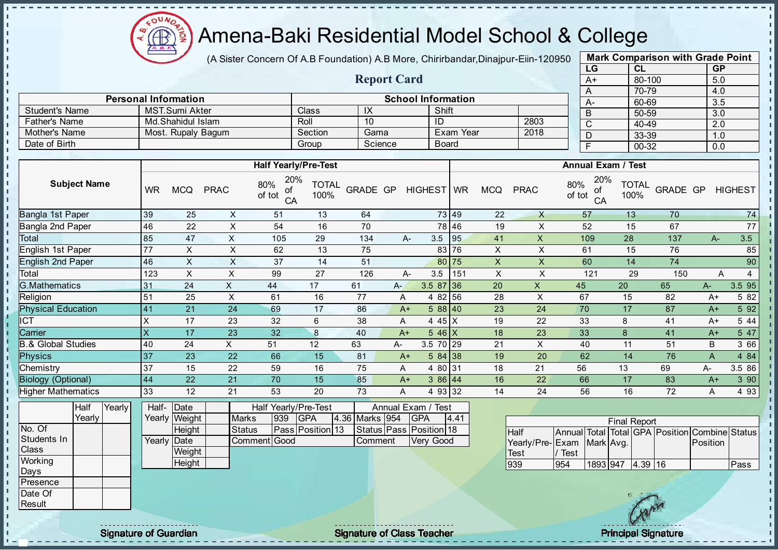$\mathbf{a}$ Æ

### Amena-Baki Residential Model School & College

(A Sister Concern Of A.B Foundation) A.B More, Chirirbandar, Dinajpur-Eiin-120950

Report Card

| <b>Mark Comparison with Grade Point</b> |        |     |  |  |  |  |  |  |  |  |  |  |
|-----------------------------------------|--------|-----|--|--|--|--|--|--|--|--|--|--|
| LG<br><b>GP</b><br><b>CL</b>            |        |     |  |  |  |  |  |  |  |  |  |  |
| $A+$                                    | 80-100 | 5.0 |  |  |  |  |  |  |  |  |  |  |
| A                                       | 70-79  | 4.0 |  |  |  |  |  |  |  |  |  |  |
|                                         | 60-69  | 3.5 |  |  |  |  |  |  |  |  |  |  |
| B                                       | 50-59  | 3.0 |  |  |  |  |  |  |  |  |  |  |
| C                                       | 40-49  | 2.0 |  |  |  |  |  |  |  |  |  |  |
| 33-39<br>1.0                            |        |     |  |  |  |  |  |  |  |  |  |  |
| 00-32<br>0.0                            |        |     |  |  |  |  |  |  |  |  |  |  |
|                                         |        |     |  |  |  |  |  |  |  |  |  |  |

п

п T.  $\mathbf{I}$  $\mathbf{r}$  $\mathbf{I}$ 

J. þ,

|                      | <b>Personal Information</b> |         |         | <b>School Information</b> |      | А. |  |
|----------------------|-----------------------------|---------|---------|---------------------------|------|----|--|
| Student's Name       | MST.Sumi Akter              | Class   | IX      | Shift                     |      |    |  |
| <b>Father's Name</b> | Md.Shahidul Islam           | Roll    | 10      | -ID                       | 2803 |    |  |
| Mother's Name        | Most. Rupaly Bagum          | Section | Gama    | Exam Year                 | 2018 |    |  |
| Date of Birth        |                             | Group   | Science | <b>Board</b>              |      |    |  |
|                      |                             |         |         |                           |      |    |  |

|                               |                         |                  |                               | <b>Half Yearly/Pre-Test</b>      |                                |            |      |                                       |       |            |             | <b>Annual Exam / Test</b>                      |                      |          |       |                |
|-------------------------------|-------------------------|------------------|-------------------------------|----------------------------------|--------------------------------|------------|------|---------------------------------------|-------|------------|-------------|------------------------------------------------|----------------------|----------|-------|----------------|
| <b>Subject Name</b>           | <b>WR</b>               | <b>MCQ</b>       | <b>PRAC</b>                   | 20%<br>80%<br>οf<br>of tot<br>CA | <b>TOTAL</b><br>100%           | GRADE GP   |      | HIGHEST WR                            |       | <b>MCQ</b> | <b>PRAC</b> | 20%<br>80%<br>οf<br>of tot<br>CA               | <b>TOTAL</b><br>100% | GRADE GP |       | <b>HIGHEST</b> |
| Bangla 1st Paper              | 39                      | 25               | X                             | 51                               | 13                             | 64         |      |                                       | 73 49 | 22         | $\times$    | 57                                             | 13                   | 70       |       | 74             |
| Bangla 2nd Paper              | 46                      | 22               | X                             | 54                               | 16                             | 70         |      |                                       | 78 46 | 19         | X           | 52                                             | 15                   | 67       |       | 77             |
| Total                         | 85                      | 47               | X                             | 105                              | 29                             | 134        |      | 3.5<br>А-                             | 95    | 41         | X           | 109                                            | 28                   | 137      | $A -$ | 3.5            |
| English 1st Paper             | 77                      | X                | X                             | 62                               | 13                             | 75         |      |                                       | 83 76 | X          | X           | 61                                             | 15                   | 76       |       | 85             |
| <b>English 2nd Paper</b>      | 46                      | X                | X                             | 37                               | 14                             | 51         |      |                                       | 80 75 | X          | X           | 60                                             | 14                   | 74       |       | 90             |
| Total                         | 123                     | X                | X                             | 99                               | 27                             | 126        |      | 3.5<br>А-                             | 151   | X          | X           | 121                                            | 29                   | 150      | A     | $\overline{4}$ |
| <b>G.Mathematics</b>          | 31                      | 24               | X                             | 44                               | 17                             | 61         | A-   | 3.5 87 36                             |       | 20         | X           | 45                                             | 20                   | 65       | A-    | 3.5 95         |
| Religion                      | 51                      | 25               | X                             | 61                               | 16                             | 77         | Α    | 4 82 56                               |       | 28         | X           | 67                                             | 15                   | 82       | $A+$  | 5 82           |
| <b>Physical Education</b>     | 41                      | 21               | 24                            | 69                               | 17                             | 86         |      | 588 40<br>$A+$                        |       | 23         | 24          | 70                                             | 17                   | 87       | $A+$  | 5 9 2          |
| ICT                           | х                       | 17               | 23                            | 32                               | 6                              | 38         | A    | 4 45 X                                |       | 19         | 22          | 33                                             | 8                    | 41       | $A+$  | 5 4 4          |
| Carrier                       | $\overline{\mathsf{X}}$ | 17               | 23                            | 32                               | 8                              | 40         | $A+$ | $5.46 \, \text{X}$                    |       | 18         | 23          | 33                                             | 8                    | 41       | $A+$  | 5 47           |
| <b>B.&amp; Global Studies</b> | 40                      | 24               | X                             | 51                               | 12                             | 63         | A-   | 3.5 70 29                             |       | 21         | X           | 40                                             | 11                   | 51       | B     | 3 66           |
| <b>Physics</b>                | 37                      | 23               | 22                            | 66                               | 15                             | 81         |      | 584 38<br>$A+$                        |       | 19         | 20          | 62                                             | 14                   | 76       | A     | 4 8 4          |
| Chemistry                     | 37                      | 15               | 22                            | 59                               | 16                             | 75         | A    | 4 80 31                               |       | 18         | 21          | 56                                             | 13                   | 69       | А-    | 3.5 86         |
| <b>Biology (Optional)</b>     | 44                      | 22               | 21                            | 70                               | 15                             | 85         |      | 386 44<br>$A+$                        |       | 16         | 22          | 66                                             | 17                   | 83       | $A+$  | 3 90           |
| <b>Higher Mathematics</b>     | 33                      | 12               | 21                            | 53                               | 20                             | 73         | A    | 4 93 32                               |       | 14         | 24          | 56                                             | 16                   | 72       | A     | 4 9 3          |
| Half<br>Yearly<br>Yearly      | Half-                   | Date             |                               | Half Yearly/Pre-Test<br>939      |                                |            |      | Annual Exam /<br>Test                 |       |            |             |                                                |                      |          |       |                |
| No. Of                        | Yearly                  | Weight<br>Height | <b>Marks</b><br><b>Status</b> |                                  | <b>GPA</b><br>Pass Position 13 | 4.36 Marks | 954  | <b>GPA</b><br>Status Pass Position 18 | 4.41  |            |             |                                                | <b>Final Report</b>  |          |       |                |
|                               |                         |                  |                               |                                  |                                |            |      |                                       |       |            | Half        | Annual Total Total GPA Position Combine Status |                      |          |       |                |

|             | $1 \cup 411 \, 1$ |  | $1$ vany proteignt | <b>IVIGIN</b> | ∣ບ∪ບ | ה וטו                   | דטטן טוואוון טט.דן | ה וטו                   | 17.TI |                           |             |          | Final Report |                                               |      |
|-------------|-------------------|--|--------------------|---------------|------|-------------------------|--------------------|-------------------------|-------|---------------------------|-------------|----------|--------------|-----------------------------------------------|------|
| No. Of      |                   |  | Height             | <b>Status</b> |      | <b>Pass Position 13</b> |                    | Status Pass Position 18 |       | IHalf                     |             |          |              | Annual Total Total GPA Position Combine Statu |      |
| Students In |                   |  | Yearly Date        | Comment Good  |      |                         | Comment            | Very Good               |       | Yearly/Pre-Exam Mark Avg. |             |          |              | Position                                      |      |
| Class       |                   |  | Weight             |               |      |                         |                    |                         |       | <b>Test</b>               | <b>Test</b> |          |              |                                               |      |
| Working     |                   |  | Height             |               |      |                         |                    |                         |       | 939                       | 954         | 1893 947 | 4.39 16      |                                               | Pass |
| Days        |                   |  |                    |               |      |                         |                    |                         |       |                           |             |          |              |                                               |      |
| Presence    |                   |  |                    |               |      |                         |                    |                         |       |                           |             |          |              |                                               |      |
| Date Of     |                   |  |                    |               |      |                         |                    |                         |       |                           |             |          |              |                                               |      |
| Result      |                   |  |                    |               |      |                         |                    |                         |       |                           |             |          | GAN          |                                               |      |
|             |                   |  |                    |               |      |                         |                    |                         |       |                           |             |          |              |                                               |      |

 $\mathbf{I}$  $\mathbf{I}$  $\blacksquare$  $\mathbf{I}$ ĥ  $\mathbf{I}$ 

 $\mathbb I$  $\mathbf{I}$ 

Signature of Guardian Signature of Class Teacher Principal Signature of Class Teacher Principal Signature of Class Teacher Principal Signature of Class Teacher Principal Signature of Class Teacher Principal Signature of Cl

 $\mathcal{U}^{\mathcal{X}}$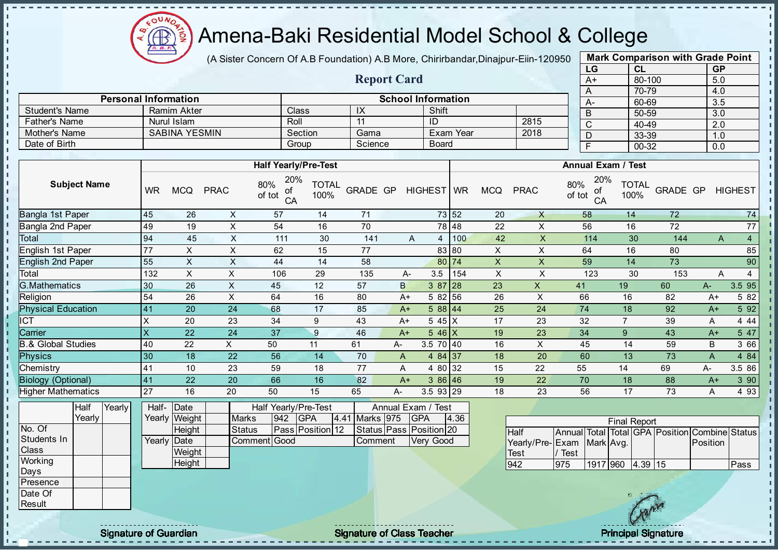

 $\mathbf{I}$ J. - II

J. - II  $\mathbf{r}$ - II J.

 $\mathbf{I}$ J. J.  $\blacksquare$  $\mathbf{I}$ J. ÷. J. J. п T. h, ń. J. J.  $\mathbf{I}$  $\mathbf{I}$  $\mathbf{I}$ **II**  $\mathbf{I}$  $\mathbf{I}$  $\blacksquare$  $\mathbf{I}$  $\mathbf{I}$  $\mathbf{I}$  $\mathbf{u}$ л л  $\mathbf{I}$ 

#### Amena-Baki Residential Model School & College

(A Sister Concern Of A.B Foundation) A.B More, Chirirbandar, Dinajpur-Eiin-120950

Report Card

Personal Information<br>
Ramim Akter Class IX Shift Shift

Father's Name | Nurul Islam | Roll | 11 | ID | 2815 Mother's Name SABINA YESMIN Section Gama Exam Year 2018

Student's Name Ramim Akter Class IX Shift<br>
Father's Name Nurul Islam Roll 11 ID

Date of Birth Group Science Board

| <b>Mark Comparison with Grade Point</b> |           |           |  |  |  |  |  |  |  |  |
|-----------------------------------------|-----------|-----------|--|--|--|--|--|--|--|--|
| LG                                      | <b>CL</b> | <b>GP</b> |  |  |  |  |  |  |  |  |
| $A+$                                    | 80-100    | 5.0       |  |  |  |  |  |  |  |  |
| A                                       | 70-79     | 4.0       |  |  |  |  |  |  |  |  |
| A-                                      | 60-69     | 3.5       |  |  |  |  |  |  |  |  |
| B                                       | 50-59     | 3.0       |  |  |  |  |  |  |  |  |
| С                                       | 40-49     | 2.0       |  |  |  |  |  |  |  |  |
| 33-39<br>1.0<br>D                       |           |           |  |  |  |  |  |  |  |  |
| 00-32<br>F<br>0.0                       |           |           |  |  |  |  |  |  |  |  |
|                                         |           |           |  |  |  |  |  |  |  |  |

|                                 |                         |                       |               | <b>Half Yearly/Pre-Test</b>      |                      |                |    |                                  |       |                           |                         |               | <b>Annual Exam / Test</b> |                      |                                         |                |                     |
|---------------------------------|-------------------------|-----------------------|---------------|----------------------------------|----------------------|----------------|----|----------------------------------|-------|---------------------------|-------------------------|---------------|---------------------------|----------------------|-----------------------------------------|----------------|---------------------|
| <b>Subject Name</b>             | <b>WR</b>               | <b>MCQ</b>            | <b>PRAC</b>   | 20%<br>80%<br>οf<br>of tot<br>CA | <b>TOTAL</b><br>100% | GRADE GP       |    | HIGHEST WR                       |       | <b>MCQ</b>                | <b>PRAC</b>             | 80%<br>of tot | 20%<br>οf<br>CA           | <b>TOTAL</b><br>100% | GRADE GP                                |                | <b>HIGHEST</b>      |
| Bangla 1st Paper                | 45                      | 26                    | X             | 57                               | 14                   | 71             |    |                                  | 73 52 | 20                        | $\mathsf{X}$            | 58            |                           | 14                   | 72                                      |                | 74                  |
| Bangla 2nd Paper                | 49                      | 19                    | $\sf X$       | 54                               | 16                   | 70             |    |                                  | 78 48 | 22                        | X                       | 56            |                           | 16                   | 72                                      |                | 77                  |
| Total                           | 94                      | 45                    | $\times$      | 111                              | 30                   | 141            |    | A<br>$\overline{4}$              | 100   | 42                        | $\mathsf{X}$            |               | 114                       | 30                   | 144                                     |                | $\overline{4}$<br>A |
| English 1st Paper               | 77                      | X                     | $\sf X$       | 62                               | 15                   | 77             |    |                                  | 83 80 | $\mathsf{X}$              | X                       | 64            |                           | 16                   | 80                                      |                | 85                  |
| <b>English 2nd Paper</b>        | 55                      | X                     | $\sf X$       | 44                               | 14                   | 58             |    |                                  | 80 74 | $\mathsf{X}% _{0}$        | $\mathsf X$             | 59            |                           | 14                   | 73                                      |                | 90                  |
| Total                           | 132                     | X                     | X             | 106                              | 29                   | 135            |    | 3.5<br>A-                        | 154   | $\boldsymbol{\mathsf{X}}$ | X                       |               | 123                       | 30                   | 153                                     |                | Α<br>$\overline{4}$ |
| <b>G.Mathematics</b>            | 30                      | 26                    | $\mathsf{x}$  | 45                               | 12                   | 57             |    | B<br>3 87 28                     |       | 23                        | $\mathsf{X}$            | 41            |                           | 19                   | 60                                      | A-             | 3.5 95              |
| Religion                        | 54                      | 26                    | $\mathsf X$   | 64                               | 16                   | 80             |    | 5 82 56<br>$A+$                  |       | 26                        | $\pmb{\times}$          | 66            |                           | 16                   | 82                                      | $A+$           | 5 82                |
| <b>Physical Education</b>       | 41                      | 20                    | 24            | 68                               | 17                   | 85             |    | 588 44<br>$A+$                   |       | 25                        | 24                      | 74            |                           | 18                   | 92                                      | $A+$           | 5 9 2               |
| $\overline{CT}$                 | X                       | 20                    | 23            | 34                               | 9                    | 43             |    | $545$ X<br>$A+$                  |       | 17                        | 23                      | 32            |                           | $\overline{7}$       | 39                                      | Α              | 4 4 4               |
| Carrier                         | $\overline{\mathsf{x}}$ | 22                    | 24            | 37                               | $\boldsymbol{9}$     | 46             |    | $546$ X<br>$A+$                  |       | 19                        | 23                      | 34            |                           | 9                    | 43                                      | $A+$           | 5 47                |
| <b>B.&amp; Global Studies</b>   | 40                      | 22                    | X             | 50                               | 11                   | 61             | A- | 3.5 70 40                        |       | 16                        | X                       | 45            |                           | 14                   | 59                                      | B              | 3 66                |
| <b>Physics</b>                  | 30                      | 18                    | 22            | 56                               | 14                   | 70             | A  | 4 84 37                          |       | 18                        | 20                      | 60            |                           | 13                   | 73                                      | $\overline{A}$ | 4 84                |
| Chemistry                       | 41                      | 10                    | 23            | 59                               | 18                   | 77             | A  | 4 80 32                          |       | 15                        | 22                      | 55            |                           | 14                   | 69                                      | A-             | 3.5 86              |
| <b>Biology (Optional)</b>       | 41                      | 22                    | 20            | 66                               | 16                   | 82             |    | $386$ 46<br>$A+$                 |       | 19                        | 22                      | 70            |                           | 18                   | 88                                      | $A+$           | 3 90                |
| Higher Mathematics              | 27                      | 16                    | 20            | 50                               | 15                   | 65             | А- | 3.5 93 29                        |       | 18                        | 23                      | 56            |                           | 17                   | 73                                      | A              | 4 9 3               |
| Yearly<br><b>Half</b><br>Yearly | Half-                   | Date<br>Yearly Weight | <b>Marks</b>  | Half Yearly/Pre-Test<br>942      | <b>GPA</b>           | 4.41 Marks 975 |    | Annual Exam / Test<br><b>GPA</b> | 4.36  |                           |                         |               |                           |                      |                                         |                |                     |
| No. Of                          |                         | Height                | <b>Status</b> |                                  | Pass Position 12     |                |    | Status Pass Position 20          |       |                           |                         |               |                           | <b>Final Report</b>  |                                         |                |                     |
| Students In                     | Yearly                  | Date                  | Comment       | Good                             |                      | Comment        |    | Very Good                        |       |                           | <b>Half</b>             | Annual        |                           |                      | Total Total GPA Position Combine Status | Position       |                     |
| Class                           |                         | Weight                |               |                                  |                      |                |    |                                  |       |                           | Yearly/Pre-Exam<br>Test | / Test        | Mark Avg.                 |                      |                                         |                |                     |
| Working                         |                         | Height                |               |                                  |                      |                |    |                                  |       |                           | 942                     | 975           | 1917 960 4.39 15          |                      |                                         |                | Pass                |
| Days                            |                         |                       |               |                                  |                      |                |    |                                  |       |                           |                         |               |                           |                      |                                         |                |                     |
| Presence                        |                         |                       |               |                                  |                      |                |    |                                  |       |                           |                         |               |                           |                      |                                         |                |                     |
| Date Of                         |                         |                       |               |                                  |                      |                |    |                                  |       |                           |                         |               |                           |                      |                                         |                |                     |
| Result                          |                         |                       |               |                                  |                      |                |    |                                  |       |                           |                         |               |                           |                      |                                         |                |                     |

extending the Class Teacher Class Teacher Class Teacher Principal Signature of Guardian Principal Signature of Class Teacher Principal Signature Principal Signature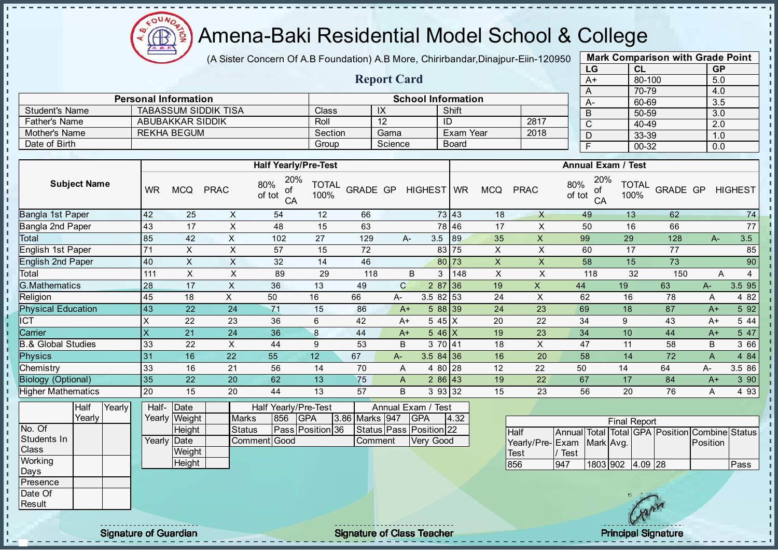**AR** 

# Amena-Baki Residential Model School & College

(A Sister Concern Of A.B Foundation) A.B More, Chirirbandar, Dinajpur-Eiin-120950

| <b>Mark Comparison with Grade Point</b> |        |     |  |  |  |  |  |  |  |  |  |  |
|-----------------------------------------|--------|-----|--|--|--|--|--|--|--|--|--|--|
| LG<br><b>GP</b><br>CL                   |        |     |  |  |  |  |  |  |  |  |  |  |
| A+                                      | 80-100 | 5.0 |  |  |  |  |  |  |  |  |  |  |
| 70-79<br>4.0<br>A                       |        |     |  |  |  |  |  |  |  |  |  |  |
| А-                                      | 60-69  | 3.5 |  |  |  |  |  |  |  |  |  |  |
| B                                       | 50-59  | 3.0 |  |  |  |  |  |  |  |  |  |  |
| C                                       | 40-49  | 2.0 |  |  |  |  |  |  |  |  |  |  |
| 33-39<br>D<br>1.0                       |        |     |  |  |  |  |  |  |  |  |  |  |
| F<br>00-32<br>0.0                       |        |     |  |  |  |  |  |  |  |  |  |  |
|                                         |        |     |  |  |  |  |  |  |  |  |  |  |

|                       |                             |         | <b>Report Card</b> |                           |      | A+             |
|-----------------------|-----------------------------|---------|--------------------|---------------------------|------|----------------|
|                       |                             |         |                    |                           |      | $\overline{A}$ |
|                       | <b>Personal Information</b> |         |                    | <b>School Information</b> |      | A-             |
| <b>Student's Name</b> | <b>TABASSUM SIDDIK TISA</b> | Class   | IX                 | Shift                     |      | B              |
| <b>Father's Name</b>  | ABUBAKKAR SIDDIK            | Roll    |                    | ID                        | 2817 | C              |
| Mother's Name         | REKHA BEGUM                 | Section | Gama               | Exam Year                 | 2018 |                |
| Date of Birth         |                             | Group   | Science            | <b>Board</b>              |      |                |

|                           |           |            |             | <b>Half Yearly/Pre-Test</b>      |                      |          |              |                    |       |            |             | <b>Annual Exam / Test</b>        |                      |          |       |                |
|---------------------------|-----------|------------|-------------|----------------------------------|----------------------|----------|--------------|--------------------|-------|------------|-------------|----------------------------------|----------------------|----------|-------|----------------|
| <b>Subject Name</b>       | <b>WR</b> | <b>MCQ</b> | <b>PRAC</b> | 20%<br>80%<br>οf<br>of tot<br>CA | <b>TOTAL</b><br>100% | GRADE GP |              | HIGHEST WR         |       | <b>MCQ</b> | <b>PRAC</b> | 20%<br>80%<br>οf<br>of tot<br>CA | <b>TOTAL</b><br>100% | GRADE GP |       | <b>HIGHEST</b> |
| Bangla 1st Paper          | 42        | 25         | X           | 54                               | 12                   | 66       |              |                    | 73 43 | 18         | $\times$    | 49                               | 13                   | 62       |       | 74             |
| Bangla 2nd Paper          | 43        | 17         | X           | 48                               | 15                   | 63       |              |                    | 78 46 | 17         | X           | 50                               | 16                   | 66       |       | 77             |
| Total                     | 85        | 42         | X           | 102                              | 27                   | 129      |              | 3.5<br>A-          | 89    | 35         | X           | 99                               | 29                   | 128      | $A-$  | 3.5            |
| English 1st Paper         | 71        | X.         | X           | 57                               | 15                   | 72       |              |                    | 83 75 | X          | X           | 60                               | 17                   | 77       |       | 85             |
| <b>English 2nd Paper</b>  | 40        | X.         | X           | 32                               | 14                   | 46       |              |                    | 80 73 | X          | X           | 58                               | 15                   | 73       |       | 90             |
| Total                     | 111       | X          | X           | 89                               | 29                   | 118      |              | 3<br>B             | 148   | X          | X           | 118                              | 32                   | 150      | A     | 4              |
| <b>G.Mathematics</b>      | 28        | 17         | X           | 36                               | 13                   | 49       | $\mathsf{C}$ | 287 36             |       | 19         | X           | 44                               | 19                   | 63       | $A-$  | 3.595          |
| Religion                  | 45        | 18         | X.          | 50                               | 16                   | 66       | $A-$         | 3.5 82 53          |       | 24         | X           | 62                               | 16                   | 78       | A     | 4 8 2          |
| <b>Physical Education</b> | 43        | 22         | 24          | 71                               | 15                   | 86       | $A+$         | 5 88 39            |       | 24         | 23          | 69                               | 18                   | 87       | $A+$  | 5 9 2          |
| ICT                       | X         | 22         | 23          | 36                               | 6                    | 42       | $A+$         | 545X               |       | 20         | 22          | 34                               | 9                    | 43       | $A+$  | 5 4 4          |
| Carrier                   | X         | 21         | 24          | 36                               | 8                    | 44       | $A+$         | $5.46 \, \text{X}$ |       | 19         | 23          | 34                               | 10                   | 44       | $A+$  | 5 47           |
| & Global Studies          | 33        | 22         | X           | 44                               | 9                    | 53       | B            | 3 70 41            |       | 18         | X           | 47                               | 11                   | 58       | B     | 3 66           |
| <b>Physics</b>            | 31        | 16         | 22          | 55                               | 12                   | 67       | $A -$        | $3.584$ 36         |       | 16         | 20          | 58                               | 14                   | 72       | A     | 4 84           |
| Chemistry                 | 33        | 16         | 21          | 56                               | 14                   | 70       | A            | 4 80 28            |       | 12         | 22          | 50                               | 14                   | 64       | $A -$ | 3.5 86         |
| <b>Biology (Optional)</b> | 35        | 22         | 20          | 62                               | 13                   | 75       | A            | 286 43             |       | 19         | 22          | 67                               | 17                   | 84       | $A+$  | 3 90           |
| <b>Higher Mathematics</b> | 20        | 15         | 20          | 44                               | 13                   | 57       | B            | 3 93 32            |       | 15         | 23          | 56                               | 20                   | 76       | A     | 4 9 3          |

|                 | Half   | Yearly | Half-       | Date          |               |     | Half Yearly/Pre-Test |                | Annual Exam / Test      |      |  |
|-----------------|--------|--------|-------------|---------------|---------------|-----|----------------------|----------------|-------------------------|------|--|
|                 | Yearly |        |             | Yearly Weight | <b>Marks</b>  | 856 | <b>IGPA</b>          | 3.86 Marks 947 | IGPA                    | 4.32 |  |
| No. Of          |        |        |             | Height        | <b>Status</b> |     | Pass Position 36     |                | Status Pass Position 22 |      |  |
| Students In     |        |        | Yearly Date |               | Comment Good  |     |                      | ∎Comment       | <b>Verv Good</b>        |      |  |
| <b>Class</b>    |        |        |             | Weight        |               |     |                      |                |                         |      |  |
| Working         |        |        |             | Height        |               |     |                      |                |                         |      |  |
| Days            |        |        |             |               |               |     |                      |                |                         |      |  |
| <b>Presence</b> |        |        |             |               |               |     |                      |                |                         |      |  |
| <b>IDate Of</b> |        |        |             |               |               |     |                      |                |                         |      |  |
| Result          |        |        |             |               |               |     |                      |                |                         |      |  |

|                           |      |                  | <b>Final Report</b> |  |                                                |      |
|---------------------------|------|------------------|---------------------|--|------------------------------------------------|------|
| <b>Half</b>               |      |                  |                     |  | Annual Total Total GPA Position Combine Status |      |
| Yearly/Pre-Exam Mark Avg. |      |                  |                     |  | <b>Position</b>                                |      |
| Test                      | Test |                  |                     |  |                                                |      |
| 856                       | 947  | 1803 902 4.09 28 |                     |  |                                                | Pass |

 $\mathbf{u}$  $\mathbf{r}$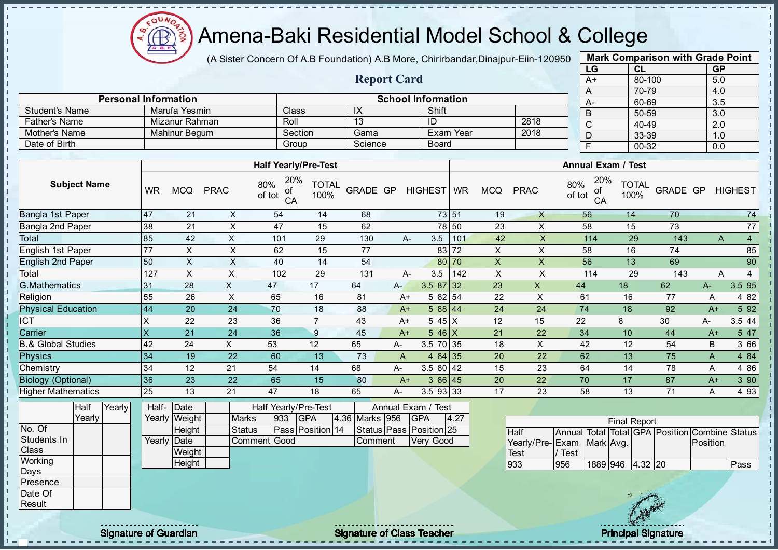

(A Sister Concern Of A.B Foundation) A.B More, Chirirbandar, Dinajpur-Eiin-120950

Report Card

Personal Information School Information

Father's Name Mizanur Rahman Roll 13 ID 2818 Mother's Name Mahinur Begum Section Gama Exam Year 2018

Student's Name Marufa Yesmin Class IX Shift<br>
Father's Name Mizanur Rahman Roll 13 ID

Date of Birth Board Group Science Board

|      | <b>Mark Comparison with Grade Point</b> |           |
|------|-----------------------------------------|-----------|
| LG   | CL                                      | <b>GP</b> |
| $A+$ | 80-100                                  | 5.0       |
| A    | 70-79                                   | 4.0       |
| A-   | 60-69                                   | 3.5       |
| B    | 50-59                                   | 3.0       |
| C    | 40-49                                   | 2.0       |
| D    | 33-39                                   | 1.0       |
| F    | $00 - 32$                               | 0.0       |
|      |                                         |           |

 $\mathbf{I}$ 

 $\mathbf{I}$ 

п

п  $\mathbf{I}$ 

 $\mathbf{I}$ 

 $\mathbf{I}$ 

 $\mathbf{I}$  $\mathbf{r}$ 

 $\mathbf{I}$ 

 $\mathbf{I}$ 

 $\mathbf{I}$ 

 $\mathbf{I}$ 

 $\mathbf{I}$ 

 $\mathbf{I}$ Ù.

ī.

п

 $\mathbf{I}$  $\mathbf{I}$ 

 $\mathbf{I}$ 

 $\mathbf{I}$ 

 $\mathbf{I}$ 

|                               |              |                                |                |                                             | <b>Half Yearly/Pre-Test</b> |                |       |                                  |       |                           |                    |               | <b>Annual Exam / Test</b> |                      |                                                |                |                |
|-------------------------------|--------------|--------------------------------|----------------|---------------------------------------------|-----------------------------|----------------|-------|----------------------------------|-------|---------------------------|--------------------|---------------|---------------------------|----------------------|------------------------------------------------|----------------|----------------|
| <b>Subject Name</b>           | <b>WR</b>    | <b>MCQ</b>                     | <b>PRAC</b>    | 20%<br>80%<br>οt<br>of tot<br>CA            | <b>TOTAL</b><br>100%        | GRADE GP       |       | HIGHEST WR                       |       | <b>MCQ</b>                | <b>PRAC</b>        | 80%<br>of tot | 20%<br>οf<br>CA           | <b>TOTAL</b><br>100% | GRADE GP                                       |                | <b>HIGHEST</b> |
| Bangla 1st Paper              | 47           | 21                             | X              | 54                                          | 14                          | 68             |       | 73 51                            |       | 19                        | X                  |               | 56                        | 14                   | 70                                             |                | 74             |
| Bangla 2nd Paper              | 38           | 21                             | X              | 47                                          | 15                          | 62             |       |                                  | 78 50 | 23                        | X                  |               | 58                        | 15                   | 73                                             |                | 77             |
| Total                         | 85           | 42                             | X              | 101                                         | 29                          | 130            |       | 3.5<br>$A -$                     | 101   | 42                        | X                  |               | 114                       | 29                   | 143                                            | $\overline{A}$ | $\overline{4}$ |
| English 1st Paper             | 77           | X                              | X              | 62                                          | 15                          | 77             |       |                                  | 83 72 | X                         | X                  |               | 58                        | 16                   | 74                                             |                | 85             |
| <b>English 2nd Paper</b>      | 50           | $\mathsf X$                    | $\mathsf{X}$   | 40                                          | 14                          | 54             |       |                                  | 80 70 | $\pmb{\mathsf{X}}$        | $\pmb{\mathsf{X}}$ |               | 56                        | 13                   | 69                                             |                | 90             |
| Total                         | 127          | X                              | $\pmb{\times}$ | 102                                         | 29                          | 131            |       | 3.5<br>A-                        | 142   | $\boldsymbol{\mathsf{X}}$ | X                  |               | 114                       | 29                   | 143                                            | A              | 4              |
| <b>G.Mathematics</b>          | 31           | 28                             | $\mathsf{x}$   | 47                                          | 17                          | 64             | $A -$ | $3.587$ 32                       |       | 23                        | $\mathsf{X}$       | 44            |                           | 18                   | 62                                             | $A-$           | 3.5 95         |
| Religion                      | 55           | 26                             | $\pmb{\times}$ | 65                                          | 16                          | 81             |       | 5 82 54<br>$A+$                  |       | 22                        | X                  | 61            |                           | 16                   | 77                                             | Α              | 4 8 2          |
| <b>Physical Education</b>     | 44           | 20                             | 24             | 70                                          | 18                          | 88             |       | 5 88 44<br>$A+$                  |       | 24                        | 24                 | 74            |                           | 18                   | 92                                             | $A+$           | 5 9 2          |
| <b>ICT</b>                    | X            | 22                             | 23             | 36                                          | $\overline{7}$              | 43             |       | 5 45 X<br>$A+$                   |       | 12                        | 15                 | 22            |                           | 8                    | 30                                             | A-             | 3.5 44         |
| Carrier                       | $\mathsf{X}$ | 21                             | 24             | 36                                          | $\boldsymbol{9}$            | 45             |       | $5.46\text{X}$<br>$A+$           |       | 21                        | 22                 | 34            |                           | 10                   | 44                                             | $A+$           | 5 47           |
| <b>B.&amp; Global Studies</b> | 42           | 24                             | $\times$       | 53                                          | 12                          | 65             | А-    | 3.5 70 35                        |       | 18                        | $\times$           | 42            |                           | 12                   | 54                                             | B              | 3 66           |
| <b>Physics</b>                | 34           | 19                             | 22             | 60                                          | 13                          | 73             | A     | 484 35                           |       | 20                        | 22                 | 62            |                           | 13                   | 75                                             | A              | 4 8 4          |
| Chemistry                     | 34           | 12                             | 21             | 54                                          | 14                          | 68             | A-    | $3.580$ 42                       |       | 15                        | 23                 | 64            |                           | 14                   | 78                                             | Α              | 4 8 6          |
| <b>Biology (Optional)</b>     | 36           | 23                             | 22             | 65                                          | 15                          | 80             |       | 386 45<br>$A+$                   |       | 20                        | 22                 | 70            |                           | 17                   | 87                                             | $A+$           | 3 90           |
| <b>Higher Mathematics</b>     | 25           | 13                             | 21             | 47                                          | 18                          | 65             | A-    | 3.5 93 33                        |       | 17                        | 23                 | 58            |                           | 13                   | 71                                             | A              | 4 9 3          |
| Yearly<br>Half<br>Yearly      |              | Half-<br>Date<br>Yearly Weight |                | Half Yearly/Pre-Test<br>933<br><b>Marks</b> | <b>GPA</b>                  | 4.36 Marks 956 |       | Annual Exam / Test<br><b>GPA</b> | 4.27  |                           |                    |               |                           |                      |                                                |                |                |
| No. Of                        |              | Height                         |                | <b>Status</b>                               | Pass Position 14            |                |       | Status Pass Position 25          |       |                           | Half               |               |                           | <b>Final Report</b>  | Annual Total Total GPA Position Combine Status |                |                |
| Students In                   |              | Yearly Date                    |                | Comment Good                                |                             | Comment        |       | Very Good                        |       |                           | Yearly/Pre-Exam    |               | Mark Avg.                 |                      |                                                | Position       |                |
| Class                         |              | Weight                         |                |                                             |                             |                |       |                                  |       |                           | Test               | Test          |                           |                      |                                                |                |                |
| Working<br>Days               |              | Height                         |                |                                             |                             |                |       |                                  |       |                           | 933                | 956           | 1889 946                  | 4.32 20              |                                                |                | Pass           |
| Presence                      |              |                                |                |                                             |                             |                |       |                                  |       |                           |                    |               |                           |                      |                                                |                |                |
| Date Of                       |              |                                |                |                                             |                             |                |       |                                  |       |                           |                    |               |                           | 18 3 2 3 3 4 5       |                                                |                |                |

**Result** 

 $\mathbf{I}$ J.  $\mathbf{r}$ - II - II J. - II  $\mathbf{I}$  $\mathbf{I}$ J.

 $\mathbf{I}$ 

J.

J.

 $\blacksquare$  $\mathbf{I}$ 

J. J.

J.

J.

þ. T.

h,

Ĥ.

J.

 $\mathbf{I}$ 

 $\mathbf{I}$ 

 $\mathbf{I}$  $\mathbf{r}$ 

 $\mathbf{r}$ 

 $\mathbf{r}$ 

 $\mathbf{I}$ 

 $\blacksquare$  $\mathbf{I}$ 

 $\mathbf{I}$ 

 $\mathbf{r}$  $\mathbf{I}$ л  $\mathbf{I}$  $\frac{1}{1}$ 

Signature of Guardian Signature of Class Teacher Principal Signature of Class Teacher Principal Signature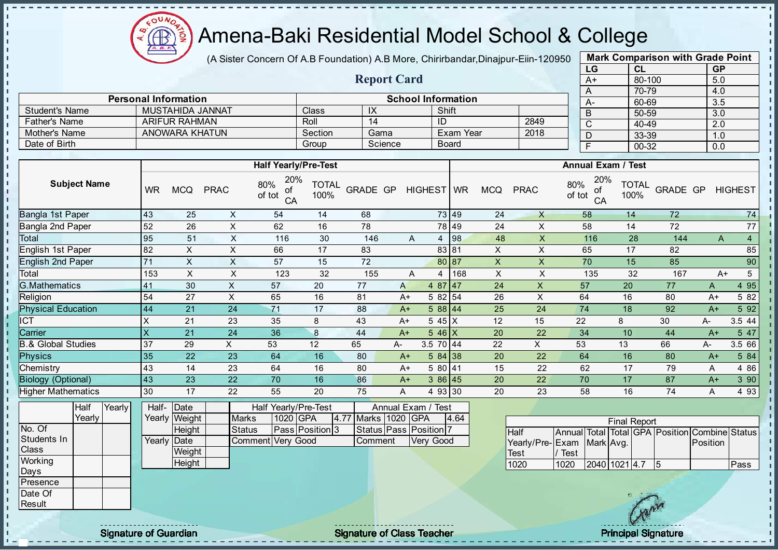

(A Sister Concern Of A.B Foundation) A.B More, Chirirbandar, Dinajpur-Eiin-120950

Report Card

| <b>Mark Comparison with Grade Point</b><br>LG |           |  |  |  |  |  |  |  |  |  |  |
|-----------------------------------------------|-----------|--|--|--|--|--|--|--|--|--|--|
| CL                                            | <b>GP</b> |  |  |  |  |  |  |  |  |  |  |
| 80-100                                        | 5.0       |  |  |  |  |  |  |  |  |  |  |
| 70-79                                         | 4.0       |  |  |  |  |  |  |  |  |  |  |
| 60-69                                         | 3.5       |  |  |  |  |  |  |  |  |  |  |
| 50-59                                         | 3.0       |  |  |  |  |  |  |  |  |  |  |
| 40-49                                         | 2.0       |  |  |  |  |  |  |  |  |  |  |
| 33-39                                         | 1.0       |  |  |  |  |  |  |  |  |  |  |
| 00-32                                         | 0.0       |  |  |  |  |  |  |  |  |  |  |
|                                               |           |  |  |  |  |  |  |  |  |  |  |

п

|                       | <b>Personal Information</b> |         |            | <b>School Information</b> |      | $A-$ |  |
|-----------------------|-----------------------------|---------|------------|---------------------------|------|------|--|
| <b>Student's Name</b> | MUSTAHIDA JANNAT            | Class   | $\sqrt{ }$ | Shift                     |      | D    |  |
| <b>Father's Name</b>  | <b>ARIFUR RAHMAN</b>        | Roll    |            | ID                        | 2849 |      |  |
| Mother's Name         | ANOWARA KHATUN              | Section | Gama       | Exam Year                 | 2018 | ш    |  |
| Date of Birth         |                             | Group   | Science    | Board                     |      |      |  |

|                           |           |            |             | <b>Half Yearly/Pre-Test</b>      |                      |          |      |            |       |            |             | <b>Annual Exam / Test</b>        |                      |          |      |                     |
|---------------------------|-----------|------------|-------------|----------------------------------|----------------------|----------|------|------------|-------|------------|-------------|----------------------------------|----------------------|----------|------|---------------------|
| <b>Subject Name</b>       | <b>WR</b> | <b>MCQ</b> | <b>PRAC</b> | 20%<br>80%<br>of<br>of tot<br>CA | <b>TOTAL</b><br>100% | GRADE GP |      | HIGHEST WR |       | <b>MCQ</b> | <b>PRAC</b> | 20%<br>80%<br>οf<br>of tot<br>CA | <b>TOTAL</b><br>100% | GRADE GP |      | <b>HIGHEST</b>      |
| Bangla 1st Paper          | 43        | 25         | X           | 54                               | 14                   | 68       |      |            | 73 49 | 24         | X           | 58                               | 14                   | 72       |      | 74                  |
| Bangla 2nd Paper          | 52        | 26         | X           | 62                               | 16                   | 78       |      |            | 78 49 | 24         | X           | 58                               | 14                   | 72       |      | 77                  |
| Total                     | 95        | 51         | X           | 116                              | 30                   | 146      |      | A<br>4     | 98    | 48         | X           | 116                              | 28                   | 144      |      | $\overline{4}$<br>A |
| English 1st Paper         | 82        | X.         | X           | 66                               | 17                   | 83       |      |            | 83 81 | X          | X.          | 65                               | 17                   | 82       |      | 85                  |
| <b>English 2nd Paper</b>  | 71        | X          | X           | 57                               | 15                   | 72       |      |            | 80 87 | X          | X           | 70                               | 15                   | 85       |      | 90                  |
| Total                     | 153       | X          | X           | 123                              | 32                   | 155      |      | Α<br>4     | 168   | X          | Χ           | 135                              | 32                   | 167      |      | 5<br>$A+$           |
| <b>G.Mathematics</b>      | 41        | 30         | X           | 57                               | 20                   | 77       | A    | $487$ 47   |       | 24         | X           | 57                               | 20                   | 77       | A    | 4 9 5               |
| Religion                  | 54        | 27         | X           | 65                               | 16                   | 81       | $A+$ | 5 82 54    |       | 26         | X           | 64                               | 16                   | 80       | A+   | 5 82                |
| <b>Physical Education</b> | 44        | 21         | 24          | 71                               | 17                   | 88       | $A+$ | 588 44     |       | 25         | 24          | 74                               | 18                   | 92       | $A+$ | 5 9 2               |
| <b>CT</b>                 | X         | 21         | 23          | 35                               | 8                    | 43       | $A+$ | $545$ $X$  |       | 12         | 15          | 22                               | 8                    | 30       | A-   | 3.5 44              |
| Carrier                   | $\times$  | 21         | 24          | 36                               | 8                    | 44       | $A+$ | $546$ X    |       | 20         | 22          | 34                               | 10                   | 44       | $A+$ | 5 47                |
| 3.& Global Studies        | 37        | 29         | X           | 53                               | 12                   | 65       | A-   | 3.5 70 44  |       | 22         | X           | 53                               | 13                   | 66       | A-   | 3.5 66              |
| <b>Physics</b>            | 35        | 22         | 23          | 64                               | 16                   | 80       | $A+$ | 584 38     |       | 20         | 22          | 64                               | 16                   | 80       | $A+$ | 5 84                |
| Chemistry                 | 43        | 14         | 23          | 64                               | 16                   | 80       | $A+$ | 5 80 41    |       | 15         | 22          | 62                               | 17                   | 79       | A    | 4 8 6               |
| <b>Biology (Optional)</b> | 43        | 23         | 22          | 70                               | 16                   | 86       | $A+$ | 386 45     |       | 20         | 22          | 70                               | 17                   | 87       | $A+$ | 3 90                |
| <b>Higher Mathematics</b> | 30        | 17         | 22          | 55                               | 20                   | 75       | A    | 4 93 30    |       | 20         | 23          | 58                               | 16                   | 74       | A    | 4 9 3               |

|              | Half     | Yearly | Half-Date    |               |                   |          | Half Yearly/Pre-Test |                     | Annual Exam / Test           |      |
|--------------|----------|--------|--------------|---------------|-------------------|----------|----------------------|---------------------|------------------------------|------|
|              | Yearly l |        |              | Yearly Weight | <b>Marks</b>      | 1020 GPA |                      | 4.77 Marks 1020 GPA |                              | 4.64 |
| No. Of       |          |        |              | Height        | Status            |          | Pass Position 3      |                     | Status   Pass   Position   7 |      |
| Students In  |          |        | Yearly  Date |               | Comment Very Good |          |                      | <b>Comment</b>      | <b>Very Good</b>             |      |
| <b>Class</b> |          |        |              | Weight        |                   |          |                      |                     |                              |      |
| Working      |          |        |              | Height        |                   |          |                      |                     |                              |      |
| Days         |          |        |              |               |                   |          |                      |                     |                              |      |
| Presence     |          |        |              |               |                   |          |                      |                     |                              |      |
| Date Of      |          |        |              |               |                   |          |                      |                     |                              |      |

|                           |      |               | <b>Final Report</b> |                                                |      |
|---------------------------|------|---------------|---------------------|------------------------------------------------|------|
| <b>Half</b>               |      |               |                     | Annual Total Total GPA Position Combine Status |      |
| Yearly/Pre-Exam Mark Avg. |      |               |                     | <b>IPosition</b>                               |      |
| <b>Test</b>               | Test |               |                     |                                                |      |
| 1020                      | 1020 | 2040 1021 4.7 |                     |                                                | Pass |

**Result** 

J. - II

 $\mathbf{u}$  $\mathbf{r}$  $\mathbf{I}$  $\mathbf{I}$  $\frac{1}{1}$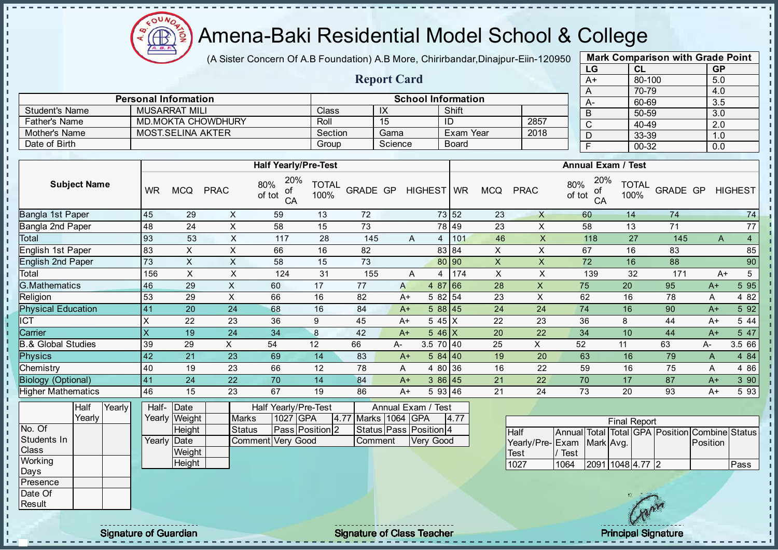

(A Sister Concern Of A.B Foundation) A.B More, Chirirbandar, Dinajpur-Eiin-120950

Report Card

|      | <b>Mark Comparison with Grade Point</b> |           |  |  |  |  |  |  |  |  |  |  |
|------|-----------------------------------------|-----------|--|--|--|--|--|--|--|--|--|--|
| LG   | <b>CL</b>                               | <b>GP</b> |  |  |  |  |  |  |  |  |  |  |
| $A+$ | 80-100                                  | 5.0       |  |  |  |  |  |  |  |  |  |  |
| A    | 70-79                                   | 4.0       |  |  |  |  |  |  |  |  |  |  |
| A-   | 60-69                                   | 3.5       |  |  |  |  |  |  |  |  |  |  |
| B    | 50-59                                   | 3.0       |  |  |  |  |  |  |  |  |  |  |
| C    | 40-49                                   | 2.0       |  |  |  |  |  |  |  |  |  |  |
| D    | 33-39                                   | 1.0       |  |  |  |  |  |  |  |  |  |  |
| F    | 00-32                                   | 0.0       |  |  |  |  |  |  |  |  |  |  |
|      |                                         |           |  |  |  |  |  |  |  |  |  |  |

|                      |                             |                      |         |                           |      | $\sqrt{ }$        |                |
|----------------------|-----------------------------|----------------------|---------|---------------------------|------|-------------------|----------------|
|                      | <b>Personal Information</b> |                      |         | <b>School Information</b> |      | <b>A-</b>         | 60             |
| Student's Name       | <b>MUSARRAT MILI</b>        | <b>Class</b>         | IX      | Shift                     |      |                   | 5 <sub>0</sub> |
| <b>Father's Name</b> | <b>MD.MOKTA CHOWDHURY</b>   | Roll                 | 15      | ID                        | 2857 | ັ                 | 40             |
| Mother's Name        | <b>MOST.SELINA AKTER</b>    | Section              | Gama    | Exam Year                 | 2018 | ◡                 | 3<             |
| Date of Birth        |                             | Group                | Science | <b>Board</b>              |      |                   | 00             |
|                      |                             |                      |         |                           |      |                   |                |
|                      |                             | Half Yoarly/Pro-Tost |         |                           |      | Annual Evam / Tos |                |

|                           |           |            |             | <b>Half Yearly/Pre-Test</b>      |                      |                 |      |             |         |            |             | <b>Annual Exam / Test</b>        |                      |          |      |                |
|---------------------------|-----------|------------|-------------|----------------------------------|----------------------|-----------------|------|-------------|---------|------------|-------------|----------------------------------|----------------------|----------|------|----------------|
| <b>Subject Name</b>       | <b>WR</b> | <b>MCQ</b> | <b>PRAC</b> | 20%<br>80%<br>οf<br>of tot<br>CA | <b>TOTAL</b><br>100% | <b>GRADE GP</b> |      | HIGHEST WR  |         | <b>MCQ</b> | <b>PRAC</b> | 20%<br>80%<br>of<br>of tot<br>CA | <b>TOTAL</b><br>100% | GRADE GP |      | <b>HIGHEST</b> |
| Bangla 1st Paper          | 45        | 29         | X           | 59                               | 13                   | 72              |      |             | 73 52   | 23         | $\times$    | 60                               | 14                   | 74       |      | 74             |
| Bangla 2nd Paper          | 48        | 24         | X           | 58                               | 15                   | 73              |      |             | 78 49   | 23         | X           | 58                               | 13                   | 71       |      | 77             |
| Total                     | 93        | 53         | X           | 117                              | 28                   | 145             |      | A<br>4      | 101     | 46         | X           | 118                              | 27                   | 145      | A    | $\overline{4}$ |
| English 1st Paper         | 83        | X.         | X           | 66                               | 16                   | 82              |      |             | 83 84   | X          | X           | 67                               | 16                   | 83       |      | 85             |
| <b>English 2nd Paper</b>  | 73        | X          | X           | 58                               | 15                   | 73              |      |             | 80 90   | X.         | X           | 72                               | 16                   | 88       |      | 90             |
| Total                     | 156       | X          | X           | 124                              | 31                   | 155             |      | A<br>4      | 174     | X          | X           | 139                              | 32                   | 171      |      | 5<br>$A+$      |
| G.Mathematics             | 46        | 29         | X           | 60                               | 17                   | 77              | A    |             | 4 87 66 | 28         | X           | 75                               | 20                   | 95       | $A+$ | 5 95           |
| Religion                  | 53        | 29         | X           | 66                               | 16                   | 82              | A+   |             | 5 82 54 | 23         | X           | 62                               | 16                   | 78       | A    | 4 8 2          |
| <b>Physical Education</b> | 41        | 20         | 24          | 68                               | 16                   | 84              | $A+$ |             | 588 45  | 24         | 24          | 74                               | 16                   | 90       | $A+$ | 5 9 2          |
| <b>CT</b>                 | х         | 22         | 23          | 36                               | 9                    | 45              | $A+$ | $545$ $X$   |         | 22         | 23          | 36                               | 8                    | 44       | $A+$ | 5 4 4          |
| Carrier                   | X         | 19         | 24          | 34                               | 8                    | 42              | $A+$ | $546$ X     |         | 20         | 22          | 34                               | 10                   | 44       | $A+$ | 5 47           |
| 3.& Global Studies        | 39        | 29         | X.          | 54                               | 12                   | 66              | А-   | $3.5$ 70 40 |         | 25         | X           | 52                               | 11                   | 63       | A-   | 3.5 66         |
| <b>Physics</b>            | 42        | 21         | 23          | 69                               | 14                   | 83              | $A+$ |             | 584 40  | 19         | 20          | 63                               | 16                   | 79       | A    | 4 84           |
| Chemistry                 | 40        | 19         | 23          | 66                               | 12                   | 78              | A    |             | 4 80 36 | 16         | 22          | 59                               | 16                   | 75       | A    | 4 8 6          |
| <b>Biology (Optional)</b> | 41        | 24         | 22          | 70                               | 14                   | 84              | $A+$ |             | 386 45  | 21         | 22          | 70                               | 17                   | 87       | $A+$ | 3 90           |
| <b>Higher Mathematics</b> | 46        | 15         | 23          | 67                               | 19                   | 86              | $A+$ |             | 5 93 46 | 21         | 24          | 73                               | 20                   | 93       | $A+$ | 5 93           |

|                  | Half     | Yearly <b>I</b> | Half-Date    |               |                   |          | Half Yearly/Pre-Test   |                     | Annual Exam / Test     |      |
|------------------|----------|-----------------|--------------|---------------|-------------------|----------|------------------------|---------------------|------------------------|------|
|                  | Yearly l |                 |              | Yearly Weight | <b>Marks</b>      | 1027 GPA |                        | 4.77 Marks 1064 GPA |                        | 4.77 |
| No. Of           |          |                 |              | Height        | <b>Status</b>     |          | <b>Pass Position 2</b> |                     | Status Pass Position 4 |      |
| Students In      |          |                 | Yearly  Date |               | Comment Very Good |          |                        | <b>Comment</b>      | Verv Good              |      |
| <b>Class</b>     |          |                 |              | Weight        |                   |          |                        |                     |                        |      |
| Working          |          |                 |              | Height        |                   |          |                        |                     |                        |      |
| Days             |          |                 |              |               |                   |          |                        |                     |                        |      |
| <b>IPresence</b> |          |                 |              |               |                   |          |                        |                     |                        |      |
| Date Of          |          |                 |              |               |                   |          |                        |                     |                        |      |

|                           |      |                  | <b>Final Report</b> |                                                |      |
|---------------------------|------|------------------|---------------------|------------------------------------------------|------|
| <b>I</b> Half             |      |                  |                     | Annual Total Total GPA Position Combine Status |      |
| Yearly/Pre-Exam Mark Avg. |      |                  |                     | <b>IPosition</b>                               |      |
| <b>Test</b>               | Test |                  |                     |                                                |      |
| 1027                      | 1064 | 2091 1048 4.77 2 |                     |                                                | Pass |

Result

 $\mathbf{I}$ л - II  $\frac{1}{1}$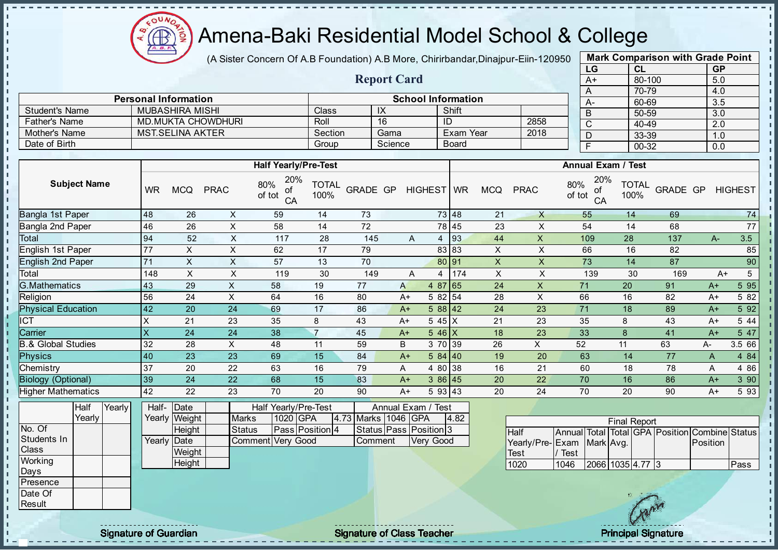

(A Sister Concern Of A.B Foundation) A.B More, Chirirbandar, Dinajpur-Eiin-120950

Report Card

| <b>Mark Comparison with Grade Point</b> |           |           |  |  |  |  |  |  |  |  |
|-----------------------------------------|-----------|-----------|--|--|--|--|--|--|--|--|
| LG                                      | <b>CL</b> | <b>GP</b> |  |  |  |  |  |  |  |  |
| $A+$                                    | 80-100    | 5.0       |  |  |  |  |  |  |  |  |
| Α                                       | 70-79     | 4.0       |  |  |  |  |  |  |  |  |
| A-                                      | 60-69     | 3.5       |  |  |  |  |  |  |  |  |
| B                                       | 50-59     | 3.0       |  |  |  |  |  |  |  |  |
| C                                       | 40-49     | 2.0       |  |  |  |  |  |  |  |  |
| D                                       | 33-39     | 1.0       |  |  |  |  |  |  |  |  |
| F                                       | 00-32     | 0.0       |  |  |  |  |  |  |  |  |
|                                         |           |           |  |  |  |  |  |  |  |  |

|                       | <b>Personal Information</b> |         |         | <b>School Information</b> |      | $A-$ |
|-----------------------|-----------------------------|---------|---------|---------------------------|------|------|
| <b>Student's Name</b> | MUBASHIRA MISHI             | Class   | $\sim$  | Shift                     |      |      |
| <b>Father's Name</b>  | MD.MUKTA CHOWDHURI          | Roll    | 16      | ID                        | 2858 |      |
| Mother's Name         | MST SELINA AKTER            | Section | Gama    | Exam Year                 | 2018 | ◡    |
| Date of Birth         |                             | Group   | Science | Board                     |      |      |

|                           |           |            |             | <b>Half Yearly/Pre-Test</b>      |                      |          |      |                    |     |            |             | <b>Annual Exam / Test</b>        |                      |          |      |                |
|---------------------------|-----------|------------|-------------|----------------------------------|----------------------|----------|------|--------------------|-----|------------|-------------|----------------------------------|----------------------|----------|------|----------------|
| <b>Subject Name</b>       | <b>WR</b> | <b>MCQ</b> | <b>PRAC</b> | 20%<br>80%<br>οf<br>of tot<br>CA | <b>TOTAL</b><br>100% | GRADE GP |      | HIGHEST WR         |     | <b>MCQ</b> | <b>PRAC</b> | 20%<br>80%<br>οf<br>of tot<br>CA | <b>TOTAL</b><br>100% | GRADE GP |      | <b>HIGHEST</b> |
| Bangla 1st Paper          | 48        | 26         | X           | 59                               | 14                   | 73       |      | 73 48              |     | 21         | X           | 55                               | 14                   | 69       |      | 74             |
| Bangla 2nd Paper          | 46        | 26         | X           | 58                               | 14                   | 72       |      | 78 45              |     | 23         | X           | 54                               | 14                   | 68       |      | 77             |
| Total                     | 94        | 52         | X           | 117                              | 28                   | 145      | A    | 4                  | 93  | 44         | X           | 109                              | 28                   | 137      | $A-$ | 3.5            |
| English 1st Paper         | 77        | X          | X           | 62                               | 17                   | 79       |      | 83 83              |     | X          | X           | 66                               | 16                   | 82       |      | 85             |
| <b>English 2nd Paper</b>  | 71        | X          | X           | 57                               | 13                   | 70       |      | 80 91              |     | X          | X           | 73                               | 14                   | 87       |      | 90             |
| Total                     | 148       | X.         | X           | 119                              | 30                   | 149      | A    | 4                  | 174 | X          | X           | 139                              | 30                   | 169      | $A+$ | 5              |
| G.Mathematics             | 43        | 29         | X           | 58                               | 19                   | 77       | A    | 4 87 65            |     | 24         | X           | 71                               | 20                   | 91       | $A+$ | 5 95           |
| Religion                  | 56        | 24         | X           | 64                               | 16                   | 80       | $A+$ | 5 82 54            |     | 28         | X           | 66                               | 16                   | 82       | $A+$ | 5 82           |
| <b>Physical Education</b> | 42        | 20         | 24          | 69                               | 17                   | 86       | $A+$ | 588 42             |     | 24         | 23          | 71                               | 18                   | 89       | $A+$ | 5 92           |
| ICT                       | X         | 21         | 23          | 35                               | 8                    | 43       | $A+$ | 5 45 X             |     | 21         | 23          | 35                               | 8                    | 43       | $A+$ | 5 44           |
| Carrier                   | X         | 24         | 24          | 38                               | $\overline{7}$       | 45       | $A+$ | $5.46 \, \text{X}$ |     | 18         | 23          | 33                               | 8                    | 41       | $A+$ | 5 47           |
| .& Global Studies         | 32        | 28         | X           | 48                               | 11                   | 59       | B    | 3 70 39            |     | 26         | X           | 52                               | 11                   | 63       | A-   | 3.5 66         |
| <b>Physics</b>            | 40        | 23         | 23          | 69                               | 15                   | 84       | $A+$ | 584 40             |     | 19         | 20          | 63                               | 14                   | 77       | A    | 4 8 4          |
| Chemistry                 | 37        | 20         | 22          | 63                               | 16                   | 79       | A    | 4 80 38            |     | 16         | 21          | 60                               | 18                   | 78       | A    | 4 8 6          |
| <b>Biology (Optional)</b> | 39        | 24         | 22          | 68                               | 15                   | 83       | $A+$ | 386 45             |     | 20         | 22          | 70                               | 16                   | 86       | $A+$ | 390            |
| <b>Higher Mathematics</b> | 42        | 22         | 23          | 70                               | 20                   | 90       | $A+$ | 593 43             |     | 20         | 24          | 70                               | 20                   | 90       | A+   | 5 93           |

|                  | Half   | Yearly | Half-       | Date          | Half Yearly/Pre-Test |          | Annual Exam / Test |  |                     |                              |      |
|------------------|--------|--------|-------------|---------------|----------------------|----------|--------------------|--|---------------------|------------------------------|------|
|                  | Yearly |        |             | Yearly Weight | <b>Marks</b>         | 1020 GPA |                    |  | 4.73 Marks 1046 GPA |                              | 4.82 |
| No. Of           |        |        |             | Height        | <b>Status</b>        |          | Pass Position 4    |  |                     | Status   Pass   Position   3 |      |
| Students In      |        |        | Yearly Date |               | Comment Very Good    |          |                    |  | <b>Comment</b>      | Very Good                    |      |
| Class            |        |        |             | Weight        |                      |          |                    |  |                     |                              |      |
| Working          |        |        |             | Height        |                      |          |                    |  |                     |                              |      |
| Days             |        |        |             |               |                      |          |                    |  |                     |                              |      |
| <b>IPresence</b> |        |        |             |               |                      |          |                    |  |                     |                              |      |
| Date Of          |        |        |             |               |                      |          |                    |  |                     |                              |      |
| Result           |        |        |             |               |                      |          |                    |  |                     |                              |      |

|                           |      |                  | <b>Final Report</b> |  |                                                |      |
|---------------------------|------|------------------|---------------------|--|------------------------------------------------|------|
| <b>I</b> Half             |      |                  |                     |  | Annual Total Total GPA Position Combine Status |      |
| Yearly/Pre-Exam Mark Avg. |      |                  |                     |  | <b>Position</b>                                |      |
| <b>Test</b>               | Test |                  |                     |  |                                                |      |
| 1020                      | 1046 | 2066 1035 4.77 3 |                     |  |                                                | Pass |

л J. л

 $\mathbf{I}$  $\mathbf{I}$ J.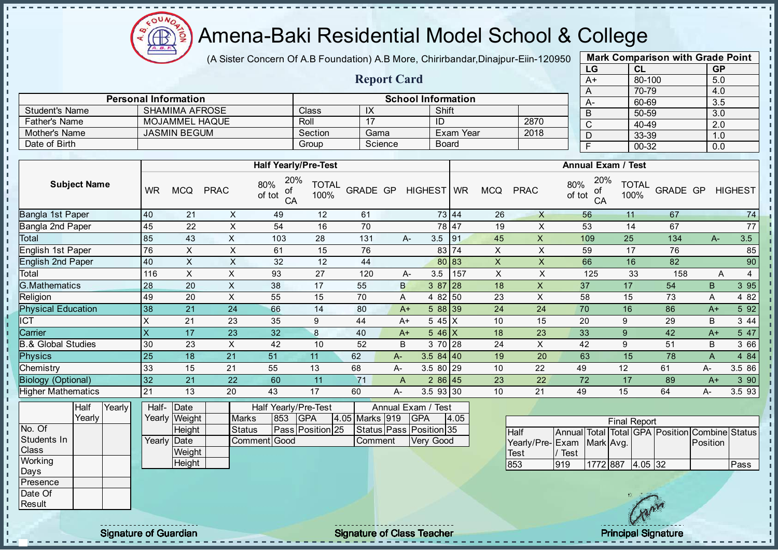

(A Sister Concern Of A.B Foundation) A.B More, Chirirbandar, Dinajpur-Eiin-120950

Report Card

Personal Information and The Contract of School Information

Father's Name MOJAMMEL HAQUE Roll 17 ID 2870

Student's Name SHAMIMA AFROSE Class IX Shift<br>
Father's Name MOJAMMEL HAQUE Roll 17 ID

| <b>Mark Comparison with Grade Point</b><br>LG |           |  |  |  |  |  |  |  |  |  |
|-----------------------------------------------|-----------|--|--|--|--|--|--|--|--|--|
| CL                                            | <b>GP</b> |  |  |  |  |  |  |  |  |  |
| 80-100                                        | 5.0       |  |  |  |  |  |  |  |  |  |
| 70-79                                         | 4.0       |  |  |  |  |  |  |  |  |  |
| 60-69                                         | 3.5       |  |  |  |  |  |  |  |  |  |
| 50-59                                         | 3.0       |  |  |  |  |  |  |  |  |  |
| 40-49                                         | 2.0       |  |  |  |  |  |  |  |  |  |
| 33-39                                         | 1.0       |  |  |  |  |  |  |  |  |  |
| 00-32                                         | 0.0       |  |  |  |  |  |  |  |  |  |
|                                               |           |  |  |  |  |  |  |  |  |  |

 $\mathbf{I}$ 

п

п  $\mathbf{I}$ 

 $\mathbf{I}$ 

 $\mathbf{I}$ 

 $\mathbf{I}$  $\mathbf{r}$ 

 $\mathbf{I}$ 

 $\mathbf{I}$ 

 $\mathbf{I}$ T.

J.

J. J.

h,

T.

| Mother's Name                      |                         | <b>JASMIN BEGUM</b>      |                               |                                  | Section                        | Gama            |       |                                                                   | Exam Year    |                | 2018         | D                                              | 33-39                |          | 1.0          |                  |
|------------------------------------|-------------------------|--------------------------|-------------------------------|----------------------------------|--------------------------------|-----------------|-------|-------------------------------------------------------------------|--------------|----------------|--------------|------------------------------------------------|----------------------|----------|--------------|------------------|
| Date of Birth                      |                         |                          |                               |                                  | Group                          | Science         |       |                                                                   | <b>Board</b> |                |              | $\mathsf F$                                    | 00-32                |          | 0.0          |                  |
|                                    |                         |                          |                               |                                  |                                |                 |       |                                                                   |              |                |              |                                                |                      |          |              |                  |
|                                    |                         |                          |                               | <b>Half Yearly/Pre-Test</b>      |                                |                 |       |                                                                   |              |                |              | <b>Annual Exam / Test</b>                      |                      |          |              |                  |
| <b>Subject Name</b>                | <b>WR</b>               | <b>MCQ</b>               | <b>PRAC</b>                   | 20%<br>80%<br>οf<br>of tot<br>CA | <b>TOTAL</b><br>100%           | <b>GRADE GP</b> |       | HIGHEST WR                                                        |              | <b>MCQ</b>     | <b>PRAC</b>  | 20%<br>80%<br>of<br>of tot<br>CA               | <b>TOTAL</b><br>100% | GRADE GP |              | <b>HIGHEST</b>   |
| Bangla 1st Paper                   | 40                      | 21                       | X                             | 49                               | 12                             | 61              |       |                                                                   | 73 44        | 26             | $\mathsf{X}$ | 56                                             | 11                   | 67       |              | 74               |
| Bangla 2nd Paper                   | 45                      | 22                       | $\mathsf X$                   | 54                               | 16                             | 70              |       |                                                                   | 78 47        | 19             | X            | 53                                             | 14                   | 67       |              | 77               |
| Total                              | 85                      | 43                       | X                             | 103                              | 28                             | 131             |       | 3.5<br>А-                                                         | 91           | 45             | X            | 109                                            | 25                   | 134      | A-           | 3.5              |
| English 1st Paper                  | 76                      | X                        | X                             | 61                               | 15                             | 76              |       |                                                                   | 83 74        | X              | X            | 59                                             | 17                   | 76       |              | 85               |
| English 2nd Paper                  | 40                      | $\pmb{\mathsf{X}}$       | X                             | 32                               | 12                             | 44              |       |                                                                   | 80 83        | $\pmb{\times}$ | X            | 66                                             | 16                   | 82       |              | 90               |
| Total                              | 116                     | $\times$                 | X                             | 93                               | 27                             | 120             |       | 3.5<br>А-                                                         | 157          | X              | X            | 125                                            | 33                   | 158      |              | 4<br>Α           |
| <b>G.Mathematics</b>               | 28                      | 20                       | X                             | 38                               | 17                             | 55              | B     | 3 87                                                              | 28           | 18             | X            | 37                                             | 17                   | 54       | B            | 395              |
| Religion                           | 49                      | 20                       | X                             | 55                               | 15                             | 70              | Α     | 4 8 2                                                             | 50           | 23             | X            | 58                                             | 15                   | 73       | Α            | 4 8 2            |
| <b>Physical Education</b>          | 38                      | 21                       | 24                            | 66                               | 14                             | 80              | $A+$  |                                                                   | 5 88 39      | 24             | 24           | 70                                             | 16                   | 86       | $A+$         | 5 9 2            |
| <b>CT</b>                          | X                       | 21                       | 23                            | 35                               | 9                              | 44              | $A+$  |                                                                   | $545 \mid X$ | 10             | 15           | 20                                             | 9                    | 29       | B            | 3 4 4            |
| Carrier                            | $\overline{\mathsf{x}}$ | 17                       | 23                            | 32                               | $\bf{8}$                       | 40              | $A+$  |                                                                   | $546$ X      | 18             | 23           | 33                                             | $\overline{9}$       | 42       | $A+$         | 5 47             |
| <b>B.&amp; Global Studies</b>      | 30                      | 23                       | X                             | 42                               | 10                             | 52              | B     |                                                                   | 3 70 28      | 24             | X            | 42                                             | 9                    | 51       | B            | 3 66             |
| <b>Physics</b>                     | 25                      | 18                       | 21                            | 51                               | 11                             | 62              | $A -$ | 3.584140                                                          |              | 19             | 20           | 63                                             | 15                   | 78       | $\mathsf{A}$ | 4 8 4            |
| Chemistry                          | 33                      | 15                       | 21                            | 55                               | 13                             | 68              | A-    | 3.5 80 29                                                         |              | 10             | 22           | 49                                             | 12                   | 61       | A-           | 3.5 86           |
| <b>Biology (Optional)</b>          | 32                      | 21                       | 22                            | 60                               | 11                             | 71              | A     |                                                                   | 286 45       | 23             | 22           | 72                                             | 17                   | 89       | $A+$         | $3\overline{90}$ |
| <b>Higher Mathematics</b>          | 21                      | 13                       | 20                            | 43                               | 17                             | 60              | А-    | 3.5 93 30                                                         |              | 10             | 21           | 49                                             | 15                   | 64       | А-           | 3.5 93           |
| Half<br>Yearly<br>Yearly<br>No. Of | Half-<br>Yearly         | Date<br>Weight<br>Height | <b>Marks</b><br><b>Status</b> | Half Yearly/Pre-Test<br>853      | <b>GPA</b><br>Pass Position 25 | 4.05 Marks 919  |       | Annual Exam / Test<br><b>GPA</b><br>Status   Pass   Position   35 | 4.05         |                | Half         | Annual Total Total GPA Position Combine Status | <b>Final Report</b>  |          |              |                  |
| Students In                        |                         | Yearly Date              |                               | Comment Good                     |                                | Comment         |       | Very Good                                                         |              |                |              | Yearly/Pre-Exam Mark Avg.                      |                      |          | Position     |                  |

**Weight Height** 

Class **Working** Days Presence Date Of Result

 $\mathbf{I}$ J.  $\mathbf{r}$ 

- II

 $\mathbf{I}$ J.

J.

 $\mathbf{r}$ 

J.

-8

J. a.

п п

T.

J.

J. - II

 $\mathbf{I}$ 

- II

 $\mathbf{I}$  $\mathbf{I}$ 

 $\mathbf{I}$ l ni h. h. h  $\mathbf{I}$  $\mathbf{I}$  $\mathbf{I}$  $\mathbf I$  $\mathbf{I}$ 

Signature of Guardian Signature of Class Teacher Principal Signature of Class Teacher Principal Signature

Test

/ Test



853 919 1772 887 4.05 32 Pass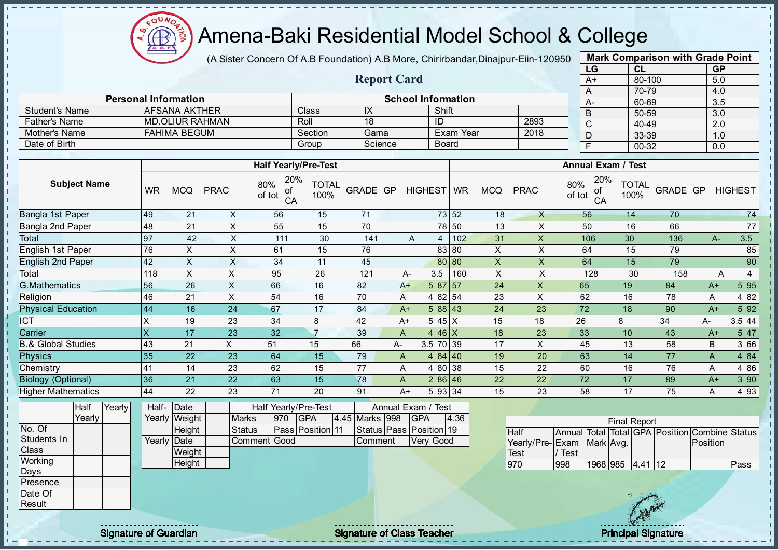

(A Sister Concern Of A.B Foundation) A.B More, Chirirbandar, Dinajpur-Eiin-120950

Report Card

|      | <b>Mark Comparison with Grade Point</b> |           |  |  |  |  |  |  |  |  |  |
|------|-----------------------------------------|-----------|--|--|--|--|--|--|--|--|--|
| LG   | <b>CL</b>                               | <b>GP</b> |  |  |  |  |  |  |  |  |  |
| $A+$ | 80-100                                  | 5.0       |  |  |  |  |  |  |  |  |  |
| A    | 70-79                                   | 4.0       |  |  |  |  |  |  |  |  |  |
| А-   | 60-69                                   | 3.5       |  |  |  |  |  |  |  |  |  |
| B    | 50-59                                   | 3.0       |  |  |  |  |  |  |  |  |  |
| C    | 40-49                                   | 2.0       |  |  |  |  |  |  |  |  |  |
|      | 33-39                                   | 1.0       |  |  |  |  |  |  |  |  |  |
| F    | 00-32                                   | 0.0       |  |  |  |  |  |  |  |  |  |

|                      | <b>Personal Information</b> |         |         | <b>School Information</b> |      | $A-$ |  |
|----------------------|-----------------------------|---------|---------|---------------------------|------|------|--|
| Student's Name       | AFSANA AKTHER               | Class   | IX      | Shift                     |      |      |  |
| <b>Father's Name</b> | MD.OLIUR RAHMAN             | Roll    | 18      | ID                        | 2893 |      |  |
| Mother's Name        | FAHIMA BEGUM                | Section | Gama    | Exam Year                 | 2018 | υ    |  |
| Date of Birth        |                             | Group   | Science | <b>Board</b>              |      |      |  |

|                               |                           |            |             | Half Yearly/Pre-Test             |                      |          |              |            |       |              |              | <b>Annual Exam / Test</b>        |                      |          |      |                |
|-------------------------------|---------------------------|------------|-------------|----------------------------------|----------------------|----------|--------------|------------|-------|--------------|--------------|----------------------------------|----------------------|----------|------|----------------|
| <b>Subject Name</b>           | <b>WR</b>                 | <b>MCQ</b> | <b>PRAC</b> | 20%<br>80%<br>οf<br>of tot<br>CA | <b>TOTAL</b><br>100% | GRADE GP |              | HIGHEST WR |       | <b>MCQ</b>   | <b>PRAC</b>  | 20%<br>80%<br>οf<br>of tot<br>CA | <b>TOTAL</b><br>100% | GRADE GP |      | <b>HIGHEST</b> |
| Bangla 1st Paper              | 49                        | 21         | X           | 56                               | 15                   | 71       |              |            | 73 52 | 18           | $\mathsf{X}$ | 56                               | 14                   | 70       |      | 74             |
| Bangla 2nd Paper              | 48                        | 21         | X           | 55                               | 15                   | 70       |              |            | 78 50 | 13           | X            | 50                               | 16                   | 66       |      | 77             |
| Total                         | 97                        | 42         | X           | 111                              | 30                   | 141      |              | A<br>4     | 102   | 31           | X            | 106                              | 30                   | 136      | $A-$ | 3.5            |
| English 1st Paper             | 76                        | X          | X           | 61                               | 15                   | 76       |              |            | 83 80 | X            | X            | 64                               | 15                   | 79       |      | 85             |
| <b>English 2nd Paper</b>      | 42                        | X          | X           | 34                               | 11                   | 45       |              |            | 80 80 | $\mathsf{X}$ | X            | 64                               | 15                   | 79       |      | 90             |
| Total                         | 118                       | X          | X           | 95                               | 26                   | 121      | A-           | 3.5        | 160   | X            | X            | 128                              | 30                   | 158      | Α    | 4              |
| G.Mathematics                 | 56                        | 26         | X           | 66                               | 16                   | 82       | $A+$         | 5 87 57    |       | 24           | X            | 65                               | 19                   | 84       | $A+$ | 5 95           |
| Religion                      | 46                        | 21         | X           | 54                               | 16                   | 70       | A            | 4 82 54    |       | 23           | X            | 62                               | 16                   | 78       | A    | 4 8 2          |
| <b>Physical Education</b>     | 44                        | 16         | 24          | 67                               | 17                   | 84       | $A+$         | 588 43     |       | 24           | 23           | 72                               | 18                   | 90       | $A+$ | 5 92           |
| ICT                           | X                         | 19         | 23          | 34                               | 8                    | 42       | $A+$         | 5 45 X     |       | 15           | 18           | 26                               | 8                    | 34       | A-   | 3.5 44         |
| Carrier                       | $\boldsymbol{\mathsf{X}}$ | 17         | 23          | 32                               | $\overline{7}$       | 39       | A            | 4 46 $X$   |       | 18           | 23           | 33                               | 10                   | 43       | $A+$ | 5 47           |
| <b>B.&amp; Global Studies</b> | 43                        | 21         | X.          | 51                               | 15                   | 66       | A-           | 3.5 70 39  |       | 17           | X            | 45                               | 13                   | 58       | B    | 3 66           |
| <b>Physics</b>                | 35                        | 22         | 23          | 64                               | 15                   | 79       | $\mathsf{A}$ | 484 40     |       | 19           | 20           | 63                               | 14                   | 77       | A    | 4 8 4          |
| Chemistry                     | 41                        | 14         | 23          | 62                               | 15                   | 77       | A            | 4 80 38    |       | 15           | 22           | 60                               | 16                   | 76       | A    | 4 8 6          |
| <b>Biology (Optional)</b>     | 36                        | 21         | 22          | 63                               | 15                   | 78       | A            | 286 46     |       | 22           | 22           | 72                               | 17                   | 89       | $A+$ | 3 90           |
| <b>Higher Mathematics</b>     | 44                        | 22         | 23          | 71                               | 20                   | 91       | $A+$         | 5 93 34    |       | 15           | 23           | 58                               | 17                   | 75       | A    | 4 9 3          |

|                  | Half   | YearlvT | Half-       | Date          |              |     | <b>Half Yearly/Pre-Test</b> |                | Annual Exam / Test      |      |  |
|------------------|--------|---------|-------------|---------------|--------------|-----|-----------------------------|----------------|-------------------------|------|--|
|                  | Yearly |         |             | Yearly Weight | <b>Marks</b> | 970 | IGPA                        | 4.45 Marks 998 | <b>IGPA</b>             | 4.36 |  |
| No. Of           |        |         |             | Height        | Status       |     | <b>Pass Position 11</b>     |                | Status Pass Position 19 |      |  |
| Students In      |        |         | Yearly Date |               | Comment Good |     |                             | lComment       | Verv Good               |      |  |
| <b>Class</b>     |        |         |             | Weight        |              |     |                             |                |                         |      |  |
| Working          |        |         |             | Height        |              |     |                             |                |                         |      |  |
| Days             |        |         |             |               |              |     |                             |                |                         |      |  |
| <b>IPresence</b> |        |         |             |               |              |     |                             |                |                         |      |  |
| Date Of          |        |         |             |               |              |     |                             |                |                         |      |  |

|                           |      |                  | <b>Final Report</b> |                                                |      |
|---------------------------|------|------------------|---------------------|------------------------------------------------|------|
| <b>Half</b>               |      |                  |                     | Annual Total Total GPA Position Combine Status |      |
| Yearly/Pre-Exam Mark Avg. |      |                  |                     | Position                                       |      |
| Test                      | Test |                  |                     |                                                |      |
| 970                       | 998  | 1968 985 4.41 12 |                     |                                                | Pass |

Result

- II

 $\mathbf{I}$  $\mathbf{I}$ J.

Signature of Guardian **Signature Signature of Class Teacher** Principal Signature Principal Signature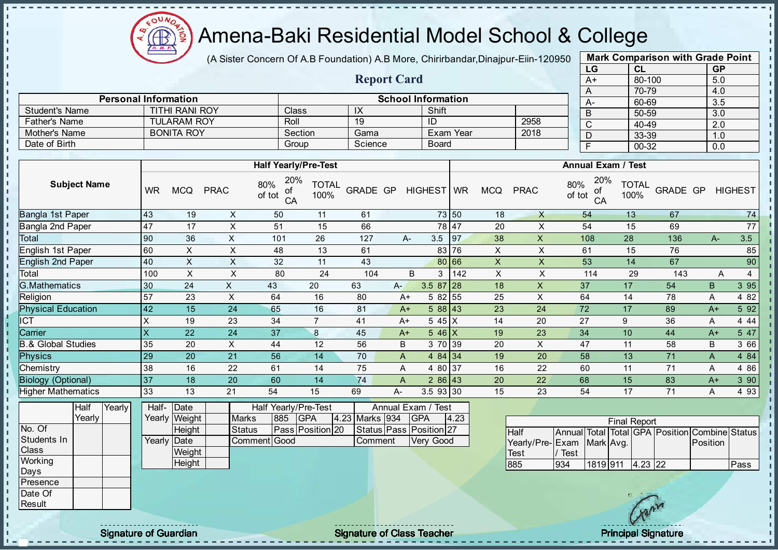

- II - II

J.

J.

J.

- II

J. J.

п п

h h

J.

n.

 $\mathbf{I}$ 

J.

J.

л л - II

#### Amena-Baki Residential Model School & College

(A Sister Concern Of A.B Foundation) A.B More, Chirirbandar, Dinajpur-Eiin-120950

Report Card

Personal Information and The Contraction School Information

Father's Name TULARAM ROY Roll 19 ID 2958<br>
Mother's Name BONITA ROY Section Gama Exam Year 2018

Student's Name TITHI RANI ROY Class IX Shift<br>
Father's Name TULARAM ROY Roll 19 ID

Mother's Name BONITA ROY Section Gama Exam Year Date of Birth Board Group Science Board

| <b>Mark Comparison with Grade Point</b> |        |           |  |  |  |  |  |  |  |
|-----------------------------------------|--------|-----------|--|--|--|--|--|--|--|
| LG                                      | CL     | <b>GP</b> |  |  |  |  |  |  |  |
| $A+$                                    | 80-100 | 5.0       |  |  |  |  |  |  |  |
| A                                       | 70-79  | 4.0       |  |  |  |  |  |  |  |
| $A -$                                   | 60-69  | 3.5       |  |  |  |  |  |  |  |
| B                                       | 50-59  | 3.0       |  |  |  |  |  |  |  |
| $\mathsf{C}$                            | 40-49  | 2.0       |  |  |  |  |  |  |  |
| D                                       | 33-39  | 1.0       |  |  |  |  |  |  |  |
| F                                       | 00-32  | 0.0       |  |  |  |  |  |  |  |
|                                         |        |           |  |  |  |  |  |  |  |

п

п  $\mathbf{I}$ 

 $\mathbf{I}$ 

 $\mathbf{I}$  $\mathbf{r}$ 

 $\mathbf{I}$ 

п

п

n.

J. J.

ī.

п п T.

|                               |                     |        |                         |               |                | <b>Half Yearly/Pre-Test</b>      |                      |                |       |                         |       |                           |                 |               | <b>Annual Exam / Test</b> |                      |                                                |          |                |
|-------------------------------|---------------------|--------|-------------------------|---------------|----------------|----------------------------------|----------------------|----------------|-------|-------------------------|-------|---------------------------|-----------------|---------------|---------------------------|----------------------|------------------------------------------------|----------|----------------|
|                               | <b>Subject Name</b> |        | <b>WR</b>               | <b>MCQ</b>    | <b>PRAC</b>    | 20%<br>80%<br>of<br>of tot<br>CA | <b>TOTAL</b><br>100% | GRADE GP       |       | HIGHEST WR              |       | <b>MCQ</b>                | <b>PRAC</b>     | 80%<br>of tot | 20%<br>of<br>CA           | <b>TOTAL</b><br>100% | GRADE GP                                       |          | <b>HIGHEST</b> |
| <b>Bangla 1st Paper</b>       |                     |        | 43                      | 19            | $\times$       | 50                               | 11                   | 61             |       |                         | 73 50 | 18                        | $\mathsf{X}$    |               | 54                        | 13                   | 67                                             |          | 74             |
| Bangla 2nd Paper              |                     |        | 47                      | 17            | X              | 51                               | 15                   | 66             |       |                         | 78 47 | 20                        | X               |               | 54                        | 15                   | 69                                             |          | 77             |
| Total                         |                     |        | 90                      | 36            | $\times$       | 101                              | 26                   | 127            |       | 3.5<br>A-               | 97    | 38                        | $\pmb{\times}$  |               | 108                       | 28                   | 136                                            | $A-$     | 3.5            |
| English 1st Paper             |                     |        | 60                      | X             | X              | 48                               | 13                   | 61             |       | 83                      | 76    | X                         | X               |               | 61                        | 15                   | 76                                             |          | 85             |
| <b>English 2nd Paper</b>      |                     |        | 40                      | $\mathsf{X}$  | X              | 32                               | 11                   | 43             |       |                         | 80 66 | $\mathsf{X}$              | X               |               | 53                        | 14                   | 67                                             |          | 90             |
| Total                         |                     |        | 100                     | $\times$      | X              | 80                               | 24                   | 104            |       | B<br>3                  | 142   | $\boldsymbol{\mathsf{X}}$ | X               |               | 114                       | 29                   | 143                                            | A        | 4              |
| <b>G.Mathematics</b>          |                     |        | 30                      | 24            | $\mathsf{X}$   | 43                               | 20                   | 63             | $A -$ | $3.587$ 28              |       | 18                        | $\times$        |               | 37                        | 17                   | 54                                             | B        | 3 9 5          |
| Religion                      |                     |        | 57                      | 23            | $\pmb{\times}$ | 64                               | 16                   | 80             |       | 5 82 55<br>$A+$         |       | 25                        | X               |               | 64                        | 14                   | 78                                             | Α        | 4 8 2          |
| <b>Physical Education</b>     |                     |        | 42                      | 15            | 24             | 65                               | 16                   | 81             |       | 588 43<br>$A+$          |       | 23                        | 24              |               | 72                        | 17                   | 89                                             | $A+$     | 5 9 2          |
| ICT                           |                     |        | X                       | 19            | 23             | 34                               | $\overline{7}$       | 41             |       | 5 45 X<br>$A+$          |       | 14                        | 20              |               | 27                        | 9                    | 36                                             | Α        | 4 4 4          |
| Carrier                       |                     |        | $\overline{\mathsf{x}}$ | 22            | 24             | 37                               | $\bf 8$              | 45             |       | $546$ X<br>$A+$         |       | 19                        | 23              |               | 34                        | 10                   | 44                                             | $A+$     | 5 47           |
| <b>B.&amp; Global Studies</b> |                     |        | 35                      | 20            | $\pmb{\times}$ | 44                               | 12                   | 56             | B     | 3 70 39                 |       | 20                        | X               |               | 47                        | 11                   | 58                                             | B        | 3 66           |
| Physics                       |                     |        | 29                      | 20            | 21             | 56                               | 14                   | 70             | A     | 4 $84$ 34               |       | 19                        | 20              |               | 58                        | 13                   | 71                                             | A        | 4 8 4          |
| Chemistry                     |                     |        | 38                      | 16            | 22             | 61                               | 14                   | 75             | A     | 4 80 37                 |       | 16                        | 22              |               | 60                        | 11                   | 71                                             | Α        | 4 8 6          |
| <b>Biology (Optional)</b>     |                     |        | 37                      | 18            | 20             | 60                               | 14                   | 74             | A     | $286$ 43                |       | 20                        | 22              |               | 68                        | 15                   | 83                                             | $A+$     | 3 90           |
| <b>Higher Mathematics</b>     |                     |        | 33                      | 13            | 21             | 54                               | 15                   | 69             | $A-$  | 3.5 93 30               |       | 15                        | 23              |               | 54                        | 17                   | 71                                             | A        | 4 9 3          |
|                               | Half                | Yearly |                         | Half- Date    |                | Half Yearly/Pre-Test             |                      |                |       | Annual Exam / Test      |       |                           |                 |               |                           |                      |                                                |          |                |
|                               | Yearly              |        |                         | Yearly Weight | <b>Marks</b>   | 885                              | <b>GPA</b>           | 4.23 Marks 934 |       | <b>GPA</b>              | 4.23  |                           |                 |               |                           | <b>Final Report</b>  |                                                |          |                |
| No. Of                        |                     |        |                         | Height        | <b>Status</b>  |                                  | Pass Position 20     |                |       | Status Pass Position 27 |       |                           | <b>Half</b>     |               |                           |                      | Annual Total Total GPA Position Combine Status |          |                |
| Students In                   |                     |        |                         | Yearly Date   |                | Comment Good                     |                      | Comment        |       | Very Good               |       |                           | Yearly/Pre-Exam |               | Mark Avg.                 |                      |                                                | Position |                |
| Class                         |                     |        |                         | Weight        |                |                                  |                      |                |       |                         |       |                           | Test            | Test          |                           |                      |                                                |          |                |
| Working                       |                     |        |                         | Height        |                |                                  |                      |                |       |                         |       |                           | 885             | 934           | 1819 911                  | $4.23$ 22            |                                                |          | Pass           |
| Days                          |                     |        |                         |               |                |                                  |                      |                |       |                         |       |                           |                 |               |                           |                      |                                                |          |                |
| Presence                      |                     |        |                         |               |                |                                  |                      |                |       |                         |       |                           |                 |               |                           |                      |                                                |          |                |
| Date Of                       |                     |        |                         |               |                |                                  |                      |                |       |                         |       |                           |                 |               |                           |                      |                                                |          |                |
| Result                        |                     |        |                         |               |                |                                  |                      |                |       |                         |       |                           |                 |               |                           |                      |                                                |          |                |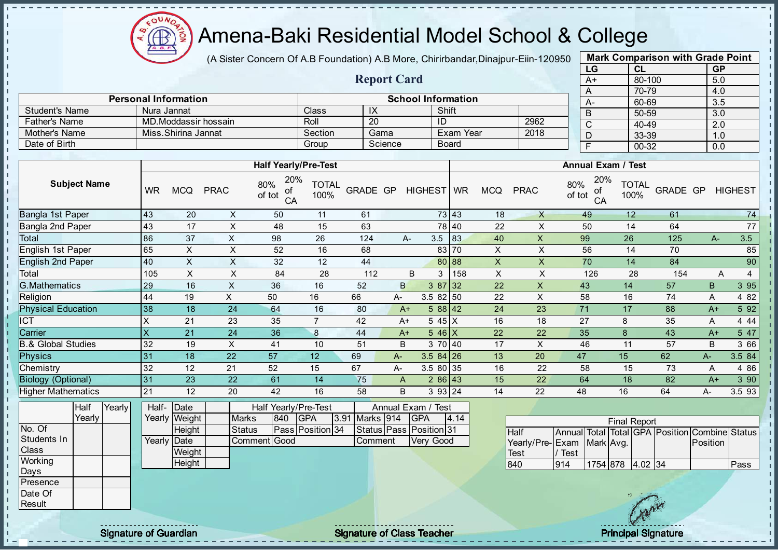

(A Sister Concern Of A.B Foundation) A.B More, Chirirbandar, Dinajpur-Eiin-120950

Report Card

| <b>Mark Comparison with Grade Point</b> |           |  |  |  |  |  |  |  |  |  |  |
|-----------------------------------------|-----------|--|--|--|--|--|--|--|--|--|--|
| <b>CL</b>                               | <b>GP</b> |  |  |  |  |  |  |  |  |  |  |
| 80-100                                  | 5.0       |  |  |  |  |  |  |  |  |  |  |
| 70-79<br>4.0<br>A                       |           |  |  |  |  |  |  |  |  |  |  |
| 60-69                                   | 3.5       |  |  |  |  |  |  |  |  |  |  |
| 50-59                                   | 3.0       |  |  |  |  |  |  |  |  |  |  |
| 40-49                                   | 2.0       |  |  |  |  |  |  |  |  |  |  |
| 33-39                                   | 1.0       |  |  |  |  |  |  |  |  |  |  |
|                                         | 0.0       |  |  |  |  |  |  |  |  |  |  |
|                                         | 00-32     |  |  |  |  |  |  |  |  |  |  |

|                       | <b>Personal Information</b> |         |         | <b>School Information</b> |      | $A-$ |
|-----------------------|-----------------------------|---------|---------|---------------------------|------|------|
| <b>Student's Name</b> | Nura Jannat                 | Class   | IX      | Shift                     |      |      |
| <b>Father's Name</b>  | MD.Moddassir hossain        | Roll    | 20      | ID                        | 2962 |      |
| Mother's Name         | Miss.Shirina Jannat         | Section | Gama    | Exam Year                 | 2018 |      |
| Date of Birth         |                             | Group   | Science | Board                     |      |      |

|                               |                           |            |             | <b>Half Yearly/Pre-Test</b>      |                      |                 |       |                    |       |            |             | <b>Annual Exam / Test</b>        |                      |          |      |                |
|-------------------------------|---------------------------|------------|-------------|----------------------------------|----------------------|-----------------|-------|--------------------|-------|------------|-------------|----------------------------------|----------------------|----------|------|----------------|
| <b>Subject Name</b>           | <b>WR</b>                 | <b>MCQ</b> | <b>PRAC</b> | 20%<br>80%<br>οf<br>of tot<br>CA | <b>TOTAL</b><br>100% | <b>GRADE GP</b> |       | HIGHEST WR         |       | <b>MCQ</b> | <b>PRAC</b> | 20%<br>80%<br>οf<br>of tot<br>CA | <b>TOTAL</b><br>100% | GRADE GP |      | <b>HIGHEST</b> |
| Bangla 1st Paper              | 43                        | 20         | X           | 50                               | 11                   | 61              |       |                    | 73 43 | 18         | X           | 49                               | 12                   | 61       |      | 74             |
| Bangla 2nd Paper              | 43                        | 17         | X           | 48                               | 15                   | 63              |       |                    | 78 40 | 22         | X           | 50                               | 14                   | 64       |      | 77             |
| Total                         | 86                        | 37         | X           | 98                               | 26                   | 124             |       | 3.5<br>A-          | 83    | 40         | X           | 99                               | 26                   | 125      | $A-$ | 3.5            |
| English 1st Paper             | 65                        | X          | X           | 52                               | 16                   | 68              |       |                    | 83 70 | X          | X           | 56                               | 14                   | 70       |      | 85             |
| <b>English 2nd Paper</b>      | 40                        | X          | X           | 32                               | 12                   | 44              |       |                    | 80 88 | X          | X.          | 70                               | 14                   | 84       |      | 90             |
| Total                         | 105                       | $\times$   | X           | 84                               | 28                   | 112             |       | B<br>3             | 158   | X          | X           | 126                              | 28                   | 154      | A    | $\overline{4}$ |
| <b>G.Mathematics</b>          | 29                        | 16         | X           | 36                               | 16                   | 52              |       | $387$ 32<br>B      |       | 22         | X           | 43                               | 14                   | 57       | B.   | 3 9 5          |
| Religion                      | 44                        | 19         | X           | 50                               | 16                   | 66              | A-    | $3.582$ 50         |       | 22         | X           | 58                               | 16                   | 74       | A    | 4 8 2          |
| <b>Physical Education</b>     | 38                        | 18         | 24          | 64                               | 16                   | 80              |       | $588$ 42<br>$A+$   |       | 24         | 23          | 71                               | 17                   | 88       | $A+$ | 5 9 2          |
| $\overline{CT}$               | X                         | 21         | 23          | 35                               | $\overline{7}$       | 42              |       | 545X<br>$A+$       |       | 16         | 18          | 27                               | 8                    | 35       | A    | 4 4 4          |
| Carrier                       | $\boldsymbol{\mathsf{X}}$ | 21         | 24          | 36                               | 8                    | 44              |       | $546$ X<br>$A+$    |       | 22         | 22          | 35                               | 8                    | 43       | $A+$ | 5 47           |
| <b>B.&amp; Global Studies</b> | 32                        | 19         | X           | 41                               | 10                   | 51              | B     | 3 70 40            |       | 17         | X           | 46                               | 11                   | 57       | B    | 3 66           |
| <b>Physics</b>                | 31                        | 18         | 22          | 57                               | 12                   | 69              | $A -$ | $3.584$ 26         |       | 13         | 20          | 47                               | 15                   | 62       | $A-$ | 3.5 84         |
| Chemistry                     | 32                        | 12         | 21          | 52                               | 15                   | 67              | A-    | 3.5 80 35          |       | 16         | 22          | 58                               | 15                   | 73       | A    | 4 8 6          |
| <b>Biology (Optional)</b>     | 31                        | 23         | 22          | 61                               | 14                   | 75              | A     | $286$ 43           |       | 15         | 22          | 64                               | 18                   | 82       | $A+$ | 3 90           |
| <b>Higher Mathematics</b>     | 21                        | 12         | 20          | 42                               | 16                   | 58              |       | B<br>3 93 24       |       | 14         | 22          | 48                               | 16                   | 64       | A-   | 3.5 93         |
| Yearly<br>Half                | Half-                     | Date       |             | Half Yearly/Pre-Test             |                      |                 |       | Annual Exam / Test |       |            |             |                                  |                      |          |      |                |

|             | Yearly |  |             | Yearly Weight | <b>Marks</b> | 840 | <b>GPA</b>       | 3.91 Marks 914 | <b>GPA</b>              | 4.14 |                            |          |  | <b>Final Report</b> |              |                                                |      |
|-------------|--------|--|-------------|---------------|--------------|-----|------------------|----------------|-------------------------|------|----------------------------|----------|--|---------------------|--------------|------------------------------------------------|------|
| No. Of      |        |  |             | Height        | Status       |     | Pass Position 34 |                | Status Pass Position 31 |      | Half                       |          |  |                     |              | Annual Total Total GPA Position Combine Status |      |
| Students In |        |  | Yearly Date |               | Comment Good |     |                  | Comment        | Very Good               |      | Yearly/Pre-IExam Mark Avg. |          |  |                     |              | Position                                       |      |
| Class       |        |  |             | Weight        |              |     |                  |                |                         |      | Test                       | $'$ Test |  |                     |              |                                                |      |
| Working     |        |  |             | Height        |              |     |                  |                |                         |      | 840                        | 914      |  | 1754 878 4.02 34    |              |                                                | Pass |
| Days        |        |  |             |               |              |     |                  |                |                         |      |                            |          |  |                     |              |                                                |      |
| Presence    |        |  |             |               |              |     |                  |                |                         |      |                            |          |  |                     |              |                                                |      |
| Date Of     |        |  |             |               |              |     |                  |                |                         |      |                            |          |  |                     |              |                                                |      |
| Result      |        |  |             |               |              |     |                  |                |                         |      |                            |          |  |                     | $\mathbf{v}$ |                                                |      |

J. -f

 $\mathbf{I}$ 

J.

- II

of Class Teacher Principal Signature of Class Teacher Principal Signature of Guardian Principal Signature Signature<br>Signature of Class Teacher Principal Signature

п п  $\mathbf{I}$  $\mathbf{I}$ r.

п

J.

h,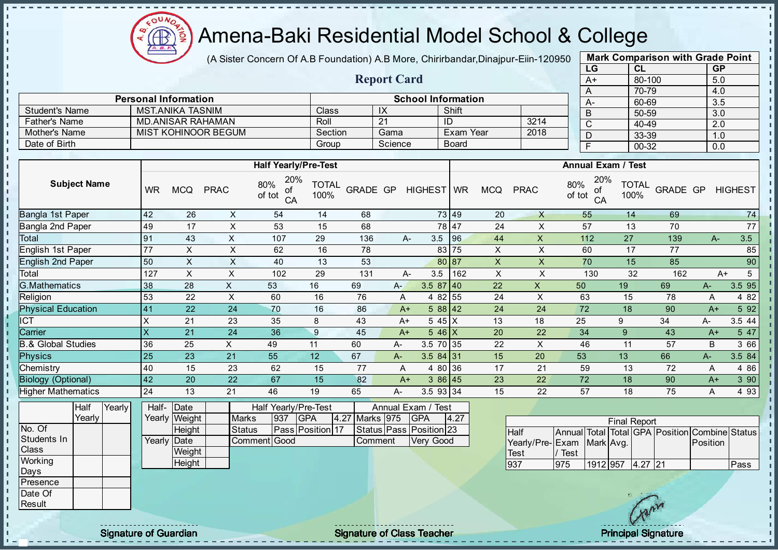

(A Sister Concern Of A.B Foundation) A.B More, Chirirbandar, Dinajpur-Eiin-120950

Report Card

Personal Information School Information

Student's Name MST.ANIKA TASNIM Class IX Shift

| <b>Mark Comparison with Grade Point</b> |        |           |  |  |  |  |  |  |  |  |  |
|-----------------------------------------|--------|-----------|--|--|--|--|--|--|--|--|--|
| LG                                      | CL     | <b>GP</b> |  |  |  |  |  |  |  |  |  |
| $A+$                                    | 80-100 | 5.0       |  |  |  |  |  |  |  |  |  |
| 70-79<br>4.0<br>A                       |        |           |  |  |  |  |  |  |  |  |  |
| A-                                      | 60-69  | 3.5       |  |  |  |  |  |  |  |  |  |
| B                                       | 50-59  | 3.0       |  |  |  |  |  |  |  |  |  |
| C                                       | 40-49  | 2.0       |  |  |  |  |  |  |  |  |  |
| D                                       | 33-39  | 1.0       |  |  |  |  |  |  |  |  |  |
| F                                       | 00-32  | 0.0       |  |  |  |  |  |  |  |  |  |
|                                         |        |           |  |  |  |  |  |  |  |  |  |

| <b>Father's Name</b>          |                 | <b>MD.ANISAR RAHAMAN</b> |                            |                                  | Roll                 |                   | 21      | ID                               |                  |                           | 3214         | $\overline{C}$                                 | 40-49                |                 | $\overline{2.0}$ |                |
|-------------------------------|-----------------|--------------------------|----------------------------|----------------------------------|----------------------|-------------------|---------|----------------------------------|------------------|---------------------------|--------------|------------------------------------------------|----------------------|-----------------|------------------|----------------|
| Mother's Name                 |                 |                          | <b>MIST KOHINOOR BEGUM</b> |                                  | Section              |                   | Gama    |                                  | <b>Exam Year</b> |                           | 2018         | D                                              | 33-39                |                 | 1.0              |                |
| Date of Birth                 |                 |                          |                            |                                  | Group                |                   | Science |                                  | <b>Board</b>     |                           |              | Ē                                              | $00 - 32$            |                 | 0.0              |                |
|                               |                 |                          |                            |                                  |                      |                   |         |                                  |                  |                           |              |                                                |                      |                 |                  |                |
|                               |                 |                          |                            | <b>Half Yearly/Pre-Test</b>      |                      |                   |         |                                  |                  |                           |              | Annual Exam / Test                             |                      |                 |                  |                |
| <b>Subject Name</b>           | <b>WR</b>       | <b>MCQ</b>               | <b>PRAC</b>                | 20%<br>80%<br>οt<br>of tot<br>CA | <b>TOTAL</b><br>100% | <b>GRADE GP</b>   |         | <b>HIGHEST</b>                   | <b>WR</b>        | <b>MCQ</b>                | <b>PRAC</b>  | 20%<br>80%<br>οf<br>of tot<br>CA               | <b>TOTAL</b><br>100% | <b>GRADE GP</b> |                  | <b>HIGHEST</b> |
| Bangla 1st Paper              | 42              | 26                       | X                          | 54                               | 14                   | 68                |         |                                  | 73 49            | 20                        | X            | 55                                             | 14                   | 69              |                  | 74             |
| Bangla 2nd Paper              | 49              | 17                       | X                          | 53                               | 15                   | 68                |         |                                  | 78 47            | 24                        | X            | 57                                             | 13                   | 70              |                  | 77             |
| Total                         | 91              | 43                       | X                          | 107                              | 29                   | 136               |         | 3.5<br>А-                        | 96               | 44                        | $\sf X$      | 112                                            | 27                   | 139             | $A-$             | 3.5            |
| English 1st Paper             | 77              | X                        | X                          | 62                               | 16                   | 78                |         |                                  | 83 75            | X                         | X            | 60                                             | 17                   | 77              |                  | 85             |
| <b>English 2nd Paper</b>      | 50              | X                        | X                          | 40                               | 13                   | 53                |         |                                  | 80 87            | $\mathsf X$               | X            | 70                                             | 15                   | 85              |                  | 90             |
| Total                         | 127             | X                        | X                          | 102                              | 29                   | 131               |         | 3.5<br>А-                        | 162              | $\boldsymbol{\mathsf{X}}$ | X            | 130                                            | 32                   | 162             |                  | 5<br>$A+$      |
| <b>G.Mathematics</b>          | 38              | 28                       | X                          | 53                               | 16                   | 69                | $A -$   | $3.587$ 40                       |                  | 22                        | $\mathsf{X}$ | 50                                             | 19                   | 69              | A-               | 3.5 95         |
| Religion                      | 53              | 22                       | $\pmb{\times}$             | 60                               | 16                   | 76                | A       | 4 8 2                            | 55               | 24                        | X            | 63                                             | 15                   | 78              | A                | 4 8 2          |
| <b>Physical Education</b>     | 41              | 22                       | 24                         | 70                               | 16                   | 86                | $A+$    | $588$ 42                         |                  | 24                        | 24           | 72                                             | 18                   | 90              | $A+$             | 5 9 2          |
| <b>CT</b>                     | X               | 21                       | 23                         | 35                               | 8                    | 43                | $A+$    | 5 45 X                           |                  | 13                        | 18           | 25                                             | 9                    | 34              | A-               | 3.5 44         |
| Carrier                       | X               | 21                       | 24                         | 36                               | $\overline{9}$       | 45                | $A+$    | $5.46\text{X}$                   |                  | 20                        | 22           | 34                                             | 9                    | 43              | $A+$             | 5 47           |
| <b>B.&amp; Global Studies</b> | 36              | 25                       | X                          | 49                               | 11                   | 60                | $A -$   | 3.5 70                           | 35               | 22                        | X            | 46                                             | 11                   | 57              | B                | 3 66           |
| <b>Physics</b>                | 25              | 23                       | 21                         | 55                               | 12                   | 67                | A-      | $3.584$ 31                       |                  | 15                        | 20           | 53                                             | 13                   | 66              | A-               | 3.5 84         |
| Chemistry                     | 40              | 15                       | 23                         | 62                               | 15                   | 77                | A       | 4 80 36                          |                  | 17                        | 21           | 59                                             | 13                   | 72              | A                | 4 8 6          |
| <b>Biology (Optional)</b>     | 42              | 20                       | 22                         | 67                               | 15                   | 82                | $A+$    | 3 86 45                          |                  | 23                        | 22           | 72                                             | 18                   | 90              | $A+$             | 3 90           |
| <b>Higher Mathematics</b>     | 24              | 13                       | 21                         | 46                               | 19                   | 65                | А-      | 3.5 93 34                        |                  | 15                        | 22           | 57                                             | 18                   | 75              | A                | 4 9 3          |
| Half<br>Yearly<br>Yearly      | Half-<br>Yearly | Date<br>Weight           | <b>Marks</b>               | Half Yearly/Pre-Test<br>937      | <b>GPA</b>           | 4.27<br>Marks 975 |         | Annual Exam / Test<br><b>GPA</b> | 4.27             |                           |              |                                                |                      |                 |                  |                |
| No. Of                        |                 | Height                   | <b>Status</b>              |                                  | Pass Position 17     |                   |         | Status Pass Position 23          |                  |                           | <b>Half</b>  | Annual Total Total GPA Position Combine Status | <b>Final Report</b>  |                 |                  |                |
|                               |                 |                          |                            |                                  |                      |                   |         |                                  |                  |                           |              |                                                |                      |                 |                  |                |

|  |             |        |               | . | ---              | . | .       | .                       | . |                           |      |          | Filial Report |        |                                                |      |
|--|-------------|--------|---------------|---|------------------|---|---------|-------------------------|---|---------------------------|------|----------|---------------|--------|------------------------------------------------|------|
|  |             | Height | <b>Status</b> |   | Pass Position 17 |   |         | Status Pass Position 23 |   | Half                      |      |          |               |        | Annual Total Total GPA Position Combine Status |      |
|  | Yearly Date |        | CommentIGood  |   |                  |   | Comment | Very Good               |   | Yearly/Pre-Exam Mark Avg. |      |          |               |        | Position                                       |      |
|  |             | Weight |               |   |                  |   |         |                         |   | Test                      | Test |          |               |        |                                                |      |
|  |             | Height |               |   |                  |   |         |                         |   | 937                       | 975  | 1912 957 | $4.27$ 21     |        |                                                | Pass |
|  |             |        |               |   |                  |   |         |                         |   |                           |      |          |               |        |                                                |      |
|  |             |        |               |   |                  |   |         |                         |   |                           |      |          |               |        |                                                |      |
|  |             |        |               |   |                  |   |         |                         |   |                           |      |          |               | $-5\%$ |                                                |      |
|  |             |        |               |   |                  |   |         |                         |   |                           |      |          |               |        |                                                |      |

Students In **Class Working** Days Presence Date Of **Result** 

J. - II - II J. J.  $\blacksquare$ 

× × J. л л - II  $\mathbf{I}$  $\blacksquare$ × J. п

 $\mathbf{I}$  $\mathbf{I}$  $\mathbf{I}$ **II**  $\mathbf{r}$  $\mathbf{I}$  $\mathbf{I}$ h, i, L۳  $\mathbf{I}$  $\mathbf{r}$  $\mathbf{I}$ ñ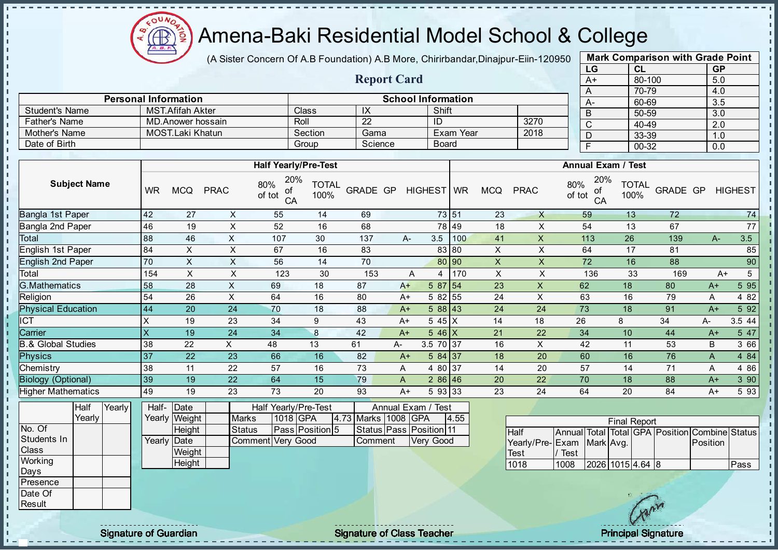

(A Sister Concern Of A.B Foundation) A.B More, Chirirbandar, Dinajpur-Eiin-120950

Report Card

Personal Information and The School Information

Father's Name MD.Anower hossain Roll 22 ID 3270

Student's Name MST.Afifah Akter Class IX Shift<br>
Father's Name MD.Anower hossain Roll 22 ID

| <b>Mark Comparison with Grade Point</b> |           |  |  |  |  |  |  |  |  |
|-----------------------------------------|-----------|--|--|--|--|--|--|--|--|
| CL                                      | <b>GP</b> |  |  |  |  |  |  |  |  |
| 80-100                                  | 5.0       |  |  |  |  |  |  |  |  |
| 70-79                                   | 4.0       |  |  |  |  |  |  |  |  |
| 60-69                                   | 3.5       |  |  |  |  |  |  |  |  |
| 50-59                                   | 3.0       |  |  |  |  |  |  |  |  |
| 40-49                                   | 2.0       |  |  |  |  |  |  |  |  |
| 33-39                                   | 1.0       |  |  |  |  |  |  |  |  |
| 00-32                                   | 0.0       |  |  |  |  |  |  |  |  |
|                                         |           |  |  |  |  |  |  |  |  |

| Mother's Name                 |                           | <b>MOST.Laki Khatun</b> |               |                                  | Section              | Gama                    |                    |              | Exam Year |             | 2018        | D                                              | 33-39                |          | 1.0      |                |
|-------------------------------|---------------------------|-------------------------|---------------|----------------------------------|----------------------|-------------------------|--------------------|--------------|-----------|-------------|-------------|------------------------------------------------|----------------------|----------|----------|----------------|
| Date of Birth                 |                           |                         |               | Group                            |                      | Science                 |                    | <b>Board</b> |           |             |             | F                                              | 00-32                |          | 0.0      |                |
|                               |                           |                         |               |                                  |                      |                         |                    |              |           |             |             |                                                |                      |          |          |                |
|                               |                           |                         |               | <b>Half Yearly/Pre-Test</b>      |                      |                         |                    |              |           |             |             | <b>Annual Exam / Test</b>                      |                      |          |          |                |
| <b>Subject Name</b>           | <b>WR</b>                 | <b>MCQ</b>              | <b>PRAC</b>   | 20%<br>80%<br>οf<br>of tot<br>CA | <b>TOTAL</b><br>100% | <b>GRADE GP</b>         |                    | HIGHEST WR   |           | <b>MCQ</b>  | <b>PRAC</b> | 20%<br>80%<br>0f<br>of tot<br>CA               | <b>TOTAL</b><br>100% | GRADE GP |          | <b>HIGHEST</b> |
| Bangla 1st Paper              | 42                        | 27                      | X             | 55                               | 14                   | 69                      |                    | 73 51        |           | 23          | X           | 59                                             | 13                   | 72       |          | 74             |
| Bangla 2nd Paper              | 46                        | 19                      | $\sf X$       | 52                               | 16                   | 68                      |                    | 78 49        |           | 18          | X           | 54                                             | 13                   | 67       |          | 77             |
| Total                         | 88                        | 46                      | X             | 107                              | 30                   | 137                     | А-                 | 3.5          | 100       | 41          | X           | 113                                            | 26                   | 139      | $A -$    | 3.5            |
| English 1st Paper             | 84                        | X                       | X             | 67                               | 16                   | 83                      |                    | 83 80        |           | X           | X           | 64                                             | 17                   | 81       |          | 85             |
| <b>English 2nd Paper</b>      | 70                        | X                       | X             | 56                               | 14                   | 70                      |                    | 80 90        |           | $\mathsf X$ | X           | 72                                             | 16                   | 88       |          | 90             |
| Total                         | 154                       | X                       | X             | 123                              | 30                   | 153                     | Α                  | 4            | 170       | X           | X           | 136                                            | 33                   | 169      | $A+$     | 5              |
| <b>G.Mathematics</b>          | 58                        | 28                      | X             | 69                               | 18                   | 87                      | $A+$               | $587$ 54     |           | 23          | X           | 62                                             | 18                   | 80       | $A+$     | 5 9 5          |
| Religion                      | 54                        | 26                      | X             | 64                               | 16                   | 80                      | $A+$               | 5 82 55      |           | 24          | X           | 63                                             | 16                   | 79       | Α        | 4 8 2          |
| <b>Physical Education</b>     | 44                        | 20                      | 24            | 70                               | 18                   | 88                      | $A+$               | 588 43       |           | 24          | 24          | 73                                             | 18                   | 91       | $A+$     | 5 9 2          |
| ICT                           | $\boldsymbol{\mathsf{X}}$ | 19                      | 23            | 34                               | 9                    | 43                      | $A+$               | $545 \mid X$ |           | 14          | 18          | 26                                             | 8                    | 34       | А-       | 3.5 44         |
| Carrier                       | $\overline{\mathsf{x}}$   | 19                      | 24            | 34                               | 8                    | 42                      | $A+$               | $546$ X      |           | 21          | 22          | 34                                             | 10                   | 44       | $A+$     | 5 47           |
| <b>B.&amp; Global Studies</b> | 38                        | 22                      | X.            | 48                               | 13                   | 61                      | A-                 | 3.5 70 37    |           | 16          | X           | 42                                             | 11                   | 53       | B        | 3 66           |
| <b>Physics</b>                | 37                        | 22                      | 23            | 66                               | 16                   | 82                      | $A+$               | 584 37       |           | 18          | 20          | 60                                             | 16                   | 76       | A        | 4 8 4          |
| Chemistry                     | 38                        | 11                      | 22            | 57                               | 16                   | 73                      | A                  | 4 80 37      |           | 14          | 20          | 57                                             | 14                   | 71       | Α        | 4 8 6          |
| <b>Biology (Optional)</b>     | 39                        | 19                      | 22            | 64                               | 15                   | 79                      | A                  | $286$ 46     |           | 20          | 22          | 70                                             | 18                   | 88       | $A+$     | 3 90           |
| <b>Higher Mathematics</b>     | 49                        | 19                      | 23            | 73                               | 20                   | 93                      | $A+$               | 5 93 33      |           | 23          | 24          | 64                                             | 20                   | 84       | $A+$     | 5 9 3          |
| Half<br>Yearly<br>Yearly      | Half-<br>Yearly           | Date<br>Weight          | <b>Marks</b>  | Half Yearly/Pre-Test<br>1018 GPA |                      | 4.73 Marks 1008 GPA     | Annual Exam / Test |              | 4.55      |             |             |                                                |                      |          |          |                |
| No. Of                        |                           | Height                  | <b>Status</b> |                                  | Pass Position 5      | Status Pass Position 11 |                    |              |           |             | Half        | Annual Total Total GPA Position Combine Status | <b>Final Report</b>  |          |          |                |
| Students In                   |                           | Yearly Date             |               | Comment Very Good                |                      | Comment                 |                    | Very Good    |           |             |             | Yearly/Pre-Exam Mark Avg.                      |                      |          | Position |                |

**Weight Height** 

**Class Working** Days Presence Date Of **Result** 

l n l n  $\mathbf{r}$ - II - II J.  $\mathbf{r}$  $\mathbf{I}$  $\mathbf{I}$ l n  $\mathbf{I}$  $\mathbf{I}$ J. - II J.  $\mathbf{r}$  $\mathbf{I}$  $\mathbf{I}$  $\mathbf{I}$  $\mathbf{I}$  $\mathbf{I}$  $\mathbf{I}$  $\mathbf{L}$  $\mathbf{I}$  $\mathbf{I}$  $\mathbf{I}$  $\mathbf{I}$  $\mathbf{I}$ ÷.  $\mathbf{I}$ a. п п T. J. J. T.  $\mathbf{I}$  $\mathbf{I}$  $\mathbf{I}$  $\mathbf{I}$  $\mathbf{I}$  $\mathbf{I}$ l ni h. h. li. l ni h  $\mathbf{I}$ - II  $\frac{1}{1}$ - II

Signature of Guardian Signature of Class Teacher Principal Signature of Class Teacher Principal Signature

Test<br>1018

/ Test<br>1008

2026 1015 4.64 8 Pass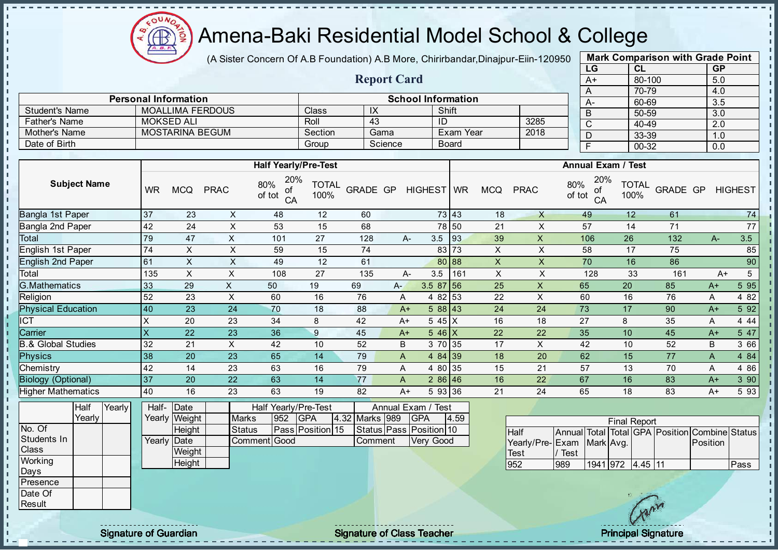

(A Sister Concern Of A.B Foundation) A.B More, Chirirbandar, Dinajpur-Eiin-120950

Report Card

Personal Information School Information

Father's Name | MOKSED ALI | Roll | 43 | ID | 3285

Student's Name MOALLIMA FERDOUS Class IX Shift<br>
Father's Name MOKSED ALI Roll 43 ID

| <b>Mark Comparison with Grade Point</b> |           |           |  |  |  |  |  |  |  |
|-----------------------------------------|-----------|-----------|--|--|--|--|--|--|--|
| LG                                      | CL        | <b>GP</b> |  |  |  |  |  |  |  |
| A+                                      | 80-100    | 5.0       |  |  |  |  |  |  |  |
| A                                       | 70-79     | 4.0       |  |  |  |  |  |  |  |
| A-                                      | 60-69     | 3.5       |  |  |  |  |  |  |  |
| B                                       | 50-59     | 3.0       |  |  |  |  |  |  |  |
| C                                       | 40-49     | 2.0       |  |  |  |  |  |  |  |
| D                                       | 33-39     | 1.0       |  |  |  |  |  |  |  |
| F                                       | $00 - 32$ | 0.0       |  |  |  |  |  |  |  |
|                                         |           |           |  |  |  |  |  |  |  |

| Mother's Name                 | MOSTARINA BEGUM |                |               |                                  | Section<br>Gama      |                 | Exam Year |                                  | 2018         | D                         |                                |               | 33-39              |                      |                                   |            |                |
|-------------------------------|-----------------|----------------|---------------|----------------------------------|----------------------|-----------------|-----------|----------------------------------|--------------|---------------------------|--------------------------------|---------------|--------------------|----------------------|-----------------------------------|------------|----------------|
| Date of Birth                 |                 |                |               |                                  | Group                |                 | Science   |                                  | <b>Board</b> |                           |                                | F             |                    | $00 - 32$            |                                   | 1.0<br>0.0 |                |
|                               |                 |                |               |                                  |                      |                 |           |                                  |              |                           |                                |               |                    |                      |                                   |            |                |
|                               |                 |                |               | <b>Half Yearly/Pre-Test</b>      |                      |                 |           |                                  |              |                           |                                |               | Annual Exam / Test |                      |                                   |            |                |
| <b>Subject Name</b>           | <b>WR</b>       | <b>MCQ</b>     | <b>PRAC</b>   | 20%<br>80%<br>of<br>of tot<br>CA | <b>TOTAL</b><br>100% | <b>GRADE GP</b> |           | <b>HIGHEST</b>                   | <b>WR</b>    | <b>MCQ</b>                | <b>PRAC</b>                    | 80%<br>of tot | 20%<br>οf<br>CA    | <b>TOTAL</b><br>100% | <b>GRADE GP</b>                   |            | <b>HIGHEST</b> |
| Bangla 1st Paper              | 37              | 23             | X             | 48                               | 12                   | 60              |           |                                  | 73 43        | 18                        | X                              | 49            |                    | 12                   | 61                                |            | 74             |
| Bangla 2nd Paper              | 42              | 24             | $\mathsf X$   | 53                               | 15                   | 68              |           |                                  | 78 50        | 21                        | X                              | 57            |                    | 14                   | 71                                |            | 77             |
| Total                         | 79              | 47             | X             | 101                              | 27                   | 128             |           | A-                               | 3.5<br>93    | 39                        | X                              | 106           |                    | 26                   | 132                               | $A -$      | 3.5            |
| English 1st Paper             | 74              | $\mathsf X$    | $\times$      | 59                               | 15                   | 74              |           |                                  | 73<br>83     | $\mathsf X$               | X                              | 58            |                    | 17                   | 75                                |            | 85             |
| <b>English 2nd Paper</b>      | 61              | X              | X             | 49                               | 12                   | 61              |           |                                  | 88<br>80     | $\mathsf{x}$              | X                              | 70            |                    | 16                   | 86                                |            | 90             |
| Total                         | 135             | $\mathsf X$    | X             | 108                              | 27                   | 135             |           | 3.5<br>А-                        | 161          | $\boldsymbol{\mathsf{X}}$ | X                              |               | 128                | 33                   | 161                               | $A+$       | 5              |
| <b>G.Mathematics</b>          | 33              | 29             | X             | 50                               | 19                   | 69              | A-        |                                  | $3.587$ 56   | 25                        | $\boldsymbol{\mathsf{X}}$      | 65            |                    | 20                   | 85                                | $A+$       | 5 9 5          |
| Religion                      | 52              | 23             | X             | 60                               | 16                   | 76              |           | A                                | 53<br>4 8 2  | 22                        | $\pmb{\times}$                 | 60            |                    | 16                   | 76                                | Α          | 4 8 2          |
| <b>Physical Education</b>     | 40              | 23             | 24            | 70                               | 18                   | 88              |           | $A+$                             | 588 43       | 24                        | 24                             | 73            |                    | 17                   | 90                                | $A+$       | 5 9 2          |
| $\overline{\text{CT}}$        |                 | 20             | 23            | 34                               | 8                    | 42              |           | $A+$                             | 5 45 X       | 16                        | 18                             | 27            |                    | 8                    | 35                                | Α          | 4 4 4          |
| Carrier                       | $\sf X$         | 22             | 23            | 36                               | 9                    | 45              |           | $A+$                             | $546$ X      | 22                        | 22                             | 35            |                    | 10                   | 45                                | $A+$       | 5 47           |
| <b>B.&amp; Global Studies</b> | 32              | 21             | X             | 42                               | 10                   | 52              |           | B                                | 3 70 35      | 17                        | X                              | 42            |                    | 10                   | 52                                | B          | 3 66           |
| <b>Physics</b>                | 38              | 20             | 23            | 65                               | 14                   | 79              |           | A                                | 4 84 39      | 18                        | 20                             | 62            |                    | 15                   | 77                                | A          | 4 8 4          |
| Chemistry                     | 42              | 14             | 23            | 63                               | 16                   | 79              |           | 4 80<br>Α                        | 35           | 15                        | 21                             | 57            |                    | 13                   | 70                                | Α          | 4 8 6          |
| <b>Biology (Optional)</b>     | 37              | 20             | 22            | 63                               | 14                   | 77              |           | A                                | 286 46       | 16                        | 22                             | 67            |                    | 16                   | 83                                | $A+$       | 3 90           |
| <b>Higher Mathematics</b>     | 40              | 16             | 23            | 63                               | 19                   | 82              |           | $A+$                             | 5 93 36      | 21                        | 24                             | 65            |                    | 18                   | 83                                | $A+$       | 5 9 3          |
| Yearly<br>Half<br>Yearly      | Half-<br>Yearly | Date<br>Weight | <b>Marks</b>  | Half Yearly/Pre-Test<br>952      | <b>GPA</b>           | 4.32 Marks 989  |           | Annual Exam / Test<br><b>GPA</b> | 4.59         |                           |                                |               |                    | <b>Final Report</b>  |                                   |            |                |
| No. Of                        |                 | Height         | <b>Status</b> |                                  | Pass Position 15     |                 |           | Status Pass Position 10          |              |                           | Half                           | Annual        | Total              |                      | Total GPA Position Combine Status |            |                |
| Students In<br>Class          | Yearly          | Date<br>Weight |               | Comment Good                     |                      |                 | Comment   | <b>Very Good</b>                 |              |                           | Yearly/Pre-Exam<br><b>Test</b> | / Test        | Mark Avg.          |                      |                                   | Position   |                |
| Working<br>Days               |                 | Height         |               |                                  |                      |                 |           |                                  |              |                           | 952                            | 989           |                    | 1941 972 4.45 11     |                                   |            | Pass           |

Presence Date Of **Result** 

 $\mathbf{I}$ J.  $\mathbf{r}$ 

- II

 $\mathbf{I}$ - II J.  $\mathbf{I}$ J. -8 J. a. п п T. J. J. J.  $\mathbf{I}$ J.  $\blacksquare$ 

 $\mathbf{I}$  $\mathbf{I}$  $\mathbf{r}$  $\mathbf{u}$  $\mathbf{u}$ 

ñ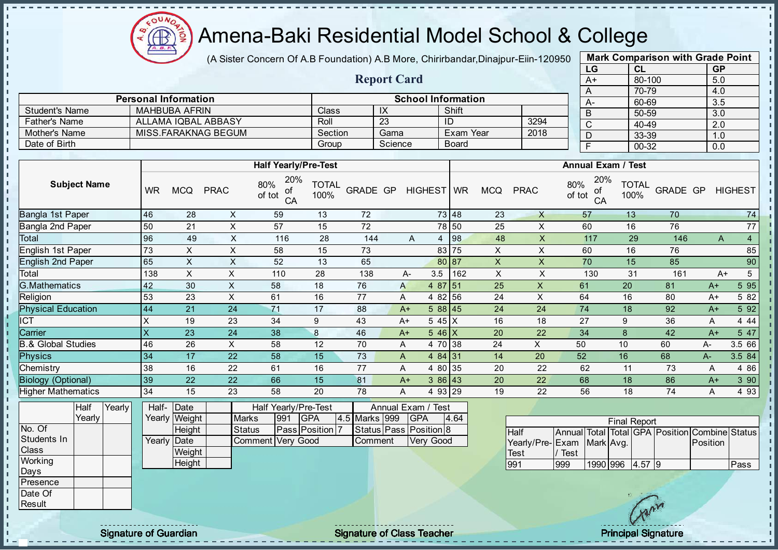

- II - II

J.

-8 J. п J. J. - II  $\mathbf{r}$ J.

 $\blacksquare$  $\blacksquare$  $\mathbf{I}$  $\mathbf{u}$  $\mathbf{I}$ 

- II л - II

#### Amena-Baki Residential Model School & College

(A Sister Concern Of A.B Foundation) A.B More, Chirirbandar, Dinajpur-Eiin-120950

Report Card

Personal Information School Information

MISS.FARAKNAG BEGUM Section Gama Exam Year

Father's Name ALLAMA IQBAL ABBASY Roll 23 ID 3294

Student's Name MAHBUBA AFRIN Class IX Shift<br>
Father's Name ALLAMA IQBAL ABBASY Roll 23 ID

Date of Birth Group Science Board

| <b>Mark Comparison with Grade Point</b> |           |           |  |  |  |  |  |  |  |  |  |
|-----------------------------------------|-----------|-----------|--|--|--|--|--|--|--|--|--|
| LG                                      | <b>CL</b> | <b>GP</b> |  |  |  |  |  |  |  |  |  |
| $A+$                                    | 80-100    | 5.0       |  |  |  |  |  |  |  |  |  |
| A                                       | 70-79     | 4.0       |  |  |  |  |  |  |  |  |  |
| A-                                      | 60-69     | 3.5       |  |  |  |  |  |  |  |  |  |
| B                                       | 50-59     | 3.0       |  |  |  |  |  |  |  |  |  |
| C                                       | 40-49     | 2.0       |  |  |  |  |  |  |  |  |  |
| D                                       | 33-39     | 1.0       |  |  |  |  |  |  |  |  |  |
| F                                       | 00-32     | 0.0       |  |  |  |  |  |  |  |  |  |
|                                         |           |           |  |  |  |  |  |  |  |  |  |

л h,

|                                       |           |                                 |                           | <b>Half Yearly/Pre-Test</b>      |                      |               |                                     |                       |                           |                                        |               | <b>Annual Exam / Test</b> |                      |                                                |          |                 |
|---------------------------------------|-----------|---------------------------------|---------------------------|----------------------------------|----------------------|---------------|-------------------------------------|-----------------------|---------------------------|----------------------------------------|---------------|---------------------------|----------------------|------------------------------------------------|----------|-----------------|
| <b>Subject Name</b>                   | <b>WR</b> | <b>MCQ</b>                      | <b>PRAC</b>               | 20%<br>80%<br>οf<br>of tot<br>CA | <b>TOTAL</b><br>100% | GRADE GP      | HIGHEST WR                          |                       | <b>MCQ</b>                | <b>PRAC</b>                            | 80%<br>of tot | 20%<br>of<br>CA           | <b>TOTAL</b><br>100% | GRADE GP                                       |          | <b>HIGHEST</b>  |
| Bangla 1st Paper                      | 46        | 28                              | X                         | 59                               | 13                   | 72            |                                     | 73 48                 | 23                        | $\mathsf{X}$                           |               | 57                        | 13                   | 70                                             |          | 74              |
| Bangla 2nd Paper                      | 50        | 21                              | $\sf X$                   | 57                               | 15                   | 72            |                                     | 78 50                 | 25                        | X                                      |               | 60                        | 16                   | 76                                             |          | 77              |
| Total                                 | 96        | 49                              | $\times$                  | 116                              | 28                   | 144           | $\overline{A}$                      | 98 <br>$\overline{4}$ | 48                        | X                                      |               | 117                       | 29                   | 146                                            | A        | $\overline{4}$  |
| English 1st Paper                     | 73        | $\boldsymbol{\mathsf{X}}$       | $\pmb{\times}$            | 58                               | 15                   | 73            |                                     | 83 75                 | $\mathsf X$               | X                                      |               | 60                        | 16                   | 76                                             |          | 85              |
| <b>English 2nd Paper</b>              | 65        | $\times$                        | X                         | 52                               | 13                   | 65            |                                     | 187<br>80             | X                         | $\mathsf{X}$                           |               | 70                        | 15                   | 85                                             |          | 90              |
| Total                                 | 138       | $\boldsymbol{\mathsf{X}}$       | $\boldsymbol{\mathsf{X}}$ | 110                              | 28                   | 138           | 3.5<br>A-                           | 162                   | $\boldsymbol{\mathsf{X}}$ | $\pmb{\times}$                         |               | 130                       | 31                   | 161                                            | $A+$     | $5\overline{)}$ |
| <b>G.Mathematics</b>                  | 42        | 30                              | $\mathsf{X}$              | 58                               | 18                   | 76            | A                                   | 4 87 51               | 25                        | $\pmb{\times}$                         | 61            |                           | 20                   | 81                                             | $A+$     | 595             |
| Religion                              | 53        | 23                              | $\times$                  | 61                               | 16                   | 77            | A                                   | 4 82 56               | 24                        | $\times$                               | 64            |                           | 16                   | 80                                             | $A+$     | 5 82            |
| <b>Physical Education</b>             | 44        | 21                              | 24                        | 71                               | 17                   | 88            | $A+$                                | 588 45                | 24                        | 24                                     | 74            |                           | 18                   | 92                                             | $A+$     | 5 9 2           |
| <b>ICT</b>                            | X         | 19                              | 23                        | 34                               | 9                    | 43            | $A+$                                | 5 45 X                | 16                        | 18                                     | 27            |                           | 9                    | 36                                             | A        | 4 4 4           |
| Carrier                               | X         | 23                              | 24                        | 38                               | $\bf 8$              | 46            | $A+$                                | $546$ X               | 20                        | 22                                     | 34            |                           | 8                    | 42                                             | $A+$     | 5 47            |
| <b>B.&amp; Global Studies</b>         | 46        | 26                              | $\times$                  | 58                               | 12                   | 70            | A                                   | 4 70 38               | 24                        | X                                      | 50            |                           | 10                   | 60                                             | $A -$    | 3.5 66          |
| <b>Physics</b>                        | 34        | 17                              | 22                        | 58                               | 15                   | 73            | A                                   | 4 84 31               | 14                        | 20                                     | 52            |                           | 16                   | 68                                             | A-       | 3.5 84          |
| Chemistry                             | 38        | 16                              | 22                        | 61                               | 16                   | 77            | A                                   | 4 80 35               | 20                        | 22                                     | 62            |                           | 11                   | 73                                             | A        | 4 8 6           |
| <b>Biology (Optional)</b>             | 39        | 22                              | 22                        | 66                               | 15                   | 81            | $A+$                                | $386$ 43              | 20                        | 22                                     | 68            |                           | 18                   | 86                                             | $A+$     | 3 90            |
| <b>Higher Mathematics</b>             | 34        | 15                              | 23                        | 58                               | 20                   | 78            | А                                   | 4 93 29               | 19                        | 22                                     | 56            |                           | 18                   | 74                                             | Α        | 4 9 3           |
| Half<br>Yearly<br>Yearly              | Half-     | Date<br>Yearly Weight           | <b>Marks</b>              | Half Yearly/Pre-Test<br>991      | <b>GPA</b>           | 4.5 Marks 999 | Annual Exam / Test<br><b>GPA</b>    | 4.64                  |                           |                                        |               |                           | <b>Final Report</b>  |                                                |          |                 |
| No. Of<br>Students In<br><b>Class</b> |           | Height<br>Yearly Date<br>Weight | <b>Status</b>             | Comment Very Good                | Pass Position 7      | Comment       | Status Pass Position 8<br>Very Good |                       |                           | <b>Half</b><br>Yearly/Pre-Exam<br>Test | Test          | Mark Avg.                 |                      | Annual Total Total GPA Position Combine Status | Position |                 |
| Working<br>Days                       |           | Height                          |                           |                                  |                      |               |                                     |                       |                           | 991                                    | 999           | 1990 996                  | 4.57 9               |                                                |          | Pass            |
| Presence<br>Date Of<br>Result         |           |                                 |                           |                                  |                      |               |                                     |                       |                           |                                        |               |                           |                      |                                                |          |                 |

Signature of Guardian Teacher Signature of Class Teacher Principal Signature of Class Teacher Principal Signature

 $\mathcal{N}$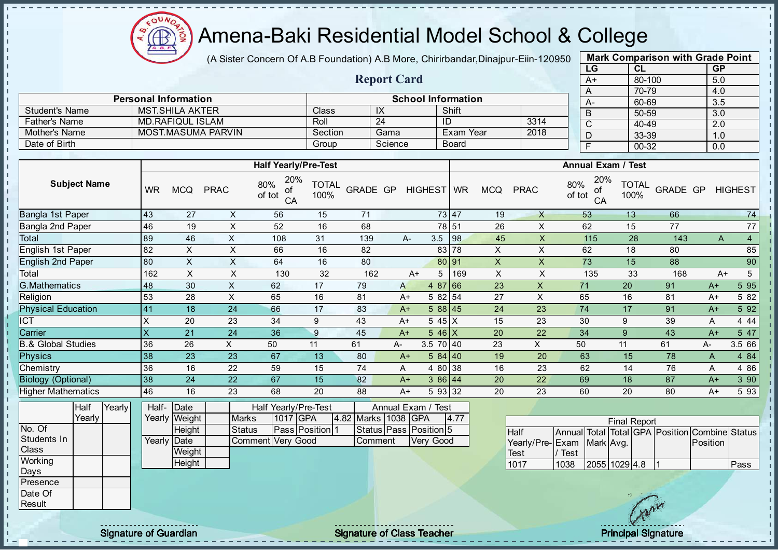Æ

- II - II

J.

-8

J.

п J. J. - II  $\mathbf{I}$ 

J.

 $\blacksquare$  $\blacksquare$ 

 $\blacksquare$  $\mathbf{I}$ 

 $\mathbf{I}$ л - II

### Amena-Baki Residential Model School & College

(A Sister Concern Of A.B Foundation) A.B More, Chirirbandar, Dinajpur-Eiin-120950

Report Card

Personal Information School Information

MOST.MASUMA PARVIN Section Gama Exam Year

Father's Name MD.RAFIQUL ISLAM Roll 24 ID 3314<br>
Mother's Name MOST.MASUMA PARVIN Section Gama Exam Year 2018

Student's Name MST.SHILA AKTER<br>
Father's Name MD.RAFIQUL ISLAM Roll 24 ID

Date of Birth Board Group Science Board

| <b>Mark Comparison with Grade Point</b> |        |           |  |  |  |  |  |  |  |  |  |
|-----------------------------------------|--------|-----------|--|--|--|--|--|--|--|--|--|
| LG                                      | CL     | <b>GP</b> |  |  |  |  |  |  |  |  |  |
| $A+$                                    | 80-100 | 5.0       |  |  |  |  |  |  |  |  |  |
| A                                       | 70-79  | 4.0       |  |  |  |  |  |  |  |  |  |
| А-                                      | 60-69  | 3.5       |  |  |  |  |  |  |  |  |  |
| B                                       | 50-59  | 3.0       |  |  |  |  |  |  |  |  |  |
| C                                       | 40-49  | 2.0       |  |  |  |  |  |  |  |  |  |
| D                                       | 33-39  | 1.0       |  |  |  |  |  |  |  |  |  |
| F                                       | 00-32  | 0.0       |  |  |  |  |  |  |  |  |  |
|                                         |        |           |  |  |  |  |  |  |  |  |  |

п  $\mathbf{I}$ 

 $\mathbf{I}$ r.

J.

h,

п п

|                                                                   |           |                                                          |                               | <b>Half Yearly/Pre-Test</b>                           |                      |                                |      |                                                              |         |                           |                                 |                                  | <b>Annual Exam / Test</b>                                             |          |              |                         |
|-------------------------------------------------------------------|-----------|----------------------------------------------------------|-------------------------------|-------------------------------------------------------|----------------------|--------------------------------|------|--------------------------------------------------------------|---------|---------------------------|---------------------------------|----------------------------------|-----------------------------------------------------------------------|----------|--------------|-------------------------|
| <b>Subject Name</b>                                               | <b>WR</b> | <b>MCQ</b>                                               | <b>PRAC</b>                   | 20%<br>80%<br>of<br>of tot<br>CA                      | <b>TOTAL</b><br>100% | GRADE GP                       |      | HIGHEST WR                                                   |         | <b>MCQ</b>                | <b>PRAC</b>                     | 20%<br>80%<br>of<br>of tot<br>CA | <b>TOTAL</b><br>100%                                                  | GRADE GP |              | <b>HIGHEST</b>          |
| <b>Bangla 1st Paper</b>                                           | 43        | 27                                                       | $\pmb{\times}$                | 56                                                    | 15                   | $\overline{71}$                |      |                                                              | 73 47   | 19                        | $\times$                        | 53                               | 13                                                                    | 66       |              | $\overline{74}$         |
| Bangla 2nd Paper                                                  | 46        | 19                                                       | $\sf X$                       | 52                                                    | 16                   | 68                             |      |                                                              | 78 51   | 26                        | X                               | 62                               | 15                                                                    | 77       |              | 77                      |
| Total                                                             | 89        | 46                                                       | $\times$                      | 108                                                   | 31                   | 139                            |      | 3.5<br>A-                                                    | 98      | 45                        | X                               | 115                              | 28                                                                    | 143      | $\mathsf{A}$ | $\overline{4}$          |
| English 1st Paper                                                 | 82        | $\boldsymbol{\mathsf{X}}$                                | $\mathsf X$                   | 66                                                    | 16                   | 82                             |      |                                                              | 83 78   | X                         | X                               | 62                               | 18                                                                    | 80       |              | 85                      |
| <b>English 2nd Paper</b>                                          | 80        | $\boldsymbol{\mathsf{X}}$                                | $\boldsymbol{\mathsf{X}}$     | 64                                                    | 16                   | 80                             |      |                                                              | 80 91   | $\boldsymbol{\mathsf{X}}$ | $\mathsf{X}$                    | 73                               | 15                                                                    | 88       |              | 90                      |
| Total                                                             | 162       | $\boldsymbol{\mathsf{X}}$                                | $\pmb{\times}$                | 130                                                   | 32                   | 162                            |      | 5<br>$A+$                                                    | 169     | $\boldsymbol{\mathsf{X}}$ | $\times$                        | 135                              | 33                                                                    | 168      |              | $5\phantom{.0}$<br>$A+$ |
| <b>G.Mathematics</b>                                              | 48        | 30                                                       | X                             | 62                                                    | 17                   | 79                             | A    | 4 87                                                         | 66      | 23                        | $\mathsf{X}$                    | 71                               | 20                                                                    | 91       | $A+$         | 5 9 5                   |
| Religion                                                          | 53        | 28                                                       | $\times$                      | 65                                                    | 16                   | 81                             | $A+$ |                                                              | 5 82 54 | 27                        | $\pmb{\times}$                  | 65                               | 16                                                                    | 81       | $A+$         | 5 82                    |
| <b>Physical Education</b>                                         | 41        | 18                                                       | 24                            | 66                                                    | 17                   | 83                             | $A+$ |                                                              | 588 45  | 24                        | 23                              | 74                               | 17                                                                    | 91       | $A+$         | 5 9 2                   |
| <b>ICT</b>                                                        | X         | 20                                                       | 23                            | 34                                                    | 9                    | 43                             | $A+$ |                                                              | $545$ X | 15                        | 23                              | 30                               | 9                                                                     | 39       | Α            | 4 4 4                   |
| Carrier                                                           | X         | 21                                                       | 24                            | 36                                                    | $\boldsymbol{9}$     | 45                             | $A+$ |                                                              | $546$ X | 20                        | 22                              | 34                               | 9                                                                     | 43       | $A+$         | 5 47                    |
| <b>B.&amp; Global Studies</b>                                     | 36        | 26                                                       | X                             | 50                                                    | 11                   | 61                             | А-   | 3.5 70 40                                                    |         | 23                        | $\times$                        | 50                               | 11                                                                    | 61       | A-           | 3.5 66                  |
| <b>Physics</b>                                                    | 38        | 23                                                       | 23                            | 67                                                    | 13                   | 80                             | $A+$ |                                                              | 584 40  | 19                        | 20                              | 63                               | 15                                                                    | 78       | A            | 4 84                    |
| Chemistry                                                         | 36        | 16                                                       | 22                            | 59                                                    | 15                   | 74                             | A    |                                                              | 4 80 38 | 16                        | 23                              | 62                               | 14                                                                    | 76       | Α            | 4 8 6                   |
| <b>Biology (Optional)</b>                                         | 38        | 24                                                       | 22                            | 67                                                    | 15                   | 82                             | $A+$ |                                                              | 386 44  | 20                        | 22                              | 69                               | 18                                                                    | 87       | $A+$         | 3 90                    |
| <b>Higher Mathematics</b>                                         | 46        | 16                                                       | 23                            | 68                                                    | 20                   | 88                             | $A+$ |                                                              | 5 93 32 | 20                        | 23                              | 60                               | 20                                                                    | 80       | $A+$         | 5 9 3                   |
| Yearly<br>Half<br>Yearly<br>No. Of<br>Students In<br><b>Class</b> | Half-     | Date<br>Yearly Weight<br>Height<br>Yearly Date<br>Weight | <b>Marks</b><br><b>Status</b> | Half Yearly/Pre-Test<br>1017 GPA<br>Comment Very Good | Pass Position 1      | 4.82 Marks 1038 GPA<br>Comment |      | Annual Exam /<br>Test<br>Status Pass Position 5<br>Very Good | 4.77    |                           | Half<br>Yearly/Pre-Exam<br>Test | Annual Total<br>/ Test           | <b>Final Report</b><br>Total GPA Position Combine Status<br>Mark Avg. |          | Position     |                         |
| Working<br>Days<br>Presence<br>Date Of<br>Result                  |           | Height                                                   |                               |                                                       |                      |                                |      |                                                              |         |                           | 1017                            | 1038                             | 2055 1029 4.8                                                         |          |              | Pass                    |

Signature of Guardian Teacher Signature of Class Teacher Principal Signature of Class Teacher Principal Signature

 $\mathcal{N}$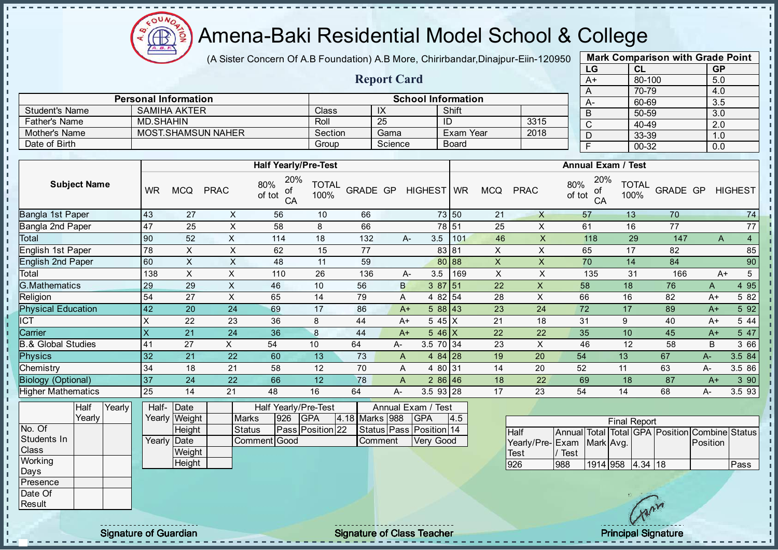

(A Sister Concern Of A.B Foundation) A.B More, Chirirbandar, Dinajpur-Eiin-120950

Report Card

| <b>Mark Comparison with Grade Point</b> |           |           |  |  |  |  |  |  |  |  |  |
|-----------------------------------------|-----------|-----------|--|--|--|--|--|--|--|--|--|
| LG                                      | <b>CL</b> | <b>GP</b> |  |  |  |  |  |  |  |  |  |
| $A+$                                    | 80-100    | 5.0       |  |  |  |  |  |  |  |  |  |
| A                                       | 70-79     | 4.0       |  |  |  |  |  |  |  |  |  |
| A-                                      | 60-69     | 3.5       |  |  |  |  |  |  |  |  |  |
| B                                       | 50-59     | 3.0       |  |  |  |  |  |  |  |  |  |
| C                                       | 40-49     | 2.0       |  |  |  |  |  |  |  |  |  |
| D                                       | 33-39     | 1.0       |  |  |  |  |  |  |  |  |  |
| F                                       | 00-32     | 0.0       |  |  |  |  |  |  |  |  |  |
|                                         |           |           |  |  |  |  |  |  |  |  |  |

|                       | <b>Personal Information</b> |         |            | <b>School Information</b> |      | $A-$ |
|-----------------------|-----------------------------|---------|------------|---------------------------|------|------|
| <b>Student's Name</b> | <b>SAMIHA AKTER</b>         | Class   | $\sqrt{ }$ | Shift                     |      |      |
| Father's Name         | MD SHAHIN                   | Roll    | 25         | IC                        | 3315 |      |
| Mother's Name         | <b>MOST.SHAMSUN NAHER</b>   | Section | Gama       | Exam Year                 | 2018 |      |
| Date of Birth         |                             | Group   | Science    | <b>Board</b>              |      |      |

| 20%<br>20%<br><b>Subject Name</b><br>80%<br><b>TOTAL</b><br>80%<br><b>TOTAL</b><br>HIGHEST WR<br><b>MCQ</b><br><b>MCQ</b><br><b>PRAC</b><br>GRADE GP<br><b>PRAC</b><br><b>WR</b><br>GRADE GP<br>οf<br>οf<br>of tot<br>100%<br>100%<br>of tot<br>CA<br>CA<br>73 50<br><b>Bangla 1st Paper</b><br>43<br>X<br>21<br>13<br>70<br>27<br>10<br>66<br>X<br>56<br>57<br><b>Bangla 2nd Paper</b><br>78 51<br>25<br>16<br>77<br>47<br>25<br>X<br>58<br>8<br>66<br>X<br>61 | <b>HIGHEST</b><br>74<br>77<br>$\overline{4}$ |
|-----------------------------------------------------------------------------------------------------------------------------------------------------------------------------------------------------------------------------------------------------------------------------------------------------------------------------------------------------------------------------------------------------------------------------------------------------------------|----------------------------------------------|
|                                                                                                                                                                                                                                                                                                                                                                                                                                                                 |                                              |
|                                                                                                                                                                                                                                                                                                                                                                                                                                                                 |                                              |
|                                                                                                                                                                                                                                                                                                                                                                                                                                                                 |                                              |
| Total<br>90<br>52<br>X<br>18<br>3.5<br>46<br>29<br>114<br>132<br>101<br>X.<br>118<br>147<br>А-<br>A                                                                                                                                                                                                                                                                                                                                                             |                                              |
| English 1st Paper<br>X<br>78<br>X.<br>X<br>62<br>15<br>77<br>83 81<br>X<br>17<br>82<br>65                                                                                                                                                                                                                                                                                                                                                                       | 85                                           |
| <b>English 2nd Paper</b><br>$\mathsf{X}$<br>60<br>X<br>X<br>48<br>80 88<br>70<br>14<br>84<br>11<br>59<br>X                                                                                                                                                                                                                                                                                                                                                      | 90                                           |
| $\pmb{\times}$<br>Total<br>138<br>X<br>X<br>26<br>Χ<br>135<br>31<br>110<br>136<br>3.5<br>169<br>166<br>$A+$<br>А-                                                                                                                                                                                                                                                                                                                                               | 5                                            |
| <b>G.Mathematics</b><br>X<br>29<br>29<br>10<br>56<br>B<br>38751<br>22<br>X<br>58<br>18<br>76<br>46<br>A                                                                                                                                                                                                                                                                                                                                                         | 4 95                                         |
| Religion<br>X<br>X<br>27<br>28<br>16<br>82<br>54<br>65<br>14<br>79<br>4 82 54<br>66<br>$A+$<br>A                                                                                                                                                                                                                                                                                                                                                                | 5 82                                         |
| <b>Physical Education</b><br>42<br>17<br>86<br>23<br>20<br>24<br>69<br>588 43<br>24<br>72<br>17<br>89<br>$A+$<br>$A+$                                                                                                                                                                                                                                                                                                                                           | 5 92                                         |
| ICT<br>21<br>X<br>22<br>23<br>36<br>8<br>44<br>18<br>31<br>9<br>40<br>5 45 X<br>$A+$<br>$A+$                                                                                                                                                                                                                                                                                                                                                                    | 5 4 4                                        |
| Carrier<br>X<br>22<br>21<br>36<br>8<br>44<br>22<br>24<br>$5.46 \times$<br>35<br>10<br>45<br>$A+$<br>$A+$                                                                                                                                                                                                                                                                                                                                                        | 5 47                                         |
| & Global Studies<br>23<br>X<br>27<br>X.<br>10<br>64<br>3.5 70 34<br>12<br>58<br>B<br>54<br>46<br>41<br>A-                                                                                                                                                                                                                                                                                                                                                       | 3 66                                         |
| <b>Physics</b><br>32<br>4 $84$ 28<br>21<br>22<br>60<br>13<br>73<br>19<br>20<br>13<br>67<br>54<br>$A-$<br>A                                                                                                                                                                                                                                                                                                                                                      | 3.5 84                                       |
| Chemistry<br>34<br>58<br>12<br>70<br>14<br>20<br>18<br>21<br>4 80 31<br>52<br>63<br>A<br>11<br>A-                                                                                                                                                                                                                                                                                                                                                               | 3.5 86                                       |
| 37<br>12<br><b>Biology (Optional)</b><br>24<br>66<br>78<br>18<br>22<br>22<br>286 46<br>18<br>87<br>69<br>A<br>$A+$                                                                                                                                                                                                                                                                                                                                              | 390                                          |
| <b>Higher Mathematics</b><br>25<br>21<br>48<br>16<br>3.5 93 28<br>17<br>23<br>14<br>64<br>54<br>14<br>68<br>$A -$<br>$A -$                                                                                                                                                                                                                                                                                                                                      | 3.5 93                                       |

|              | Half   | Yearly <b>I</b> | Half- Date   |                |               |     | <b>Half Yearly/Pre-Test</b> |  | Annual Exam / Test |  |                               |      |
|--------------|--------|-----------------|--------------|----------------|---------------|-----|-----------------------------|--|--------------------|--|-------------------------------|------|
|              | Yearlv |                 |              | Yearly  Weight | <b>Marks</b>  | 926 | <b>IGPA</b>                 |  | 4.18 Marks 988     |  | <b>IGPA</b>                   | 14.5 |
| No. Of       |        |                 |              | Height         | <b>Status</b> |     | Pass Position 22            |  |                    |  | Status   Pass   Position   14 |      |
| Students In  |        |                 | Yearly  Date |                | Comment Good  |     |                             |  | Comment            |  | Very Good                     |      |
| <b>Class</b> |        |                 |              | Weight         |               |     |                             |  |                    |  |                               |      |
| Working      |        |                 |              | Height         |               |     |                             |  |                    |  |                               |      |
| <b>IDays</b> |        |                 |              |                |               |     |                             |  |                    |  |                               |      |
| Presence     |        |                 |              |                |               |     |                             |  |                    |  |                               |      |

| <b>Final Report</b>       |      |                  |  |  |  |                                                |      |  |  |  |  |  |  |  |
|---------------------------|------|------------------|--|--|--|------------------------------------------------|------|--|--|--|--|--|--|--|
| <b>I</b> Half             |      |                  |  |  |  | Annual Total Total GPA Position Combine Status |      |  |  |  |  |  |  |  |
| Yearly/Pre-Exam Mark Avg. |      |                  |  |  |  | Position                                       |      |  |  |  |  |  |  |  |
| <b>Test</b>               | Test |                  |  |  |  |                                                |      |  |  |  |  |  |  |  |
| 1926                      | 988  | 1914 958 4.34 18 |  |  |  |                                                | Pass |  |  |  |  |  |  |  |

Date Of **Result**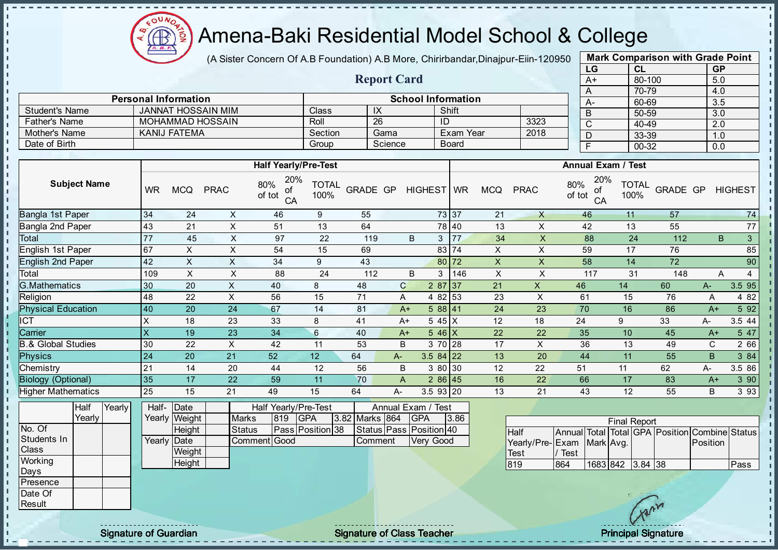$\Omega$ Æ

### Amena-Baki Residential Model School & College

(A Sister Concern Of A.B Foundation) A.B More, Chirirbandar, Dinajpur-Eiin-120950

Report Card

Personal Information and The School Information

Father's Name MOHAMMAD HOSSAIN Roll 26 ID 3323

Student's Name JANNAT HOSSAIN MIM Class IX Shift

| <b>Mark Comparison with Grade Point</b><br>LG |           |  |  |  |  |  |  |  |  |  |  |
|-----------------------------------------------|-----------|--|--|--|--|--|--|--|--|--|--|
| CL                                            | <b>GP</b> |  |  |  |  |  |  |  |  |  |  |
| 80-100                                        | 5.0       |  |  |  |  |  |  |  |  |  |  |
| 70-79                                         | 4.0       |  |  |  |  |  |  |  |  |  |  |
| 60-69                                         | 3.5       |  |  |  |  |  |  |  |  |  |  |
| 50-59                                         | 3.0       |  |  |  |  |  |  |  |  |  |  |
| $40 - 49$                                     | 2.0       |  |  |  |  |  |  |  |  |  |  |
| 33-39                                         | 1.0       |  |  |  |  |  |  |  |  |  |  |
| 00-32                                         | 0.0       |  |  |  |  |  |  |  |  |  |  |
|                                               |           |  |  |  |  |  |  |  |  |  |  |

| Mother's Name                 |        |        | <b>KANIJ FATEMA</b>       |                  |                    | Section<br>Gama                  |                      |                 | Exam Year | 2018                                 |                | D                  | 33-39                    |               | 1.0                |                                   |          |             |                     |
|-------------------------------|--------|--------|---------------------------|------------------|--------------------|----------------------------------|----------------------|-----------------|-----------|--------------------------------------|----------------|--------------------|--------------------------|---------------|--------------------|-----------------------------------|----------|-------------|---------------------|
| Date of Birth                 |        |        |                           |                  |                    |                                  | Group                |                 | Science   |                                      | <b>Board</b>   |                    |                          |               | E                  | 00-32                             |          | 0.0         |                     |
|                               |        |        |                           |                  |                    |                                  |                      |                 |           |                                      |                |                    |                          |               |                    |                                   |          |             |                     |
|                               |        |        |                           |                  |                    | <b>Half Yearly/Pre-Test</b>      |                      |                 |           |                                      |                |                    |                          |               |                    | <b>Annual Exam / Test</b>         |          |             |                     |
| <b>Subject Name</b>           |        |        | <b>WR</b>                 | <b>MCQ</b>       | <b>PRAC</b>        | 20%<br>80%<br>οf<br>of tot<br>CA | <b>TOTAL</b><br>100% | <b>GRADE GP</b> |           | HIGHEST   WR                         |                | <b>MCQ</b>         | <b>PRAC</b>              | 80%<br>of tot | 20%<br>οf<br>CA    | <b>TOTAL</b><br>100%              | GRADE GP |             | <b>HIGHEST</b>      |
| Bangla 1st Paper              |        |        | 34                        | 24               | X                  | 46                               | 9                    | 55              |           |                                      | 73 37          | 21                 | $\times$                 |               | 46                 | 11                                | 57       |             | 74                  |
| Bangla 2nd Paper              |        |        | 43                        | 21               | $\sf X$            | 51                               | 13                   | 64              |           |                                      | 78 40          | 13                 | X                        |               | 42                 | 13                                | 55       |             | 77                  |
| Total                         |        |        | 77                        | 45               | X                  | 97                               | 22                   | 119             |           | B                                    | <b>77</b><br>3 | 34                 | $\pmb{\times}$           |               | 88                 | 24                                | 112      |             | 3<br>B              |
| English 1st Paper             |        |        | 67                        | X                | $\sf X$            | 54                               | 15                   | 69              |           |                                      | 83 74          | X                  | X                        |               | 59                 | 17                                | 76       |             | 85                  |
| <b>English 2nd Paper</b>      |        |        | 42                        | X                | $\pmb{\mathsf{X}}$ | 34                               | 9                    | 43              |           |                                      | 80 72          | $\pmb{\mathsf{X}}$ | $\mathsf X$              |               | 58                 | 14                                | 72       |             | 90                  |
| Total                         |        |        | 109                       | $\pmb{\times}$   | X                  | 88                               | 24                   | 112             |           | B                                    | 3<br>146       | $\pmb{\times}$     | X                        |               | 117                | 31                                | 148      |             | Α<br>$\overline{4}$ |
| <b>G.Mathematics</b>          |        |        | 30                        | 20               | X                  | 40                               | 8                    | 48              |           | $\mathsf{C}$                         | $287$ 37       | 21                 | $\pmb{\times}$           | 46            |                    | 14                                | 60       | $A-$        | 3.5 95              |
| Religion                      |        |        | 48                        | 22               | X                  | 56                               | 15                   | 71              |           | A                                    | 4 8 2<br>53    | 23                 | X                        |               | 61                 | 15                                | 76       | Α           | 4 8 2               |
| <b>Physical Education</b>     |        |        | 40                        | 20               | 24                 | 67                               | 14                   | 81              |           | $A+$                                 | 588 41         | 24                 | 23                       | 70            |                    | 16                                | 86       | $A+$        | 5 9 2               |
| <b>CT</b>                     |        |        | X                         | 18               | 23                 | 33                               | 8                    | 41              |           | $A+$                                 | 5 45 X         | 12                 | 18                       | 24            |                    | 9                                 | 33       | А-          | 3.5 44              |
| Carrier                       |        |        | $\boldsymbol{\mathsf{X}}$ | 19               | 23                 | 34                               | $6\phantom{.}$       | 40              |           | $A+$                                 | $546$ X        | 22                 | 22                       |               | 35                 | 10                                | 45       | $A+$        | 5 47                |
| <b>B.&amp; Global Studies</b> |        |        | 30                        | 22               | X                  | 42                               | 11                   | 53              |           | <sub>B</sub>                         | 3 70 28        | 17                 | X                        |               | 36                 | 13                                | 49       | $\mathbf C$ | 2 66                |
| <b>Physics</b>                |        |        | 24                        | 20               | 21                 | 52                               | 12                   | 64              | A-        |                                      | $3.584$ 22     | 13                 | 20                       |               | 44                 | 11                                | 55       | B           | 3 84                |
| Chemistry                     |        |        | 21                        | 14               | 20                 | 44                               | 12                   | 56              |           | B                                    | 30<br>3 80     | 12                 | 22                       | 51            |                    | 11                                | 62       | A-          | 3.5 86              |
| <b>Biology (Optional)</b>     |        |        | 35                        | 17               | 22                 | 59                               | 11                   | 70              |           | A                                    | 286 45         | 16                 | 22                       |               | 66                 | 17                                | 83       | $A+$        | 3 90                |
| <b>Higher Mathematics</b>     |        |        | 25                        | 15               | 21                 | 49                               | 15                   | 64              | A-        |                                      | 3.5 93 20      | 13                 | 21                       |               | 43                 | 12                                | 55       | B           | 3 9 3               |
| Half                          | Yearly | Yearly | Half-                     | Date             | <b>Marks</b>       | Half Yearly/Pre-Test             | <b>GPA</b>           |                 |           | Annual Exam / Test                   |                |                    |                          |               |                    |                                   |          |             |                     |
| No. Of                        |        |        | Yearly                    | Weight           |                    | 819                              |                      | 3.82 Marks 864  |           | <b>GPA</b>                           | 3.86           |                    |                          |               |                    | <b>Final Report</b>               |          |             |                     |
| Students In                   |        |        | Yearly                    | Height<br>Date   |                    | <b>Status</b><br>Comment Good    | Pass Position 38     |                 | Comment   | Status Pass Position 40<br>Very Good |                |                    | Half<br>Yearly/Pre- Exam | Annual        | Total<br>Mark Avg. | Total GPA Position Combine Status |          | Position    |                     |
| Class<br>Working              |        |        |                           | Weight<br>Height |                    |                                  |                      |                 |           |                                      |                |                    | Test<br>819              | Test<br>864   |                    | 1683 842 3.84 38                  |          |             | Pass                |
|                               |        |        |                           |                  |                    |                                  |                      |                 |           |                                      |                |                    |                          |               |                    |                                   |          |             |                     |

Days Presence Date Of Result

- n

J. п л -f

 $\mathbf{I}$  $\mathbf{I}$  $\mathbf{I}$  $\mathbf{r}$  $\mathbf{I}$  $\mathbf{I}$  $\mathbf{I}$  $\mathbf{I}$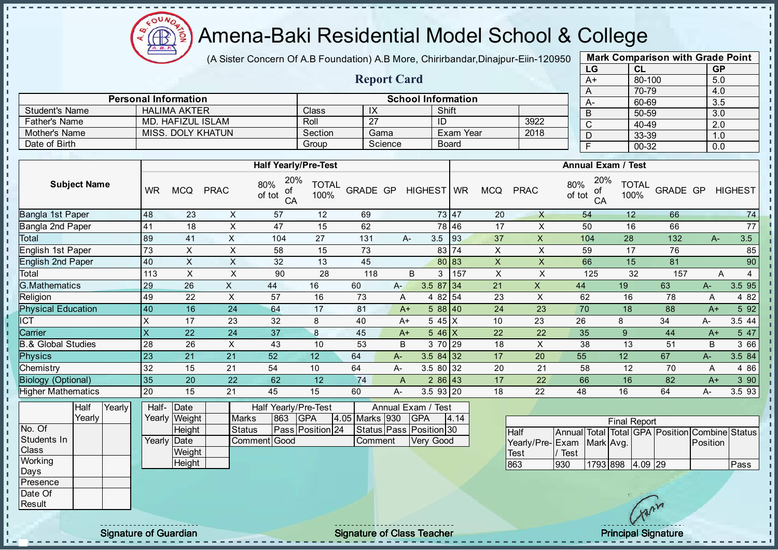

Student's Name **HALIMA AKTER** Class

## Amena-Baki Residential Model School & College

(A Sister Concern Of A.B Foundation) A.B More, Chirirbandar, Dinajpur-Eiin-120950

Report Card

Personal Information<br>
HALIMA AKTER<br>
Class
LIX LIShift

| <b>Mark Comparison with Grade Point</b> |        |           |  |  |  |  |  |  |  |
|-----------------------------------------|--------|-----------|--|--|--|--|--|--|--|
| LG                                      | CL     | <b>GP</b> |  |  |  |  |  |  |  |
| $A+$                                    | 80-100 | 5.0       |  |  |  |  |  |  |  |
| A                                       | 70-79  | 4.0       |  |  |  |  |  |  |  |
| A-                                      | 60-69  | 3.5       |  |  |  |  |  |  |  |
| B                                       | 50-59  | 3.0       |  |  |  |  |  |  |  |
| C                                       | 40-49  | 2.0       |  |  |  |  |  |  |  |
| D                                       | 33-39  | 1.0       |  |  |  |  |  |  |  |
| F                                       | 00-32  | 0.0       |  |  |  |  |  |  |  |

|                           |              |                      |                   |                                  |                      |                 |         |              |              |                           |                | ◡                                | ∪∪−∪ບ                |          | v.v              |                |
|---------------------------|--------------|----------------------|-------------------|----------------------------------|----------------------|-----------------|---------|--------------|--------------|---------------------------|----------------|----------------------------------|----------------------|----------|------------------|----------------|
| Father's Name             | MD.          | <b>HAFIZUL ISLAM</b> |                   |                                  | Roll                 | $\overline{27}$ |         |              | ID           |                           | 3922           | $\overline{C}$                   | 40-49                |          | $\overline{2.0}$ |                |
| Mother's Name             |              |                      | MISS. DOLY KHATUN |                                  | Section              |                 | Gama    |              |              | Exam Year                 | 2018           | D                                | 33-39                |          | 1.0              |                |
| Date of Birth             |              |                      |                   |                                  | Group                |                 | Science |              | <b>Board</b> |                           |                | F                                | 00-32                |          | 0.0              |                |
|                           |              |                      |                   |                                  |                      |                 |         |              |              |                           |                |                                  |                      |          |                  |                |
|                           |              |                      |                   | <b>Half Yearly/Pre-Test</b>      |                      |                 |         |              |              |                           |                |                                  |                      |          |                  |                |
| <b>Subject Name</b>       | <b>WR</b>    | <b>MCQ</b>           | <b>PRAC</b>       | 20%<br>80%<br>οf<br>of tot<br>CA | <b>TOTAL</b><br>100% | <b>GRADE GP</b> |         | HIGHEST WR   |              | <b>MCQ</b>                | <b>PRAC</b>    | 20%<br>80%<br>οf<br>of tot<br>CA | <b>TOTAL</b><br>100% | GRADE GP |                  | <b>HIGHEST</b> |
| Bangla 1st Paper          | 48           | 23                   | X                 | 57                               | 12                   | 69              |         |              | 73 47        | 20                        | $\times$       | 54                               | 12                   | 66       |                  | 74             |
| Bangla 2nd Paper          | 41           | 18                   | X                 | 47                               | 15                   | 62              |         |              | 78 46        | 17                        | X              | 50                               | 16                   | 66       |                  | 77             |
| Total                     | 89           | 41                   | X                 | 104                              | 27                   | 131             |         | А-           | 3.5<br>93    | 37                        | $\mathsf{X}$   | 104                              | 28                   | 132      | $A-$             | 3.5            |
| English 1st Paper         | 73           | X                    | X                 | 58                               | 15                   | 73              |         |              | 83 74        | $\pmb{\times}$            | X              | 59                               | 17                   | 76       |                  | 85             |
| <b>English 2nd Paper</b>  | 40           | X                    | X                 | 32                               | 13                   | 45              |         |              | 80 83        | $\mathsf X$               | X              | 66                               | 15                   | 81       |                  | 90             |
| Total                     | 113          | X                    | X                 | 90                               | 28                   | 118             |         | B            | 157<br>3     | $\boldsymbol{\mathsf{X}}$ | X              | 125                              | 32                   | 157      | Α                | 4              |
| <b>G.Mathematics</b>      | 29           | 26                   | X.                | 44                               | 16                   | 60              | $A -$   |              | $3.587$ 34   | 21                        | $\pmb{\times}$ | 44                               | 19                   | 63       | A-               | 3.5 95         |
| Religion                  | 49           | 22                   | X                 | 57                               | 16                   | 73              |         | A            | 4 8 2<br>54  | 23                        | X              | 62                               | 16                   | 78       | Α                | 4 8 2          |
| <b>Physical Education</b> | 40           | 16                   | 24                | 64                               | 17                   | 81              |         | $A+$         | 588 40       | 24                        | 23             | 70                               | 18                   | 88       | $A+$             | 5 92           |
| <b>ICT</b>                | X            | 17                   | 23                | 32                               | 8                    | 40              |         | $A+$         | $545$ X      | 10                        | 23             | 26                               | 8                    | 34       | A-               | 3.5 44         |
| Carrier                   | $\mathsf{x}$ | 22                   | 24                | 37                               | 8                    | 45              |         | $A+$         | $546$ X      | 22                        | 22             | 35                               | 9                    | 44       | $A+$             | 5 47           |
| .& Global Studies         | 28           | 26                   | X                 | 43                               | 10                   | 53              |         | B            | 3 70 29      | 18                        | X              | 38                               | 13                   | 51       | B                | 3 66           |
| <b>Physics</b>            | 23           | 21                   | 21                | 52                               | 12                   | 64              | A-      |              | $3.584$ 32   | 17                        | 20             | 55                               | 12                   | 67       | A-               | 3.5 84         |
| Chemistry                 | 32           | 15                   | 21                | 54                               | 10                   | 64              | A-      |              | 3.5 80 32    | 20                        | 21             | 58                               | 12                   | 70       | Α                | 4 8 6          |
| <b>Biology (Optional)</b> | 35           | 20                   | 22                | 62                               | 12                   | 74              |         | $\mathsf{A}$ | $286$ 43     | 17                        | 22             | 66                               | 16                   | 82       | $A+$             | 3 90           |
| <b>Higher Mathematics</b> | 20           | 15                   | 21                | 45                               | 15                   | 60              | $A -$   |              | 3.5 93 20    | 18                        | 22             | 48                               | 16                   | 64       | А-               | 3.5 93         |

|              | Half   | Yearly | Half- Date  |               |               |     | Half Yearly/Pre-Test | Annual Exam / Test |  |                         |      |
|--------------|--------|--------|-------------|---------------|---------------|-----|----------------------|--------------------|--|-------------------------|------|
|              | Yearly |        |             | Yearly Weight | <b>Marks</b>  | 863 | <b>IGPA</b>          | 4.05 Marks 930     |  | <b>IGPA</b>             | 4.14 |
| No. Of       |        |        |             | Height        | <b>Status</b> |     | Pass Position 24     |                    |  | Status Pass Position 30 |      |
| Students In  |        |        | Yearly Date |               | Comment Good  |     |                      | <b>Comment</b>     |  | <b>Verv Good</b>        |      |
| <b>Class</b> |        |        |             | Weight        |               |     |                      |                    |  |                         |      |
| Working      |        |        |             | Height        |               |     |                      |                    |  |                         |      |
| Days         |        |        |             |               |               |     |                      |                    |  |                         |      |
| Presence     |        |        |             |               |               |     |                      |                    |  |                         |      |
| Date Of      |        |        |             |               |               |     |                      |                    |  |                         |      |

| <b>Final Report</b>       |      |                  |  |  |  |                                                |      |  |  |  |  |  |  |
|---------------------------|------|------------------|--|--|--|------------------------------------------------|------|--|--|--|--|--|--|
| <b>Half</b>               |      |                  |  |  |  | Annual Total Total GPA Position Combine Status |      |  |  |  |  |  |  |
| Yearly/Pre-Exam Mark Avg. |      |                  |  |  |  | <b>IPosition</b>                               |      |  |  |  |  |  |  |
| <b>Test</b>               | Test |                  |  |  |  |                                                |      |  |  |  |  |  |  |
| 863                       | 930  | 1793 898 4.09 29 |  |  |  |                                                | Pass |  |  |  |  |  |  |

**Result** 

- II J. - II - II

л - II

- II - II  $\blacksquare$  $\blacksquare$ 

 $\mathbf{u}$  $\mathbf{I}$  $\mathbb T$  $\mathbf{I}$  $\mathbf{I}$  $\mathbf{I}$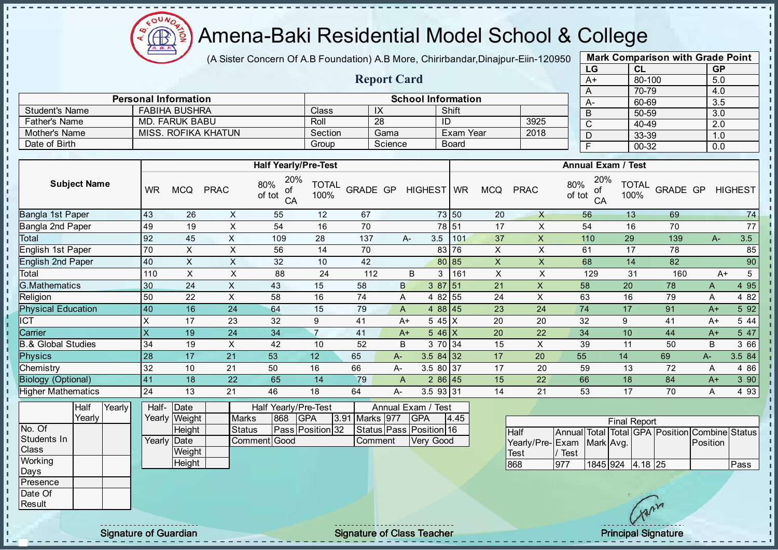

(A Sister Concern Of A.B Foundation) A.B More, Chirirbandar, Dinajpur-Eiin-120950

Report Card

| <b>Mark Comparison with Grade Point</b> |           |           |  |  |  |  |  |  |  |  |
|-----------------------------------------|-----------|-----------|--|--|--|--|--|--|--|--|
| LG                                      | <b>CL</b> | <b>GP</b> |  |  |  |  |  |  |  |  |
| $A+$                                    | 80-100    | 5.0       |  |  |  |  |  |  |  |  |
| A                                       | 70-79     | 4.0       |  |  |  |  |  |  |  |  |
|                                         | 60-69     | 3.5       |  |  |  |  |  |  |  |  |
| B                                       | 50-59     | 3.0       |  |  |  |  |  |  |  |  |
| C                                       | 40-49     | 2.0       |  |  |  |  |  |  |  |  |
|                                         | 33-39     | 1.0       |  |  |  |  |  |  |  |  |
| F                                       | 00-32     | 0.0       |  |  |  |  |  |  |  |  |
|                                         |           |           |  |  |  |  |  |  |  |  |

|                       | <b>Personal Information</b> |         |         | <b>School Information</b> |      | $A-$ |
|-----------------------|-----------------------------|---------|---------|---------------------------|------|------|
| <b>Student's Name</b> | <b>FABIHA BUSHRA</b>        | Class   | IX      | Shift                     |      |      |
| Father's Name         | MD. FARUK BABU              | Roll    | -28     | ID                        | 3925 |      |
| Mother's Name         | MISS, ROFIKA KHATUN         | Section | Gama    | Exam Year                 | 2018 |      |
| Date of Birth         |                             | Group   | Science | <b>Board</b>              |      |      |

|                           |           |            |             | <b>Half Yearly/Pre-Test</b>      |                      |          |              |                | <b>Annual Exam / Test</b> |                |             |                                  |                      |          |       |                |
|---------------------------|-----------|------------|-------------|----------------------------------|----------------------|----------|--------------|----------------|---------------------------|----------------|-------------|----------------------------------|----------------------|----------|-------|----------------|
| <b>Subject Name</b>       | <b>WR</b> | <b>MCQ</b> | <b>PRAC</b> | 20%<br>80%<br>οf<br>of tot<br>CA | <b>TOTAL</b><br>100% | GRADE GP |              | HIGHEST WR     |                           | <b>MCQ</b>     | <b>PRAC</b> | 20%<br>80%<br>οf<br>of tot<br>CA | <b>TOTAL</b><br>100% | GRADE GP |       | <b>HIGHEST</b> |
| Bangla 1st Paper          | 43        | 26         | X           | 55                               | 12                   | 67       |              |                | 73 50                     | 20             | $\times$    | 56                               | 13                   | 69       |       | 74             |
| Bangla 2nd Paper          | 49        | 19         | X           | 54                               | 16                   | 70       |              |                | 78 51                     | 17             | X           | 54                               | 16                   | 70       |       | 77             |
| Total                     | 92        | 45         | X           | 109                              | 28                   | 137      |              | 3.5<br>A-      | 101                       | 37             | X           | 110                              | 29                   | 139      | $A-$  | 3.5            |
| English 1st Paper         | 70        | X.         | X           | 56                               | 14                   | 70       |              |                | 83 76                     | X              | X           | 61                               | 17                   | 78       |       | 85             |
| <b>English 2nd Paper</b>  | 40        | X          | X           | 32                               | 10                   | 42       |              |                | 80 85                     | $\mathsf{X}$   | X           | 68                               | 14                   | 82       |       | 90             |
| Total                     | 110       | X          | X           | 88                               | 24                   | 112      |              | B<br>3         | 161                       | $\pmb{\times}$ | X           | 129                              | 31                   | 160      | $A+$  | 5              |
| <b>G.Mathematics</b>      | 30        | 24         | X           | 43                               | 15                   | 58       | $\mathsf{B}$ | 387 51         |                           | 21             | X           | 58                               | 20                   | 78       | A     | 4 95           |
| Religion                  | 50        | 22         | X           | 58                               | 16                   | 74       | A            | 4 82 55        |                           | 24             | X           | 63                               | 16                   | 79       | A     | 4 8 2          |
| <b>Physical Education</b> | 40        | 16         | 24          | 64                               | 15                   | 79       | A            | 4 88 45        |                           | 23             | 24          | 74                               | 17                   | 91       | $A+$  | 5 9 2          |
| <b>CT</b>                 | Χ         | 17         | 23          | 32                               | 9                    | 41       |              | 5 45 X<br>$A+$ |                           | 20             | 20          | 32                               | 9                    | 41       | $A+$  | 5 4 4          |
| Carrier                   | X         | 19         | 24          | 34                               | $\overline{7}$       | 41       | $A+$         | 5 46 $X$       |                           | 20             | 22          | 34                               | 10                   | 44       | $A+$  | 5 47           |
| 3.& Global Studies        | 34        | 19         | X           | 42                               | 10                   | 52       | B            | 3 70 34        |                           | 15             | X           | 39                               | 11                   | 50       | B     | 3 66           |
| <b>Physics</b>            | 28        | 17         | 21          | 53                               | 12                   | 65       | $A -$        | $3.584$ 32     |                           | 17             | 20          | 55                               | 14                   | 69       | $A -$ | 3.5 84         |
| Chemistry                 | 32        | 10         | 21          | 50                               | 16                   | 66       | A-           | 3.5 80 37      |                           | 17             | 20          | 59                               | 13                   | 72       | A     | 4 8 6          |
| <b>Biology (Optional)</b> | 41        | 18         | 22          | 65                               | 14                   | 79       | A            | 286 45         |                           | 15             | 22          | 66                               | 18                   | 84       | $A+$  | 3 90           |
| <b>Higher Mathematics</b> | 24        | 13         | 21          | 46                               | 18                   | 64       | A-           | 3.5 93 31      |                           | 14             | 21          | 53                               | 17                   | 70       | A     | 4 9 3          |

|              | Half     | Yearly | Half-Date   |               |              |     | Half Yearly/Pre-Test    |                | Annual Exam / Test            |      |
|--------------|----------|--------|-------------|---------------|--------------|-----|-------------------------|----------------|-------------------------------|------|
|              | Yearlv l |        |             | Yearly Weight | <b>Marks</b> | 868 | <b>IGPA</b>             | 3.91 Marks 977 | <b>IGPA</b>                   | 4.45 |
| No. Of       |          |        |             | Height        | Status       |     | <b>Pass Position 32</b> |                | Status   Pass   Position   16 |      |
| Students In  |          |        | Yearly Date |               | Comment Good |     |                         | Comment        | <b>Verv Good</b>              |      |
| <b>Class</b> |          |        |             | Weight        |              |     |                         |                |                               |      |
| Working      |          |        |             | Height        |              |     |                         |                |                               |      |
| Days         |          |        |             |               |              |     |                         |                |                               |      |
| Presence     |          |        |             |               |              |     |                         |                |                               |      |
| Date Of      |          |        |             |               |              |     |                         |                |                               |      |

| <b>Final Report</b>       |      |                  |  |  |  |                                                |       |  |  |  |  |  |
|---------------------------|------|------------------|--|--|--|------------------------------------------------|-------|--|--|--|--|--|
| <b>Half</b>               |      |                  |  |  |  | Annual Total Total GPA Position Combine Status |       |  |  |  |  |  |
| Yearly/Pre-Exam Mark Avg. |      |                  |  |  |  | Position                                       |       |  |  |  |  |  |
| <b>Test</b>               | Test |                  |  |  |  |                                                |       |  |  |  |  |  |
| 868                       | 977  | 1845 924 4.18 25 |  |  |  |                                                | lPass |  |  |  |  |  |

**Result** 

 $\mathbf{u}$  $\mathbf{I}$  $\mathbf{I}$  $\mathbf{I}$  $\frac{1}{1}$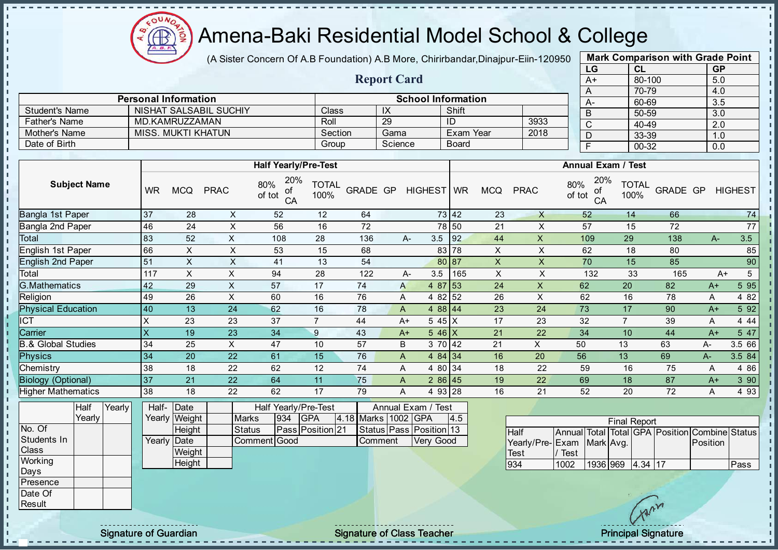

(A Sister Concern Of A.B Foundation) A.B More, Chirirbandar, Dinajpur-Eiin-120950

Report Card

| <b>Mark Comparison with Grade Point</b> |           |           |  |  |  |  |  |  |  |
|-----------------------------------------|-----------|-----------|--|--|--|--|--|--|--|
| LG                                      | CL        | <b>GP</b> |  |  |  |  |  |  |  |
| $A+$                                    | 80-100    | 5.0       |  |  |  |  |  |  |  |
| A                                       | 70-79     | 4.0       |  |  |  |  |  |  |  |
| A-                                      | 60-69     | 3.5       |  |  |  |  |  |  |  |
| B                                       | 50-59     | 3.0       |  |  |  |  |  |  |  |
| C                                       | 40-49     | 2.0       |  |  |  |  |  |  |  |
| D                                       | 33-39     | 1.0       |  |  |  |  |  |  |  |
| F                                       | $00 - 32$ | 0.0       |  |  |  |  |  |  |  |
|                                         |           |           |  |  |  |  |  |  |  |

|                      | <b>Personal Information</b> |         |         | <b>School Information</b> |      |
|----------------------|-----------------------------|---------|---------|---------------------------|------|
| Student's Name       | NISHAT SALSABIL SUCHIY      | Class⊺  |         | Shift                     |      |
| <b>Father's Name</b> | MD KAMRUZZAMAN              | Roll    | 29      |                           | 3933 |
| Mother's Name        | <b>MISS, MUKTI KHATUN</b>   | Section | Gama    | Exam Year                 | 2018 |
| Date of Birth        |                             | Group   | Science | <b>Board</b>              |      |

|                           |           |            |             | <b>Half Yearly/Pre-Test</b>      |                      |                 |  | <b>Annual Exam / Test</b> |          |     |                           |             |                                  |                      |          |      |                |
|---------------------------|-----------|------------|-------------|----------------------------------|----------------------|-----------------|--|---------------------------|----------|-----|---------------------------|-------------|----------------------------------|----------------------|----------|------|----------------|
| <b>Subject Name</b>       | <b>WR</b> | <b>MCQ</b> | <b>PRAC</b> | 20%<br>80%<br>οf<br>of tot<br>CA | <b>TOTAL</b><br>100% | <b>GRADE GP</b> |  | HIGHEST WR                |          |     | <b>MCQ</b>                | <b>PRAC</b> | 20%<br>80%<br>οf<br>of tot<br>CA | <b>TOTAL</b><br>100% | GRADE GP |      | <b>HIGHEST</b> |
| Bangla 1st Paper          | 37        | 28         | X           | 52                               | 12                   | 64              |  |                           | 73 42    |     | 23                        | $\times$    | 52                               | 14                   | 66       |      | 74             |
| Bangla 2nd Paper          | 46        | 24         | X           | 56                               | 16                   | 72              |  |                           | 78 50    |     | 21                        | X           | 57                               | 15                   | 72       |      | 77             |
| Total                     | 83        | 52         | X           | 108                              | 28                   | 136             |  | A-                        | 3.5      | 92  | 44                        | X           | 109                              | 29                   | 138      | $A-$ | 3.5            |
| <b>English 1st Paper</b>  | 66        | X.         | X           | 53                               | 15                   | 68              |  |                           | 83 78    |     | X                         | X           | 62                               | 18                   | 80       |      | 85             |
| <b>English 2nd Paper</b>  | 51        | X          | X           | 41                               | 13                   | 54              |  |                           | 80 87    |     | $\boldsymbol{\mathsf{X}}$ | X.          | 70                               | 15                   | 85       |      | 90             |
| Total                     | 117       | X          | X           | 94                               | 28                   | 122             |  | A-                        | 3.5      | 165 | X                         | X           | 132                              | 33                   | 165      |      | 5<br>A+        |
| G.Mathematics             | 42        | 29         | $\times$    | 57                               | 17                   | 74              |  | A                         | 4 87 53  |     | 24                        | X           | 62                               | 20                   | 82       | $A+$ | 5 95           |
| Religion                  | 49        | 26         | X           | 60                               | 16                   | 76              |  | A                         | 4 82 52  |     | 26                        | X           | 62                               | 16                   | 78       | A    | 4 8 2          |
| <b>Physical Education</b> | 40        | 13         | 24          | 62                               | 16                   | 78              |  | A                         | $488$ 44 |     | 23                        | 24          | 73                               | 17                   | 90       | $A+$ | 5 9 2          |
| <b>CT</b>                 | ᄉ         | 23         | 23          | 37                               | 7                    | 44              |  | $A+$                      | 5 45 X   |     | 17                        | 23          | 32                               | $\overline{7}$       | 39       | A    | 4 4 4          |
| Carrier                   | X         | 19         | 23          | 34                               | 9                    | 43              |  | $A+$                      | $546$ X  |     | 21                        | 22          | 34                               | 10                   | 44       | $A+$ | 5 47           |
| 3.& Global Studies        | 34        | 25         | X           | 47                               | 10                   | 57              |  | B                         | 3 70 42  |     | 21                        | X           | 50                               | 13                   | 63       | A-   | 3.5 66         |
| <b>Physics</b>            | 34        | 20         | 22          | 61                               | 15                   | 76              |  | A                         | 484 34   |     | 16                        | 20          | 56                               | 13                   | 69       | A-   | 3.5 84         |
| Chemistry                 | 38        | 18         | 22          | 62                               | 12                   | 74              |  | A                         | 4 80 34  |     | 18                        | 22          | 59                               | 16                   | 75       | Α    | 4 8 6          |
| <b>Biology (Optional)</b> | 37        | 21         | 22          | 64                               | 11                   | 75              |  | A                         | $286$ 45 |     | 19                        | 22          | 69                               | 18                   | 87       | $A+$ | 3 90           |
| <b>Higher Mathematics</b> | 38        | 18         | 22          | 62                               | 17                   | 79              |  | A                         | 4 93 28  |     | 16                        | 21          | 52                               | 20                   | 72       | A    | 4 9 3          |

|                  | Half   | Yearly | Half- Date  |               |              |     | Half Yearly/Pre-Test |  | Annual Exam / Test  |  |                         |     |  |
|------------------|--------|--------|-------------|---------------|--------------|-----|----------------------|--|---------------------|--|-------------------------|-----|--|
|                  | Yearlv |        |             | Yearly Weight | <b>Marks</b> | 934 | IGPA                 |  | 4.18 Marks 1002 GPA |  |                         | 4.5 |  |
| No. Of           |        |        |             | Height        | Status       |     | Pass Position 21     |  |                     |  | Status Pass Position 13 |     |  |
| Students In      |        |        | Yearly Date |               | Comment Good |     |                      |  | Comment             |  | Very Good               |     |  |
| <b>Class</b>     |        |        |             | Weight        |              |     |                      |  |                     |  |                         |     |  |
| Working          |        |        |             | Height        |              |     |                      |  |                     |  |                         |     |  |
| Days             |        |        |             |               |              |     |                      |  |                     |  |                         |     |  |
| <b>IPresence</b> |        |        |             |               |              |     |                      |  |                     |  |                         |     |  |
| Date Of          |        |        |             |               |              |     |                      |  |                     |  |                         |     |  |

|                           | <b>Final Report</b> |                  |  |  |  |                                                |      |  |  |  |  |  |  |  |  |
|---------------------------|---------------------|------------------|--|--|--|------------------------------------------------|------|--|--|--|--|--|--|--|--|
| <b>Half</b>               |                     |                  |  |  |  | Annual Total Total GPA Position Combine Status |      |  |  |  |  |  |  |  |  |
| Yearly/Pre-Exam Mark Avg. |                     |                  |  |  |  | <b>IPosition</b>                               |      |  |  |  |  |  |  |  |  |
| Test                      | Test                |                  |  |  |  |                                                |      |  |  |  |  |  |  |  |  |
| 934                       | 1002                | 1936 969 4.34 17 |  |  |  |                                                | Pass |  |  |  |  |  |  |  |  |

**Result** 

- II  $\mathbf{I}$ 

 $\mathbf{I}$  $\mathbf{I}$  $\mathbb T$  $\mathbb T$  $\mathbf{I}$  $\frac{1}{1}$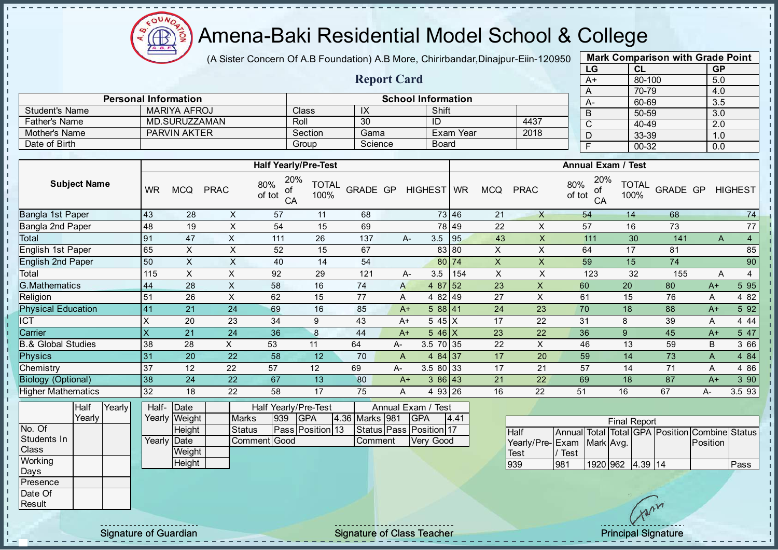

(A Sister Concern Of A.B Foundation) A.B More, Chirirbandar, Dinajpur-Eiin-120950

Report Card

| <b>Mark Comparison with Grade Point</b><br>LG |           |  |  |  |  |  |  |  |  |  |  |  |  |
|-----------------------------------------------|-----------|--|--|--|--|--|--|--|--|--|--|--|--|
| <b>CL</b>                                     | <b>GP</b> |  |  |  |  |  |  |  |  |  |  |  |  |
| 80-100                                        | 5.0       |  |  |  |  |  |  |  |  |  |  |  |  |
| 70-79                                         | 4.0       |  |  |  |  |  |  |  |  |  |  |  |  |
| 60-69                                         | 3.5       |  |  |  |  |  |  |  |  |  |  |  |  |
| 50-59                                         | 3.0       |  |  |  |  |  |  |  |  |  |  |  |  |
| 40-49                                         | 2.0       |  |  |  |  |  |  |  |  |  |  |  |  |
| 33-39                                         | 1.0       |  |  |  |  |  |  |  |  |  |  |  |  |
| 00-32                                         | 0.0       |  |  |  |  |  |  |  |  |  |  |  |  |
|                                               |           |  |  |  |  |  |  |  |  |  |  |  |  |

|                       | <b>Personal Information</b> |              |            | <b>School Information</b> |      |  |  |  |  |  |  |  |  |
|-----------------------|-----------------------------|--------------|------------|---------------------------|------|--|--|--|--|--|--|--|--|
| <b>Student's Name</b> | MARIYA AFROJ                | <b>Class</b> | $\sqrt{ }$ | Shift                     |      |  |  |  |  |  |  |  |  |
| <b>Father's Name</b>  | MD SURUZZAMAN               | Roll         | 30         | ID                        | 4437 |  |  |  |  |  |  |  |  |
| Mother's Name         | <b>PARVIN AKTER</b>         | Section      | Gama       | Exam Year                 | 2018 |  |  |  |  |  |  |  |  |
| Date of Birth         |                             | Group        | Science    | Board                     |      |  |  |  |  |  |  |  |  |

|                           |           |            |             | <b>Half Yearly/Pre-Test</b>      |                      |          |              |                 | <b>Annual Exam / Test</b> |            |             |                                  |                      |          |      |                |  |  |
|---------------------------|-----------|------------|-------------|----------------------------------|----------------------|----------|--------------|-----------------|---------------------------|------------|-------------|----------------------------------|----------------------|----------|------|----------------|--|--|
| <b>Subject Name</b>       | <b>WR</b> | <b>MCQ</b> | <b>PRAC</b> | 20%<br>80%<br>οf<br>of tot<br>CA | <b>TOTAL</b><br>100% | GRADE GP |              | HIGHEST WR      |                           | <b>MCQ</b> | <b>PRAC</b> | 20%<br>80%<br>оf<br>of tot<br>CA | <b>TOTAL</b><br>100% | GRADE GP |      | <b>HIGHEST</b> |  |  |
| Bangla 1st Paper          | 43        | 28         | X           | 57                               | 11                   | 68       |              |                 | 73 46                     | 21         | X           | 54                               | 14                   | 68       |      | 74             |  |  |
| Bangla 2nd Paper          | 48        | 19         | X           | 54                               | 15                   | 69       |              |                 | 78 49                     | 22         | X           | 57                               | 16                   | 73       |      | 77             |  |  |
| Total                     | 91        | 47         | X           | 111                              | 26                   | 137      |              | 3.5<br>А-       | 95                        | 43         | X           | 111                              | 30                   | 141      | A    | $\overline{4}$ |  |  |
| English 1st Paper         | 65        | X          | X           | 52                               | 15                   | 67       |              |                 | 83 80                     | X          | X           | 64                               | 17                   | 81       |      | 85             |  |  |
| <b>English 2nd Paper</b>  | 50        | X          | X           | 40                               | 14                   | 54       |              |                 | 80 74                     | X          | X.          | 59                               | 15                   | 74       |      | 90             |  |  |
| Total                     | 115       | X          | X           | 92                               | 29                   | 121      |              | 3.5<br>A-       | 154                       | X          | X           | 123                              | 32                   | 155      | A    | 4              |  |  |
| G.Mathematics             | 44        | 28         | X           | 58                               | 16                   | 74       | A            | 4 87 52         |                           | 23         | X           | 60                               | 20                   | 80       | $A+$ | 5 9 5          |  |  |
| Religion                  | 51        | 26         | X           | 62                               | 15                   | 77       | A            | 4 82 49         |                           | 27         | X           | 61                               | 15                   | 76       | A    | 4 8 2          |  |  |
| <b>Physical Education</b> | 41        | 21         | 24          | 69                               | 16                   | 85       |              | 588 41<br>$A+$  |                           | 24         | 23          | 70                               | 18                   | 88       | $A+$ | 5 9 2          |  |  |
| <b>ICT</b>                | X         | 20         | 23          | 34                               | 9                    | 43       |              | 545X<br>$A+$    |                           | 17         | 22          | 31                               | 8                    | 39       | A    | 4 4 4          |  |  |
| Carrier                   | X         | 21         | 24          | 36                               | 8                    | 44       |              | $546$ X<br>$A+$ |                           | 23         | 22          | 36                               | 9                    | 45       | $A+$ | 5 47           |  |  |
| 3.& Global Studies        | 38        | 28         | X.          | 53                               | 11                   | 64       | A-           | 3.5 70 35       |                           | 22         | X           | 46                               | 13                   | 59       | B    | 3 66           |  |  |
| <b>Physics</b>            | 31        | 20         | 22          | 58                               | 12                   | 70       | $\mathsf{A}$ | 4 84 37         |                           | 17         | 20          | 59                               | 14                   | 73       | A    | 4 8 4          |  |  |
| Chemistry                 | 37        | 12         | 22          | 57                               | 12                   | 69       | A-           | 3.5 80 33       |                           | 17         | 21          | 57                               | 14                   | 71       | Α    | 4 8 6          |  |  |
| <b>Biology (Optional)</b> | 38        | 24         | 22          | 67                               | 13                   | 80       |              | 386 43<br>$A+$  |                           | 21         | 22          | 69                               | 18                   | 87       | $A+$ | 3 90           |  |  |
| <b>Higher Mathematics</b> | 32        | 18         | 22          | 58                               | 17                   | 75       | A            | 493 26          |                           | 16         | 22          | 51                               | 16                   | 67       | A-   | 3.5 93         |  |  |

|                  | Half   | Yearly | Half- Date  |               |               |      | Half Yearly/Pre-Test    | Annual Exam / Test |  |                         |      |  |  |
|------------------|--------|--------|-------------|---------------|---------------|------|-------------------------|--------------------|--|-------------------------|------|--|--|
|                  | Yearlv |        |             | Yearly Weight | <b>Marks</b>  | 1939 | <b>IGPA</b>             | 4.36 Marks   981   |  | <b>IGPA</b>             | 4.41 |  |  |
| No. Of           |        |        |             | Height        | <b>Status</b> |      | <b>Pass Position 13</b> |                    |  | Status Pass Position 17 |      |  |  |
| Students In      |        |        | Yearly Date |               | Comment Good  |      |                         | Comment            |  | <b>Verv Good</b>        |      |  |  |
| Class            |        |        |             | Weight        |               |      |                         |                    |  |                         |      |  |  |
| Working          |        |        |             | Height        |               |      |                         |                    |  |                         |      |  |  |
| Days             |        |        |             |               |               |      |                         |                    |  |                         |      |  |  |
| <b>IPresence</b> |        |        |             |               |               |      |                         |                    |  |                         |      |  |  |
| Date Of          |        |        |             |               |               |      |                         |                    |  |                         |      |  |  |

| <b>Final Report</b>       |      |                  |  |  |  |                                                |      |  |  |  |  |  |  |  |
|---------------------------|------|------------------|--|--|--|------------------------------------------------|------|--|--|--|--|--|--|--|
| <b>Half</b>               |      |                  |  |  |  | Annual Total Total GPA Position Combine Status |      |  |  |  |  |  |  |  |
| Yearly/Pre-Exam Mark Avg. |      |                  |  |  |  | <b>IPosition</b>                               |      |  |  |  |  |  |  |  |
| <b>Test</b>               | Test |                  |  |  |  |                                                |      |  |  |  |  |  |  |  |
| 939                       | 981  | 1920 962 4.39 14 |  |  |  |                                                | Pass |  |  |  |  |  |  |  |

**Result** 

 $\mathbf{r}$  $\mathbf{I}$  $\mathbf{I}$  $\mathbf I$  $\mathbf{I}$